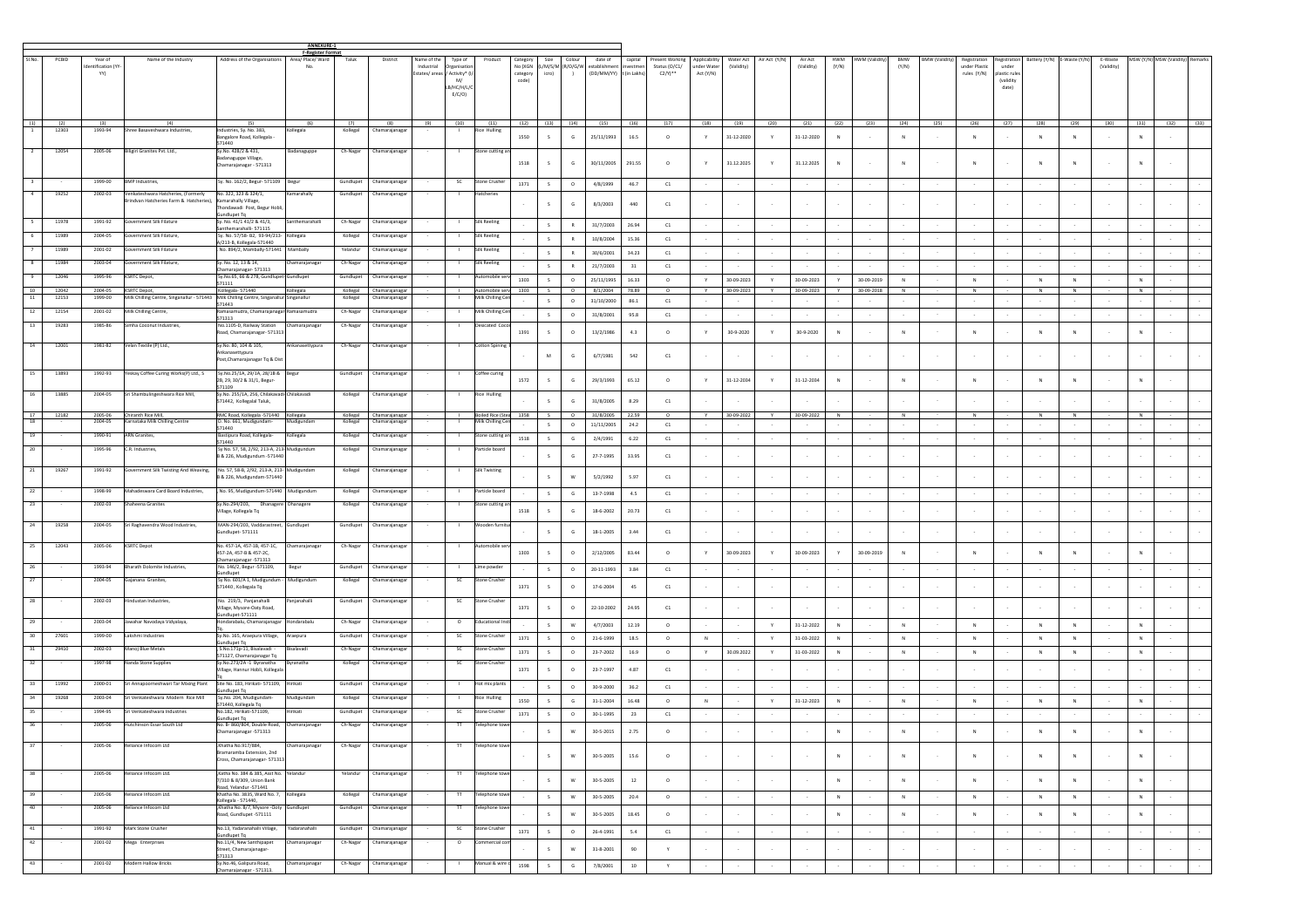|                 |                |                                     |                                                                                                     |                                                                                                              | ANNEXURE-1                                           |                       |                                       |                                            |                                                                     |                                   |                               |                        |                     |                                                                               |                    |                                                          |                                           |                         |                |                       |                     |                      |                     |                |                                              |                                                           |               |              |                       |            |                                  |        |
|-----------------|----------------|-------------------------------------|-----------------------------------------------------------------------------------------------------|--------------------------------------------------------------------------------------------------------------|------------------------------------------------------|-----------------------|---------------------------------------|--------------------------------------------|---------------------------------------------------------------------|-----------------------------------|-------------------------------|------------------------|---------------------|-------------------------------------------------------------------------------|--------------------|----------------------------------------------------------|-------------------------------------------|-------------------------|----------------|-----------------------|---------------------|----------------------|---------------------|----------------|----------------------------------------------|-----------------------------------------------------------|---------------|--------------|-----------------------|------------|----------------------------------|--------|
| SI No           | PCBID          | Year of<br>fentification (Y'<br>YY) | Name of the Industry                                                                                | Address of the Organisations                                                                                 | <b>F-Register Format</b><br>Area/ Place/ Ward<br>No. | Taluk                 | District                              | Name of the<br>Industrial<br>Estates/areas | Type of<br>Organisatio<br>Activity* (I<br>M/<br>B/HC/H/L/C<br>E/C/O | Product                           | Category<br>category<br>code) | Size<br>icro)          | Colour<br>$\lambda$ | date of<br>No (XGN (L/M/S/M (R/O/G/W establishment<br>(DD/MM/YY) t (in Lakhs) | capital<br>westmer | Present Working<br>Status (O/C1/<br>$C2/Y$ <sup>**</sup> | Applicability<br>under Water<br>Act (Y/N) | Water Act<br>(Validity) | Air Act (Y/N)  | Air Act<br>(Validity) | <b>HWM</b><br>(Y/N) | <b>HWM (Validity</b> | <b>BMW</b><br>(Y/N) | BMW (Validity) | Registration<br>under Plastic<br>rules (Y/N) | egistration<br>under<br>lastic rule<br>(validity<br>date) | Battery (Y/N) | -Waste (Y/N  | E-Waste<br>(Validity) |            | MSW (Y/N) MSW (Validity) Remarks |        |
| (1)             | (2)<br>12303   | (3)<br>1993-94                      | (4)<br>ree Basayeshwara Industrie                                                                   | (5)<br>lustries, Sy. No. 383,                                                                                | (6)<br>legala                                        | (7)<br>Kollega        | (8)<br>Chamarajana                    | (9)                                        | (10)                                                                | (11)<br>tice Hulling              |                               | $(12)$ $(13)$ $(14)$   |                     | (15)                                                                          | (16)               | (17)                                                     | (18)                                      | (19)                    | (20)           | (21)                  | (22)                | (23)                 | (24)                | (25)           | (26)                                         | (27)                                                      | (28)          | (29)         | (30)                  | (31)       | $(32)$ $(33)$                    |        |
|                 |                |                                     |                                                                                                     | angalore Road, Kollegala<br>571440                                                                           |                                                      |                       |                                       |                                            |                                                                     |                                   | 1550                          | s.                     | G                   | 25/11/1993                                                                    | 16.5               | $\circ$                                                  |                                           | 31-12-2020              | Y              | 31-12-2020            | $\mathbf{N}$        |                      |                     |                | N                                            |                                                           |               | N            |                       | N          |                                  |        |
|                 | 12054          | 2005-06                             | Biligiri Granites Pvt. Ltd.,                                                                        | y.No. 428/2 & 431<br>adanaguppe Village<br>Chamarajanagar - 571313                                           | Badanaguppe                                          | Ch-Nagar              | Chamarajanaga                         |                                            |                                                                     | Stone cutting                     | 1518                          | s.                     | G                   | 30/11/2005                                                                    | 291.55             | $\circ$                                                  |                                           | 31.12.2025              | Y.             | 31.12.2025            | $\mathbb{N}$        |                      |                     |                |                                              |                                                           |               |              |                       |            |                                  |        |
|                 |                | 1999-00                             | 3MP Industries,                                                                                     | Sy. No. 162/2, Begur-571109                                                                                  | Begu                                                 | Gundlupet             | Chamarajanagar                        |                                            | SC                                                                  | Stone Crushe                      | 1371                          | S                      | $\circ$             | 4/8/1999                                                                      | 46.7               | C1                                                       |                                           |                         |                |                       |                     |                      |                     |                |                                              |                                                           |               |              |                       |            |                                  |        |
| $\overline{4}$  | 19252          | 2002-03                             | Venkateshwara Hatcheries, (Formerly<br>rindvan Hatcheries Farm & Hatcheries)                        | No. 322, 323 & 324/1,<br>Camarahally Village,<br>ondawadi Post, Begur Hob                                    | Kamarahally                                          | Gundlupet             | Chamarajanagar                        |                                            | л.                                                                  | Hatcherie:                        |                               |                        | G                   | 8/3/2003                                                                      | 440                | C1                                                       |                                           |                         |                |                       |                     |                      |                     |                |                                              |                                                           |               |              |                       |            |                                  |        |
|                 | 11978          | 1991-92                             | iovernment Silk Filature                                                                            | ndlupet Tq<br>Sγ. No. 41/1 41/2 & 41/3,                                                                      | santhemarahall                                       | Ch-Nagar              | Chamarajanaga                         |                                            |                                                                     | Silk Reeling                      |                               | S                      | R                   | 31/7/2003                                                                     | 26.94              | C1                                                       |                                           |                         |                |                       |                     |                      |                     |                |                                              |                                                           |               |              |                       |            |                                  |        |
|                 | 11989          | 2004-05                             | overnment Silk Filature,                                                                            | inthemarahalli-571115<br>Sy. No. 57/58- B2, 93-94/213-<br>4/213-B, Kollegala-571440                          | Kollegala                                            | Kollegal              | Chamarajanaga                         |                                            |                                                                     | Silk Reeling                      |                               | S                      | R                   | 10/8/2004                                                                     | 15.36              | C1                                                       |                                           |                         |                |                       |                     |                      |                     |                |                                              |                                                           |               |              |                       |            |                                  |        |
|                 | 11989          | 2001-02                             | ernment Silk Filature                                                                               | No. 894/2, Mambally-571441                                                                                   | Mambally                                             | Yelandu               | Chamarajanagar                        |                                            |                                                                     | Silk Reeling                      |                               | S                      | R                   | 30/6/2001                                                                     | 34.23              | C1                                                       |                                           |                         | $\sim$         |                       |                     | $\sim$               |                     |                |                                              |                                                           |               |              |                       |            |                                  |        |
|                 | 11984          | 2003-04                             | wernment Silk Filature                                                                              | Sy. No. 12, 13 & 14,<br>hamarajanagar- 571313                                                                | hamarajanaga                                         | Ch-Nagar              | Chamarajanaga                         |                                            |                                                                     | Silk Reeling                      |                               | S                      | R                   | 21/7/2003                                                                     | 31                 | C1                                                       |                                           |                         |                |                       |                     |                      |                     |                |                                              |                                                           |               |              |                       |            |                                  |        |
| $\mathbf{Q}$    | 12046          | 1995-96                             | KSRTC Depot,                                                                                        | Sy.No.65, 66 & 278, Gundlupe<br>71111                                                                        | Gundlupet                                            | Gundlupe              | Chamarajanagar                        |                                            |                                                                     | Automobile                        | 1303                          | S                      | $\circ$             | 25/11/1995                                                                    | 16.33              | $\circ$                                                  | Y                                         | 30-09-2023              | Y              | 30-09-2023            | Y.                  | 30-09-2019           | N                   |                | ${\sf N}$                                    |                                                           | N             | N            |                       | N          |                                  |        |
| $10^{-1}$<br>11 | 12042<br>12153 | 2004-05<br>1999-00                  | <b>KSRTC Depot,</b><br>Milk Chilling Centre, Singanallur - 571443 Milk Chilling Centre, Singanallur | Kollegala-571440<br>571443                                                                                   | Kollegala<br>singanallur                             | Kollegal              | Kollegal Chamarajanagar<br>Chamarajan |                                            |                                                                     | Automobile ser<br>Milk Chilling C | 1303                          | $\sim$<br>$\mathsf{s}$ | $\Omega$<br>$\circ$ | 8/1/2004<br>31/10/2000                                                        | 78.89<br>86.1      | $\Omega$<br>C1                                           | Y                                         | 30-09-2023              | $\mathbf{v}$   | 30-09-2023            | <b>Y</b>            | 30-09-2018           | <b>N</b>            |                | N                                            |                                                           | N             | <b>N</b>     |                       | N          |                                  |        |
| 12              | 12154          | 2001-02                             | Milk Chilling Centre,                                                                               | lamasamudra, Chamarajanagar Ramasamudra<br>71313                                                             |                                                      | Ch-Nagar              | Chamarajanagar                        |                                            |                                                                     | Milk Chilling Ce                  |                               | S                      | $\circ$             | 31/8/2001                                                                     | 95.8               | C1                                                       |                                           |                         |                |                       |                     |                      |                     |                |                                              |                                                           |               |              |                       |            |                                  |        |
| 13              | 19283          | 1985-86                             | Simha Coconut Industries.                                                                           | No.1105-D, Railway Station<br>Road, Chamarajanagar- 571313                                                   | Chamarajanagar                                       | Ch-Nagar              | Chamarajanaga                         |                                            |                                                                     | Desicated Coo                     | 1391                          | s.                     | $\circ$             | 13/2/1986                                                                     | 4.3                | $\circ$                                                  | Y                                         | 30-9-2020               | Y              | 30-9-2020             | $\mathbb{N}$        |                      | <b>N</b>            |                | N                                            |                                                           | N             | $\mathbb{N}$ |                       | N          |                                  |        |
| 14              | 12001          | 1981-82                             | /elan Textile (P) Ltd.,                                                                             | Sv.No. 80, 104 & 105.<br>Ankanasettypura<br>Post, Chamarajanagar Tq & Dis                                    | Ankanasettypura                                      | Ch-Nagar              | Chamarajanagar                        |                                            | - 11                                                                | Cotton Spining                    |                               | M                      | G                   | 6/7/1981                                                                      | 542                | C1                                                       |                                           |                         | $\sim$         |                       |                     |                      |                     |                |                                              |                                                           |               |              |                       |            |                                  |        |
| 15<br>16        | 13893<br>13889 | 1992-93<br>2004-05                  | eskay Coffee Curing Works(P) Ltd., S<br>iri Shambulingeshwara Rice Mill,                            | Sy.No.25/1A, 29/1A, 28/1B & Begur<br>2B, 29, 30/2 & 31/1, Begur-<br>571109<br>Sy.No. 255/1A, 256, Chilakavar | hilakavadi                                           | Gundlupet<br>Kollegal | Chamarajanagar<br>Chamarajanagar      |                                            |                                                                     | Coffee curing<br>Rice Hulling     | 1572                          | $\mathsf{s}$           | G                   | 29/3/1993                                                                     | 65.12              | $\circ$                                                  |                                           | 31-12-2034              | Y              | 31-12-2034            | $\mathbb N$         |                      |                     |                |                                              |                                                           |               |              |                       | N          |                                  |        |
| 17              | 12182          | 2005-06                             | Chiranth Rice Mill,                                                                                 | 71442, Kollegalal Taluk,<br>RMC Road, Kollegala -571440 Kollegala                                            |                                                      |                       | Kollegal Chamarajanagar               |                                            |                                                                     | Boiled Rice (Stea 1358            |                               | s.                     | G<br>$\circ$        | 31/8/2005<br>31/8/2005                                                        | 8.29<br>22.59      | C1                                                       |                                           | 30-09-2022              |                | 30-09-2022            |                     |                      |                     |                | ${\sf N}$                                    |                                                           | N             | $\,$ N       |                       | N          |                                  |        |
| 18              |                | 2004-05                             | arnataka Milk Chilling Centre                                                                       | D. No. 661, Mudigundam-<br>571440                                                                            | Mudigundam                                           | Kollegal              | Chamarajanagar                        |                                            |                                                                     | Milk Chilling Ce                  |                               | S                      | $\circ$             | 11/11/2005                                                                    | 24.2               | C1                                                       |                                           |                         |                |                       |                     |                      |                     |                |                                              |                                                           |               |              |                       |            |                                  |        |
|                 |                | 1990-91                             | ARN Granite:                                                                                        | Bastipura Road, Kollegala-<br>571440                                                                         | Kollegala                                            | Kollega               | hamarajanaga                          |                                            |                                                                     | tone cutting                      | 1518                          | S                      | G                   | 2/4/1991                                                                      | 6.22               | C1                                                       |                                           |                         |                |                       |                     |                      |                     |                |                                              |                                                           |               |              |                       |            |                                  |        |
| 20              |                | 1995-96                             | C.R. Industries,                                                                                    | Sy No. 57, 58, 2/92, 213-A, 213-Mudigundum<br>8 & 226, Mudigundum -571440                                    |                                                      | Kollegal              | Chamarajanaga                         |                                            |                                                                     | Particle boar                     |                               | $\mathsf{s}$           | G                   | 27-7-1995                                                                     | 33.95              | C1                                                       |                                           |                         |                |                       |                     |                      |                     |                |                                              |                                                           |               |              |                       |            |                                  |        |
| 21              | 19267          | 1991-92                             | Government Silk Twisting And Weaving, No. 57, 58-B, 2/92, 213-A, 213- Mudigundam                    | B & 226, Mudigundam-571440                                                                                   |                                                      | Kollegal              | Chamarajanagar                        |                                            |                                                                     | <b>Silk Twisting</b>              |                               | s.                     | W                   | 5/2/1992                                                                      | 5.97               | C1                                                       |                                           |                         |                |                       |                     |                      |                     |                |                                              |                                                           |               |              |                       |            |                                  |        |
| 22<br>23        |                | 1998-99<br>2002-03                  | Mahadeswara Card Board Industries,<br>Shaheena Granites                                             | No. 95, Mudigundum-571440 Mudigundum<br>Sy.No.294/203, Dhanagere Dhanagere                                   |                                                      | Kollegal<br>Kollegal  | Chamarajanaga<br>Chamarajanaga        |                                            | п.                                                                  | Particle board<br>Stone cutting a |                               | $\mathsf{s}$           | G                   | 13-7-1998                                                                     | $4.5\,$            | $_{\rm C1}$                                              |                                           |                         |                |                       |                     |                      |                     |                |                                              |                                                           |               |              |                       |            |                                  |        |
|                 |                |                                     |                                                                                                     | /illage, Kollegala Tq                                                                                        |                                                      |                       |                                       |                                            |                                                                     |                                   | 1518                          | s.                     | G                   | 18-6-2002                                                                     | 20.73              | C1                                                       |                                           |                         |                |                       |                     |                      |                     |                |                                              |                                                           |               |              |                       |            |                                  |        |
| 24<br>25        | 19258<br>12043 | 2004-05<br>2005-06                  | Sri Raghavendra Wood Industries,<br><b>KSRTC Depot</b>                                              | MAN-294/203, Vaddarastreet,<br>undlupet-571111<br>Vo. 457-1A, 457-1B, 457-1C,                                | Gundlupet<br>Chamarajanagar                          | Gundlupet<br>Ch-Nagar | Chamarajanagar<br>Chamarajanagar      |                                            |                                                                     | /ooden fui<br>utomobile s         |                               |                        | G                   | 18-1-2005                                                                     | 3.44               | C1                                                       |                                           |                         | $\sim$         |                       |                     |                      |                     |                |                                              |                                                           |               |              |                       |            |                                  |        |
|                 |                |                                     |                                                                                                     | 457-2A, 457-B & 457-2C,<br>amarajanagar -571313                                                              |                                                      |                       |                                       |                                            |                                                                     |                                   | 1303                          | s.                     | $\circ$             | 2/12/2005                                                                     | 83.44              | $\circ$                                                  |                                           | 30-09-2023              | Y              | 30-09-2023            |                     | 30-09-2019           |                     |                | N                                            |                                                           |               | N            |                       |            |                                  |        |
| 26              |                | 1993-94                             | Bharath Dolomite Industries,                                                                        | No. 146/2, Begur -571109,<br>undlupet                                                                        | Begur                                                | Gundlupe              | Chamarajanaga                         |                                            |                                                                     | Lime powde                        |                               | S                      | $\circ$             | 20-11-1993                                                                    | 3.84               | C1                                                       |                                           |                         |                |                       |                     |                      |                     |                |                                              |                                                           |               |              |                       |            |                                  |        |
|                 |                | 2004-05<br>2002-03                  | Sajanana Granites,<br>industan Industries                                                           | Sy No. 601/A 1, Mudigundum<br>71440 , Kollegala Tq<br>No. 219/3, Panjanahall                                 | Mudigundum<br>njanahalli                             | Kollegal<br>Gundlupe  | Chamarajanaga<br>Chamarajanagar       |                                            | SC                                                                  | Stone Crushe<br>tone Cru          | 1371                          |                        | $\circ$             | $17 - 6 - 2004$                                                               | 45                 | C1                                                       |                                           |                         |                |                       |                     |                      |                     |                |                                              |                                                           |               |              |                       |            |                                  |        |
|                 |                |                                     |                                                                                                     | /illage, Mysore-Oaty Road,<br>ndlupet-571111                                                                 |                                                      |                       |                                       |                                            |                                                                     |                                   | 1371                          | $\sim$                 | $\circ$             | 22-10-2002                                                                    | 24.95              | C1                                                       |                                           |                         |                |                       |                     |                      |                     |                |                                              |                                                           |               |              |                       |            |                                  |        |
| 29              |                | 2003-04                             | lawahar Navodaya Vidyalaya,                                                                         | ondarabalu, Chamarajanagar                                                                                   | Hondarabalu                                          | Ch-Nagar              | Chamarajanaga                         |                                            | $\circ$                                                             | Educational                       |                               | s.                     | W                   | 4/7/2003                                                                      | 12.19              | $\circ$                                                  |                                           |                         | Y              | 31-12-2022            | $_{\rm N}$          |                      | N                   |                | N                                            |                                                           | N             | N            |                       | N          |                                  |        |
| 30<br>31        | 27601<br>29410 | 1999-00<br>2002-03                  | Lakshmi Industries<br>Manoj Blue Metals                                                             | Sy.No. 165, Araepura Village,<br>undlupet Ta<br>, S.No.171p-11, Bisalavadi                                   | Araepura<br>alavadi                                  | Gundlupet<br>Ch-Nagar | Chamarajanaga<br>Chamarajanagar       |                                            | $\sf SC$<br>SC                                                      | Stone Crushe<br>Stone Crushe      | 1371                          | $\mathsf{s}$           | $\circ$             | 21-6-1999                                                                     | $18.5\,$           | $\circ$                                                  | ${\sf N}$                                 |                         | $\mathbf Y$    | 31-03-2022            | $\mathsf{N}$        |                      | N                   |                | ${\sf N}$                                    |                                                           | N             | $\,$ N       |                       |            |                                  |        |
| 32              |                | 1997-98                             | Nanda Stone Supplies                                                                                | 571127, Chamarajanagar Tq<br>Sy.No.273/2A-1 Byranatha                                                        | Byranatha                                            | Kollegal              | Chamarajanaga                         |                                            | <b>SC</b>                                                           | Stone Crushe                      | 1371                          | $\mathsf{s}$           | $\circ$             | 23-7-2002                                                                     | 16.9               | $\circ$                                                  |                                           | 30.09.2022              | Y.             | 31-03-2022            | $\mathbb N$         |                      | N                   |                | ${\sf N}$                                    |                                                           | N             | $\,$ N       |                       | N          |                                  |        |
|                 |                |                                     |                                                                                                     | illage, Hannur Hobli, Kollegal                                                                               |                                                      |                       |                                       |                                            |                                                                     |                                   | 1371                          | s.                     | $\circ$             | 23-7-1997                                                                     | 4.87               | C1                                                       |                                           |                         |                |                       |                     |                      |                     |                |                                              |                                                           |               |              |                       |            |                                  |        |
| 33              | 11992          | 2000-01                             | Sri Annapoorneshwari Tar Mixing Plant                                                               | Site No. 183, Hirikati- 571109,<br>undlupet Tq                                                               | Hirikati                                             | Gundlupet             | Chamarajanagar                        |                                            |                                                                     | Hot mix plants                    |                               | S                      | $\circ$             | 30-9-2000                                                                     | 36.2               | C1                                                       |                                           |                         |                |                       |                     |                      |                     |                |                                              |                                                           |               |              |                       |            |                                  |        |
| 34              | 19268          | 2003-04                             | ri Venkateshwara Modern Rice Mill<br>Sri Venkateshwara Industries                                   | Sy.No. 204, Mudigundam<br>71440, Kollegala Tq                                                                | Mudigundam                                           | Kollegal              | Chamarajanagar                        |                                            |                                                                     | Rice Hulling                      | 1550                          | S                      | G                   | $31 - 1 - 2004$                                                               | 16.48              | $\circ$                                                  | ${\sf N}$                                 |                         | Y              | 31-12-2023            | $\mathbb N$         |                      | $\,$ N              |                | ${\sf N}$                                    |                                                           | N             | $\,$ N       |                       | N          |                                  |        |
| 35<br>36        |                | 1994-95<br>2005-06                  | Hutchinson Essar South Ltd                                                                          | Vo.182, Hirikati-571109,<br>undlupet Tq<br>No. B- 860/804, Double Road, Chamarajanagar                       | Hirikati                                             | Gundlupet<br>Ch-Nagar | Chamarajanagar<br>Chamarajanagar      |                                            | SC<br>$^{\text{TT}}$                                                | Stone Crushe<br>Telephone tow     | 1371                          | S                      | $\circ$             | 30-1-1995                                                                     | 23                 | C1                                                       |                                           |                         |                |                       |                     |                      |                     |                |                                              |                                                           |               |              |                       |            |                                  |        |
| 37              |                | 2005-06                             | Reliance Infocom Ltd                                                                                | Chamarajanagar -571313<br>Khatha No.917/884,                                                                 | hamarajanagar                                        | Ch-Nagar              | Chamarajanagar                        |                                            | π                                                                   | Telephone to                      |                               | S                      | W                   | $30 - 5 - 2015$                                                               | 2.75               | $\circ$                                                  |                                           |                         |                |                       | $\mathbb N$         |                      |                     |                | $\mathsf{N}$                                 |                                                           |               | ${\sf N}$    |                       |            |                                  |        |
| 38              |                | 2005-06                             | Reliance Infocom Ltd.                                                                               | ramaramba Extension, 2nd<br>Cross, Chamarajanagar- 571313<br>Katha No. 384 & 385, Asst No. Yelandur          |                                                      | Yelandur              | Chamarajanagar                        |                                            | $^{\text{TT}}$                                                      | Telephone tow                     |                               | $\mathsf{s}$           | W                   | 30-5-2005                                                                     | 15.6               | $\circ$                                                  | $\sim$                                    |                         | $\sim$         |                       | N                   |                      | N                   |                | N                                            |                                                           | N             | N            | $\sim$                | $_{\rm N}$ | $\sim$                           |        |
|                 |                |                                     |                                                                                                     | 7/310 & 8/309, Union Bank<br>coad Yelandur-571441                                                            |                                                      |                       |                                       |                                            |                                                                     |                                   |                               | S                      | W                   | 30-5-2005                                                                     | $12\,$             | $\circ$                                                  |                                           | $\sim$                  | $\sim$         |                       | $\,N\,$             | $\sim$               | N                   |                | N                                            |                                                           | N             | $\,$ N       |                       | N          | $\sim$                           |        |
| 39              |                | 2005-06                             | Reliance Infocom Ltd.                                                                               | Chatha No. 3835, Ward No. 7, Kollegala<br>Collegala - 571440,                                                |                                                      | Kollegal              | Chamarajanagar                        |                                            |                                                                     | Telephone to                      |                               | S                      | ${\mathsf w}$       | 30-5-2005                                                                     | 20.4               | $\circ$                                                  |                                           | $\sim$                  | $\sim$         |                       | N                   | $\sim$               | $\,$ N              |                | ${\sf N}$                                    |                                                           | N             | N            | $\sim$                | $\,N\,$    | $\sim$                           |        |
| 40              |                | 2005-06                             | Reliance Infocom Ltd                                                                                | ,Khatha No. 8/7, Mysore -Ooty Gundlupet<br>Road, Gundlupet -571111                                           |                                                      | Gundlupet             | Chamarajanagar                        |                                            | $^{\text{TT}}$                                                      | Telephone tow                     |                               | S                      | W                   | 30-5-2005                                                                     | 18.45              | $\circ$                                                  |                                           | $\sim$                  | $\sim$         |                       | $_{\rm N}$          | $\sim$               | $\,$ N              |                | ${\sf N}$                                    |                                                           | N             | $\,$ N       | $\sim$                | N          | $\sim$                           |        |
| 41              |                | 1991-92                             | Mark Stone Crusher                                                                                  | No.13, Yadaranahalli Village,<br><b>Sundlupet Tq</b>                                                         | Yadaranahalli                                        |                       | Gundlupet Chamarajanagar              |                                            | SC                                                                  | Stone Crusher                     | 1371                          | S                      | $\circ$             | 26-4-1991                                                                     | 5.4                | ${\tt C1}$                                               |                                           |                         | $\sim$         |                       |                     | $\sim$               |                     |                |                                              |                                                           |               |              | $\sim$                |            | $\sim$                           |        |
| 42              |                | 2001-02                             | Mega Enterprises                                                                                    | No.11/4, New Santhipapet<br>Street, Chamarajanagar-                                                          | Chamarajanagar                                       | Ch-Nagar              | Chamarajanagar                        |                                            | $\circ$                                                             | commercial cor                    |                               | $\mathsf{s}$           | W                   | $31 - 8 - 2001$                                                               | 90                 | Y                                                        | $\sim$                                    | $\sim$                  | $\sim 10^{-1}$ | $\sim$                | $\sim$              | $\sim$               |                     |                |                                              |                                                           | $\sim$        | $\sim$       | $\sim$                |            | $\sim$                           | $\sim$ |
| $-43$           |                | 2001-02                             | Modern Hallow Bricks                                                                                | 571313<br>sy.No.46, Galipura Road,                                                                           | Chamarajanagar                                       | Ch-Nagar              | Chamarajanagar                        |                                            | -11                                                                 | Manual & wire                     | 1598                          | S                      | $\mathsf{G}$        | 7/8/2001                                                                      | 10                 | Y                                                        |                                           |                         | $\sim$         |                       |                     |                      |                     |                |                                              |                                                           |               |              |                       |            | $\sim$                           |        |
|                 |                |                                     |                                                                                                     | Chamarajanagar - 571313.                                                                                     |                                                      |                       |                                       |                                            |                                                                     |                                   |                               |                        |                     |                                                                               |                    |                                                          |                                           |                         |                |                       |                     |                      |                     |                |                                              |                                                           |               |              |                       |            |                                  |        |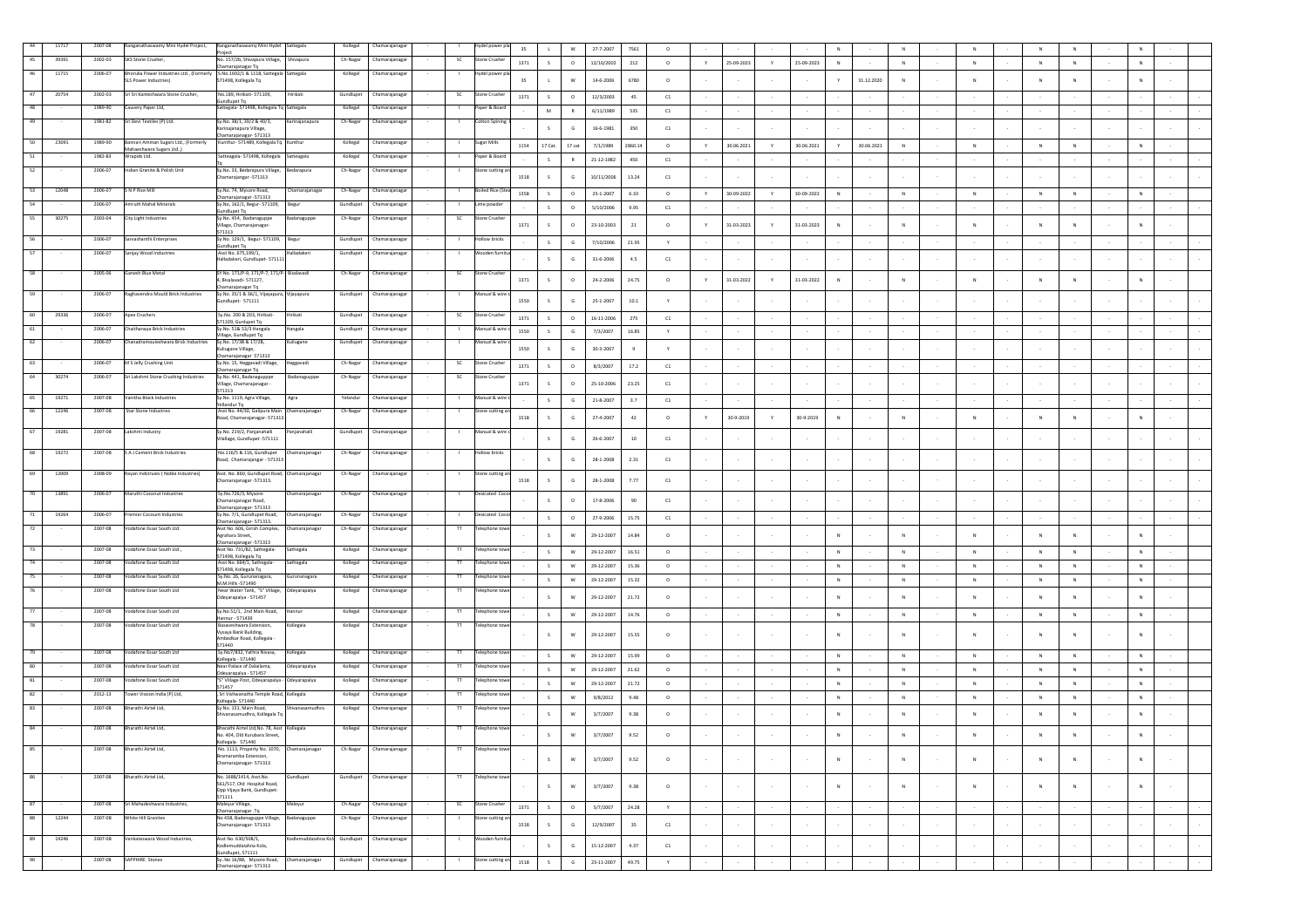|    | 11717 | 2007-08 | Ranganathaswamy Mini Hydel Project,                               | Ranganathaswamy Mini Hydel<br>Project                                         | Sattegal                      | Kollegal  | hamarajanaga      |                | lydel power             | 35       | W<br>$\mathbf{L}$                 | 27-7-2007        | 7561           | $^{\circ}$   |   |            |               | N                          |            |              |                |        |              |                |        |            |        |
|----|-------|---------|-------------------------------------------------------------------|-------------------------------------------------------------------------------|-------------------------------|-----------|-------------------|----------------|-------------------------|----------|-----------------------------------|------------------|----------------|--------------|---|------------|---------------|----------------------------|------------|--------------|----------------|--------|--------------|----------------|--------|------------|--------|
| 45 | 39391 | 2002-03 | SKS Stone Crusher,                                                | No. 157/2b, Shivapura Village,<br>Chamarajanagar Tq                           | Shivapura                     | Ch-Nagar  | hamarajanaga      | SC             | Stone Crushe            | 1371     | S<br>$\circ$                      | 12/10/2002       | 212            | $\circ$      | Y | 25-09-2023 | $\mathbb {Y}$ | 25-09-2023<br>$\mathbb N$  |            | $\,$ N       | ${\sf N}$      |        | N            | ${\sf N}$      |        | ${\sf N}$  |        |
| 46 | 11715 | 2006-07 | Bhoruka Power Industries Ltd., (Former<br>SLS Power Industries)   | S.No.1692/1 & 1118, Sattegala - Sattegala<br>571498, Kollegala Tq             |                               | Kollegal  | hamarajanag       |                | del pow                 | 35       | W                                 | $14 - 6 - 2006$  | 6780           | $\circ$      |   |            |               | Y                          | 31.12.2020 | ${\sf N}$    | $\overline{N}$ |        |              | N              |        | N          |        |
| 47 | 20754 | 2002-03 | Sri Sri Kanteshwara Stone Crusher,                                | No.189, Hirikati- 571109,                                                     | lirikati                      | Gundlupet | :<br>hamarajanaga | SC             | one Crush               |          |                                   |                  |                |              |   |            |               |                            |            |              |                |        |              |                |        |            |        |
| 48 |       | 1989-90 | Cauvery Paper Ltd,                                                | undlupet Tq<br>Sattegala-571498, Kollegala Tq Sattegala                       |                               | Kollegal  | hamarajanaga      |                | per & Bo                | 1371     | $\circ$<br>$\mathsf{s}$<br>M<br>R | 12/3/2003        | 45<br>535      | C1           |   |            |               |                            |            |              |                |        |              |                |        |            |        |
| 49 |       | 1981-82 | Sri Devi Textiles (P) Ltd.                                        | Sy.No. 38/1, 39/2 & 40/3,                                                     | rrinajanapura                 | Ch-Nagar  | hamarajanaga      |                | tton Spi                |          |                                   | 6/11/1989        |                | C1           |   |            |               |                            |            |              |                |        |              |                |        |            |        |
|    |       |         |                                                                   | arinajanapura Village,<br>hamarajanagar- 571313                               |                               |           |                   |                |                         |          | S.<br>G                           | 16-6-1981        | 350            | C1           |   |            |               |                            |            |              |                |        |              |                |        |            |        |
| 50 | 23091 | 1989-90 | Bannari Amman Sugars Ltd., (Formerly<br>Mahaeshwara Sugars Ltd.,) | Kunthur-571489, Kollegala Tq Kunthur                                          |                               | Kollegal  | Chamarajanaga     |                | Sugar Mill:             | 1154     | 17 Cat.<br>17 cat                 | 7/1/1989         | 2860.14        | $\circ$      | v | 30.06.202  | Y             | 30.06.2021<br>Y            | 30.06.2021 | N            | $\overline{N}$ |        | N            | $\overline{N}$ |        | $\,N\,$    |        |
| 51 |       | 1982-83 | Nrapids Ltd.                                                      | Satteagala- 571498, Kollegala                                                 | atteagala                     | Kollegal  | hamarajanaga      |                | aper & Bo               |          | $\mathsf{s}$<br>R                 | 21-12-1982       | 450            | C1           |   |            |               |                            |            |              |                |        |              |                |        |            |        |
| 52 |       | 2006-07 | ndian Granite & Polish Unit                                       | Sy.No. 33, Bedarapura Village,<br>hamarajangar -571313                        | Bedarapura                    | Ch-Nagar  | Chamarajanagar    |                | one cutting             | 1518     | $\mathsf G$<br>$\mathsf{s}$       | 10/11/2006       | 13.24          | C1           |   |            |               |                            |            |              |                |        |              |                |        |            |        |
| 53 | 12048 | 2006-07 | S N P Rice Mill                                                   | Sy.No. 74, Mysore Road,                                                       | Chamarajanagar                | Ch-Nagar  | Chamarajanaga     |                | <b>Boiled Rice (Ste</b> | 1358     | $\mathsf{s}$<br>$\circ$           | 25-1-2007        | 6.33           | $\circ$      | Y | 30-09-2022 | Y.            | 30-09-2022<br>N            |            | N            | N              |        | N            | N              |        | N          |        |
| 54 |       | 2006-07 | Amruth Mahal Minerals                                             | Chamarajanagar -571313<br>Sy.No, 162/1, Begur- 571109<br>undlupet Tq          | egur                          | Gundlupet | hamarajanaga      |                | ime powde               |          | S<br>$\circ$                      | 5/10/2006        | 9.95           | C1           |   |            |               |                            |            |              |                |        |              |                |        |            |        |
| 55 | 30275 | 2003-04 | City Light Industries                                             | Sy.No. 454, Badanaguppe<br>illage, Chamarajanagar-                            | adanaguppe                    | Ch-Nagar  | Chamarajanaga     | SC             | tone Crush              | 1371     | $\circ$                           | 23-10-2003       | 21             | $\circ$      |   | 31-03-2023 | $\mathbf{Y}$  | 31-03-2023                 |            |              |                |        |              | $\mathsf{N}$   |        |            |        |
| 56 |       | 2006-07 | Sarvashanthi Enterprises                                          | 71313<br>y.No. 129/1, Begur-571109,                                           | Begur                         | Gundlupet | hamarajanaga      |                | llow bricks             |          |                                   |                  |                |              |   |            |               |                            |            |              |                |        |              |                |        |            |        |
| 57 |       | 2006-07 | anjay Wood Industries                                             | undlupet Tq<br>Asst No. 675,199/1                                             | adakeri                       | Gundlupe  | hamarajanag       |                |                         |          | $\mathsf{s}$<br>G                 | 7/10/2006        | 21.95          | Y            |   |            |               |                            |            |              |                |        |              |                |        |            |        |
|    |       |         |                                                                   | lalladakeri, Gundlupet- 571111                                                |                               |           |                   |                |                         |          | $\mathsf{s}$<br>G                 | $31 - 6 - 2006$  | 4.5            | C1           |   |            |               |                            |            |              |                |        |              |                |        |            |        |
| 58 |       | 2005-06 | Ganesh Blue Metal                                                 | SY No. 171/P-9, 171/P-7, 171/P- Bisalavadi<br>, Bisalavadi- 571127,           |                               | Ch-Nagar  | Chamarajanaga     | sc             | Stone Crush             | 1371     | $\mathsf{s}$<br>$\circ$           | 24-2-2006        | 24.75          | $\circ$      |   | 31-03-2022 | Y             | 31-03-2022<br>$\mathbb{N}$ |            |              |                |        |              | N              |        |            |        |
| 59 |       | 2006-07 | Raghavendra Mould Brick Industries                                | hamarajanagar Tq<br>Sy.No. 35/1 & 36/1, Vijayapura, Vijayapura                |                               | Gundlupet | Chamarajanaga     |                | fanual & wir            |          |                                   |                  |                |              |   |            |               |                            |            |              |                |        |              |                |        |            |        |
|    |       |         |                                                                   | Sundlupet- 571111                                                             |                               |           |                   |                |                         | 1550     | S.<br>G                           | $25 - 1 - 2007$  | 10.1           |              |   |            |               |                            |            |              |                |        |              |                |        |            |        |
| 60 | 29336 | 2006-07 | Apex Crushers                                                     | Sy.No. 200 & 203, Hirikati-<br>71109, Gunlupet Ta                             | Hirikati                      | Gundlupet | hamarajanaga      | SC             | tone Crushe             | 1371     | $\mathsf{s}$<br>$\circ$           | $16 - 11 - 2006$ | 275            | ${\tt C1}$   |   |            |               |                            |            |              |                |        |              |                |        |            |        |
| 61 |       | 2006-07 | Chaithanaya Brick Industries                                      | y.No. 51& 53/3 Hangala<br>fillage, Gundlupet Tq                               | angala                        | Gundlupet | hamarajanaga      |                | lanual & wir            | 1550     | $\mathsf{s}$<br>G                 | 7/3/2007         | 16.85          | $\mathbf{v}$ |   |            |               |                            |            |              |                |        |              |                |        |            |        |
| 62 |       | 2006-07 | Chanadramouleshwara Brick Industries                              | Sy.No. 17/3B & 17/2B,<br>uliugane Village,                                    | uliugane                      | Gundlupet | hamarajanaga      |                | fanual & wir            | 1550     | s.<br>G                           | 30-3-2007        | $\overline{9}$ |              |   |            |               |                            |            |              |                |        |              |                |        |            |        |
| 63 |       | 2006-07 | M S Jelly Crushing Unit                                           | hamarajanagar 571313<br>Sy.No. 15, Heggavadi Village,                         | leggavadi                     | Ch-Nagar  | Chamarajanaga     | SC             | tone Crushe             | 1371     | S<br>$\circ$                      | 8/3/2007         | 17.2           | C1           |   |            |               |                            |            |              |                |        |              |                |        |            |        |
| 64 | 30274 | 2006-07 | Sri Lakshmi Stone Crushing Industries                             | hamarajanagar Tq<br>.<br>y.No. 441, Badanaguyppe<br>/illage, Chamarajanagar - | adanaguyppe                   | Ch-Nagar  | hamarajanaga      | SC             | one Crush               | 1371     | s<br>$\circ$                      | 25-10-2006       | 23.25          | C1           |   |            |               |                            |            |              |                |        |              |                |        |            |        |
| 65 | 19271 | 2007-08 | Vanitha Block Industries                                          | 571313<br>y.No. 1119, Agra Village,                                           | Agra                          | Yelandur  | hamarajanaga      |                | anual & wire            |          |                                   |                  |                |              |   |            |               |                            |            |              |                |        |              |                |        |            |        |
| 66 | 12246 | 2007-08 | Star Stone Industries                                             | ellandur Tq<br>Asst No. 44/30, Galipura Main Chamarajanagar                   |                               | Ch-Nagar  | hamarajanaga      |                | one cutting             |          | $\mathsf{s}$<br>G                 | 21-8-2007        | 3.7            | C1           |   |            | $\sim$        |                            |            |              |                |        |              |                |        |            |        |
|    |       |         |                                                                   | Road, Chamarajanagar- 571313                                                  |                               |           |                   |                |                         | 1518     | G<br>$\mathcal{S}$                | 27-4-2007        | 42             | $\circ$      |   | 30-9-2019  | Y             | 30-9-2019<br>$\mathbb{N}$  |            |              |                |        |              | N              |        |            |        |
| 67 | 19281 | 2007-08 | Lakshmi Industry                                                  | Sy.No. 219/2, Panjanahalli<br>ilallage, Gundlupet -571111                     | ınjanahalli                   | Gundlupet | :hamarajanaga     |                | lanual & wi             |          | $\mathsf{s}$<br>G                 | 26-6-2007        | 10             | C1           |   |            |               |                            |            |              |                |        |              |                |        |            |        |
| 68 | 19272 | 2007-08 | S A J Cement Brick Industries                                     | No.116/5 & 116, Gundlupet                                                     | amarajanagar                  | Ch-Nagar  | hamarajanaga:     |                | llow brick              |          |                                   |                  |                |              |   |            |               |                            |            |              |                |        |              |                |        |            |        |
|    |       |         |                                                                   | Road, Chamarajangar - 571313                                                  |                               |           |                   |                |                         |          | G<br>S.                           | 28-1-2008        | 2.31           | C1           |   |            |               |                            |            |              |                |        |              |                |        |            |        |
| 69 | 12009 | 2008-09 | Rayan Indstruies (Noble Industries)                               | Asst. No. 860, Gundlupet Road, Chamarajanagar<br>Chamarajanagar -571313.      |                               | Ch-Nagar  | hamarajanaga      |                | tone cutting            | 1518     | G<br>s.                           | 28-1-2008        | 7.77           | C1           |   |            |               |                            |            |              |                |        |              |                |        |            |        |
| 70 | 13891 | 2006-07 | Maruthi Coconut Industries                                        | Sy.No.726/3, Mysore-<br>Chamarajanagar Road,                                  | Chamarajanagar                | Ch-Nagar  | Chamarajanaga     |                | Desicated Coo           |          | $\circ$<br>S.                     | 17-8-2006        | 90             | C1           |   |            |               |                            |            |              |                |        |              |                |        |            |        |
| 71 | 19264 | 2006-07 | remier Cocount Industries                                         | hamarajanagar- 571313<br>Sy.No. 7/1, Gundlupet Road,                          | hamarajanagar                 | Ch-Nagar  | hamarajanaga      |                | esicated Coo            |          |                                   |                  |                |              |   |            |               |                            |            |              |                |        |              |                |        |            |        |
| 72 |       | 2007-08 | odafone Essar South Ltd.                                          | hamarajanagar- 571313.<br>Asst No. 606, Girish Complex,                       | amarajanagar                  | Ch-Nagar  | hamarajanaga      | $^{\text{TT}}$ | lephone ti              |          | $\mathsf{s}$<br>$\circ$           | 27-9-2006        | 15.75          | C1           |   |            |               |                            |            |              |                |        |              |                |        |            |        |
|    |       |         |                                                                   | Agrahara Street,<br>Chamarajanagar -571313                                    |                               |           |                   |                |                         |          | $\mathsf{s}$<br>W                 | 29-12-2007       | 14.84          | $\circ$      |   |            |               | $\mathbb{N}$               |            |              |                |        |              | N              |        | N          |        |
| 73 |       | 2007-08 | /odafone Essar South Ltd.,                                        | Asst No. 731/B2, Sathegala-<br>571498, Kollegala Tq                           | athegala                      | Kollegal  | hamarajanaga      |                | ephone!                 |          | S<br>W                            | 29-12-2007       | 16.51          | $^{\circ}$   |   |            |               | N                          |            | N            | N              |        | N            | N              |        | N          |        |
| 74 |       | 2007-08 | /odafone Essar South Ltd                                          | Asst No. 664/1, Sathegala-<br>571498, Kollegala Tq                            | thegala                       | Kollegal  | amarajanaga       |                | elephone t              |          | S<br>W                            | 29-12-2007       | 15.36          | $\circ$      |   |            | $\sim$        | N                          | $\sim$     | N            | N              |        | N            | N              | $\sim$ | N          |        |
| 75 |       | 2007-08 | Vodafone Essar South Ltd                                          | Sy.No. 26, Gurunanagara,<br>M.M.Hills -571490                                 | urunanagara                   | Kollegal  | hamarajanaga      | $\mathsf{T}$   | elephone to             |          | S<br>W                            | 29-12-2007       | 15.32          | $\circ$      |   |            |               | N                          |            | N            | N              |        | N            | N              |        | N          |        |
|    |       | 2007-08 | Vodafone Essar South Ltd                                          | Near Water Tank, "S" Village,<br>deyarapalya - 571457                         | Odeyarapalya                  | Kollega   | hamarajanag       | $^{\text{TT}}$ |                         |          | $\mathsf{s}$<br>W                 | 29-12-2007       | 21.72          | $\circ$      |   |            |               | $\mathbb{N}$               |            |              | N              |        |              | N              |        | N          |        |
| 77 |       | 2007-08 | odafone Essar South Ltd                                           | Sy.No.51/1, 2nd Main Road,<br>lannur - 571439                                 | mu                            | Kollegal  | amarajanaga       | $^{\text{II}}$ |                         |          | S<br>${\sf w}$                    | 29-12-2007       | 14.76          | $\circ$      |   |            |               | $_{\rm N}$                 |            | N            | ${\sf N}$      |        | N            | ${\sf N}$      |        | ${\sf N}$  |        |
| 78 |       | 2007-08 | Vodafone Essar South Ltd                                          | Basaveshwara Exten:<br>Vysaya Bank Building,                                  | legala                        | Kollegal  | Chamarajanaga     | T              |                         |          |                                   |                  |                |              |   |            |               |                            |            |              |                |        |              |                |        |            |        |
|    |       |         |                                                                   | Ambedkar Road, Kollegala<br>571440                                            |                               |           |                   |                |                         |          | W                                 | 29-12-2007       | 15.55          | $\circ$      |   |            |               |                            |            |              |                |        |              |                |        | N          |        |
| 79 |       | 2007-08 | Vodafone Essar South Ltd                                          | Sy.No7/832, Yathra Nivasa,<br>ollegala - 571440                               | llegala                       | Kollegal  | hamarajanag       | $^{\text{TT}}$ |                         |          | $\mathsf{s}$<br>W                 | 29-12-2007       | 15.99          | $\circ$      |   |            |               | $\mathbb N$                |            | ${\sf N}$    | $\mathsf{N}$   |        |              | $\mathsf{N}$   |        | $\,$ N     |        |
| 80 |       | 2007-08 | Vodafone Essar South Ltd                                          | Near Palace of Dalailama.<br>deyarapalya - 571457                             | deyarapalya                   | Kollegal  | Chamarajanaga     | $^{\text{II}}$ | lephone to              |          | S<br>W                            | 29-12-2007       | 21.62          | $\circ$      |   |            |               | $\mathbb N$                |            | ${\sf N}$    | $\mathsf{N}$   |        | $\mathbb{N}$ | $\mathsf{N}$   |        | $_{\rm N}$ |        |
| 81 |       | 2007-08 | Vodafone Essar South Ltd                                          | S" Village Post, Odeyarapalya<br>571457                                       | deyarapalya                   | Kollegal  | hamarajanaga      |                | ephone to               |          | S<br>W                            | 29-12-2007       | 21.72          | $\circ$      |   |            |               | $\mathbb N$                |            | N            | N              |        | N            | N              |        | N          |        |
| 82 |       | 2012-13 | Fower Vission India (P) Ltd,                                      | Sri Vishwanatha Temple Road, Kollegala<br>Kollegala-571440                    |                               | Kollegal  | hamarajanaga      | $^{\text{II}}$ | lephone to              |          | S<br>W                            | 9/8/2012         | 9.48           | $\circ$      |   |            |               | $_{\rm N}$                 |            | N            | ${\sf N}$      |        | N            | ${\sf N}$      |        | ${\sf N}$  |        |
| 83 |       | 2007-08 | Bharathi Airtel Ltd,                                              | Sy No. 151, Main Road,<br>hiyanasamudhra, Kollegala To                        | hivanasamudhra                | Kollegal  | Chamarajanaga     | $^{\text{TT}}$ | Felephone tov           |          | $\mathsf{s}$<br>W                 | 3/7/2007         | 9.38           | $\circ$      |   |            |               | $\mathbb N$                |            | N            | $\mathbf N$    |        |              | ${\sf N}$      |        | ${\sf N}$  |        |
| 84 |       | 2007-08 | Bharathi Airtel Ltd,                                              | 3harathi Airtel Ltd, No. 78, Asst Kollegala<br>No. 404, Old Kurubara Street,  |                               | Kollegal  | Chamarajanagar    | π              |                         |          | $\mathsf{W}$                      | 3/7/2007         | 9.52           |              |   |            |               |                            |            |              |                |        |              |                |        |            |        |
| 85 |       | 2007-08 | Bharathi Airtel Ltd,                                              | Collegala- 571440<br>No. 1113, Property No. 1070,                             | Chamarajanagar                | Ch-Nagar  | Chamarajanagar    | $\mathsf{T}$   | elephone to             |          |                                   |                  |                |              |   |            |               |                            |            |              |                |        |              |                |        |            |        |
|    |       |         |                                                                   | ramaramba Extension,<br>Chamarajanagar- 571313                                |                               |           |                   |                |                         |          | S<br>${\sf w}$                    | 3/7/2007         | 9.52           | $\circ$      |   |            | $\sim$        | $\overline{N}$             |            | $\mathbb{N}$ |                |        |              | $\mathbf{N}$   |        | $_{\rm N}$ | $\sim$ |
| 86 |       | 2007-08 | Bharathi Airtel Ltd,                                              | No. 1688/1414, Asst.No.                                                       | undlupet                      | Gundlupet | Chamarajanagar    | T              | elephone tov            |          |                                   |                  |                |              |   |            |               |                            |            |              |                |        |              |                |        |            |        |
|    |       |         |                                                                   | 561/517, Old Hospital Road,<br>Opp Vijaya Bank, Gundlupet-                    |                               |           |                   |                |                         |          | S<br>${\mathsf w}$                | 3/7/2007         | 9.38           | $\circ$      |   | $\sim$     | $\sim$        | $\mathbb{N}$               |            | $\mathsf{N}$ | $\mathbf N$    | $\sim$ |              | N              | $\sim$ | $\,N\,$    | $\sim$ |
| 87 |       | 2007-08 | Sri Mahadeshwara Industries,                                      | 571111<br>Maleyur Village,                                                    | Maleyur                       | Ch-Nagar  | Chamarajanagar    | SC             | Stone Crusher           |          |                                   |                  |                |              |   |            |               |                            |            |              |                |        |              |                |        |            |        |
| 88 | 12244 | 2007-08 | <b>White Hill Granites</b>                                        | Chamarajanagar .Tq<br>No 438, Badanaguppe Village,                            | Badanaguppe                   | Ch-Nagar  | Chamarajanagar    |                | stone cutting           | 1371     | S<br>$\circ$                      | 5/7/2007         | 24.28          | Y            |   |            | $\sim$        |                            |            |              |                |        |              |                | $\sim$ |            | $\sim$ |
|    |       |         |                                                                   | Chamarajanagar- 571313                                                        |                               |           |                   |                |                         | 1518     | S<br>$\mathsf G$                  | 12/9/2007        | 35             | C1           |   |            | $\sim$        |                            |            |              |                |        |              | $\sim$         | $\sim$ |            | $\sim$ |
| 89 | 19246 | 2007-08 | Venkateswara Wood Industries                                      | Asst No. 630/508/1<br>Codlemuddaiahna Kola,                                   | odlemuddaiahna Kol. Gundlupet |           | Chamarajanagar    | - 11           | Wooden furnit           |          | S<br>$\mathsf G$                  | 15-12-2007       | 4.37           | C1           |   | $\sim$     | $\sim$        |                            | $\sim$     |              |                |        |              | $\sim$         | $\sim$ |            | $\sim$ |
| 90 |       | 2007-08 | SAPPHIRE Stones                                                   | undlupet, 571111<br>v. No 16/88. Mysore Road.<br>hamarajanagar- 571313        | Chamarajanagar                | Gundlupet | Chamarajanaga     |                | tone cutting ar         | $1518\,$ | $\mathsf{s}$<br>G                 | 23-11-2007       | 49.75          | Y            |   |            | $\sim$        |                            |            |              |                |        |              |                | $\sim$ |            | $\sim$ |
|    |       |         |                                                                   |                                                                               |                               |           |                   |                |                         |          |                                   |                  |                |              |   |            |               |                            |            |              |                |        |              |                |        |            |        |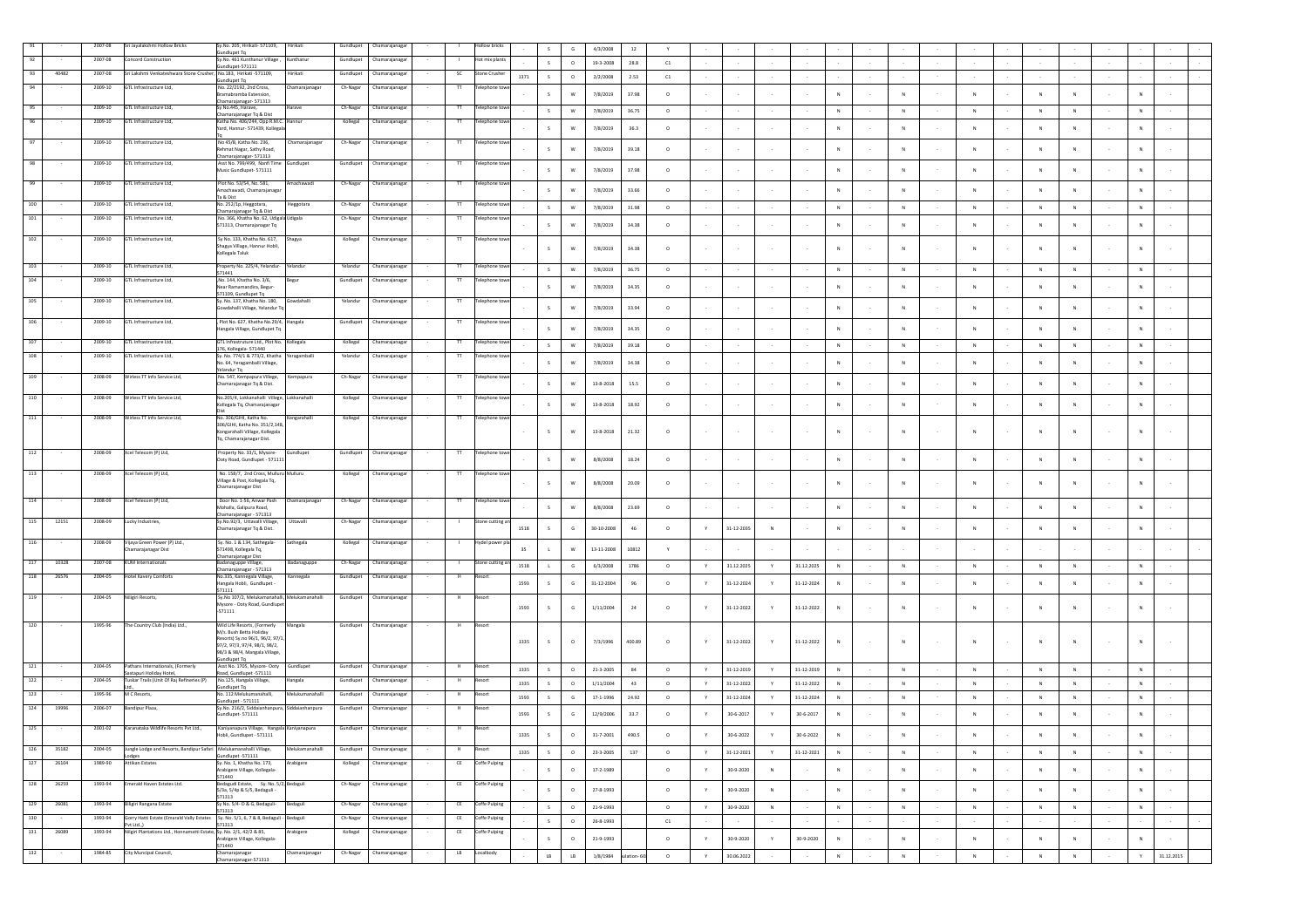|     |       | 2007-08     | Sri Jayalakshmi Hollow Bricks                                               | v.No. 205. Hirikati- 571109.<br>undlupet Tq                                  | lirikati        | Gundlupet | hamarajanag              |                    | <b>Ilow brick</b> |      |              | G         | 4/3/2008         | $12\,$      |         |              |                  |                 |                  |              |        |              |                |              |             |        |             |            |  |
|-----|-------|-------------|-----------------------------------------------------------------------------|------------------------------------------------------------------------------|-----------------|-----------|--------------------------|--------------------|-------------------|------|--------------|-----------|------------------|-------------|---------|--------------|------------------|-----------------|------------------|--------------|--------|--------------|----------------|--------------|-------------|--------|-------------|------------|--|
|     |       | 2007-08     | <b>Concord Construction</b>                                                 | Sy.No. 461 Kunthanur Village,<br>sundlupet-571111                            | unthanur        | Gundlupet | Chamarajanaga            |                    | Hot mix plant     |      | $\mathsf{s}$ | $\circ$   | 19-3-2008        | 28.8        | C1      |              |                  |                 |                  |              |        |              |                |              |             |        |             |            |  |
| 93  | 40482 | 2007-08     | Sri Lakshmi Venkateshwara Stone Crusher, No.183, Hirikati -571109,          |                                                                              | irikati         | Gundlupet | Chamarajanaga            | SC                 | tone Crushe       | 1371 | S            | $\circ$   | 2/2/2008         | 2.53        | C1      |              |                  |                 |                  |              |        |              |                |              |             |        |             |            |  |
| 94  |       | 2009-10     | GTL Infrastructure Ltd,                                                     | undlupet Tq<br>No. 22/2192, 2nd Cross,                                       | amarajanaga     | Ch-Nagar  | Chamarajanagar           |                    | elephone to       |      |              |           |                  |             |         |              |                  |                 |                  |              |        |              |                |              |             |        |             |            |  |
|     |       |             |                                                                             | <b>Iramabramba Extension</b><br>hamarajanagar- 571313                        |                 |           |                          |                    |                   |      | s.           | W         | 7/8/2019         | 37.98       | $\circ$ |              |                  |                 |                  |              |        |              | N              |              |             |        |             |            |  |
| 95  |       | 2009-10     | GTL Infrastructure Ltd,                                                     | Sy No.445, Harave,<br>.<br>hamarajanagar Tq & Dist                           | Harave          | Ch-Nagar  | Chamarajanagar           | $^{\rm{TT}}$       | Telephone tow     |      | S            | W         | 7/8/2019         | 36.75       | $\circ$ |              |                  |                 |                  | N            |        | N            | N              | N            | N           |        | N           |            |  |
|     |       | 2009-10     | GTL Infrastructure Ltd,                                                     | Catha No. 406/244, Opp R.M.C. Hannur<br>rard, Hannur- 571439, Kollegala      |                 | Kollegal  | hamarajanaga             |                    | elephone tov      |      |              | w         | 7/8/2019         | 36.3        | $\circ$ |              |                  |                 |                  | N            |        | N            | ${\sf N}$      | N            |             |        |             |            |  |
|     |       | $2009 - 10$ | GTL Infrastructure Ltd,                                                     | No 45/B, Katha No. 236,                                                      | amarajanaga     | Ch-Nagar  | Chamarajanagar           | $\top$             | elephone tow      |      |              |           |                  |             |         |              |                  |                 |                  |              |        |              |                |              |             |        |             |            |  |
|     |       |             |                                                                             | lehmat Nagar, Sathy Road,<br>Chamarajanagar- 571313                          |                 |           |                          |                    |                   |      | s.           |           | 7/8/2019         | 39.18       | $\circ$ |              |                  |                 |                  | N            |        | N            |                |              |             |        |             |            |  |
| 98  |       | 2009-10     | GTL Infrastructure Ltd,                                                     | Asst No. 799/499, Nanfi Time<br>Music Gundlupet-571111                       | undlupet        | Gundlupet | hamarajanaga             | $\mathbf{T}$       | elephone tow      |      | S            | W         | 7/8/2019         | 37.98       | $\circ$ |              |                  |                 |                  | N            |        | N            | ${\sf N}$      | N            |             |        | N           |            |  |
|     |       |             |                                                                             |                                                                              |                 |           |                          |                    |                   |      |              |           |                  |             |         |              |                  |                 |                  |              |        |              |                |              |             |        |             |            |  |
| 99  |       | $2009 - 10$ | GTL Infrastructure Ltd,                                                     | Plot No. 53/54, No. 581,<br>Amachawadi, Chamarajanaga                        | nachawad        | Ch-Nagar  | hamarajanag              | $^{\text{II}}$     | elephone to       |      | $\mathsf{s}$ | W         | 7/8/2019         | 33.66       | $\circ$ |              |                  |                 |                  | N            |        | N            |                |              |             |        | N           |            |  |
| 100 |       | 2009-10     | GTL Infrastructure Ltd.                                                     | Ta & Dist<br>No. 252/1p, Heggotara,                                          | eggotara        | Ch-Nagar  | hamarajanag              |                    | elephone to       |      | S            | W         | 7/8/2019         | 31.98       | $\circ$ |              |                  |                 |                  | N            |        | N            | ${\sf N}$      | $_{\rm N}$   | ${\sf N}$   |        | ${\sf N}$   |            |  |
| 101 |       | 2009-10     | GTI Infrastructure Itd                                                      | hamarajanagar Tq & Dist<br>No. 366, Khatha No. 62, Udigala Udigala           |                 | Ch-Nagar  | Chamarajanaga            |                    | elephone tow      |      |              |           |                  |             |         |              |                  |                 |                  |              |        |              |                |              |             |        |             |            |  |
|     |       |             |                                                                             | 571313, Chamarajanagar Tq                                                    |                 |           |                          |                    |                   |      | S            | w         | 7/8/2019         | 34.38       | $\circ$ |              |                  |                 |                  | $\mathbb{N}$ |        | $\mathbb{N}$ | N              | N            | $\,$ N      |        | N           |            |  |
| 102 |       | 2009-10     | GTL Infrastructure Ltd.                                                     | Sv No. 133. Khatha No. 617.<br>Shagya Village, Hannur Hobli,                 | Shagya          | Kollegal  | Chamarajanagar           | $^{\rm{TT}}$       | Telephone tow     |      | s.           | W         |                  |             | $\circ$ |              |                  |                 |                  |              |        | N            |                |              |             |        | N           |            |  |
|     |       |             |                                                                             | Collegala Taluk                                                              |                 |           |                          |                    |                   |      |              |           | 7/8/2019         | 34.38       |         |              |                  |                 |                  | N            |        |              |                |              |             |        |             |            |  |
| 103 |       | 2009-10     | GTL Infrastructure Ltd,                                                     | Property No. 225/4, Yelandur-<br>571441                                      | Yelandur        | Yelandur  | Chamarajanaga            | $^{\text{TT}}$     | Telephone toy     |      | S            | W         | 7/8/2019         | 36.75       | $\circ$ |              |                  |                 |                  | $_{\rm N}$   |        | ${\sf N}$    | ${\sf N}$      | $\,N\,$      | N           |        | N           |            |  |
| 104 |       | 2009-10     | GTL Infrastructure Ltd,                                                     | ,No. 144, Khatha No. 3/6,<br>Vear Ramamandira, Begur-                        |                 | Gundlupet | Chamarajanaga            | $^{\text{TT}}$     | Telephone tow     |      |              | w         | 7/8/2019         | 34.35       | $\circ$ |              |                  |                 |                  | $\mathsf{N}$ |        | N            | ${\sf N}$      |              |             |        |             |            |  |
| 105 |       | 2009-10     | GTL Infrastructure Ltd,                                                     | 571109, Gundlupet Tq<br>Sy. No. 137, Khatha No. 180,                         | awdahalli       | Yelandur  | Chamarajanaga            | Π                  |                   |      |              |           |                  |             |         |              |                  |                 |                  |              |        |              |                |              |             |        |             |            |  |
|     |       |             |                                                                             | owdahalli Village, Yelandur Tq                                               |                 |           |                          |                    | elephone to       |      | $\mathsf{s}$ | W         | 7/8/2019         | 33.94       | $\circ$ |              |                  |                 |                  | $\mathsf{N}$ |        | N            |                |              |             |        |             |            |  |
| 106 |       | $2009 - 10$ | GTL Infrastructure Ltd,                                                     | , Plot No. 627, Khatha No.29/4, Hangala                                      |                 | Gundlupet | Chamarajanaga            | $\overline{\rm H}$ | Telephone tow     |      |              |           |                  |             |         |              |                  |                 |                  |              |        |              |                |              |             |        |             |            |  |
|     |       |             |                                                                             | langala Village, Gundlupet Tq                                                |                 |           |                          |                    |                   |      | $\mathsf{s}$ | W         | 7/8/2019         | 34.35       | $\circ$ |              |                  |                 |                  | N            |        | N            | ${\sf N}$      |              |             |        | N           |            |  |
| 107 |       | 2009-10     | GTL Infrastructure Ltd,                                                     | GTL Infrastruture Ltd., Plot No.<br>176, Kollegala- 571440                   | llegala         | Kollegal  | hamarajanag              | $\mathbf{T}$       | elephone t        |      | S            | ${\sf w}$ | 7/8/2019         | 39.18       | $\circ$ |              |                  |                 |                  | $\mathbb{N}$ |        | $\,$ N       | $\,$ N         | $\,N\,$      | N           |        | N           |            |  |
| 108 |       | $2009 - 10$ | GTL Infrastructure Ltd,                                                     | Sy. No. 774/1 & 773/2, Khatha<br>No. 64, Yeragamballi Village,               | agamball        | Yelandur  | hamarajanag              | π                  |                   |      | s.           | W         | 7/8/2019         | 34.38       | $\circ$ |              |                  |                 |                  | N            |        | $\mathsf{N}$ | $\mathbf{N}$   | N            |             |        | N           |            |  |
| 109 |       | 2008-09     | Wirless TT Info Service Ltd,                                                | elandur Tq<br>No. 547, Kempapura Villege                                     | lempapura       | Ch-Nagar  | hamarajanag              |                    | elephone to       |      |              |           |                  |             |         |              |                  |                 |                  |              |        |              |                |              |             |        |             |            |  |
|     |       |             |                                                                             | Chamarajanagar Tq & Dist.                                                    |                 |           |                          |                    |                   |      | S            | w         | 13-8-2018        | 15.5        | $\circ$ |              |                  |                 |                  | $\mathbb{N}$ |        | $\mathbb{N}$ | N              | $\mathbb{N}$ |             |        | N           |            |  |
| 110 |       | 2008-09     | Wirless TT Info Service Ltd,                                                | No.205/4, Lokkanahalli Villege, Lokkanahalli<br>Kollegala Tq, Chamarajanagar |                 | Kollegal  | Chamarajanaga            | $^{\rm{II}}$       | Telephone tow     |      | $\mathsf{s}$ | W         | $13 - 8 - 2018$  | 18.92       | $\circ$ |              |                  |                 |                  | N            |        | $\mathbb{N}$ | $\mathbb{N}$   | N            | N           |        | N           |            |  |
| 111 |       | 2008-09     | Wirless TT Info Service Ltd,                                                | No. 306/GIHI, Katha No.                                                      | Congarahalli    | Kollegal  | Chamarajanagar           | $^{\text{TT}}$     | Telephone tow     |      |              |           |                  |             |         |              |                  |                 |                  |              |        |              |                |              |             |        |             |            |  |
|     |       |             |                                                                             | 306/GIHI, Katha No. 351/2,148,<br>Kongarahalli Village, Kollegala            |                 |           |                          |                    |                   |      |              | W         | 13-8-2018        | 21.32       | $\circ$ |              |                  |                 |                  | N            |        | $\mathsf{N}$ | $\mathsf{N}$   | <b>N</b>     |             |        |             |            |  |
|     |       |             |                                                                             | Tq, Chamarajanagar Dist.                                                     |                 |           |                          |                    |                   |      |              |           |                  |             |         |              |                  |                 |                  |              |        |              |                |              |             |        |             |            |  |
| 112 |       | 2008-09     | Xcel Telecom (P) Ltd,                                                       | Property No. 33/1, Mysore-                                                   | Gundlupet       | Gundlupet | Chamarajanaga            | $^{\text{TT}}$     | Telephone toy     |      |              |           |                  |             |         |              |                  |                 |                  |              |        |              |                |              |             |        |             |            |  |
|     |       |             |                                                                             | Ooty Road, Gundlupet - 571111                                                |                 |           |                          |                    |                   |      | $\mathsf{s}$ | W         | 8/8/2008         | 18.24       | $\circ$ |              |                  |                 |                  | $\mathsf{N}$ |        | ${\sf N}$    | $\overline{N}$ | N            |             |        | ${\sf N}$   |            |  |
| 113 |       | 2008-09     | Xcel Telecom (P) Ltd,                                                       | No. 158/7, 2nd Cross, Mulluru<br>Village & Post, Kollegala Tq,               | Mulluru         | Kollegal  | hamarajanaga             | П                  | elephone to       |      | s.           | W         | 8/8/2008         | 20.09       | $\circ$ |              |                  | $\sim$          |                  | N            |        | $\mathbb{N}$ |                | N            |             |        | N           |            |  |
|     |       |             |                                                                             | hamarajanagar Dist                                                           |                 |           |                          |                    |                   |      |              |           |                  |             |         |              |                  |                 |                  |              |        |              | $\mathsf{N}$   |              | N           |        |             |            |  |
| 114 |       | 2008-09     | Xcel Telecom (P) Ltd,                                                       | Door No. 1-56, Anwar Pash<br>Mohalla, Galipura Road,                         | Chamarajanagar  | Ch-Nagar  | Chamarajanaga            | $\overline{\rm H}$ | Telephone to      |      | $\mathsf{s}$ | W         | 8/8/2008         | 23.69       | $\circ$ |              |                  |                 |                  | N            |        | $\mathbb{N}$ |                |              |             |        | N           |            |  |
| 115 | 12151 | 2008-09     | Lucky Industries,                                                           | Chamarajanagar - 571313<br>Sy.No.92/3, Uttavalli Village,                    | Uttavalli       | Ch-Nagar  | hamarajanaga             |                    | tone cutting      |      |              |           |                  |             |         |              |                  |                 |                  |              |        |              |                |              |             |        |             |            |  |
|     |       |             |                                                                             | :hamarajanagar Tq & Dist.                                                    |                 |           |                          |                    |                   | 1518 | s.           | G         | $30 - 10 - 2008$ | 46          | $\circ$ |              | 31-12-2035       | ${\sf N}$       |                  | N            |        | ${\sf N}$    | N              | $\,N\,$      | ${\sf N}$   |        | N           |            |  |
| 116 |       | 2008-09     | Vijaya Green Power (P) Ltd.,                                                | Sy. No. 1 & 134, Sathegala                                                   | athegala        | Kollegal  | Chamarajanaga            |                    | ydel pow          |      |              |           |                  |             |         |              |                  |                 |                  |              |        |              |                |              |             |        |             |            |  |
|     |       |             | Chamarajanagar Dist                                                         | 571498, Kollegala Tq,<br>hamarajanagar Dist                                  |                 |           |                          |                    |                   | 35   |              | W         | 13-11-2008       | 10812       | Y       |              |                  |                 |                  |              |        |              |                |              |             | $\sim$ |             |            |  |
| 117 | 10328 | 2007-08     | <b>KUM</b> Internationals                                                   | adanaguppe Village,<br>Chamarajanagar - 571313                               | ladanaguppe     | Ch-Nagar  | hamarajanaga             |                    | tone cutting      | 1518 |              | G         | 6/3/2008         | 1786        | $\circ$ | Υ            | 31.12.2025       | Y               | 31.12.2025       | $_{\rm N}$   |        | ${\sf N}$    | ${\sf N}$      | $_{\rm N}$   | ${\sf N}$   |        | N           |            |  |
| 118 | 26576 | 2004-05     | Hotel Kavery Comforts                                                       | No.335, Kannegala Village,<br>Hangala Hobli, Gundlupet                       | Kannegala       | Gundlupet | Chamarajanaga            | н                  | Resort            | 1593 | s.           | G         | 31-12-2004       | 96          | $\circ$ |              | 31-12-2024       | Y               | 31-12-2024       | N            |        | $\mathsf{N}$ | N              | $\mathbb{N}$ |             |        |             |            |  |
| 119 |       | 2004-05     | Niligiri Resorts,                                                           | 571111<br>Sy.No 107/2, Melukamanahalli, Melukamanahalli                      |                 | Gundlupet | Chamarajanagar           |                    |                   |      |              |           |                  |             |         |              |                  |                 |                  |              |        |              |                |              |             |        |             |            |  |
|     |       |             |                                                                             | Mysore - Ooty Road, Gundlupet<br>$-571111$                                   |                 |           |                          |                    |                   | 1593 | s.           | G         | 1/11/2004        | 24          | $\circ$ |              | 31-12-2022       | Y               | 31-12-2022       | $_{\rm N}$   |        | N            | ${\sf N}$      | $\mathbb{N}$ |             |        | N           |            |  |
| 120 |       | 1995-96     | The Country Club (India) Ltd.                                               | Wild Life Resorts, (Formerly                                                 | Mangala         | Gundlupet | Chamarajanagar           | H                  | Resort            |      |              |           |                  |             |         |              |                  |                 |                  |              |        |              |                |              |             |        |             |            |  |
|     |       |             |                                                                             | M/s. Bush Betta Holiday<br>Resorts) Sy.no 96/1, 96/2, 97/1,                  |                 |           |                          |                    |                   |      |              |           |                  |             |         |              |                  |                 |                  |              |        |              |                |              |             |        |             |            |  |
|     |       |             |                                                                             | 97/2, 97/3, 97/4, 98/1, 98/2,                                                |                 |           |                          |                    |                   | 1335 |              | $\circ$   | 7/3/1996         | 400.89      | $\circ$ | Y            | 31-12-2022       | Y               | 31-12-2022       | N            | $\sim$ | N            | N              | N            | N           |        | N           |            |  |
|     |       |             |                                                                             | 98/3 & 98/4, Mangala Village,<br>Sundlupet Tq                                |                 |           |                          |                    |                   |      |              |           |                  |             |         |              |                  |                 |                  |              |        |              |                |              |             |        |             |            |  |
| 121 |       | 2004-05     | Pathans Internationals, (Formerly<br>Sastapuri Holiday Hotel,               | Asst No. 1705, Mysore- Ooty<br>Road, Gundlupet -571111                       | Sundlupet       | Gundlupet | Chamarajanaga            |                    | Resort            | 1335 | S            | $\circ$   | 21-3-2005        | 84          | $\circ$ | Y            | 31-12-2019       | Y.              | 31-12-2019       | N            |        | N            | N              | N            | N           |        | N           |            |  |
| 122 |       | 2004-05     | Tuskar Trails (Unit Of Raj Refineries (P)                                   | No.125, Hangala Village,<br>Gundlupet Ta                                     | ngala           | Gundlupe  | hamarajanag              |                    | tesort            | 1335 | S            | $\circ$   | 1/11/2004        | 43          | $\circ$ | Y            | 31-12-2022       | Y.              | 31-12-2022       | ${\sf N}$    |        | $\mathbb N$  | $\,$ N         | N            | $\mathbb N$ |        | N           |            |  |
| 123 |       | 1995-96     | <b>MC</b> Resorts                                                           | Vo. 112 Melukumanahalli<br>Gundlupet - 571111                                | elukumanahal    | Gundlupe  | hamarajanag              |                    | tesort            | 1593 | S            | G         | 17-1-1996        | 24.92       | $\circ$ | Y            | 31-12-2024       | Y.              | 31-12-2024       | $_{\rm N}$   |        | ${\sf N}$    | $\,$ N         | $\,N\,$      | N           |        | N           |            |  |
| 124 | 19996 | 2006-07     | Bandipur Plaza,                                                             | Sy.No. 216/2, Siddaianhanpura, Siddaianhanpura<br>Gundlupet-571111           |                 | Gundlupet | Chamarajanagar           | H                  | Resort            | 1593 | s.           | G         | 12/9/2006        | 33.7        | $\circ$ |              | 30-6-2017        | Y               | $30 - 6 - 2017$  | N            |        | ${\sf N}$    | ${\sf N}$      | ${\sf N}$    | ${\sf N}$   |        | ${\sf N}$   |            |  |
| 125 |       | 2001-02     | Karanataka Wildlife Resorts Pvt Ltd.,                                       | Kaniyanapura Village, Hangala Kaniyanapura                                   |                 |           | Gundlupet Chamarajanagar |                    |                   |      |              |           |                  |             |         |              |                  |                 |                  |              |        |              |                |              |             |        |             |            |  |
|     |       |             |                                                                             | Hobli, Gundlupet - 571111                                                    |                 |           |                          |                    |                   | 1335 |              | $\circ$   | $31 - 7 - 2001$  | 490.5       | $\circ$ |              | 30-6-2022        |                 | 30-6-2022        | $\mathbf{N}$ |        |              |                |              |             |        |             |            |  |
| 126 | 35182 | 2004-05     | Jungle Lodge and Resorts, Bandipur Safari Melukamanahalli Village,<br>odges | undlupet -571111                                                             | Melukamanahalli | Gundlupet | Chamarajanaga            | H                  | Resort            | 1335 | S            | $\circ$   | 23-3-2005        | 137         | $\circ$ | $\mathsf{Y}$ | $31 - 12 - 2021$ | $\mathbf Y$     | $31 - 12 - 2021$ | $_{\rm N}$   |        | $\mathbb N$  | $\,$ N         | $\mathbb N$  | $\,$ N      |        | ${\sf N}$   |            |  |
| 127 | 26104 | 1989-90     | <b>Attikan Estates</b>                                                      | Sv. No. 1. Khatha No. 173.<br>Arabigere Village, Kollegala-                  | Arabigere       | Kollegal  | Chamarajanaga            | CE                 | Coffe Pulping     |      | S            | $\circ$   | 17-2-1989        |             | $\circ$ | Y            | 30-9-2020        | $\,N\,$         |                  | $_{\rm N}$   | $\sim$ | $\mathbb N$  | $\,$ N         | ${\sf N}$    | ${\sf N}$   | $\sim$ | $_{\rm N}$  |            |  |
| 128 | 26259 | 1993-94     | Emerald Haven Estates Ltd.                                                  | 571440<br>Bedagudi Estate, Sy. No. 5/2, Bedaguli                             |                 |           |                          |                    | Coffe Pulping     |      |              |           |                  |             |         |              |                  |                 |                  |              |        |              |                |              |             |        |             |            |  |
|     |       |             |                                                                             | 5/3a, 5/4p & 5/5, Bedaguli -                                                 |                 | Ch-Nagar  | Chamarajanagar           | CE                 |                   |      | S            | $\circ$   | 27-8-1993        |             | $\circ$ | $\mathsf{Y}$ | 30-9-2020        | $\,$ N $\,$     | $\sim$           | ${\sf N}$    | $\sim$ | ${\sf N}$    | $\,$ N         | $\,N\,$      | $\,$ N $\,$ | $\sim$ | $_{\rm N}$  |            |  |
| 129 | 26081 | 1993-94     | Biligiri Rangana Estate                                                     | 571313<br>Sy No. 5/4-D & G, Bedaguli-                                        | Bedaguli        | Ch-Nagar  | Chamarajanaga            | CE                 | Coffe Pulping     |      | S            | $\circ$   | 21-9-1993        |             | $\circ$ | Y            | 30-9-2020        | N               | $\sim$           | N            | $\sim$ | N            | N              | N            | N           | $\sim$ | N           | $\sim$     |  |
| 130 |       | 1993-94     | Gorry Hatti Estate (Emarald Vally Estates                                   | 571313<br>Sy. No. 5/1, 6, 7 & 8, Bedaguli - Bedaguli                         |                 | Ch-Nagar  | hamarajanaga             | Œ                  | Coffe Pulping     |      | S            | $\circ$   | 26-8-1993        |             | C1      |              | $\sim$           | $\sim$          | $\sim$           |              | $\sim$ |              | $\sim$         |              |             | $\sim$ |             | $\sim$     |  |
| 131 | 26089 | 1993-94     | Pvt Ltd.,)<br>Nilgiri Plantations Ltd., Honnamatti Esta                     | 571313<br>Sy. No. 2/1, 42/2 & 85,                                            | abigere         | Kollegal  | hamarajanaga             | CE                 | Coffe Pulping     |      |              |           |                  |             |         |              |                  |                 |                  |              |        |              |                |              |             |        |             |            |  |
|     |       |             |                                                                             | <b>Irabigere Village, Kollegala-</b><br>571440                               |                 |           |                          |                    |                   |      | S            | $\circ$   | 21-9-1993        |             | $\circ$ | Y            | 30-9-2020        | $\mathbb {Y}$ . | 30-9-2020        | ${\sf N}$    | $\sim$ | ${\sf N}$    | ${\sf N}$      | ${\sf N}$    | $\,$ N      | $\sim$ | $\mathbb N$ |            |  |
| 132 |       | 1984-85     | City Muncipal Council,                                                      | Chamarajanagar<br>Chamarajanagar-571313                                      | hamarajanagar   | Ch-Nagar  | Chamarajanagar           | LB                 | Localbody         |      | LB           | LB        | 1/8/1984         | sulation-60 | $\circ$ | Y            | 30.06.2022       | $\sim$          | $\sim$           | $\,$ N       | $\sim$ | $\,$ N $\,$  | $\,$ N         | $\,$ N $\,$  | $\,$ N      | $\sim$ | Y           | 31.12.2015 |  |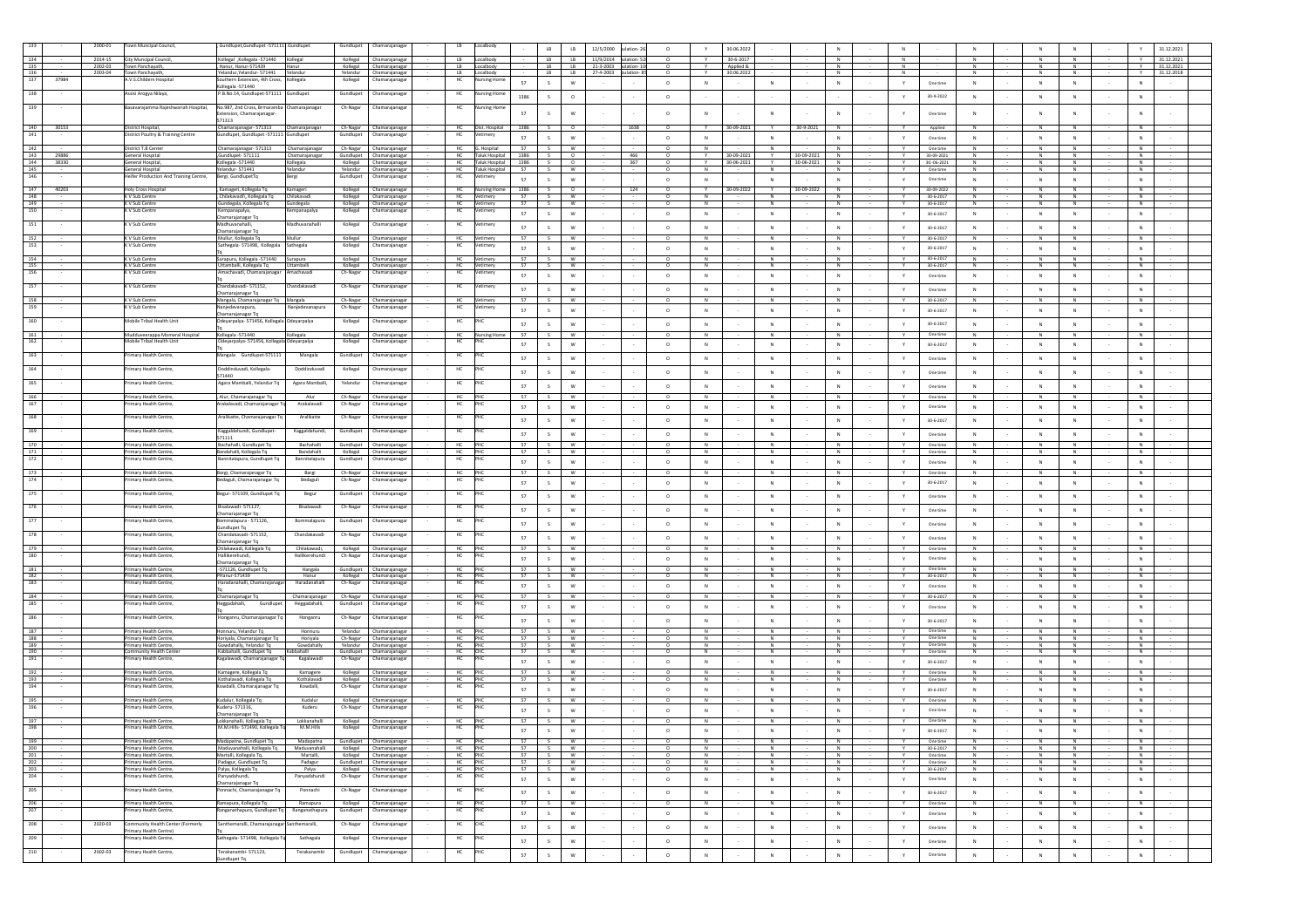|                              | 2000-01            | n Muncipal Council                                        | Sundlupet,Gundlupet -571111 Gundlupet                                    |                                       |                      | Chamarajanaga                                       | LB.                  |                        |          | LB<br>LB                                                    | 12/5/2000                                                | ulation-26 | $\circ$            |                     | 30.06.2022                             |                                                              |        |                         |                                                              |                             | N                   | 31.12.2021                         |
|------------------------------|--------------------|-----------------------------------------------------------|--------------------------------------------------------------------------|---------------------------------------|----------------------|-----------------------------------------------------|----------------------|------------------------|----------|-------------------------------------------------------------|----------------------------------------------------------|------------|--------------------|---------------------|----------------------------------------|--------------------------------------------------------------|--------|-------------------------|--------------------------------------------------------------|-----------------------------|---------------------|------------------------------------|
|                              | 2014-15            | City Muncipal Council,                                    | Kollegal , Kollegala - 571440                                            | Kollegal                              | Kollegal             | Chamarajanagar                                      |                      |                        |          | LB<br>LB                                                    | 11/9/2014 pulation-                                      |            |                    |                     | $30 - 6 - 2017$                        |                                                              |        |                         |                                                              |                             |                     | 31.12.2021                         |
| 135<br>136                   | 2002-03<br>2003-04 | Town Panchayath,<br>Town Panchayath,                      | , Hanur, Hanur-571439<br>Yelandur, Yelandur- 571441 Yelandur             | Hanur                                 |                      | Kollegal Chamarajanagar<br>Yelandur Chamarajanagar  | LB<br>LB.            | Localbody<br>Localbody |          | LB <sub>1</sub>                                             | LB 21-3-2003 pulation-10<br>LB   LB 27-4-2003 pulation-8 |            | $\circ$            |                     | Applied &<br>30.06.2022                | N<br>N                                                       |        | N<br>N                  | $\mathbb N$<br>N                                             | N<br>N                      | N<br>N              | 31.12.2021<br>Y<br>Y<br>31.12.2018 |
| 137<br>37984                 |                    | .V.S.Childern Hospital                                    | outhern Extension, 4th Cross, Kollegala                                  |                                       | Kollegal             | Chamarajanagar                                      | HC                   | lursing Home           | 57       | S<br>W                                                      | $\sim$                                                   |            | $\circ$            | N                   | N<br>$\sim$                            | N                                                            |        | Y                       | One time<br>N                                                | N                           | N                   | N<br>$\sim$                        |
| 138                          |                    | Assisi Arogya Nilaya,                                     | Collegala -571440<br>P.B.No.14. Gundlupet-571111 Gundlupet               |                                       | Gundlupet            | Chamarajanagar                                      | HC                   | lursing Home           |          |                                                             |                                                          |            |                    |                     |                                        |                                                              |        |                         |                                                              |                             |                     |                                    |
|                              |                    |                                                           |                                                                          |                                       |                      |                                                     |                      |                        | 1386     | $\circ$<br>S                                                |                                                          |            | $\circ$            |                     |                                        | $\sim$                                                       |        | Y                       | 30-9-2022<br>N                                               | N                           | N                   | N                                  |
| 139                          |                    | Basavarajamma Rajeshwariah Hospital,                      | No.987, 2nd Cross, Brmaramba Chamarajanagar<br>xtension, Chamarajanagar- |                                       | Ch-Nagar             | Chamarajanagar                                      |                      | ursing Hon             | 57       | W<br>s                                                      |                                                          |            | $\circ$            | ${\sf N}$           | $_{\rm N}$                             |                                                              |        | Y                       | One time                                                     | N                           | ${\sf N}$           | ${\sf N}$                          |
|                              |                    |                                                           | 571313                                                                   |                                       |                      |                                                     |                      |                        |          |                                                             |                                                          |            |                    |                     |                                        |                                                              |        |                         |                                                              |                             |                     |                                    |
| 140<br>30153                 |                    | District Hospital,                                        | Chamarajanagar-571313                                                    | Chamarajanagar                        |                      | Ch-Nagar Chamarajanagar                             | <b>HC</b>            | Dist. Hospital         | 1386     | S<br>$\circ$                                                |                                                          | 1638       | $\circ$            |                     | 30-09-2021                             | 30-9-2021                                                    |        |                         | Applied                                                      | N                           | $\,$ N              | ${\sf N}$                          |
| 141                          |                    | listrict Poultry & Training Centre                        | Gundlupet, Gundlupet -571111 Gundlupet                                   |                                       | Gundlupet            | Chamarajanagar                                      | HC                   | etirnery               | 57       | ${\mathsf W}$<br>S                                          |                                                          |            | $\circ$            | N                   | N                                      | N<br>$\sim$                                                  |        | Y                       | One time<br>N                                                | $\,N\,$                     | N                   | ${\sf N}$                          |
| 142                          |                    | <b>District T.B Center</b>                                | Chamarajanagar-571313                                                    | Chamarajanagar                        | Ch-Nagar             | Chamarajanagar                                      | - HC                 | G. Hospital            | 57       | <b>W</b><br>S                                               |                                                          |            | $\Omega$           | $\overline{N}$      | $\overline{N}$                         | $\overline{N}$                                               |        | Y                       | One time<br>$\overline{N}$                                   | $\overline{N}$              | $\overline{N}$      | $\overline{N}$                     |
| 143<br>29886<br>144<br>38330 |                    | General Hospital<br>General Hospital                      | Gundlupet-571111<br>Kollegala -571440                                    | Chamarajanagar<br>Kollegala           |                      | Gundlupet Chamarajanagar<br>Kollegal Chamarajanagar | HC                   | Taluk Hospital 1386    |          | $\overline{\phantom{a}}$<br>S<br>HC Taluk Hospital 1386 S O |                                                          | 466<br>367 | $\Omega$           | Y                   | 30-09-2021<br>Y.<br>Y 30-06-2021<br>v. | 30-09-2021<br>$\overline{N}$<br>30-06-2021<br>$\overline{N}$ |        | Y<br>Y.                 | 30-09-2021<br>$\overline{N}$<br>30.06-2021<br>$\overline{N}$ | N<br>$\overline{N}$         | Z<br>$\overline{N}$ | $\overline{N}$<br>N                |
| 145                          |                    | General Hospital                                          | Yelandur-571441                                                          | Yelandur                              |                      | Yelandur Chamarajanagar                             |                      | HC Taluk Hospital      | 57       | <b>W</b><br>S                                               |                                                          |            | $\Omega$           | N                   | N                                      | N                                                            |        | Y                       | One time<br>N                                                | N                           | N                   | N                                  |
| 146                          |                    | Heifer Production And Training Centre,                    | Bergi, GundlupetTq                                                       |                                       | Gundlupet            | Chamarajanaga                                       | HC                   | etimery                | 57       | w<br>s                                                      |                                                          |            | $\circ$            | ${\sf N}$           | $_{\rm N}$                             |                                                              |        | Υ                       | One time<br>N                                                | ${\sf N}$                   | ${\sf N}$           | ${\sf N}$                          |
| 147<br>40203                 |                    | <b>Holy Cross Hospital</b>                                | , Kamageri, Kollegala Tq                                                 | Kamageri                              | Kollegal             | Chamarajanagar                                      | HC                   | Nursing Home           | 1386     | S<br>$\circ$                                                |                                                          | 124        | $\Omega$           |                     | 30-09-2022<br><b>Y</b>                 | 30-09-2022<br>N                                              |        | <b>Y</b>                | 30-09-2022<br>N                                              | N                           | N                   | N                                  |
| 148                          |                    | K V Sub Centre                                            | Chilakayadi\ Kollegala To                                                | Chilakavadi                           |                      | Kollegal Chamarajanagar                             | <b>HC</b>            | Vetimery               | 57       | S<br><b>W</b>                                               |                                                          |            | $\circ$            | N                   | N                                      | N                                                            |        | Y                       | 30-6-2017<br>N                                               | N                           | N                   | N                                  |
| 149<br>150                   |                    | K V Sub Centre<br>K V Sub Centre                          | Gundegala, Kollegala Tq<br>Kempanapalya,                                 | Gundegala<br>empanapalya              | Kollegal             | Kollegal Chamarajanagar<br>Chamarajanagar           | HC<br>HC             | Vetimery<br>etimery    | 57       | S<br>W                                                      |                                                          |            | $\circ$            | N                   | N                                      | N                                                            |        | Y                       | 30-6-2017<br>N                                               | N                           | N                   | N                                  |
|                              |                    |                                                           | Chamarajanagar Tq                                                        |                                       |                      |                                                     |                      |                        | 57       | S<br>W                                                      |                                                          |            | $\circ$            | ${\sf N}$           | $_{\rm N}$                             | $_{\rm N}$                                                   |        | Y                       | 30-6-2017                                                    | $_{\rm N}$                  | ${\sf N}$           | ${\sf N}$                          |
| 151                          |                    | K V Sub Centre                                            | Madhuvanahalli.<br>Chamarajanagar Tq                                     | Madhuvanahalli                        | Kollegal             | Chamarajanagar                                      | HC                   | /etimery               | 57       | S<br>$\mathsf{w}$                                           |                                                          |            | $\circ$            | N                   | ${\sf N}$                              | N                                                            |        | Y                       | 30-6-2017<br>N                                               | N                           | ${\sf N}$           | N                                  |
| 152                          |                    | K V Sub Centre                                            | Mullur, Kollegala Tq                                                     | Mullur                                |                      | Kollegal Chamarajanagar                             | <b>HC</b>            | Vetimery               | 57       | S<br><b>W</b>                                               |                                                          |            | $\circ$            | N                   | N                                      | N                                                            |        | Y                       | 30-6-2017<br>$\mathbb N$                                     | N                           | N                   | N                                  |
| 153                          |                    | K V Sub Centre                                            | Sathegala-571498, Kollegala Sathegala                                    |                                       | Kollegal             | Chamarajanagar                                      | HC                   | imery                  | 57       | $\mathsf{s}$<br>W                                           |                                                          |            | $\circ$            | ${\sf N}$           | ${\sf N}$                              | N                                                            |        | Y                       | 30-6-2017<br>N                                               | ${\sf N}$                   | ${\sf N}$           | N                                  |
| 154                          |                    | K V Sub Centre                                            | Surapura, Kollegala -571440 Surapura                                     |                                       |                      | Kollegal Chamarajanagar                             | <b>HC</b>            | Vetimery               | 57       | S<br><b>W</b>                                               |                                                          |            | $\circ$            | N                   | N                                      | N                                                            |        | Y.                      | 30-6-2017<br>N                                               | N                           | N                   | N                                  |
| 155<br>156                   |                    | K V Sub Centre                                            | Uttamballi, Kollegala Tq                                                 | Uttamballi                            |                      | Kollegal Chamarajanagar                             | <b>HC</b>            | Vetimery               | 57       | S<br><b>W</b>                                               |                                                          |            | $\circ$            | N                   | N                                      | N                                                            |        | Y                       | 30-6-2017<br>N                                               | N                           | N                   | N                                  |
|                              |                    | V Sub Centre                                              | \machavadi, Chamarajanagar                                               | Amachavadi                            | Ch-Nagar             | Chamarajanaga                                       | HC                   | mery                   | 57       | S.<br>W                                                     |                                                          |            | $\circ$            | N                   | N                                      | N                                                            |        | Y                       | One time<br>N                                                | N                           | N                   | N                                  |
| 157                          |                    | V Sub Centre                                              | handakavadi- 571152,                                                     | handakavadi                           | Ch-Nagar             | Chamarajanagar                                      | HC                   | etirnery               | 57       | -S<br>W                                                     |                                                          |            | $\circ$            | N                   | N                                      | N                                                            |        | Y                       | One time<br>N                                                | N                           | N                   | N                                  |
| 158                          |                    | K V Sub Centre                                            | hamarajanagar Tq<br>Mangala, Chamarajanagar Tq Mangala                   |                                       | Ch-Nagar             | Chamarajanagar                                      | HC                   | /etimery               | 57       | W<br>S                                                      |                                                          |            | $\circ$            |                     | $_{\rm N}$                             | N                                                            |        |                         | 30-6-2017                                                    | $_{\rm N}$                  |                     |                                    |
| 159                          |                    | V Sub Centre                                              | lanjedevanapura,                                                         | anjedevanapur                         | Ch-Nagar             | Chamarajanaga                                       | HC                   | timery                 | 57       | ${\bf W}$<br>S                                              |                                                          |            | $\circ$            | N                   | N                                      | N                                                            |        | Y                       | N<br>30-6-2017                                               | $\,N\,$                     | N                   | N                                  |
| 160                          |                    | Mobile Tribal Health Unit                                 | amarajanagar To                                                          |                                       | Kollegal             | Chamarajanaga                                       | HC                   |                        |          |                                                             |                                                          |            |                    |                     |                                        |                                                              |        |                         |                                                              |                             |                     |                                    |
|                              |                    |                                                           | Ideyarpalya- 571456, Kollegala Odeyarpalya                               |                                       |                      |                                                     |                      |                        | 57       | S<br>w                                                      |                                                          |            | $\circ$            | N                   | N                                      | N                                                            |        | Y                       | 30-6-2017<br>N                                               | $\,N\,$                     | N                   | N                                  |
| 161                          |                    | Mudduveerappa Momeral Hospital                            | Kollegala-571440                                                         | Kollegala                             | Kollegal             | Chamarajanagar                                      | HC                   | <b>Nursing Ho</b>      | 57       |                                                             |                                                          |            |                    |                     | N                                      | N                                                            |        | Y                       | One time                                                     | N                           |                     | N                                  |
| 162                          |                    | Mobile Tribal Health Unit                                 | Odeyarpalya- 571456, Kollegala Odeyarpalya                               |                                       | Kollegal             | Chamarajanaga                                       | HC                   |                        | 57       | w<br>-S                                                     |                                                          |            | $\circ$            | N                   | ${\sf N}$                              | N                                                            |        | Y                       | 30-6-2017<br>N                                               | N                           | N                   | N                                  |
| 163                          |                    | Primary Health Centre,                                    | Mangala Gundlupet-571111                                                 | Mangala                               | Gundlupet            | Chamarajanaga                                       | HC                   |                        | 57       | $\mathsf{s}$<br>w                                           |                                                          |            | $\circ$            | ${\sf N}$           | $\,N\,$                                |                                                              |        | Y                       | ${\sf N}$<br>One time                                        | ${\sf N}$                   | ${\sf N}$           | $\mathbb{N}$                       |
| 164                          |                    | Primary Health Centre,                                    | Doddinduvadi, Kollegala-                                                 | Doddinduvad                           | Kollegal             | Chamarajanagar                                      | HC                   |                        |          |                                                             |                                                          |            |                    |                     |                                        |                                                              |        |                         |                                                              |                             |                     |                                    |
|                              |                    |                                                           | 571440                                                                   |                                       |                      |                                                     |                      |                        | 57       | s<br>w                                                      |                                                          |            | $\circ$            | ${\sf N}$           | $_{\rm N}$                             | N                                                            |        | Y                       | One time<br>$\mathsf{N}$                                     | $_{\rm N}$                  | ${\sf N}$           | ${\sf N}$                          |
| 165                          |                    | Primary Health Centre                                     | Agara Mamballi, Yelandur To                                              | Agara Mamballi,                       | Yelandur             | Chamarajanaga                                       | HC                   |                        | 57       | s<br>w                                                      |                                                          |            | $\circ$            | N                   | $_{\rm N}$                             |                                                              |        | Y                       | One time                                                     | $_{\rm N}$                  | ${\sf N}$           | ${\sf N}$                          |
| 166                          |                    | Primary Health Centre                                     | , Alur, Chamarajanagar Tq                                                | Alur                                  | Ch-Nagar             | Chamarajanagar                                      | <b>HC</b>            |                        | 57       | S<br><b>W</b>                                               |                                                          |            | $\Omega$           | <b>N</b>            | N                                      | N                                                            |        | Y                       | One time<br>N                                                | N                           | N                   | N                                  |
| 167                          |                    | imary Health Centre,                                      | \rakalavadi, Chamarajanagar                                              | Arakalavadi                           | Ch-Nagar             | Chamarajanaga                                       | HC                   |                        | 57       | w<br>s                                                      |                                                          |            | $\circ$            | ${\sf N}$           | ${\sf N}$                              | N                                                            |        | Y                       | One time<br>${\sf N}$                                        | ${\sf N}$                   | N                   | N                                  |
| 168                          |                    | rimary Health Centre,                                     | Aralikatte, Chamarajanagar To                                            | Aralikatte                            | Ch-Nagar             | Chamarajanagar                                      | HC                   |                        |          |                                                             |                                                          |            |                    |                     |                                        |                                                              |        |                         |                                                              |                             |                     |                                    |
|                              |                    |                                                           |                                                                          |                                       |                      |                                                     |                      |                        | 57       | W                                                           |                                                          |            | $\circ$            | N                   | ${\sf N}$                              | N                                                            |        | Y                       | 30-6-2017<br>N                                               | $\,N\,$                     | ${\sf N}$           | N                                  |
| 169                          |                    | rimary Health Centre,                                     | Kaggaldahundi, Gundlupet-<br>571111                                      | Kaggaldahundi,                        | Gundlupet            | Chamarajanagar                                      | HC                   |                        | 57       | s<br>W                                                      |                                                          |            | $\circ$            | N                   | N                                      | N                                                            |        | Y                       | One time<br>N                                                | $\,N\,$                     | N                   | N                                  |
| 170                          |                    | Primary Health Centre,                                    | Bachahalli, Gundlupet Tq                                                 | Bachahalli                            |                      | Gundlupet Chamarajanagar                            | HC                   |                        | -57      | <b>W</b><br>s.                                              |                                                          |            | $\circ$            | N                   | N                                      | N                                                            |        | Y                       | One time<br>N                                                | N                           | N                   | N                                  |
| 171<br>172                   |                    | rimary Health Centre                                      | aandahalli, Kollegala Tq                                                 | Bandahalli                            | Kollegal             | Chamarajanagar                                      | HC                   |                        |          | S<br><b>W</b>                                               |                                                          |            |                    |                     | N                                      |                                                              |        |                         | One time                                                     | N                           | N                   | N                                  |
|                              |                    | imary Health Centre,                                      | annitalapura, Gundlupet To                                               | Bannitalapura                         | Gundlupet            | Chamarajanagar                                      | HC                   |                        | 57       | W<br>-S                                                     |                                                          |            | $^{\circ}$         | N                   | N                                      | N                                                            |        | Y                       | N<br>One time                                                | N                           | N                   | N                                  |
| 173                          |                    | Primary Health Centre                                     | Bargi, Chamarajanagar Tq                                                 | Bargi                                 | Ch-Nagar             | Chamarajanagar                                      | HC                   |                        | 57       | S<br>W                                                      |                                                          |            | $\circ$            |                     | $_{\rm N}$                             | N                                                            |        |                         | ${\sf N}$<br>One time                                        | ${\sf N}$                   | N                   | N                                  |
| 174                          |                    | rimary Health Centre                                      | edaguli, Chamarajanagar To                                               | Bedaguli                              | Ch-Nagar             | Chamarajanaga                                       | $\sf HC$             |                        | 57       | ${\mathsf w}$<br>S                                          |                                                          |            | $\circ$            | N                   | N                                      | N                                                            |        | Y                       | 30-6-2017<br>N                                               | $\,N\,$                     | N                   | N                                  |
| 175                          |                    | rimary Health Centre,                                     | Begur- 571109, Gundlupet Tq                                              | Begu                                  | Gundlupet            | Chamarajanaga                                       | HC                   |                        | 57       | $\mathsf{s}$<br>w                                           |                                                          |            | $\circ$            | N                   | $\,$ N $\,$                            | N                                                            |        | Y                       | N<br>One time                                                | $\,$ N $\,$                 | N<br>$\sim$         | ${\sf N}$                          |
| 176                          |                    | Primary Health Centre,                                    | Bisalawadi-571127                                                        | Bisalawadi                            | Ch-Nagar             | Chamarajanagar                                      | HC                   |                        |          |                                                             |                                                          |            |                    |                     |                                        |                                                              |        |                         |                                                              |                             |                     |                                    |
|                              |                    |                                                           | hamarajanagar Tq                                                         |                                       |                      |                                                     |                      |                        | 57       | ${\sf w}$<br>S                                              |                                                          |            | $\circ$            | N                   | $\,$ N $\,$                            | N                                                            |        | $\mathbf Y$             | One time<br>N                                                | $\,$ N $\,$                 | N                   | ${\sf N}$                          |
| 177                          |                    | imary Health Centre                                       | malapura - 571126,                                                       | Bommalapur                            | Gundlupe             | Chamarajanaga                                       | HC                   |                        | 57       | W<br>s.                                                     |                                                          |            | $\circ$            | N                   | $\,N\,$                                | N                                                            |        | Y                       | One time<br>N                                                | $\,N\,$                     | ${\sf N}$           | N                                  |
| 178                          |                    | rimary Health Centre                                      | undlupet Tq<br>Chandakavadi- 571152.                                     | Chandakayad                           | Ch-Nagar             | Chamarajanaga                                       | HC                   |                        | 57       | $\mathsf{s}$<br>w                                           |                                                          |            | $\circ$            | ${\sf N}$           | ${\sf N}$                              |                                                              |        |                         | ${\sf N}$                                                    | ${\sf N}$                   | ${\sf N}$           | ${\sf N}$                          |
|                              |                    |                                                           | Chamarajanagar Tq                                                        |                                       |                      |                                                     |                      |                        |          |                                                             |                                                          |            |                    |                     |                                        |                                                              |        | Y                       | One time                                                     |                             |                     |                                    |
| 179<br>180                   |                    | Primary Health Centre<br>mary Health Centre               | Chilakawadi, Kollegala Tq<br>Hallikerehundi.                             | Chilakawadi.<br>Hallikerehung         | Kollegal<br>Ch-Nagar | Chamarajanagar<br>Chamarajanaga                     | <b>HC</b><br>HC      |                        | 57       | <b>W</b><br>S.                                              |                                                          |            | $\Omega$           | N                   | N                                      | N                                                            |        | Y                       | One time<br>N                                                | N                           | N                   | N                                  |
|                              |                    |                                                           | Chamarajanagar Tq                                                        |                                       |                      |                                                     |                      |                        | 57       | $\mathsf{s}$<br>W                                           |                                                          |            | $\circ$            | ${\sf N}$           | ${\sf N}$                              | N                                                            |        | $\mathbf Y$             | One time<br>${\sf N}$                                        | ${\sf N}$                   | ${\sf N}$           | ${\sf N}$                          |
| 181<br>182                   |                    | Primary Health Centre,<br>Primary Health Centre,          | -571126, Gundlupet Tq<br>PHanur-571439                                   | Hangala<br>Hanur                      |                      | Gundlupet Chamarajanagar                            | <b>HC</b><br>HC      |                        | 57<br>57 | S<br><b>W</b><br>S<br><b>W</b>                              |                                                          |            | $\circ$<br>$\circ$ | N<br>N              | N<br>N                                 | N<br>N                                                       |        | Y<br>Y                  | One time<br>N<br>30-6-2017<br>N                              | N<br>N                      | N<br>N              | N<br>N                             |
| 183                          |                    | imary Health Centre,                                      | Haradanahalli, Chamarajanagar                                            | Haradanahall                          | Ch-Nagar             | Kollegal Chamarajanagar<br>Chamarajanaga            | HC                   |                        | 57       | S<br>$\mathsf{w}$                                           |                                                          |            | $\circ$            | N                   | ${\sf N}$                              | N                                                            |        | $\mathbf Y$             | One time<br>${\sf N}$                                        | $\,N\,$                     | $\,$ N              | $\,N\,$                            |
| 184                          |                    | Primary Health Centre                                     |                                                                          | Chamarajanagar                        |                      |                                                     | <b>HC</b>            |                        | 57       | S<br><b>W</b>                                               |                                                          |            | $^{\circ}$         | N                   | N                                      | $\overline{N}$                                               |        | Y                       | N<br>30-6-2017                                               | N                           | N                   | N                                  |
| 185                          |                    | imary Health Centre,                                      | Chamarajanagar Tq<br>Gundlupet<br>leggadahalli,                          | Heggadahalli,                         | Gundlupet            | Ch-Nagar Chamarajanagar<br>Chamarajanagar           | HC                   |                        | 57       | S<br>W                                                      |                                                          |            | $\circ$            | N                   | $\,N\,$                                | N                                                            |        | Y                       | One time<br>${\sf N}$                                        | ${\sf N}$                   | ${\sf N}$           | N                                  |
| 186                          |                    |                                                           |                                                                          |                                       |                      |                                                     |                      |                        |          |                                                             |                                                          |            |                    |                     |                                        |                                                              |        |                         |                                                              |                             |                     |                                    |
|                              |                    | rimary Health Centre,                                     | Honganru, Chamarajanagar Tq                                              | Honganru                              | Ch-Nagar             | Chamarajanagar                                      | HC                   |                        | 57       | S.<br><b>W</b>                                              |                                                          |            | $^{\circ}$         | N                   | N                                      | N                                                            |        | Y                       | 30-6-2017<br>N                                               | N                           | N                   | N                                  |
| 187                          |                    | Primary Health Centre,                                    | Honnuru, Yelandur Tq                                                     | Honnuru                               | Yelandur             | Chamarajanagar                                      | HC                   |                        | 57       | $\sim$<br>W                                                 |                                                          |            |                    |                     | N                                      |                                                              |        |                         | One time                                                     | N                           | z                   | N                                  |
| 188<br>189                   |                    | Primary Health Centre,<br>Primary Health Centre,          | Horiyala, Chamarajanagar Tq<br>Gowdahally, Yelandur Tq                   | Horiyala<br>Gowdahally                | Yelandur             | Ch-Nagar Chamarajanagar<br>Chamarajanagar           | HC<br>HC             |                        | 57<br>57 | S W<br>W<br>S                                               |                                                          |            | $\circ$            | N<br>N              | z<br>N                                 | $\overline{N}$<br>N                                          |        | $\mathbf Y$             | One time<br>$\mathbb N$<br>One time                          | $\overline{N}$<br>${\sf N}$ | Z<br>N              | Z<br>N                             |
| 190                          |                    | Community Health Cente                                    | Kabbahalli, Gundlupet Tq                                                 | Kabbahalli                            | Gundlupet            | Chamarajanagar                                      | HC                   |                        | 57       | W<br>S.                                                     |                                                          |            |                    |                     | ${\mathbb N}$                          | N                                                            |        |                         | One time                                                     | $_{\rm N}$                  | ${\sf N}$           | N                                  |
| 191                          |                    | imary Health Centre,                                      | Kagalawadi, Chamarajanagar 1                                             | Kagalawad                             | Ch-Nagar             | Chamarajanagar                                      | HC                   |                        | 57       | s<br>w                                                      |                                                          |            | $\circ$            | N                   | $\,$ N $\,$                            | N                                                            |        | Y                       | N<br>30-6-2017                                               | $\,N\,$                     | N                   | ${\sf N}$                          |
| 192                          |                    | Primary Health Centre                                     | Kamagere, Kollegala Tq                                                   | Kamagere                              | Kollegal             | Chamarajanagar                                      | HC                   |                        | 57       | $\mathbf w$<br>S                                            |                                                          |            | $\circ$            | $\overline{N}$      | $\overline{N}$                         | $\overline{N}$                                               |        | $\mathbf{v}$            | One time<br>$\overline{N}$                                   | z                           | Z                   | $\overline{N}$                     |
| 193<br>194                   |                    | Primary Health Centre<br>imary Health Centre              | Kothalavadi, Kollegala Tq<br>owdalli, Chamarajanagar To                  | Kothalavadi<br>Kowdalli,              | Ch-Nagar             | Kollegal Chamarajanagar<br>Chamarajanaga            | H <sub>C</sub><br>HC | PH                     | 57       | S<br>W                                                      |                                                          |            | $\Omega$           | $\overline{N}$      | N                                      | N                                                            |        | $\overline{\mathbf{v}}$ | One time<br>$\overline{N}$                                   | $\overline{N}$              | $\overline{N}$      | $\overline{N}$                     |
|                              |                    |                                                           |                                                                          |                                       |                      |                                                     |                      |                        | 57       | W<br>$\mathsf{s}$                                           |                                                          |            | $\circ$            | N                   | N                                      | N                                                            |        | Y                       | $30 - 6 - 201$<br>N                                          | N                           | N                   | $\,$ N                             |
| 195                          |                    | Primary Health Centre                                     | Kudalur, Kollegala Tq                                                    | Kudalur                               | Kollegal             | Chamarajanagar                                      | HC                   | <b>Did</b>             | 57       | w<br>S                                                      |                                                          |            | $\Omega$           | N                   | N                                      | N                                                            |        | $\mathbf{v}$            | One time<br>N                                                | N                           | N                   | N                                  |
| 196                          |                    | nary Health Centre                                        | Kuderu- 571316,<br>Chamarajanagar To                                     | Kuderu                                | Ch-Naga              | Chamarajanag                                        | HC                   |                        | 57       | w<br>S                                                      |                                                          |            | $\circ$            | ${\sf N}$           | ${\sf N}$                              |                                                              |        |                         | One time<br>${\sf N}$                                        | ${\sf N}$                   | ${\sf N}$           | ${\sf N}$                          |
| 197                          |                    | Primary Health Centre.                                    | Lokkanahalli, Kollegala To                                               | Lokkanahalli                          | Kollegal             | Chamarajanagar                                      | HC                   | PHC                    | 57       | S<br><b>W</b>                                               |                                                          |            | $\circ$            | N                   | N                                      | N                                                            |        |                         | One time<br>N                                                | N                           | N                   | <b>N</b>                           |
| 198                          |                    | mary Health Centre                                        | M.M.Hills- 571490, Kollegala T                                           | M.M.Hills                             | Kollegal             | Chamarajanaga                                       | HC                   |                        | 57       | S<br>W                                                      |                                                          |            | $\circ$            | ${\sf N}$           | ${\sf N}$                              | $_{\rm N}$                                                   |        | Y                       | $30 - 6 - 201$<br>${\sf N}$                                  | ${\sf N}$                   | ${\sf N}$           | ${\sf N}$                          |
|                              |                    |                                                           |                                                                          |                                       |                      | ajanage                                             |                      |                        |          |                                                             |                                                          |            |                    |                     |                                        |                                                              |        |                         |                                                              |                             |                     |                                    |
| $\frac{200}{201}$            |                    | Primary Health Centre,                                    | Maduvanahalli, Kollegala Tq                                              | Maduvanahalli Kollegal Chamarajanagar |                      |                                                     | HC PHC               |                        | 57       | $s_{+}$<br>W                                                |                                                          |            |                    | N                   | N                                      | N                                                            |        | Y                       | 30-6-2017<br>N                                               | N                           | N                   | N                                  |
| 202                          |                    | Primary Health Centre,<br>Primary Health Centre,          | Martalli, Kollegala Tq.<br>Padagur, Gundlupet To                         | Martalli,<br>Padagur                  |                      | Kollegal Chamarajanagar<br>Gundlupet Chamarajanagar | $HC$ PHC             |                        | 57<br>57 | $S \t W$<br>$S$ W                                           |                                                          |            | $\circ$<br>$\circ$ | N<br>$\overline{N}$ | N<br>$\overline{N}$                    | N<br>$\overline{N}$                                          |        | Y<br>Y.                 | N<br>One time<br>N<br>One time                               | N<br>N                      | N<br>$\overline{N}$ | N<br>N                             |
| 203                          |                    | Primary Health Centre,                                    | Palya, Kollegala Tq                                                      | Palya                                 |                      | Kollegal Chamarajanagar                             | HC PHC               |                        | 57       | S W                                                         |                                                          |            | $\circ$            | N                   | N                                      | N                                                            |        | Y.                      | 30-6-2017<br>N                                               | N                           | N                   | N                                  |
| 204                          |                    | rimary Health Centre,                                     | Panyadahundi,<br>Chamarajanagar Tq                                       | Panyadahundi                          | Ch-Nagar             | Chamarajanagar                                      | HC                   | HC                     | 57       | S<br>W                                                      |                                                          |            | $\circ$            | N                   | N                                      | N                                                            |        | Y                       | One time<br>N                                                | $\,N\,$                     | N                   | N                                  |
| 205                          |                    | Primary Health Centre,                                    | onnachi, Chamarajanagar Tq                                               | Ponnachi                              | Ch-Nagar             | Chamarajanagar                                      | HC                   | 'nС                    | 57       | $\mathsf{s}$<br>w                                           |                                                          |            | $\circ$            | N                   | N                                      | N<br>$\sim$                                                  | $\sim$ | Y                       | N<br>30-6-2017                                               | N                           | N<br>$\sim$         | N                                  |
| 206                          |                    | Primary Health Centre,                                    |                                                                          |                                       |                      | Kollegal Chamarajanagar                             | HC                   |                        | 57       | S                                                           |                                                          |            | $\circ$            | N                   | $\overline{N}$                         | Z                                                            |        | Y                       | $\overline{N}$                                               | z                           | N                   | N                                  |
| 207                          |                    | imary Health Centre,                                      | Ramapura, Kollegala Tq<br>Ranganathapura, Gundlupet Tq                   | Ramapura<br>Ranganathapur             | Sundlupet            | Chamarajanaga                                       | HC                   |                        | 57       | W<br>S                                                      |                                                          |            | $\circ$            |                     | N                                      | N                                                            |        |                         | One time<br>N                                                | N                           |                     | N                                  |
|                              |                    |                                                           |                                                                          |                                       |                      |                                                     |                      |                        |          | W                                                           |                                                          |            |                    | N                   |                                        | $\sim$                                                       |        | Y.                      | One time                                                     |                             | N<br>$\sim$         |                                    |
| 208                          | 2020-03            | Community Health Center (Formerly<br>imary Health Centre) | Santhemaralli, Chamarajanagar Santhemaralli,                             |                                       | Ch-Nagar             | Chamarajanagar                                      | HC                   |                        | 57       | S<br>w                                                      |                                                          |            | $\circ$            | N                   | N                                      | N<br>$\sim$                                                  |        | Y                       | One time<br>N                                                | N                           | N<br>$\sim$         | N                                  |
| 209                          |                    | imary Health Centre,                                      | Sathegala-571498, Kollegala Tq                                           | Sathegala                             | Kollegal             | Chamarajanagar                                      | $\rm HC$             | 'nс                    | 57       | ${\mathsf w}$<br>S                                          |                                                          |            | $\circ$            | N                   | N                                      | $\,N\,$<br>$\sim$                                            | $\sim$ | $\mathbf Y$             | ${\sf N}$<br>One time                                        | $\mathsf N$                 | N<br>$\sim$         | ${\sf N}$                          |
| 210                          | 2002-03            |                                                           | Terakanambi- 571123,                                                     | Terakanamb                            |                      |                                                     |                      |                        |          |                                                             |                                                          |            |                    |                     |                                        |                                                              |        |                         |                                                              |                             |                     |                                    |
|                              |                    | Primary Health Centre,                                    | undlupet Tq                                                              |                                       | Gundlupet            | Chamarajanagar                                      | нс                   |                        | 57       | $\mathsf{s}$<br>$\mathsf{w}$                                |                                                          |            | $\circ$            | ${\sf N}$           | ${\sf N}$                              | $\,N\,$                                                      |        | $\mathbf{Y}$            | One time<br>$\,$ N                                           | $\,$ N $\,$                 | $\,$ N<br>$\sim$    | ${\sf N}$                          |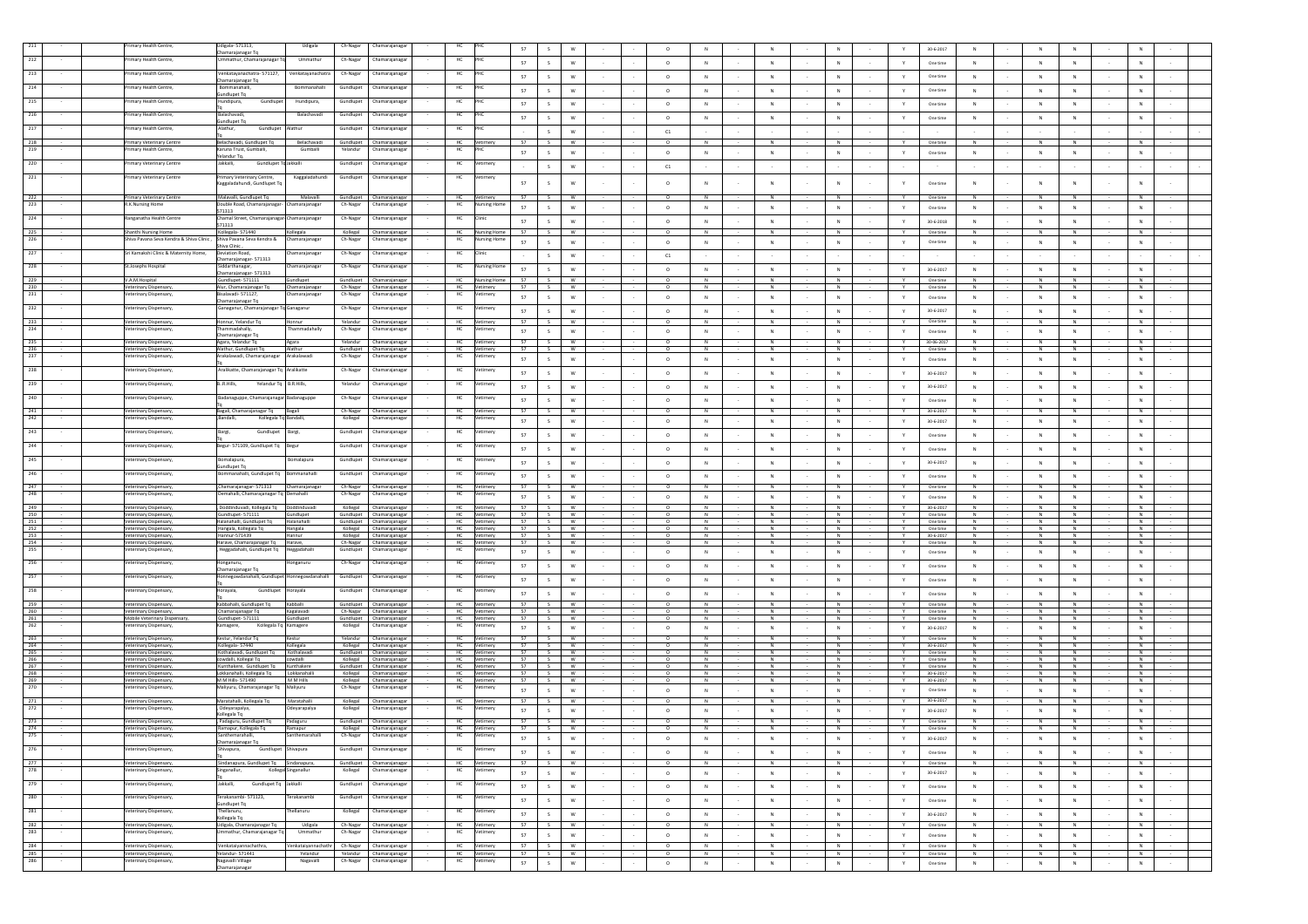|            | mary Health Centre                                     | digala-571313,                                               | Udigala                  | Ch-Nagar  | Chamarajanaga                                        |                        |                         | 57         |                               |                      |  |                          |                             |                     |                     |        |                    | $30 - 6 - 2017$        |                               |                     |                            |         |                     |        |
|------------|--------------------------------------------------------|--------------------------------------------------------------|--------------------------|-----------|------------------------------------------------------|------------------------|-------------------------|------------|-------------------------------|----------------------|--|--------------------------|-----------------------------|---------------------|---------------------|--------|--------------------|------------------------|-------------------------------|---------------------|----------------------------|---------|---------------------|--------|
|            | rimary Health Centre,                                  | narajanagar Tq<br>Jmmathur, Chamarajanagar To                | Ummathur                 | Ch-Nagar  | Chamarajanaga                                        | HC                     |                         | 57         |                               |                      |  | $\circ$                  | ${\sf N}$                   | $\,N\,$             | $_{\rm N}$          |        | $\mathbf Y$        | One time               | ${\sf N}$                     |                     | ${\sf N}$                  |         | $_{\rm N}$          |        |
| 213        | Primary Health Centre,                                 | Venkatavanachatra-571127.                                    | Venkatayanachatra        | Ch-Nagar  | Chamarajanaga                                        | HC                     |                         | 57         |                               |                      |  | $\circ$                  | ${\sf N}$                   | $\mathbb N$         | N                   |        | Y                  | One time               | ${\sf N}$                     |                     | ${\sf N}$                  |         | N                   |        |
| 214        | Primary Health Centre,                                 | Chamarajanagar Tq<br>Bommanahalli,                           | Bommanahalli             | Gundlupet | Chamarajanagar                                       | HC                     |                         |            |                               |                      |  |                          |                             |                     |                     |        |                    |                        |                               |                     |                            |         |                     |        |
| 215        | Primary Health Centre,                                 | sundlupet Tq<br>Hundipura,<br>Gundlupet                      | Hundipura,               | Gundlupet | Chamarajanaga                                        | HC                     |                         | 57         |                               |                      |  | $\circ$                  | ${\sf N}$                   | $\mathbb N$         | $_{\rm N}$          |        | Y                  | One time               | ${\sf N}$                     |                     | ${\sf N}$                  |         | N                   |        |
|            |                                                        |                                                              |                          |           |                                                      |                        |                         | 57         |                               |                      |  | $\circ$                  | ${\sf N}$                   | $\,N\,$             | N                   |        |                    | One time               | ${\sf N}$                     |                     | $\mathbb{N}$               |         |                     |        |
| 216        | rimary Health Centre,                                  | Balachavadi,<br>sundlupet Tq                                 | Balachavadi              | Gundlupet | Chamarajanaga                                        | HC                     |                         | 57         |                               | W                    |  | $\circ$                  | ${\sf N}$                   | $\,$ N              | $\,N\,$             |        | Y                  | One time               | ${\sf N}$                     | N                   | ${\sf N}$                  |         | N                   |        |
| 217        | Primary Health Centre.                                 | Alathur,<br>Gundlupet                                        | Alathur                  |           | Gundlupet Chamarajanaga                              | HC                     |                         |            | $\mathcal{L}$                 | W                    |  | C1                       |                             |                     |                     |        |                    |                        |                               |                     |                            |         |                     |        |
| 218<br>219 | Primary Veterinary Centre<br>rimary Health Centre,     | Belachavadi. Gundlupet To<br>Karuna Trust, Gumballi,         | Belachavadi<br>Gumballi  | Yelandur  | Gundlupet Chamarajanagar<br>Chamarajanaga            | HC                     | Vetimery                | 57         | S.                            | W                    |  | $\circ$                  | N                           | N                   | N                   |        | Y                  | One time               | N                             | N                   | $\mathbb N$                |         |                     |        |
|            |                                                        | Yelandur Tq.                                                 |                          |           |                                                      | HC                     |                         | 57         | $\mathsf{S}$                  | W                    |  | $\circ$                  | N                           | N                   | N                   | $\sim$ | Y                  | One time               | N                             | N                   | N                          |         | N                   |        |
| 220        | <b>Primary Veterinary Centre</b>                       | Jakkalli,<br>Gundlupet To Jakkalli                           |                          | Gundlupet | Chamarajanaga                                        | HC                     | /etimery                |            | $\mathsf{S}$                  | W                    |  | C1                       |                             | $\sim$              |                     |        |                    |                        |                               |                     |                            |         |                     |        |
| 221        | Primary Veterinary Centre                              | Primary Veterinary Centre,<br>Kaggaladahundi, Gundlupet To   | Kaggaladahundi           | Gundlupet | Chamarajanagar                                       | HC                     | 'etimery                | 57         | s                             | W                    |  | $\circ$                  | ${\sf N}$                   | $\,N\,$             | N                   |        | Y                  | One time               | $\mathsf N$                   |                     | $\mathsf{N}$               |         | $\,$ N              |        |
| 222        | Primary Veterinary Centre                              | Malavalli, Gundlupet Tq                                      | Malavalli                |           | Gundlupet Chamarajanagar                             | HC                     | Vetimery                | <b>S7</b>  | S                             | W                    |  | $\overline{0}$           | N                           | N                   | $\overline{N}$      |        | $\mathbf{v}$       | One time               | N                             | N                   | $\overline{N}$             |         | N                   |        |
| 223        | <b>R.K.Nursing Home</b>                                | Double Road, Chamarajanagar-                                 | Chamarajanagar           | Ch-Nagar  | Chamarajanaga                                        | HC                     | ing Ho                  | 57         | S                             | ${\sf w}$            |  | $\circ$                  | N                           | N                   | N                   |        | Y                  | One time               | $\mathbb N$                   | N                   | ${\sf N}$                  |         | N                   |        |
| 224        | Ranganatha Health Centre                               | 571313<br>Chamal Street, Chamarajanagar-Chamarajanagar       |                          | Ch-Nagar  | Chamarajanaga                                        | HC                     | Clinic                  | 57         | S.                            | W                    |  | $\circ$                  | ${\sf N}$                   | N                   | N                   |        | Y                  | $30 - 6 - 2018$        | $\mathbb N$                   | N                   | ${\sf N}$                  |         | ${\sf N}$           |        |
| 225        | Shanthi Nursing Home                                   | 571313<br>Kollegala-571440                                   | Kollegala                |           | Kollegal Chamarajanagar                              | HC.                    | Nursing Home            | 57         | $\sim$                        | W                    |  | $\Omega$                 | N                           | N                   | N                   |        | $\mathbf{v}$       | One time               | N                             | N                   | N                          |         | N                   |        |
| 226        | Shiva Pavana Seva Kendra & Shiva Clinic,               | Shiva Pavana Seva Kendra &<br>Shiva Clinic.                  | Chamarajanaga            | Ch-Nagar  | Chamarajanaga                                        | HC                     | rsing Home              | 57         | S                             | w                    |  | $\circ$                  | ${\sf N}$                   | $\,N\,$             | $\,N\,$             |        | Y.                 | One time               | $\mathbb N$                   |                     | ${\sf N}$                  |         | ${\sf N}$           |        |
| 227        | Sri Kamakshi Clinic & Maternity Home.                  | Deviation Road.                                              | hamarajanagar            | Ch-Nagar  | Chamarajanagar                                       | HC                     |                         |            | $\mathsf{s}$                  | w                    |  | C1                       |                             |                     |                     |        |                    |                        |                               |                     |                            |         |                     |        |
| 228        | St.Josephs Hospital                                    | Chamarajanagar- 571313<br>Siddarthanagar,                    | hamarajanagar            | Ch-Nagar  | Chamarajanaga                                        | HC                     | <b>Nursing Home</b>     | 57         |                               |                      |  |                          |                             |                     |                     |        |                    | 30-6-2017              |                               | N                   |                            |         |                     |        |
| 229        | V.A.M.Hospital                                         | Chamarajanagar- 571313<br>Gundlupet-571111                   | Gundlupet                |           | Gundlupet Chamarajanagar                             | <b>HC</b>              | Nursing Home            | 57         | $\mathsf{s}$<br>S             | w<br>W               |  | $\circ$<br>$\circ$       | ${\sf N}$<br>N              | $\,N\,$<br>N        | $\,N\,$<br>N        |        | $\mathsf{Y}$<br>Y. | One time               | ${\sf N}$<br>N                | N                   | $\overline{N}$<br>N        |         | $\,$ N<br>N         |        |
| 230<br>231 | Veterinary Dispensary,<br>/eterinary Dispensary,       | Alur, Chamarajanagar Tq<br>Bisalavadi-571127,                | Chamarajanagar           |           | Ch-Nagar Chamarajanagar<br>Chamarajanaga             | HC<br>HC               | Vetimery<br>etimery     | - 57       | S                             | <b>W</b>             |  | $\circ$                  | N                           | N                   | N                   |        | Y                  | One time               | N                             | N                   | N                          |         | N                   |        |
|            |                                                        | Chamarajanagar Tq                                            | hamarajanagar            | Ch-Nagar  |                                                      |                        |                         | 57         | S                             | W                    |  | $\circ$                  | N                           | N                   | N                   |        | Y                  | One time               | $\mathbb N$                   | N                   | ${\sf N}$                  |         | N                   |        |
| 232        | Veterinary Dispensary,                                 | Ganaganur, Chamarajanagar Tq Ganaganur                       |                          |           | Ch-Nagar Chamarajanaga                               | HC                     | Vetimery                | 57         | $\mathsf{s}$                  | W                    |  | $\circ$                  | ${\sf N}$                   | $\,N\,$             | N                   |        | Y                  | 30-6-2017              | N                             | N                   | ${\sf N}$                  |         | ${\sf N}$           |        |
| 233<br>234 | Veterinary Dispensary,<br>/eterinary Dispensary,       | Honnur, Yelandur Tq<br>hammadahally                          | Honnur<br>hammadahaliy   | Ch-Nagar  | Yelandur Chamarajanagar<br>Chamarajanaga             | HC.<br>HC              | Vetimery<br>timery.     | 57         | S                             | W                    |  | $^{\circ}$               | N                           | N                   | N                   |        | Y                  | One time               | N                             | N                   | N                          |         | N                   |        |
|            | Veterinary Dispensary,                                 | Chamarajanagar Tq<br>Agara, Yelandur Tq                      | Agara                    |           | Yelandur Chamarajanagar                              | HC                     | Vetimery                | 57<br>57   | $\mathcal{L}$<br>$\mathsf{s}$ | W<br>W               |  | $^{\circ}$<br>$\circ$    | N<br>$\overline{N}$         | N<br>N              | N<br>z              |        | Y                  | One time<br>30-06-2017 | N<br>Z                        | N<br>$\overline{N}$ | N<br>$\overline{N}$        |         | N<br>Z              |        |
| 236        | Veterinary Dispensary,                                 | Alathur, Gundlupet Tq                                        | Alathur                  |           | Gundlupet Chamarajanagar                             | HC                     | Vetimery                | 57         | S                             | W                    |  | $\circ$                  | z                           | z                   | Z                   |        | Y                  | One time               | $\overline{N}$                | $\overline{N}$      | Z                          |         | Z                   |        |
| 237        | /eterinary Dispensary,                                 | rakalawadi, Chamarajanagar                                   | Arakalawadi              | Ch-Nagar  | Chamarajanagar                                       | HC                     | timery                  | 57         | $\mathcal{L}$                 | W                    |  | $\circ$                  | N                           | N                   | N                   |        | $\mathbf{v}$       | One time               | N                             | N                   | N                          |         | N                   |        |
| 238        | Veterinary Dispensary,                                 | Aralikatte, Chamarajanagar Tq Aralikatte                     |                          | Ch-Nagar  | Chamarajanaga                                        | HC                     | etimery                 | 57         | s.                            | W                    |  | $\circ$                  | N                           | N                   | N                   |        | Y                  | 30-6-2017              | $\mathbb N$                   | N                   | N                          |         | N                   |        |
| 239        | /eterinary Dispensary,                                 | B.,R,Hills,<br>Yelandur Tq B.R.Hills,                        |                          | Yelandur  | Chamarajanaga                                        | HC                     |                         | 57         | s.                            | W                    |  | $\circ$                  | N                           | $\,N\,$             | N                   |        | Y                  | 30-6-2017              | N                             | N                   | N                          |         | N                   |        |
| 240        | Veterinary Dispensary,                                 | Badanaguppe, Chamarajanagar Badanaguppe                      |                          | Ch-Nagar  | Chamarajanaga                                        | HC                     | timery                  | 57         | s.                            | W                    |  | $\circ$                  | N                           | N                   | N                   | $\sim$ | Y                  | One time               | N                             | N                   | N                          |         | N                   |        |
| 241        | Veterinary Dispensary,                                 | Bagali, Chamarajanagar Tq Bagali                             |                          |           | Ch-Nagar Chamarajanagar                              | HC <sub>1</sub>        | Vetimery                | 57         | S                             | W                    |  | $\circ$                  | N                           | N                   | N                   |        | $\mathbf{v}$       | 30-6-2017              | N                             | N                   | N                          |         | N                   |        |
| 242        | Veterinary Dispensary                                  | ,Bandalli,<br>Kollegala Tq                                   | Bandalli.                | Kollegal  | Chamarajanaga                                        | HC                     | Vetimery                | 57         | S                             | w                    |  | $\circ$                  | ${\sf N}$                   | $\,N\,$             | $_{\rm N}$          |        | Y                  | 30-6-2017              | ${\sf N}$                     | ${\sf N}$           | ${\sf N}$                  |         | ${\sf N}$           |        |
| 243        | Veterinary Dispensary,                                 | Bargi,<br>Gundlupet                                          | Bargi,                   | Gundlupet | Chamarajanagar                                       | HC                     | Vetimery                | 57         |                               |                      |  | $\circ$                  | ${\sf N}$                   | $\mathbb N$         | $_{\rm N}$          |        | $\mathbf Y$        | One time               | ${\sf N}$                     |                     | ${\sf N}$                  |         | $_{\rm N}$          |        |
| 244        | Veterinary Dispensary,                                 | Begur- 571109, Gundlupet Tq Begur                            |                          | Gundlupet | Chamarajanaga                                        | HC                     | /etimery                | 57         |                               |                      |  | $\circ$                  | ${\sf N}$                   | $_{\rm N}$          | N                   |        |                    | One time               | ${\sf N}$                     |                     | $\mathsf{N}$               |         | N                   |        |
| 245        | /eterinary Dispensary,                                 | Bomalapura,                                                  | omalapura                | Gundlupet | Chamarajanaga                                        | HC                     | etimery                 | 57         |                               | W                    |  | $\circ$                  | ${\sf N}$                   | $\,N\,$             | $\,N\,$             |        | Y                  |                        | ${\sf N}$                     | N                   | ${\sf N}$                  |         | N                   |        |
| 246        | Veterinary Dispensary.                                 | Gundlupet Tq<br>ommanahalli, Gundlupet Tq Bommanahalli       |                          | Gundlupet | Chamarajanaga                                        | HC                     | etimery                 |            |                               |                      |  |                          |                             |                     |                     |        |                    | 30-6-2017              |                               |                     |                            |         |                     |        |
| 247        |                                                        | ,Chamarajanagar- 571313 Chamarajanagar                       |                          |           | Ch-Nagar Chamarajanagar                              |                        |                         | 57<br>57   | $\mathcal{L}$                 | W                    |  | $\circ$<br>$\circ$       | ${\sf N}$                   | N                   | N                   |        | $\mathbf{v}$       | One time               | ${\sf N}$                     | N                   | ${\sf N}$<br>N             |         | N                   |        |
| 248        | Veterinary Dispensary,<br>Veterinary Dispensary,       | Demahalli, Chamarajanagar Tq Demahalli                       |                          |           | Ch-Nagar Chamarajanagar                              | <b>HC</b><br>HC        | Vetimery<br>Vetimery    | 57         | S<br>S                        | <b>W</b><br>W        |  | $\circ$                  | N<br>N                      | N<br>N              | N<br>N              |        | Y.<br>Y.           | One time<br>One time   | N<br>N                        | N<br>N              | N                          |         | N<br>N              |        |
| 249        | Veterinary Dispensary,                                 | , Doddinduvadi, Kollegala Tq Doddinduvadi                    |                          |           | Kollegal Chamarajanagar                              | HC                     | Vetimery                | 57         | S                             | W                    |  |                          | Z                           | N                   | $\overline{N}$      |        |                    | 30-6-2017              |                               |                     | Z                          |         | Z                   |        |
| 250<br>251 | Veterinary Dispensary,<br>Veterinary Dispensary,       | Gundlupet-571111<br>Halanahalli, Gundlupet Tq                | Gundlupet<br>Halanahalli |           | Gundlupet Chamarajanagar<br>Gundlupet Chamarajanagar | HC<br>HC               | Vetimery<br>Vetimery    | 57<br>57   | S<br>$\sim$                   | W<br>W               |  | $\circ$                  | N<br>$\overline{N}$         | N<br>z              | N<br>$\overline{N}$ |        | Y<br>Y             | One time<br>One time   | Z<br>$\overline{N}$           | $\overline{N}$      | N<br>Z                     |         | N<br>z              |        |
| 252<br>253 | Veterinary Dispensary,                                 | Hangala, Kollegala Tq<br>Hannur-571439                       | Hangala                  |           | Kollegal Chamarajanagar<br>Kollegal Chamarajanagar   | HC<br>HC               | Vetimery<br>Vetimery    | 57<br>57   | S                             | <b>W</b><br>w        |  |                          | N<br>${\sf N}$              | N<br>$\mathbb N$    | $\overline{N}$<br>N |        | Y<br>Y             | One time<br>30-6-2017  | $\mathbb N$<br>$\mathbb{N}$   | N<br>N              | ${\sf N}$<br>N             |         | N<br>${\sf N}$      |        |
| 254        | Veterinary Dispensary,<br>Veterinary Dispensary,       | Harave, Chamarajanagar Tq Harave,                            | Hannur                   |           | Ch-Nagar Chamarajanagar                              | HC                     | Vetimery                | 57         | S.                            | w                    |  |                          |                             | $\mathbb N$         | N                   |        | Y                  | One time               | N                             |                     | ${\sf N}$                  |         | ${\sf N}$           |        |
| 255        | Veterinary Dispensary                                  | Heggadahalli, Gundlupet Tq                                   | Heggadahalli             | Gundlupe  | Chamarajanaga                                        | HC                     |                         | 57         | S                             | W                    |  | $\circ$                  | N                           | N                   | N                   |        | Y.                 | One time               | $\mathbb N$                   | N                   | ${\sf N}$                  |         | N                   |        |
| 256        | /eterinary Dispensary,                                 | Honganuru,<br>Chamarajanagar Tq                              | onganuru                 | Ch-Nagar  | Chamarajanaga                                        | HC                     |                         | 57         | s.                            | W                    |  | $\circ$                  | N                           | N                   | N                   |        | $\mathbb {Y}$      | One time               | $\mathbb N$                   | N                   | ${\sf N}$                  |         | N                   |        |
| 257        | Veterinary Dispensary,                                 | Honnegowdanahalli, Gundlupet Honnegowdanahalli               |                          | Gundlupet | Chamarajanaga                                        | HC                     | Vetimery                | 57         | S.                            | W                    |  | $\circ$                  | ${\sf N}$                   | N                   | N                   |        | Y                  | One time               | $\mathbb N$                   | N                   | N                          |         | N                   |        |
| 258        | Veterinary Dispensary,                                 | łorayala,<br>Gundlupet                                       | Horayala                 | Gundlupet | Chamarajanaga                                        | HC                     | Vetimery                | 57         | S                             | w                    |  | $\circ$                  | $\,$ N                      | $\,N\,$             | $_{\rm N}$          |        | $\mathsf{Y}$       | One time               | $\mathbb N$                   | ${\sf N}$           | ${\sf N}$                  |         | ${\sf N}$           |        |
| 259        | Veterinary Dispensary,                                 | Kabbahalli, Gundlupet To                                     | Kabballi                 |           | Gundlupet Chamarajanagar                             | <b>HC</b>              | Vetimery                | 57         | S                             | <b>W</b>             |  | $\circ$                  | N                           | N                   | N                   |        | <b>Y</b>           | One time               | N                             | N                   | N                          |         | N                   |        |
| 260<br>261 | Veterinary Dispensary,<br>Mobile Veterinary Dispensary | Chamarajanagar Tq<br>Gundlupet-571111                        | Kagalavadi<br>Gundlupet  |           | Ch-Nagar Chamarajanagar<br>Gundlupet Chamarajanagar  | <b>HC</b><br>HC        | Vetimery<br>Vetimery    | 57<br>57   | S<br>S                        | <b>W</b><br><b>W</b> |  | $\circ$<br>$\circ$       | N<br>N                      | N<br>N              | N<br>N              |        | Y.<br>$\mathbf{v}$ | One time<br>One time   | N<br>N                        | N<br>N              | N<br>N                     |         | N<br>N              |        |
| 262        | Veterinary Dispensary,                                 | Kamagere,<br>Kollegala Tq Kamagere                           |                          | Kollegal  | Chamarajanagar                                       | HC                     | /etimery                | 57         | S                             | W                    |  | $\circ$                  | N                           | $\,N\,$             | N                   |        | Y                  | 30-6-2017              | N                             | N                   | $\,$ N                     |         | $\,$ N              |        |
| 263        | Veterinary Dispensary,                                 | Kestur, Yelandur Tq                                          | Kestur                   |           | Yelandur Chamarajanagar                              | HC                     | Vetimery                | 57         | S                             | W                    |  | $\circ$                  | N                           | N                   | N                   |        | Y                  | One time               | N                             | N                   | $\overline{N}$             |         | N                   |        |
| 264<br>265 | Veterinary Dispensary,<br>Veterinary Dispensary,       | Kollegala-57440<br>Kothalavadi, Gundlupet To                 | Kollegala<br>Kothalavadi |           | Kollegal Chamarajanagar<br>Gundlupet Chamarajanagar  | HC.<br>HC              | Vetimery<br>Vetimery    | 57<br>57   | S.<br>S                       | <b>W</b><br><b>W</b> |  | $^{\circ}$<br>$^{\circ}$ | N<br>N                      | N<br>N              | N<br>N              |        | Y<br>Y             | 30-6-2017<br>One time  | N<br>N                        | N<br>N              | N<br>N                     |         | N<br>N              |        |
| 266<br>267 | Veterinary Dispensary.<br>Veterinary Dispensary,       | cowdalli, Kollegal To<br>Kunthakere, Gundlupet Tq Kunthakere | cowdalli                 |           | Kollegal Chamarajanagar<br>Gundlupet Chamarajanagar  | <b>HC</b><br><b>HC</b> | Vetimery<br>Vetimery    | 57<br>57   | S<br>s w                      | <b>W</b>             |  | $\circ$<br>$^{\circ}$    | N<br>N                      | N<br>N              | N<br>N              |        | Y<br>Y             | One time<br>One time   | N<br>N                        | N<br>N              | $\mathbb N$<br>$\mathbb N$ |         | N<br>N              |        |
| 268<br>269 | Veterinary Dispensary,<br>Veterinary Dispensary,       | Lokkanahalli, Kollegala Tq Lokkanahalli<br>M M Hills-571490  | M M Hills                |           | Kollegal Chamarajanagar<br>Kollegal Chamarajanagar   | <b>HC</b><br><b>HC</b> | Vetimery<br>Vetimery    | 57<br>57   | S<br>S                        | <b>W</b><br><b>W</b> |  | $\circ$<br>$^{\circ}$    | N<br>N                      | N<br>N              | N<br>N              |        | Y<br>Y             | 30-6-2017<br>30-6-2017 | N<br>N                        | N                   | $\mathbb N$<br>${\sf N}$   |         | N<br>N              |        |
| 270        | Veterinary Dispensary,                                 | Maliyuru, Chamarajanagar Tq Maliyuru                         |                          | Ch-Nagar  | Chamarajanagar                                       | HC                     | timery                  | 57         | $\mathsf{s}$                  | W                    |  | $\circ$                  | N                           | N                   | N                   |        | Y                  | One time               | N                             | N                   | N                          |         | $\,N\,$             |        |
| 271        | Veterinary Dispensary,                                 | Maratahalli, Kollegala Tq                                    | Maratahalli              |           | Kollegal Chamarajanagar                              | HC                     | Vetimery                | 57         | S                             | W                    |  |                          | N                           | N                   | z                   |        |                    | 30-6-2017              | $\overline{N}$                |                     | $\overline{N}$             |         | N                   |        |
| 272        | /eterinary Dispensary,                                 | Odeyarapalya,<br>ollegala Tq                                 | deyarapaiya              | Kollegal  | Chamarajanagar                                       | HC                     | timery.                 | 57         | $\mathsf{S}$                  | W                    |  | $\circ$                  | N                           | N                   | N                   |        | Y                  | 30-6-2017              | N                             | N                   | N                          |         | N                   |        |
| 273<br>274 | Veterinary Dispensary,<br>Veterinary Dispensary,       | , Padaguru, Gundlupet Tq<br>Ramapur, Kollegala Tq            | Padaguru<br>Ramapur      |           | Gundlupet Chamarajanagar<br>Kollegal Chamarajanagar  | HC                     | Vetimery                | 57<br>57   | S<br>S                        | <b>W</b><br>W        |  | $\circ$                  | ${\sf N}$<br>$\overline{N}$ | N<br>$\overline{N}$ | N<br>$\overline{N}$ |        | Y<br>$\mathbf{Y}$  | One time<br>One time   | $\mathbb N$<br>$\overline{N}$ | N<br>N              | ${\sf N}$<br>N             |         | ${\sf N}$<br>z      |        |
| 275        | Veterinary Dispensary,                                 | Santhemarahalli,                                             | Santhemarahalli          |           | Ch-Nagar Chamarajanagar                              | H <sub>C</sub>         | HC Vetimery<br>Vetimery | 57         | S                             | W                    |  | $^{\circ}$               | <b>N</b>                    | N.                  | - N                 |        | Y.                 | 30-6-2017              | N                             | N                   | N                          |         | N.                  |        |
| 276        | /eterinary Dispensary,                                 | Chamarajanagar Tq<br>Gundlupet Shivapura<br>Shivapura,       |                          | Gundlupet | Chamarajanagar                                       | HC                     | Vetimery                | 57         | $\mathsf{s}$                  | w                    |  | $\circ$                  | N                           |                     | N                   |        | $\mathbf{Y}$       | One time               | $\mathbb{N}$                  | N                   | N                          |         | $\,N\,$             |        |
| 277        | Veterinary Dispensary,                                 | Sindanapura, Gundlupet Tq Sindanapura,                       |                          |           | Gundlupet Chamarajanagar                             | HC                     | Vetimery                | 57         | S                             | W                    |  | $\circ$                  | N                           | $\,$ N $\,$<br>N    | N                   |        | <b>Y</b>           | One time               | N                             | N                   | N                          |         | N                   |        |
| 278        | /eterinary Dispensary,                                 | inganallur,                                                  | Kollegal Singanallur     | Kollegal  | Chamarajanaga                                        | HC                     |                         | 57         | S                             | ${\sf w}$            |  | $\circ$                  | N                           | $\,N\,$             | ${\sf N}$           | $\sim$ | Y.                 | 30-6-2017              | $\mathbb N$                   | ${\sf N}$           | ${\sf N}$                  | $\sim$  | N                   | $\sim$ |
| 279        | Veterinary Dispensary,                                 | Jakkalli,<br>Gundlupet Tq Jakkalli                           |                          |           | Gundlupet Chamarajanagar                             | HC                     | Vetimery                | 57         | S                             | ${\sf w}$            |  | $\circ$                  | N                           | $\,N\,$             | N                   | $\sim$ | $\mathbb {Y}$      | One time               | $\mathbb N$                   | N                   | ${\sf N}$                  | $\sim$  | N                   | $\sim$ |
| 280        | Veterinary Dispensary,                                 | Terakanambi- 571123.                                         | Terakanambi              |           | Gundlupet Chamarajanaga                              | HC                     | Vetimery                |            |                               |                      |  |                          |                             |                     | $\mathbb{N}$        |        |                    | One time               | ${\sf N}$                     |                     | $\,$ N                     |         | $\,N\,$             |        |
| 281        | /eterinary Dispensary,                                 | sundlupet Tq<br>Thellanuru,                                  | hellanuru                | Kollegal  | Chamarajanagar                                       | HC                     | Vetimery                | 57         | S                             | ${\mathsf w}$        |  | $\circ$                  | $\,$ N                      | $\,N\,$             |                     |        | $\mathbb {Y}$      |                        |                               | $\,N\,$             |                            | $\cdot$ |                     |        |
| 282        | Veterinary Dispensary,                                 | Kollegala Tq<br>Udigala, Chamarajanagar Tq                   | Udigala                  |           | Ch-Nagar Chamarajanagar                              | HC                     | Vetimery                | 57<br>- 57 | S<br>S                        | W<br>W               |  | $\circ$<br>$\circ$       | N<br>$\overline{N}$         | N<br>$\overline{N}$ | N<br>N              | $\sim$ | $\mathbb {Y}$<br>Y | 30-6-2017<br>One time  | N<br>N                        | N<br>$\overline{N}$ | N<br>$\overline{N}$        | $\sim$  | N<br>$\overline{N}$ | $\sim$ |
| 283        | /eterinary Dispensary.                                 | mmathur, Chamarajanagar Tq                                   | Ummathur                 | Ch-Nagar  | Chamarajanagar                                       | HC                     | etimery                 | 57         | $\mathcal{L}$                 | W                    |  | $\circ$                  | N                           | N                   | N                   |        | Y                  | One time               | $\mathbb N$                   | N                   | ${\sf N}$                  |         | $\,$ N              |        |
| 284        | Veterinary Dispensary,                                 | Venkataiyannachathra,                                        | enkataiyannachathr       |           | Ch-Nagar Chamarajanagar                              | HC .                   | Vetimery                | 57         | S.                            | W.                   |  | $\circ$                  | N                           | N                   | N                   |        | Y                  | One time               | N                             | N                   | N                          |         | N                   |        |
| 285<br>286 | Veterinary Dispensary,<br>/eterinary Dispensary,       | Yelandur-571441<br>Nagavalli Village                         | Yelandur<br>Nagavalli    |           | Yelandur Chamarajanagar                              |                        | HC Vetimery<br>Vetimery | 57         | S                             | <b>W</b>             |  | $\circ$                  | N                           | N                   | N                   |        | Y                  | One time               | N                             | N                   | N                          |         | N                   |        |
|            |                                                        | Chamarajanagar                                               |                          | Ch-Nagar  | Chamarajanaga                                        | HC                     |                         | 57         | S                             | ${\sf w}$            |  | $\circ$                  | N                           | $\,$ N $\,$         | $\,N\,$             |        | $\mathbb {Y}$ .    | One time               | ${\sf N}$                     | N                   | ${\sf N}$                  |         | N                   |        |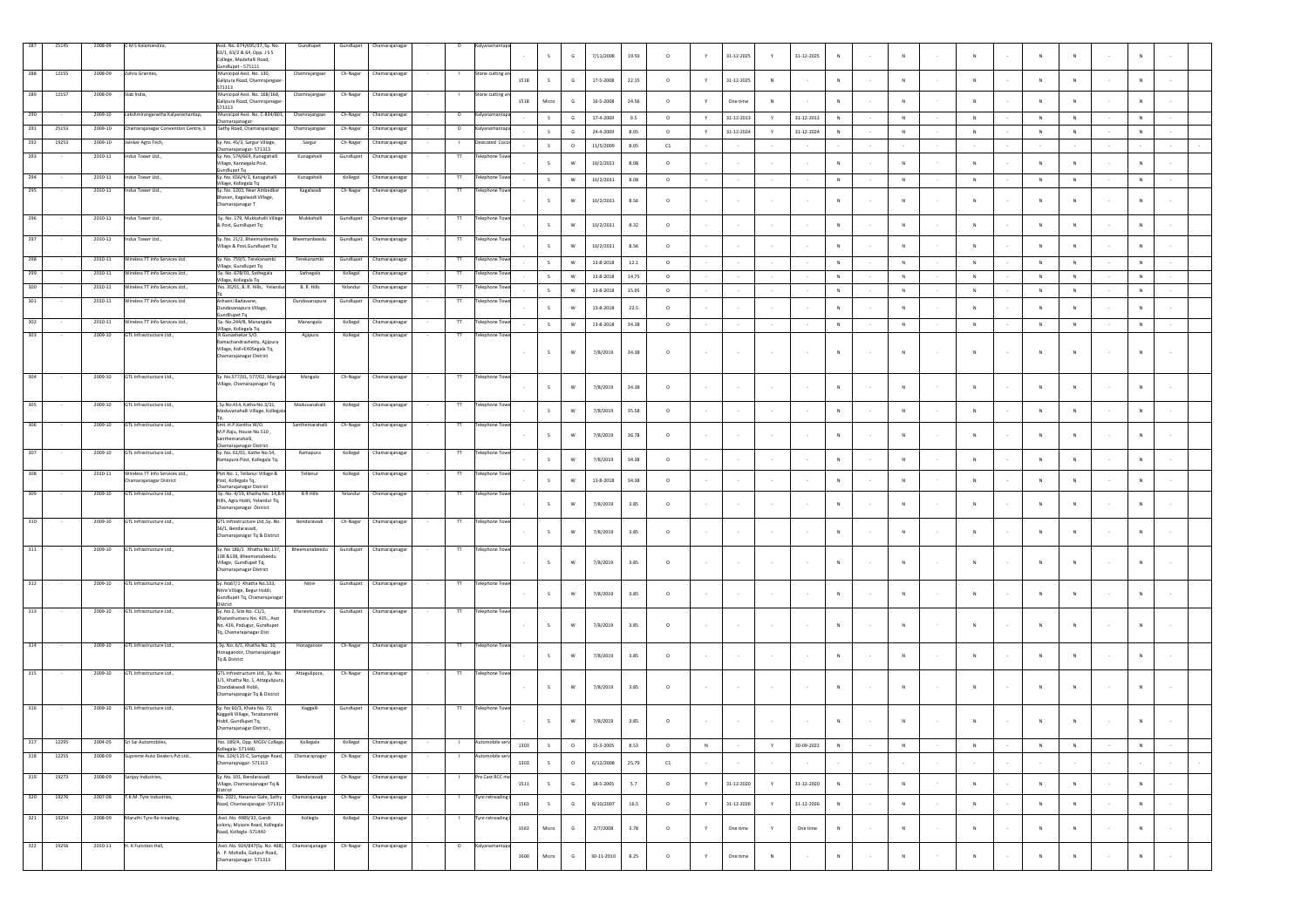| 287        | 25145 | 2008-09<br>2008-09 | CMS Kalamandira,                                        | Asst. No. 674/695/37, Sy. No.<br>63/1, 63/2 & 64, Opp. J S S<br>College, Madahalli Road,<br>undlupet - 571111            | Gundlupet             | Gundlupet             | Chamarajanagar                  |                                                    |          |              | G            | 7/11/2008        | 19.59    | $\circ$    |   | 31-12-2025       | Y             | 31-12-2025       | N            |        |              |              |   | N              |        |              |         |  |
|------------|-------|--------------------|---------------------------------------------------------|--------------------------------------------------------------------------------------------------------------------------|-----------------------|-----------------------|---------------------------------|----------------------------------------------------|----------|--------------|--------------|------------------|----------|------------|---|------------------|---------------|------------------|--------------|--------|--------------|--------------|---|----------------|--------|--------------|---------|--|
| 288        | 12155 |                    | Zohra Granites,                                         | Municipal Asst. No. 130,<br>ialipura Road, Chamrajangaa<br>571313                                                        | Chamrajangaa          | Ch-Nagar              | Chamarajanaga                   | one cutting                                        | 1518     | $\mathsf{s}$ | $\mathsf{G}$ | 17-5-2008        | 22.15    | $\circ$    | Y | 31-12-2025       | N             |                  | $_{\rm N}$   |        | $\,$ N       | ${\sf N}$    | N | $\mathbb N$    |        | N            |         |  |
| 289        | 12157 | 2008-09            | Slab India,                                             | Municipal Asst. No. 168/168,<br>ialipura Road, Chamrajanaga<br>571313                                                    | Chamrajangaar         | Ch-Nagar              | Chamarajanagar                  | tone cutting a                                     | 1518     | Micro        | $\mathsf{G}$ | 16-5-2008        | 24.56    | $\circ$    |   | One time         | N             |                  | N            |        | N            | $\mathbf{N}$ |   | $\mathbf{N}$   |        | $\mathbf{N}$ |         |  |
| 290        |       | 2009-10            | akshmiranganatha Kalyanamantap,                         | Municipal Asst. No. C-834/801,<br>hamarajanagar                                                                          | Chamrajangaar         | Ch-Nagar              | Chamarajanagar                  | $\circ$<br>Calyanaman                              |          |              | G            | 17-4-2009        | 9.5      | $\circ$    | Υ | 31-12-2013       | Y             | 31-12-2013       | $_{\rm N}$   |        | ${\sf N}$    | $\mathsf N$  |   | $\mathsf{N}$   |        |              |         |  |
| 291        | 25153 | 2009-10            | Chamarajanagar Convention Centre, S                     | Sathy Road, Chamarajanagar                                                                                               | Chamrajangaar         | Ch-Nagar              | Chamarajanaga                   | $\circ$<br>alvanama                                |          | $\mathsf{s}$ | G            | 24-4-2009        | 8.05     | $\circ$    | Y | $31 - 12 - 2024$ | Y             | 31-12-2024       | $_{\rm N}$   |        | ${\sf N}$    | ${\sf N}$    |   | $\mathsf{N}$   |        | N            |         |  |
| 292<br>293 | 19253 | 2009-10<br>2010-11 | Jainkar Agro Tech,<br>ndus Tower Ltd.,                  | Sy. No. 45/3, Sargur Village,<br>hamarajanagar- 571313<br>Sy. No. 574/669, Kunagahalli                                   | Sargur<br>Kunagahalli | Ch-Nagar<br>Gundlupet | Chamarajanagar<br>Chamarajanaga | Desicated Coco<br>$\mathbf{L}$<br>π<br>elephone To |          | $\mathsf{s}$ | $\circ$      | 11/5/2009        | 8.05     | C1         |   |                  |               |                  |              |        |              |              |   |                |        |              |         |  |
|            |       |                    |                                                         | Village, Kannegala Post,<br>undlupet Tq                                                                                  |                       |                       |                                 |                                                    |          | $\mathsf{s}$ | W            | 10/2/2011        | 8.08     | $\circ$    |   |                  |               |                  | $_{\rm N}$   |        | N            | $\mathsf{N}$ |   | $\overline{N}$ |        | $_{\rm N}$   |         |  |
| 294        |       | 2010-11            | Indus Tower Ltd.,                                       | sy. No. 656/4/3, Kanagahalli<br>Village, Kollegala Tq                                                                    | Kunagahalli           | Kollegal              | Chamarajanagar                  | $^{\text{TT}}$<br><b>Telephone Towe</b>            |          | S            | W            | 10/2/2011        | 8.08     | $\circ$    |   |                  |               |                  | N            |        | ${\sf N}$    | ${\sf N}$    | N | ${\sf N}$      |        | ${\sf N}$    |         |  |
| 295        |       | 2010-11            | Indus Tower Ltd.,                                       | Sy. No. 1203, Near Ambedkar<br>havan, Kagalwadi Village,<br>hamarajanagar T                                              | Kagalwadi             | Ch-Nagar              | Chamarajanagar                  | $^{\text{TT}}$<br><b>Felephone Tow</b>             |          | $\mathsf{s}$ | W            | 10/2/2011        | 8.56     | $\circ$    |   |                  | $\sim$        |                  | N            |        | N            | N            |   | $\mathbb{N}$   |        | N            |         |  |
| 296        |       | 2010-11            | Indus Tower Ltd.,                                       | Sy. No. 179, Mukkahalli Village<br>Post, Gundlupet Tq                                                                    | Mukkahalli            | Gundlupet             | Chamarajanagar                  | <b>Telephone Tow</b><br>π                          |          | $\mathsf{s}$ | W            | 10/2/2011        | 8.32     | $\circ$    |   |                  |               |                  | $_{\rm N}$   |        | ${\sf N}$    | $\mathsf N$  |   | $\mathsf{N}$   |        | $_{\rm N}$   |         |  |
| 297        |       | $2010 - 11$        | ndus Tower Ltd.,                                        | Sy. No. 21/2, Bheemanbeedu<br>Village & Post, Gundlupet Tq                                                               | Bheemanbeedu          | Gundlupet             | Chamarajanagar                  | $\overline{\mathsf{H}}$<br><b>Felephone Tow</b>    |          | $\mathsf{s}$ | W            | 10/2/2011        | 8.56     | $\circ$    |   |                  |               |                  | $\mathbb{N}$ |        | $\mathbf N$  | $\mathbf{N}$ |   | $\sim$         |        | N            |         |  |
| 298        |       | 2010-11            | lireless TT Info Services Ltd.                          | y. No. 759/S, Terekanamb<br>illage, Gundlupet Tq                                                                         | Terekanamb            | Gundlupet             | Chamarajanaga                   | lephone To                                         |          | S            | W            | $13 - 8 - 2018$  | 12.1     | $\circ$    |   |                  |               |                  | N            |        | ${\sf N}$    | ${\sf N}$    | N | ${\sf N}$      |        | N            |         |  |
| 299        |       | 2010-11            | Vireless TT Info Services Ltd.,                         | Sy. No. 678/01, Sathegala<br>fillage, Kollegala Tq                                                                       | Sathegala             | Kollegal              | Chamarajanagar                  | $^{\text{TT}}$<br><b>Telephone Tow</b>             |          | $\mathsf{s}$ | W            | $13 - 8 - 2018$  | 14.75    | $\circ$    |   |                  |               |                  | $\,N\,$      |        | ${\sf N}$    | ${\sf N}$    | N | ${\sf N}$      |        | ${\sf N}$    |         |  |
| 300        |       | 2010-11            | Wireless TT Info Services Ltd.,                         | No. 35/01, B. R. Hills, Yeland                                                                                           | B. R. Hills           | Yelandur              | Chamarajanaga                   | lephone To<br>π                                    |          | $\mathsf{s}$ | W            | $13 - 8 - 2018$  | 15.95    | $\circ$    |   |                  |               |                  | $_{\rm N}$   |        | $\mathsf{N}$ | ${\sf N}$    |   | ${\sf N}$      |        | ${\sf N}$    |         |  |
| 301        |       | 2010-11            | Wireless TT Info Services Ltd.                          | Ashwini Badavane.<br>undasanapura Village,<br>undllupet Tq                                                               | Dundasanapura         | Gundlupet             | Chamarajanagar                  | $^{\text{TT}}$<br><b>Felephone Tow</b>             |          | $\mathsf{s}$ | W            | $13 - 8 - 2018$  | 22.5     | $\circ$    |   |                  |               |                  | N            |        | $\mathbb{N}$ | $\mathbb{N}$ |   | $\mathbb{N}$   |        | N            |         |  |
| 302        |       | 2010-11            | Wireless TT Info Services Ltd.,                         | Sy. No.244/B, Manangala<br>fillage, Kollegala Tq.                                                                        | Manangala             | Kollegal              | Chamarajanaga                   | $^{\text{TT}}$<br>Telephone Tow                    |          | S            | W            | 13-8-2018        | 34.38    | $\circ$    |   |                  |               |                  | N            |        | $\,$ N       | ${\sf N}$    | N | ${\sf N}$      |        | N            |         |  |
| 303        |       | 2009-10            | GTL Infrastructure Ltd.,                                | R.Gunashekar S/O.<br>Ramachandrashetty, Aiiipura<br>Village, Koll+E405egala Tq,<br>Chamarajanagar District               | Ajjipura              | Kollegal              | Chamarajanagar                  | $^{\text{II}}$<br>elephone Tow                     |          | $\mathsf{s}$ | w            | 7/8/2019         | 34.38    | $\circ$    |   |                  | $\sim$        |                  | ${\sf N}$    |        | N            | $\mathbf{N}$ |   | N              |        | ${\sf N}$    |         |  |
| 304        |       | 2009-10            | GTL Infrastructure Ltd.,                                | Sy. No.577/01, 577/02, Mangala<br>illage, Chamarajanagar Tq                                                              | Mangala               | Ch-Nagar              | Chamarajanagar                  | <b>Felephone Tow</b>                               |          | S.           | ${\bf W}$    | 7/8/2019         | 34.38    | $\circ$    |   |                  | $\sim$        |                  | N            |        | N            | N            |   | N              |        | N            |         |  |
| 305        |       | 2009-10            | GTL Infrastructure Ltd.,                                | , Sy.No.414, Katha No.3/31,<br>aduvanahalli Village, Kollega                                                             | Maduvanahalli         | Kollegal              | Chamarajanagar                  | $\overline{\mathsf{H}}$<br>Telephone Towe          |          | S            | W            | 7/8/2019         | 35.58    | $\circ$    |   |                  |               |                  | $_{\rm N}$   |        | ${\sf N}$    | $\mathsf N$  |   | $\mathsf{N}$   |        | $_{\rm N}$   |         |  |
| 306        |       | 2009-10            | GTL Infrastructure Ltd.,                                | Smt. H.P.Kantha W/O.<br>M.P.Raju, House No.510,<br>anthemarahalli,<br>hamarajanagar District                             | Santhemarahalli       | Ch-Nagar              | Chamarajanagar                  | π<br>Telephone Tow                                 |          | S.           | W            | 7/8/2019         | 36.78    | $\circ$    |   |                  |               |                  | N            |        | N            |              |   | $\mathbb{N}$   |        | N            |         |  |
| 307        |       | $2009 - 10$        | GTL Infrastructure Ltd.,                                | Sy. No. 61/01, Kathe No.54,<br>lamapura Post, Kollegala Tq.                                                              | Ramapura              | Kollega               | Chamarajanaga                   | π<br>elephone To                                   |          | S.           | W            | 7/8/2019         | 34.38    | $\circ$    |   |                  | $\sim$        |                  | $\mathbb{N}$ |        | $\mathbb{N}$ | $\mathbb{N}$ |   | N              |        | N            |         |  |
| 308        |       | 2010-11            | Wireless TT Info Services Ltd<br>hamarajanagar District | Plot No. 1, Tellanur Village &<br>Post, Kollegala Tq,                                                                    | Tellanur              | Kollegal              | Chamarajanaga                   | elephone Toy                                       |          | $\mathsf{s}$ | W            | 13-8-2018        | 34.38    | $\circ$    |   |                  | $\sim$        |                  | $\,N\,$      |        | ${\sf N}$    | $\mathbb{N}$ |   | $\mathbb{N}$   |        | N            |         |  |
| 309        |       | 2009-10            | GTL Infrastructure Ltd                                  | Chamarajanagar District<br>Sv. No. 4/19. Khatha No. 14.B R<br>Hills, Agra Hobli, Yelandur Tq,<br>Chamarajanagar District | <b>BRHills</b>        | Yelandur              | Chamarajanagar                  | $\mathbf{H}$<br><b>Telephone Towe</b>              |          | $\mathsf{s}$ | W            | 7/8/2019         | 3.85     | $\circ$    |   |                  |               |                  | N            |        |              | N            |   | N              |        |              |         |  |
| 310        |       | 2009-10            | GTL Infrastructure Ltd.,                                | GTL Infrastructure Ltd., Sy. No.<br>36/1, Bendaravadi,<br>Chamarajanagar Tq & District                                   | Bendaravadi           | Ch-Nagar              | Chamarajanagar                  | $^{\text{TT}}$<br><b>Felephone Tow</b>             |          | $\mathsf{s}$ | W            | 7/8/2019         | 3.85     | $\circ$    |   |                  |               |                  | $\mathbb{N}$ |        | N            | $\mathbb{N}$ |   | N              |        | N            |         |  |
| 311        |       | 2009-10            | GTL Infrastructure Ltd.,                                | Sy. No 186/1 Khatha No.137,<br>138 & 138, Bheemanabeedu<br>Village, Gundlupet Tq,<br>hamarajanagar District              | Bheemanabeedu         |                       | Gundlupet Chamarajanagar        | π<br><b>Telephone Towe</b>                         |          | $\mathsf{s}$ | W            | 7/8/2019         | 3.85     | $\circ$    |   |                  | $\cdot$       |                  | N            |        |              |              |   | N              |        | $_{\rm N}$   |         |  |
| 312        |       | 2009-10            | GTL Infrastructure Ltd.,                                | Sy. No67/1 Khatha No.533,<br>Nitre Village, Begur Hobli,<br>undlupet Tq, Chamarajanaga                                   | Nitre                 | Gundlupet             | Chamarajanagar                  | Telephone Towe<br>π                                |          | $\mathsf{s}$ | W            | 7/8/2019         | 3.85     | $\circ$    |   |                  | $\sim$        |                  | $_{\rm N}$   |        | N            | N            |   | $\overline{N}$ |        | $_{\rm N}$   |         |  |
| 313        |       | 2009-10            | GTL Infrastructure Ltd.,                                | istrict<br>y. No 2, Site No. C1/1,<br>haneshumaru No. 435., Asst                                                         | Khaneshumaru          | Gundlupet             | Chamarajanagar                  | π<br><b>Telephone Tow</b>                          |          |              |              |                  |          |            |   |                  |               |                  |              |        |              |              |   |                |        |              |         |  |
| 314        |       | 2009-10            | GTL Infrastructure Ltd.,                                | No. 436, Padugur, Gundlupet<br>Tq, Chamarajanagar Dist<br>. Sv. No. 6/1. Khatha No. 10.                                  | Honaganoor            | Ch-Nagar              | Chamarajanagar                  | Felephone Towe<br>π                                |          | $\mathsf{s}$ | W            | 7/8/2019         | 3.85     | $\circ$    |   |                  | $\sim$        |                  | $\mathbb{N}$ |        | ${\sf N}$    | $\mathbf N$  |   | ${\sf N}$      |        | N            |         |  |
|            |       |                    |                                                         | Ionaganoor, Chamarajanaga<br>To & District                                                                               |                       |                       |                                 |                                                    |          | $\mathsf{s}$ | W            | 7/8/2019         | 3.85     | $\circ$    |   |                  |               |                  | N            |        |              |              |   | N              |        | N            |         |  |
| 315        |       | 2009-10            | GTL Infrastructure Ltd                                  | GTL Infrastructure Ltd Sv. No.<br>1/1, Khatha No. 1, Attagulipur<br>Chandakwadi Hobli,<br>Chamarajanagar Tq & District   | Attagulipura,         | Ch-Nagar              | Chamarajanagar                  | T<br><b>Telephone Towe</b>                         |          | S            | w            | 7/8/2019         | 3.85     | $\circ$    |   |                  | $\sim$        |                  | $_{\rm N}$   |        | ${\sf N}$    | $\mathsf{N}$ |   | $\overline{N}$ |        | ${\sf N}$    |         |  |
| 316        |       | 2009-10            | GTL Infrastructure Ltd.,                                | Sy. No 60/3, Khata No. 72,<br>Kaggalli Village, Terakanambi<br>Hobli, Gundlupet To.<br>Chamarajanagar District.,         | Kaggalli              | Gundlupet             | Chamarajanagar                  | <b>Telephone Tow</b><br>$\pi$                      |          | S            | W            | 7/8/2019         | 3.85     | $\circ$    |   |                  |               |                  | N            |        | $\mathsf{N}$ |              |   | $\overline{N}$ |        | N            |         |  |
| 317        | 12295 | 2004-05            | ri Sai Automobiles,                                     | No. 189/A, Opp. MGSV College<br>ollegala-571440.                                                                         | Kollegala             | Kollegal              | Chamarajanagar                  |                                                    | 1303     | $\mathsf{s}$ | $\circ$      | 15-3-2005        | 8.53     | $\circ$    | N |                  | Y             | 30-09-2022       | N            |        | N            | N            | N | N              |        | N            |         |  |
| 318        | 12255 | 2008-09            | Supreme Auto Dealers Pvt Ltd.,                          | No. 124/115-C, Sampige Road,<br>hamarajnagar-571313                                                                      | Chamarajnagar         | Ch-Nagar              | Chamarajanagar                  |                                                    | 1303     | $\mathsf{s}$ | $\circ$      | 6/12/2008        | 25.79    | ${\tt C1}$ |   |                  | $\sim$        |                  |              |        |              |              |   | $\epsilon$     | $\sim$ |              |         |  |
| 319        | 19273 | 2008-09            | Sanjay Industries,                                      | Sy. No. 101, Bendaravadi                                                                                                 | Bendaravadi           | Ch-Nagar              | Chamarajanagar                  | Pre Cast RCC n                                     | $1511\,$ | S            | $\mathsf G$  | 18-5-2005        | $5.7\,$  | $\circ$    | Y | $31 - 12 - 2020$ | Y.            | 31-12-2020       | $\,$ N       | $\sim$ | ${\sf N}$    | ${\sf N}$    | N | $\,$ N         | $\sim$ | $\,N\,$      | $\sim$  |  |
| 320        | 19276 | 2007-08            | T.K.M .Tyre Industries,                                 | /illage, Chamarajanagar Tq &<br>District<br>No. 2021, Hasanur Gate, Sathy                                                | Chamarajanagar        | Ch-Nagar              | Chamarajanagar                  | Tyre retreading (                                  |          |              |              |                  |          |            |   |                  |               |                  |              |        |              |              |   |                |        |              |         |  |
| 321        | 19254 | 2008-09            | Maruthi Tyre Re-treading,                               | Road, Chamarajanagar- 571313<br>Asst. No. 4989/32, Gandi                                                                 | Kollegia              | Kollegal              | Chamarajanagar                  | <b>Tyre retreading</b><br>$\mathbf{L}$             | 1563     | S            | $\mathsf{G}$ | 8/10/2007        | $16.5\,$ | $\circ$    | Y | 31-12-2026       | Y             | $31 - 12 - 2026$ | N            |        | N            | $\mathsf{N}$ | N | N              |        | ${\sf N}$    | $\sim$  |  |
|            |       |                    |                                                         | colony, Mysore Road, Kollegala<br>Road, Kollegia -571440                                                                 |                       |                       |                                 |                                                    | 1563     | Micro        | $\mathsf G$  | 2/7/2008         | 3.78     | $\circ$    | Y | One time         | $\mathbb {Y}$ | One time         | ${\sf N}$    |        | ${\sf N}$    | $\mathsf{N}$ |   | $\overline{N}$ |        | $_{\rm N}$   | $\cdot$ |  |
| 322        | 19256 | 2010-11            | H. K Function Hall,                                     | Asst. No. 924/847(Sv. No. 468).<br>A. P. Mohalla, Galipur Road,<br>hamarajanagar- 571313                                 | Chamarajanagar        | Ch-Nagar              | Chamarajanagar                  | $\circ$<br>Kalyanamantap                           | 1600     | Micro        | $\mathsf G$  | $30 - 11 - 2010$ | 8.25     | $\circ$    | Y | One time         | N             | $\sim$           | $\,$ N $\,$  |        | ${\sf N}$    | N            | N | $\,$ N         | $\sim$ | $\,$ N       | $\sim$  |  |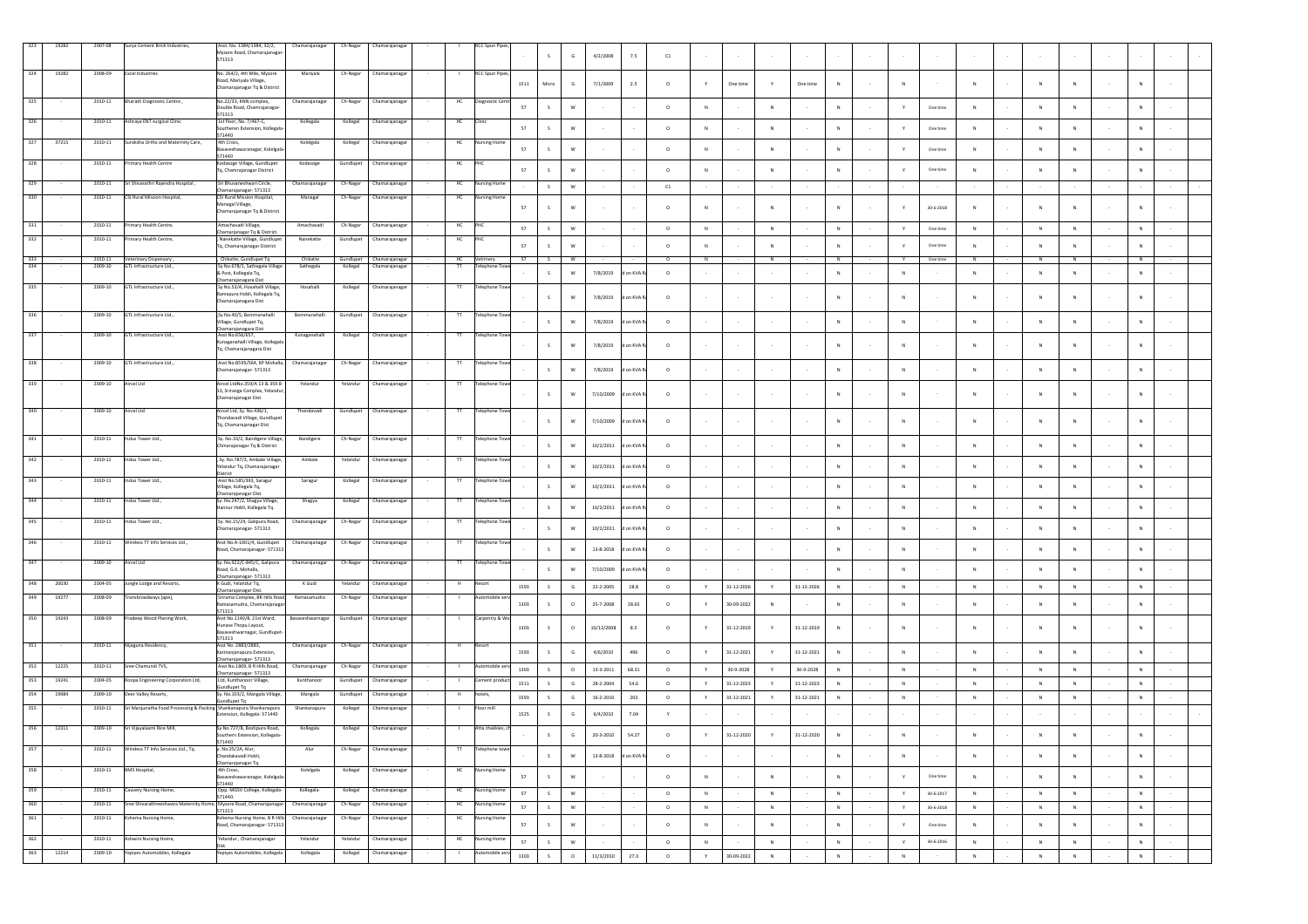| 323        | 19282          | 2007-08            | Surya Cement Brick Industries,                                     | Asst. No. 1384/1384, 32/2,<br>Mysore Road, Chamarajanaga<br>571313                          | Chamarajanagar               | Ch-Nagar               | Chamarajanagar                   |                    | RCC Spun Pipe                              |      | s            | $\mathsf{G}$                     | 4/2/2008        | 7.5        | C1                    |           |                  |               |                  |              |        |                  |                 |              |              |                         |        |             |        |
|------------|----------------|--------------------|--------------------------------------------------------------------|---------------------------------------------------------------------------------------------|------------------------------|------------------------|----------------------------------|--------------------|--------------------------------------------|------|--------------|----------------------------------|-----------------|------------|-----------------------|-----------|------------------|---------------|------------------|--------------|--------|------------------|-----------------|--------------|--------------|-------------------------|--------|-------------|--------|
| 324        | 19282          | 2008-09            | <b>Excel Industries</b>                                            | No. 264/2, 4th Mile, Mysore<br>Road, Mariyala Village,<br>Chamarajanagar Tq & District      | Mariyala                     | Ch-Nagar               | Chamarajanaga                    |                    | <b>RCC Spun Pipes</b>                      | 1511 | Micro        | $\mathsf{G}$                     | 7/1/2009        | $2.5\,$    | $\circ$               |           | One time         |               | One time         | $\,N\,$      |        |                  |                 |              |              |                         |        |             |        |
| 325        |                | 2010-11            | Bharath Diagnostic Centre,                                         | No.22/33, KNN complex,<br>Double Road, Chamrajanagar<br>571313                              | Chamarajanagar               | Ch-Nagar               | Chamarajanagar                   | HC                 | Diagnostic Cent                            | 57   | s            | W                                |                 |            | $\circ$               |           |                  | $\mathbb{N}$  |                  | N            |        | Y                | One time        | N            | N            |                         |        |             |        |
| 326        |                | 2010-11            | Ashraya ENT surgical Clinic                                        | 1st floor, No. 7/467-C,<br>Southeren Extension, Kollegala<br>571440                         | Kollegala                    | Kollegal               | Chamarajanagar                   | нс                 |                                            | 57   | s            | w                                |                 |            | $\circ$               | N         |                  | $_{\rm N}$    |                  | N            |        | Y                | One time        | ${\sf N}$    | N            |                         |        |             |        |
| 327        | 37215          | 2010-11            | Suraksha Ortho and Maternity Care,                                 | 4th Cross,<br>asaveshawaranagar, Kolelgala<br>571440                                        | Kolelgala                    | Kollegal               | Chamarajanaga                    | HC                 | ursing Hom                                 | 57   | s            | W                                |                 |            | $\circ$               |           |                  | $\mathbb{N}$  |                  | N            |        | Y                | One time        | N            |              |                         |        |             |        |
| 328        |                | 2010-11            | Primary Health Centre                                              | Kodasoge Village, Gundlupet<br>Tq, Chamrajanagar District                                   | Kodasoge                     | Gundlupet              | Chamarajanagar                   | HC                 |                                            | 57   | s            | W                                |                 |            | $\circ$               |           |                  | $\mathbb N$   |                  | $_{\rm N}$   |        | Y                | One time        | ${\sf N}$    | $\,N\,$      |                         |        |             |        |
| 329        |                | 2010-11            | Sri Shivarathri Rajendra Hospital,                                 | Sri Bhuvaneshwari Circle,<br>hamarajanagar- 571313                                          | Chamarajanaga                | Ch-Nagar               | Chamarajanagar                   | HC                 | ursing Home                                |      | s            | W                                |                 |            | C1                    |           |                  |               |                  |              |        |                  |                 |              |              |                         |        |             |        |
| 330        |                | 2010-11            | CSI Rural Mission Hospital,                                        | CSI Rural Mission Hospital,<br>Managal Village,<br>Chamarajanagar Tq & District             | Managal                      | Ch-Nagar               | Chamarajanagar                   |                    | ırsing Ho                                  | 57   | s            | w                                |                 |            | $\circ$               |           |                  | $\mathbb{N}$  |                  | $\mathbb{N}$ |        | Y                | 30-6-2018       | N            | N            |                         |        |             |        |
| 331        |                | 2010-11            | Primary Health Centre,                                             | Amachavadi Village<br>Chamarjanagar Tq & District                                           | Amachavadi                   | Ch-Nagar               | Chamarajanagai                   | HC                 |                                            | 57   | s            | ${\sf w}$                        |                 |            | $\circ$               | N         |                  | ${\sf N}$     |                  | N            |        | Y                | One time        | N            | N            | N                       |        | N           |        |
| 332        |                | 2010-11            | Primary Health Centre,                                             | Nanekatte Village, Gundlupet<br>Tq, Chamarajanagar District                                 | Nanekatte                    | Gundlupet              | Chamarajanagar                   | HC                 |                                            | 57   | $\leq$       | W                                |                 |            | $\circ$               | N         |                  | $\mathbf{N}$  |                  | N            |        | v                | One time        | N            | N            |                         |        |             |        |
| 333<br>334 |                | 2010-11<br>2009-10 | Veterinary Dispensary,<br>GTL Infrastructure Ltd.,                 | , Chikatte, Gundlupet Tq<br>Sy No.678/1, Sathegala Villag<br>& Post, Kollegala Tq,          | Chikatte<br>Sathegala        | Gundlupet<br>Kollegal  | Chamarajanagar<br>Chamarajanaga  | HC<br>$\mathbf{H}$ | Vetimery<br>elephone Toy                   | -57  | S.<br>S      | <b>W</b><br>W                    | 7/8/2019        | d on KVA   | $^{\circ}$<br>$\circ$ | <b>N</b>  |                  | N             |                  | N<br>N       |        | Y<br>$\mathbb N$ | One time        | N<br>N       | N<br>N       | <b>N</b><br>$\mathbb N$ |        | N<br>N      |        |
| 335        |                | 2009-10            | GTL Infrastructure Ltd.,                                           | Chamarajanagara Dist<br>Sy No.53/A, Hosahalli Village,<br>Ramapura Hobli, Kollegala Tq,     | Hosahalli                    | Kollegal               | Chamarajanaga                    | $^{\rm{TT}}$       | elephone Tow                               |      | S            | $\mathsf{w}$                     | 7/8/2019        | on KVA R   | $\circ$               |           |                  |               |                  | ${\sf N}$    |        | ${\sf N}$        |                 | $\mathbb{N}$ | N            |                         |        | N           |        |
| 336        |                | 2009-10            | GTL Infrastructure Ltd.,                                           | Chamarajanagara Dist<br>Sy No.40/5, Bommanahalli<br>/illage, Gundlupet Tq,                  | Bommanahalli                 | Gundlupet              | Chamarajanagar                   | $\mathbf{H}$       | Felephone Towe                             |      | s            | ${\sf w}$                        | 7/8/2019        | i on KVA R | $\circ$               |           |                  |               |                  | ${\sf N}$    |        | ${\sf N}$        |                 | N            | N            |                         |        |             |        |
| 337        |                | 2009-10            | GTL Infrastructure Ltd.,                                           | marajanagara Dist<br>Asst No.656/657,<br>unaganahalli Village, Kollegala                    | Kunaganahall                 | Kollegal               | Chamarajanagar                   |                    | elephone Tow                               |      |              | W                                | 7/8/2019        | i on KVA F | $\circ$               |           |                  |               |                  | N            |        | N                |                 | N            | N            |                         |        |             |        |
| 338        |                | 2009-10            | GTL Infrastructure Ltd.,                                           | Tq, Chamarajanagara Dist<br>Asst No.B595/564, KP Mohalla,                                   | Chamarajanagar               | Ch-Nagar               | Chamarajanagar                   | $\overline{\rm H}$ | <b>Telephone Towe</b>                      |      |              |                                  |                 |            |                       |           |                  |               |                  |              |        |                  |                 |              |              |                         |        |             |        |
| 339        |                | 2009-10            | Aircel Ltd                                                         | Chamarajanagar- 571313<br>Aircel LtdNo.359/A 13 & 359 B                                     | Yelandur                     | Yelandur               | Chamarajanaga                    |                    | elephone Tow                               |      |              | ${\sf W}$                        | 7/8/2019        | on KVA F   | $\circ$               |           |                  |               |                  | N            |        | ${\sf N}$        |                 | ${\sf N}$    | $\,N\,$      |                         |        |             |        |
|            |                |                    |                                                                    | 13, Sriranga Complex, Yelandur<br>Chamarajanagar Dist                                       |                              |                        |                                  |                    |                                            |      | -S           | W                                | 7/10/2009       | on KVA     | $\circ$               |           |                  |               |                  | N            |        | N                |                 | N            | -N           |                         |        |             |        |
|            |                | 2009-10            | Aircel Ltd                                                         | Aircel Ltd, Sy. No.436/1,<br>Thondavadi Village, Gundlupe<br>Tq, Chamarajanagar Dist        | Thondavadi                   | Gundlupet              | Chamarajanaga                    |                    | elephone Tov                               |      | s            | ${\sf W}$                        | 7/10/2009       | on KVA F   | $\circ$               |           |                  |               |                  | $_{\rm N}$   |        |                  |                 | ${\sf N}$    |              |                         |        |             |        |
| 341        |                | 2010-11            | Indus Tower Ltd.,                                                  | Sy. No.33/2, Bandigere Village,<br>Chmarajanagar Tq & District                              | Bandigere                    | Ch-Nagar               | Chamarajanagar                   | $^{\rm{m}}$        | <b>Telephone Towe</b>                      |      | s            | W                                | 10/2/2011       | d on KVA F | $\circ$               |           |                  |               |                  | N            |        | $\mathbb N$      |                 | N            | <b>N</b>     |                         |        |             |        |
| 342        |                | 2010-11            | Indus Tower Ltd.,                                                  | Sy. No.787/3, Ambale Village,<br>relandur Tq, Chamarajanagar<br>District                    | Ambale                       | Yelandur               | Chamarajanaga                    |                    | elephone Tow                               |      |              | ${\sf w}$                        | 10/2/2011       | on KVA R   | $\circ$               |           |                  |               |                  | $\,N\,$      |        | ${\sf N}$        |                 | N            | N            |                         |        |             |        |
| 343        |                | 2010-11            | Indus Tower Ltd.,                                                  | Asst No.585/393, Saragur<br>illage, Kollegala Tq,<br>Chamarajanagar Dist.                   | Saragur                      | Kollegal               | Chamarajanagar                   | $^{\pi}$           | Felephone Towe                             |      | s            | W                                | 10/2/2011       | i on KVA F | $\circ$               |           |                  |               |                  | ${\sf N}$    |        | ${\sf N}$        |                 | N            | N            | N                       |        | N           |        |
| 344        |                | 2010-11            | ndus Tower Ltd.,                                                   | Sy. No.247/2, Shagya Village,<br>lannur Hobli, Kollegala Tq.                                | Shagya                       | Kollegal               | Chamarajanaga                    | $^{\rm{TT}}$       | elephone Tow                               |      | s            | $\mathsf{w}$                     | 10/2/2011       | i on KVA R | $\circ$               |           |                  |               |                  | ${\sf N}$    |        | $\mathsf{N}$     |                 | ${\sf N}$    |              |                         |        |             |        |
|            |                | 2010-11            | Indus Tower Ltd.,                                                  | Sy. No.15/24, Galipura Road,<br>hamarajanagar- 571313                                       | Chamarajanagar               | Ch-Nagar               | Chamarajanagar                   |                    | elephone Tov                               |      |              | W                                | 10/2/2011       | on KVA F   | $\circ$               |           |                  |               |                  | N            |        | ${\sf N}$        |                 | ${\sf N}$    | $\,N\,$      |                         |        |             |        |
|            |                | 2010-11            | Wireless TT Info Services Ltd.,                                    | Asst No.A-1001/4, Gundlupet<br>Road, Chamarajanagar- 571313                                 | Chamarajanagar               | Ch-Nagar               | Chamarajanagar                   | п                  | elephone Towe                              |      | s            | W                                | $13 - 8 - 2018$ | d on KVA F | $\circ$               |           |                  |               |                  | N            |        | $\mathsf{N}$     |                 | N            | N            | N                       |        | N           |        |
| 347        |                | 2009-10            | Aircel Ltd                                                         | Sy. No.922/C-845/C, Galipura<br>Road, G.K. Mohalla,<br>Chamarajanagar- 571313               | Chamarajanagar               | Ch-Nagar               | Chamarajanagai                   |                    | elephone To                                |      |              | w                                | 7/10/2009       | on KVA     | $\circ$               |           |                  |               |                  | $\,N\,$      |        | ${\sf N}$        |                 | ${\sf N}$    | $\,N\,$      |                         |        |             |        |
| 348        | 20030          | 2004-05            | Jungle Lodge and Resorts,                                          | K Gudi, Yelandur Tq,<br>Chamarajanagar Dist.                                                | K Gudi                       | Yelandur               | Chamarajanaga                    |                    | sor                                        | 1593 | s            | G                                | 22-2-2005       | 28.8       | $\circ$               | Y         | 31-12-2026       | Y.            | 31-12-2026       | N            |        | ${\sf N}$        |                 | ${\sf N}$    | $_{\rm N}$   | $\mathbb N$             |        |             |        |
| 349        | 19277          | 2008-09            | Transbroadways (ape),                                              | Srirama Complex, BR Hills Road,<br>kamasamudra, Chamarajanag<br>571313                      | Ramasamudra                  | Ch-Nagar               | Chamarajanaga                    |                    |                                            | 1303 | s            | $\circ$                          | 25-7-2008       | 28.65      | $\circ$               |           | 30-09-2022       | N             | $\sim$           | N            | $\sim$ | $\mathbb N$      |                 | N            | N            | N                       |        |             |        |
| 350        | 19243          | 2008-09            | Pradeep Wood Planing Work,                                         | Asst No.1140/8, 21st Ward,<br>Hunase Thopu Layout,<br>Basaveshwarnagar, Gundlupet<br>571313 | Basaveshwarnagar             | Gundlupet              | Chamarajanagar                   |                    | Carpentry & Wo                             | 1303 | $\mathsf S$  | $\circ$                          | 10/12/2008      | 8.5        | $\circ$               |           | 31-12-2019       | Y             | $31 - 12 - 2019$ | ${\sf N}$    |        | N                |                 |              |              |                         |        |             |        |
| 351        |                | 2010-11            | Nijaguna Residency,                                                | Asst No. 2883/2883,<br>Karinanjanapura Extension,<br>Chamarajanagar- 571313                 | Chamarajanagar               | Ch-Nagar               | Chamarajanagar                   |                    |                                            | 1593 | s            | ${\mathsf G}$                    | 4/6/2010        | 496        | $\circ$               |           | 31-12-2021       | $\mathbb {Y}$ | 31-12-2021       | $\,N\,$      |        | ${\sf N}$        |                 | ${\sf N}$    | $\mathbb{N}$ |                         |        |             |        |
| 352        | 12225          | 2010-11            | Sree Chamundi TVS.                                                 | Asst No.1809, B R Hills Road,<br>hamarajanagar- 571313                                      | Chamarajanagar               | Ch-Nagar               | Chamarajanagar                   | $\mathbf{I}$       | Automobile ser                             | 1303 | S            | $\circ$                          | $13 - 3 - 2011$ | 68.31      | $\circ$               | Y         | 30-9-2028        | Y             | 30-9-2028        | N            |        | ${\sf N}$        |                 | N            | N            | N                       |        |             |        |
| 353<br>354 | 19241<br>19984 | 2004-05<br>2009-10 | Roopa Engineering Corporation Ltd,<br>Deer Valley Resorts,         | Ltd, Kunthanoor Village,<br>indlupet Tq<br>Sy. No.103/2, Mangala Village,                   | Kunthanoor<br>Mangala        | Gundlupet<br>Gundlupet | Chamarajanagar<br>Chamarajanagar |                    | ement produ<br>otels,                      | 1511 | S            | G                                | 28-2-2004       | 54.6       | $\circ$               | Y         | 31-12-2023       | Y.            | 31-12-2023       | N            |        | $\mathbb N$      |                 | N            | N            | N                       |        | N           |        |
| 355        |                | 2010-11            | Sri Manjunatha Food Processing & Packing Shankanapura Shankanapura | undlupet Tq                                                                                 | Shankanapura                 | Kollegal               | Chamarajanaga                    |                    | loor mill                                  | 1593 | $\mathsf{s}$ | G                                | $16 - 2 - 2010$ | 203        | $\circ$               | Y         | $31 - 12 - 2021$ | Y             | 31-12-2021       | N            |        | ${\sf N}$        |                 | $\,$ N       | N            | N                       |        | N           |        |
| 356        | 12311          | 2009-10            | Sri Vijayalaxmi Rice Mill,                                         | Extension, Kollegala-571440<br>Sy No.727/B, Bostipura Road,                                 | Kollegala                    | Kollegal               | Chamarajanagar                   |                    | Atta chakkies,                             | 1525 | s            | G                                | 6/4/2010        | 7.04       |                       |           |                  |               |                  |              |        |                  |                 |              |              |                         |        |             |        |
| 357        |                | 2010-11            | Wireless TT Info Services Ltd., Tq.                                | Southern Extension, Kollegala-<br>571440<br>y. No.25/2A, Alur,                              | Alur                         | Ch-Nagar               | Chamarajanagar                   | $^{\rm{TT}}$       | Telephone towe                             |      |              | G                                | $20 - 3 - 2010$ | 54.27      |                       |           | $31 - 12 - 2020$ |               | $31 - 12 - 2020$ |              |        |                  |                 |              |              |                         |        |             |        |
| 358        |                | 2010-11            | <b>BMS Hospital,</b>                                               | Chandakavadi Hobli,<br>Chamarajanagar Tq.<br>4th Cross,                                     | Kolelgala                    | Kollegal               | Chamarajanagar                   | HC                 | Nursing Home                               |      | S            | w                                | 13-8-2018       | d on KVA R | $\circ$               |           |                  |               |                  | $\,N\,$      |        | ${\sf N}$        |                 | ${\sf N}$    | $\,N\,$      | ${\sf N}$               |        | ${\sf N}$   |        |
|            |                |                    |                                                                    | Basaveshawaranagar, Kolelgala<br>571440                                                     |                              |                        |                                  |                    |                                            | 57   | S            | W                                |                 |            | $\circ$               | N         |                  | N             | $\sim$           | $\,N\,$      | $\sim$ | Y                | One time        | N            | N            | N                       | $\sim$ | N           | $\sim$ |
| 359<br>360 |                | 2010-11<br>2010-11 | Cauvery Nursing Home.<br>Sree Shivarathreeshwara Maternity Home.   | Opp. MGSV College, Kollegala-<br>571440.<br>Mysore Road, Chamarajanagar                     | Kollegala-<br>Chamarajanagar | Kollegal<br>Ch-Nagar   | Chamarajanagar<br>Chamarajanagar | HC<br>HC           | <b>Vursing Home</b><br><b>Vursing Home</b> | 57   | S            | ${\sf w}$                        |                 |            | $\circ$               | ${\sf N}$ |                  | $\mathbb N$   |                  | $\,N\,$      |        | $\mathbf{Y}$     | 30-6-2017       | $\,$ N       | ${\sf N}$    | $\,$ N                  |        | ${\sf N}$   |        |
| 361        |                | 2010-11            | Kshema Nursing Home,                                               | 571313<br>Kshema Nursing Home, B R Hills                                                    | Chamarajanagar               | Ch-Nagar               | Chamarajanagar                   | HC                 | ursing Home                                | 57   | s            | ${\sf w}$                        |                 |            | $\circ$               | N         |                  | $\,$ N $\,$   | $\sim$           | $\,N\,$      | $\sim$ | $\mathbb {Y}$    | $30 - 6 - 2018$ | $\mathbb N$  | $\,N$        | $\,$ N                  | $\sim$ | N           | $\sim$ |
|            |                |                    |                                                                    | Road, Chamaraianagar- 571313                                                                |                              |                        |                                  |                    |                                            | 57   | $\mathsf{s}$ | ${\sf w}$                        |                 |            | $\circ$               | ${\sf N}$ |                  | $\mathbb N$   | $\sim$           | $\,N\,$      | $\sim$ | Y                | One time        | $\,$ N       | $\,N\,$      | ${\sf N}$               | $\sim$ | $_{\rm N}$  |        |
| 362<br>363 | 12214          | 2010-11<br>2009-10 | Ashwini Nursing Home,<br>Yepiyes Automobiles, Kollegala            | Yelandur, Chamarajanagar<br>Yepiyes Automobiles, Kollegala                                  | Yelandur<br>Kollegala        | Yelandur<br>Kollegal   | Chamarajanagar<br>Chamarajanagar | HC<br><b>11</b>    | Nursing Home<br>Automobile serv            | 57   | $\mathsf S$  | $\ensuremath{\mathsf{W}}\xspace$ |                 |            | $\circ$               | N         |                  | N             | $\sim$           | N            | $\sim$ | Y                | 30-6-2016       | $\mathbb N$  | N            | N                       | $\sim$ | N           | $\sim$ |
|            |                |                    |                                                                    |                                                                                             |                              |                        |                                  |                    |                                            | 1303 | S            | $\circ$                          | 11/3/2010       | 27.3       | $\circ$               | Y         | 30-09-2022       | $\,$ N $\,$   | $\sim$           | $\,$ N $\,$  |        | ${\sf N}$        |                 | $\,$ N $\,$  | N            | $\,$ N                  |        | $\,$ N $\,$ | $\sim$ |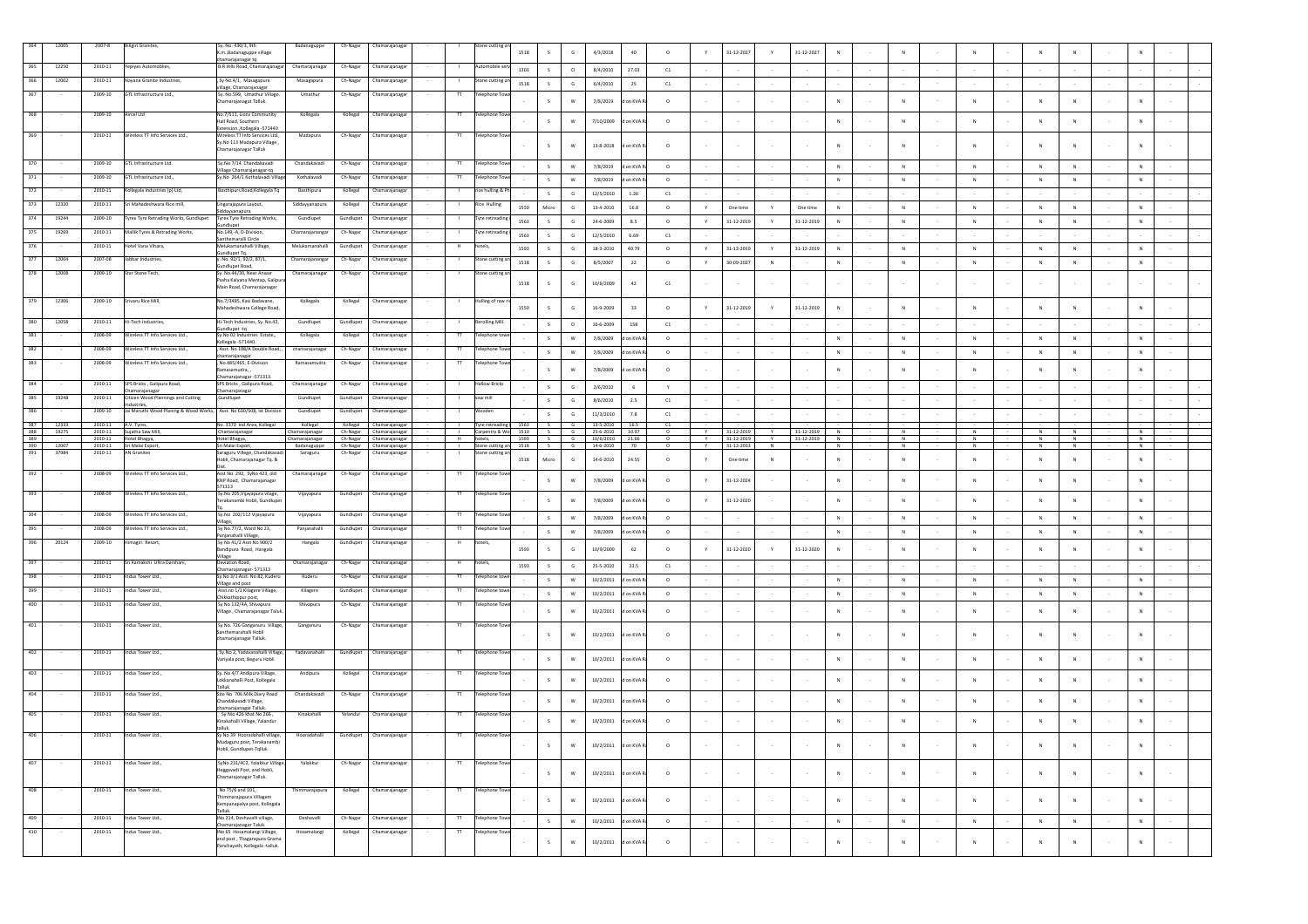|            | 12005          | $2007 - 8$         | Biligiri Granites,                                                                 | Sy. No. 430/3, 9th<br>.m., Badanaguppe village                                                                         | Badanaguppe                   | Ch-Nagar  | Chamarajanagar                                     | Stone cutting a                           | 1518 |              |               | 4/3/2018                                                                                                     | 40         | $\circ$            |              | 31-12-2027               |                | 31-12-2027 |              |              |           |                |                |                |        |                |        |
|------------|----------------|--------------------|------------------------------------------------------------------------------------|------------------------------------------------------------------------------------------------------------------------|-------------------------------|-----------|----------------------------------------------------|-------------------------------------------|------|--------------|---------------|--------------------------------------------------------------------------------------------------------------|------------|--------------------|--------------|--------------------------|----------------|------------|--------------|--------------|-----------|----------------|----------------|----------------|--------|----------------|--------|
| 365        | 12250          | 2010-11            | Yepiyes Automoblies                                                                | chamarajanagar tq<br>B.R Hills Road, Chamarajanagar                                                                    | Chamarajanagar                | Ch-Nagar  | Chamarajanaga                                      |                                           | 1303 | S            | $\circ$       | 8/4/2010                                                                                                     | 27.03      | C1                 |              |                          | $\sim$         |            |              |              |           |                |                |                |        |                |        |
| 366        | 12002          | 2010-11            | Nayana Granite Industries,                                                         | , Sy No 4/1, Masagapura                                                                                                | Masagapura                    | Ch-Nagar  | hamarajanaga                                       | ne cutting                                | 1518 | S            | G             | 6/4/2010                                                                                                     | 25         | C1                 |              |                          |                |            |              |              |           |                |                |                |        |                |        |
| 367        |                | 2009-10            | GTL Infrastructure Ltd.,                                                           | illage, Chamarajanagar<br>Sy. No.599, Umathur Village<br>Chamarajanagat Talluk.                                        | Umathu                        | Ch-Nagar  | Chamarajanaga                                      | $\mathsf{T}$<br>elephone To               |      |              | W             | 7/8/2019                                                                                                     | on KVA R   | $\circ$            |              |                          |                |            | $\mathbb{N}$ | N            |           | N              |                | $\mathbb{N}$   |        | $\mathbf{N}$   |        |
| 368        |                | 2009-10            | Aircel Ltd                                                                         | No.7/511. Lions Community<br>Hall Road, Southern                                                                       | Kollegala                     | Kollegal  | Chamarajanaga                                      | Telephone To<br>π                         |      | S            | w             | 7/10/2009                                                                                                    | on KVA     | $\circ$            |              |                          |                |            | N            | <b>N</b>     |           | $\mathbf N$    |                | $\mathbb{N}$   |        | N              |        |
| 369        |                | 2010-11            | Wireless TT Info Services Ltd.,                                                    | Extension., Kollegala - 571440<br>Wireless TT Info Services Ltd<br>Sv.No 113 Madapura Village<br>Chamarajanagar Talluk | Madapura                      |           | Ch-Nagar Chamarajanagar                            | $^{\text{TT}}$<br><b>Telephone Tow</b>    |      | s.           | W             | $13 - 8 - 2018$                                                                                              | n KVA i    | $\circ$            |              |                          |                |            | $\mathbb{N}$ |              |           |                |                | N              |        | N              |        |
| 370        |                | 2009-10            | GTL Infrastructure Ltd.                                                            | Sy.No 7/14 Chandakavadi                                                                                                | Chandakavadi                  | Ch-Nagar  | Chamarajanaga                                      | π<br>Telephone To                         |      |              | W             |                                                                                                              |            |                    |              |                          |                |            | ${\sf N}$    |              | $\,$ N    | ${\sf N}$      | N              |                |        |                |        |
| 371        |                | 2009-10            | GTL Infrastructure Ltd.,                                                           | Village Chamarajanagar-tq<br>Sy.No 264/1 Kothalavadi Village                                                           | Kothalavadi                   | Ch-Nagar  | Chamarajanaga                                      | $^{\text{TT}}$<br><b>Telephone Toy</b>    |      | S<br>S       | W             | 7/8/2019 d on KVA R                                                                                          |            | $\circ$<br>$\circ$ |              |                          | $\sim$         |            | ${\sf N}$    |              | N         | N              | N              | N<br>N         |        | N<br>${\sf N}$ |        |
| 372        |                | 2010-11            | Kollegala Industries (p) Ltd.                                                      | Basthipurs Road, Kollegala Tq                                                                                          | Basthipura                    | Kollegal  | Chamarajanaga                                      | rice hulling & P<br>$\mathbf{1}$          |      | S            | G             | 7/8/2019 d on KVA R<br>12/5/2010                                                                             | 1.26       | C1                 |              |                          | $\sim$         |            | $\sim$       |              |           |                |                |                | $\sim$ |                |        |
| 373        | 12320          | 2010-11            | Sri Mahadeshwara Rice mill,                                                        | Lingarajapura Layout,                                                                                                  | Siddayyanapura                | Kollegal  | Chamarajanaga                                      | Rice Hulling                              | 1550 | Micro        | G             | 13-4-2010                                                                                                    |            |                    |              |                          |                |            |              |              |           | N              |                |                |        |                |        |
| 374        | 1924           | 2009-10            | Tyrex Tyre Retrading Works, Gundlupet                                              | dayyanapura<br><b>Tyrex Tyre Retrading Works,</b>                                                                      | Gundlupet                     | Gundlupet | Chamarajanaga                                      | Tyre retreadin                            | 1563 |              |               |                                                                                                              | 16.8       | $\circ$            | Y            | One time                 | Y.             | One time   | N            |              | N         |                | N              | N              |        | N              |        |
| 375        | 19269          | 2010-11            | Mallik Tyres & Retrading Works,                                                    | <b>Sundlupet</b><br>No.149,-A, D-Division,                                                                             | Chamarajananga                | Ch-Nagar  | Chamarajanaga                                      | Tyre retreadi                             |      | S            | G<br>G        | 24-6-2009                                                                                                    | 8.5        | $\circ$            | Y            | $31 - 12 - 2019$         | Y.             | 31-12-2019 | N            |              | N         | N              | N              | N              |        | N              |        |
| 376        |                | 2010-11            | Hotel Vana Vihara,                                                                 | Santhemaralli Circle<br>Melukamanahalli Village,                                                                       | Melukamanahal                 | Gundlupet | Chamarajanaga                                      | otels                                     | 1563 | S            |               | 12/5/2010                                                                                                    | 6.69       | C1                 |              |                          |                |            |              |              |           |                |                |                |        |                |        |
| 377        | 12004          | 2007-08            | Jabbar Industries                                                                  | Gundlupet Ta.<br>. No. 92/1, 92/2, 87/1,                                                                               | Chamarajananga                | Ch-Nagar  | Chamarajanaga                                      | Stone cutting                             | 1593 | s.           | G             | 18-3-2010                                                                                                    | 40.79      | $\circ$            | Y            | 31-12-2019               | Y              | 31-12-2019 | ${\sf N}$    |              | N         | ${\sf N}$      | N              | ${\sf N}$      |        | N              |        |
| 378        | 12008          | 2009-10            | Star Stone Tech,                                                                   | Sundlupet Road,<br>Sy. No.44/30, Near Anwar                                                                            | Chamarajanagar                | Ch-Nagar  | Chamarajanagar                                     | Stone cutting a                           | 1518 | S            | G             | 8/5/2007                                                                                                     | 22         | $\circ$            | Y            | 30-09-2027               | N              |            | ${\sf N}$    |              | N         | ${\sf N}$      | N              | ${\sf N}$      |        | ${\sf N}$      |        |
|            |                |                    |                                                                                    | Pasha Kalyana Mantap, Galipu<br>Main Road, Chamarajanagar                                                              |                               |           |                                                    |                                           | 1518 |              | G             | 10/6/2009                                                                                                    | 42         | C1                 |              |                          |                |            |              |              |           |                |                |                |        |                |        |
| 379        | 12306          | 2009-10            | Srivaru Rice Mill,                                                                 | No.7/3485. Kasi Badavane.<br>Mahadeshwara College Road,                                                                | Kollegala                     | Kollegal  | Chamarajanagar                                     | Hulling of raw                            | 1550 | s.           | G             | 16-9-2009                                                                                                    | 33         | $\circ$            |              | 31-12-2019               | Y              | 31-12-2019 | N            | $\mathbb{N}$ |           | $\mathbb{N}$   |                | N              |        | N              |        |
| 380        | 12058          | 2010-11            | Hi-Tech Industries,                                                                | Hi-Tech Industries, Sy. No.42,<br>sundlupet -tq                                                                        | Gundlupet                     | Gundlupet | Chamarajanaga                                      | Rerolling Mill.<br>- 11                   |      | S            | $\circ$       | 16-6-2009                                                                                                    | 158        | C1                 |              |                          |                |            |              |              |           |                |                |                |        |                |        |
| 381        |                | 2008-09            | Wireless TT Info Services Ltd.,                                                    | Sy.No 02 Industries Estate,,<br>Kollegala -571440.                                                                     | Kollegala                     | Kollegal  | Chamarajanaga                                      | $^{\text{II}}$<br>elephone tow            |      | S            | W             | 7/8/2009                                                                                                     | d on KVA R | $\circ$            |              |                          |                |            | N            |              | ${\sf N}$ | ${\sf N}$      | N              | ${\sf N}$      |        | ${\sf N}$      |        |
| 382        |                | 2008-09            | Wireless TT Info Services Ltd.,                                                    | Asst. No 108/A Double Road, ,                                                                                          | chamarajanagar                | Ch-Nagar  | Chamarajanaga                                      | $^{\text{II}}$<br>Telephone To            |      | S            | W             | 7/8/2009                                                                                                     | d on KVA R | $\circ$            |              |                          |                |            | ${\sf N}$    |              | ${\sf N}$ | ${\sf N}$      | N              | ${\sf N}$      |        | ${\sf N}$      |        |
| 383        |                | 2008-09            | Wireless TT Info Services Ltd.,                                                    | chamarajanagar<br>, No.485/465, E-Division<br>Ramasamudra,                                                             | Ramasamudra                   | Ch-Nagar  | Chamarajanaga                                      | $^{\text{II}}$<br>Telephone Toy           |      | s.           | W             | 7/8/2009                                                                                                     | on KVA     | $\circ$            |              |                          | $\sim$         |            | $\mathbb{N}$ |              | N         | $\mathsf{N}$   |                | N              |        | N              |        |
| 384        |                | 2010-11            | SPS Bricks, Galipura Road,                                                         | Chamarajanagar -571313.<br>SPS Bricks, Galipura Road,                                                                  | Chamarajanagar                | Ch-Nagar  | Chamarajanaga                                      | allow Brick<br>л.                         |      |              |               |                                                                                                              |            |                    |              |                          |                |            |              |              |           |                |                |                |        |                |        |
| 385        | 19248          | 2010-11            | Chamarajanagar<br>Citizen Wood Plannings and Cutting                               | hamarajanagar<br>,Gundlupet                                                                                            | Gundlupet                     | Gundlupet | Chamarajanagar                                     | saw mill                                  |      | S            | G             | 2/6/2010                                                                                                     | 6          | Y                  |              |                          | $\sim$         |            |              |              |           |                |                |                |        |                |        |
| 386        |                | 2009-10            | dustries,<br>Jai Maruthi Wood Planing & Wood Works, Asst. No 630/508, Ist Division |                                                                                                                        | Gundlupet                     | Gundlupet | Chamarajanagar                                     | Vooder                                    |      | $\mathsf{s}$ | G             | 8/6/2010                                                                                                     | 2.5        | C1                 |              |                          | $\sim$         |            |              |              |           |                |                |                |        |                |        |
| 387        |                |                    |                                                                                    |                                                                                                                        |                               |           |                                                    | $\mathbf{I}$                              |      | S            | $\mathsf{G}$  | 11/3/2010<br>1563 S G 13-5-2010 16.5                                                                         | 7.8        | C1                 |              |                          | $\sim$         |            | $\sim$       |              |           |                |                |                |        |                |        |
| 388        | 12333<br>19275 | 2010-11<br>2010-11 | A.V. Tyres,<br>Sujatha Saw Mill,                                                   | No. 3370 Ind Area, Kollegal<br>Chamarajanagar                                                                          | Kollegal<br>Chamarajanagar    |           | Kollegal Chamarajanagar<br>Ch-Nagar Chamarajanagar | Tyre retreading<br>- 11<br>Carpentry & Wo |      |              |               | $\begin{tabular}{c cccc} 1510 & S & G & 25-6-2010 & 10.97 \\ 1593 & S & G & 10/6/2010 & 21.66 \end{tabular}$ |            | C1                 |              | 31-12-2019               | $\overline{y}$ | 31-12-2019 | N            | <b>N</b>     |           | $\overline{N}$ | $\overline{N}$ | $\overline{N}$ |        | N              |        |
| 389<br>390 | 12007          | 2010-11<br>2010-11 | Hotel Bhagya,<br>Sri Malai Export                                                  | Hotel Bhagya,<br>Sri Malai Export,                                                                                     | Chamarajanagar<br>Badanaguppe |           | Ch-Nagar Chamarajanagar<br>Ch-Nagar Chamarajanagar | H<br>Stone cutting an                     | 1518 |              | S G           | 14-6-2010                                                                                                    | 70         |                    | $\mathsf{v}$ | 31-12-2019<br>31-12-2033 | <b>Y</b><br>N  | 31-12-2019 | N<br>N       | N            | N         | N<br>N         | N<br>N         | N<br>N         |        | N<br>N         |        |
| 391        | 37984          | $2010 - 11$        | <b>AN Granites</b>                                                                 | Saraguru Villege, Chandakava<br>Hobli, Chamarajanagar Tq. &                                                            | Saraguru                      | Ch-Nagar  | Chamarajanagar                                     | tone cutting                              | 1518 | Micro        | G             | 14-6-2010                                                                                                    | 24.55      | $\circ$            | Y            | One time                 | N              |            | N            | $\mathbb{N}$ |           | $\mathbb{N}$   |                | N              |        | N              |        |
| 392        |                | 2008-09            | Wireless TT Info Services Ltd                                                      | Asst No. 292. SvNo 423. old<br>KNP Road, Chamarajanagar<br>571313                                                      | Chamarajanagar                | Ch-Nagar  | Chamarajanagar                                     | $\mathbf{T}$<br>Telephone T               |      | $\mathsf{s}$ | w             | 7/8/2009                                                                                                     | d on KVA R | $\circ$            | Y            | 31-12-2024               | $\sim$         |            | N            | $\mathbb{N}$ |           | $\mathbb{N}$   |                | $\mathbb{N}$   |        | N              |        |
| 393        |                | 2008-09            | Wireless TT Info Services Ltd                                                      | Sy.No 205, Vijayapura vilage,<br>Terakanambi Hobli, Gundlupet                                                          | Vijayapura                    |           | Gundlupet Chamarajanagar                           | $^{\rm T}$<br><b>Telephone Toy</b>        |      | s.           | W             | 7/8/2009                                                                                                     | d on KVA R | $\circ$            | v            | 31-12-2020               | $\sim$         |            | N            |              | N         | N              |                | N              |        | N              |        |
| 394        |                | 2008-09            | Wireless TT Info Services Ltd.,                                                    | Sy.No 202/112 Vijayapura<br>Village                                                                                    | Vijayapura                    | Gundlupet | Chamarajanaga                                      | π<br>Telephone To                         |      | S            | W             | 7/8/2009                                                                                                     | d on KVA   | $\circ$            |              |                          |                |            | $_{\rm N}$   |              | N         | ${\sf N}$      |                | N              |        | $_{\rm N}$     |        |
| 395        |                | 2008-09            | Wireless TT Info Services Ltd.,                                                    | Sy No.77/2, Ward No 23,<br>Panjanahalli Village,                                                                       | Panjanahalli                  | Gundlupet | Chamarajanaga                                      | $^{\text{TT}}$<br>elephone To             |      | S            | W             | 7/8/2009                                                                                                     | d on KVA   | $\circ$            |              |                          |                |            | N            | $\mathbb{N}$ |           | $\mathbb{N}$   | N              | N              |        | N              |        |
| 396        | 20124          | 2009-10            | Himagiri Resort,                                                                   | Sy No 41/2 Asst No 900/2<br>sandipura Road, Hangala                                                                    | Hangala                       | Gundlupet | Chamarajanagar                                     | H<br>hotels,                              | 1593 | $\mathsf{s}$ | $\mathsf G$   | 10/9/2009                                                                                                    | 62         | $\circ$            |              | 31-12-2020               | Y              | 31-12-2020 | $_{\rm N}$   |              |           |                |                | $\mathsf{N}$   |        | $\,$ N         |        |
| 397        |                | 2010-11            | Sri Kamakshi Ultra Darshani,                                                       | Village<br>eviation Road                                                                                               | Chamarajanaga                 | Ch-Nagar  | Chamarajanaga                                      | hotels                                    | 1593 | S            | G             | 25-5-2010                                                                                                    | 33.5       | C1                 |              |                          | $\sim$         |            | $\sim$       |              |           |                |                |                | $\sim$ |                |        |
| 398        |                | 2010-11            | Indus Tower Ltd.,                                                                  | Chamarajanagar- 571313<br>Sy.No 3/1 Asst. No 82, Kuderu                                                                | Kuderu                        | Ch-Nagar  | Chamarajanaga                                      | π<br>Telephone to                         |      | S            | W             | 10/2/2011                                                                                                    | d on KVA R | $\circ$            |              |                          | $\sim$         |            | N            |              | N         | N              | N              | N              | $\sim$ | N              |        |
| 399        |                | 2010-11            | Indus Tower Ltd.,                                                                  | Village and post<br>Asst.no 1/1 Kilagere Village,                                                                      | Kilagere                      | Gundlupe  | Chamarajanaga                                      | $^{\text{TT}}$<br>elephone!               |      | S            | W             | 10/2/2011                                                                                                    | d on KVA R | $\circ$            |              |                          | $\sim$         |            | ${\sf N}$    |              | ${\sf N}$ | ${\sf N}$      | N              | ${\sf N}$      | $\sim$ | N              |        |
| 400        |                | 2010-11            | Indus Tower Ltd.,                                                                  | Chikkathippur post,<br>Sy No 132/4A, Shivapura<br>Village, Chamarajanagar Taluk                                        | Shivapura                     | Ch-Nagar  | Chamarajanaga                                      | $\mathbf{T}$<br>Telephone T               |      | $\mathsf{s}$ | W             | 10/2/2011                                                                                                    | on KVA     | $\circ$            |              |                          | $\sim$         |            | $_{\rm N}$   |              | $\,$ N    | ${\sf N}$      | N              | ${\sf N}$      | $\sim$ | $\,N\,$        |        |
| 401        |                | 2010-11            | Indus Tower Ltd.,                                                                  | Sy No. 726 Ganganuru Village,                                                                                          | Ganganuru                     | Ch-Nagar  | Chamarajanagar                                     | $\pi$<br><b>Telephone Tow</b>             |      |              |               |                                                                                                              |            |                    |              |                          |                |            |              |              |           |                |                |                |        |                |        |
|            |                |                    |                                                                                    | Santhemarahalli Hobli<br>chamarajanagar Talluk.                                                                        |                               |           |                                                    |                                           |      |              | w             | 10/2/2011                                                                                                    | on KVA     | $\circ$            |              |                          |                |            |              |              |           |                |                |                |        |                |        |
| 402        |                | 2010-11            | Indus Tower Ltd                                                                    | Sv No 2 Yadavanahalli Village<br>Variyala post, Beguru Hobli                                                           | Yadavanahalli                 | Gundlupet | Chamarajanaga                                      | Telephone To<br>л                         |      | $\mathsf{s}$ | W             | 10/2/2011                                                                                                    | d on KVA R | $\circ$            |              |                          |                |            | N            |              | N         | N              |                | N              |        | N              |        |
| 403        |                | 2010-11            | Indus Tower Ltd                                                                    | Sv. No 4/7 Andipura Village.<br>Lokkanahalli Post, Kollegala<br>Talluk.                                                | Andipura                      | Kollegal  | Chamarajanaga                                      | $^{\text{II}}$<br><b>Telephone Toy</b>    |      | S            | $\mathsf{w}$  | 10/2/2011                                                                                                    | d on KVA R | $\circ$            |              |                          |                |            | $\mathbb{N}$ | <b>N</b>     |           |                |                | $\overline{N}$ |        | N              |        |
| 404        |                | 2010-11            | Indus Tower Ltd.,                                                                  | Site No 706 Milk Diary Road<br>Chandakavadi Village,<br>chamarajanagar Talluk                                          | Chandakavadi                  | Ch-Nagar  | Chamarajanagar                                     | $^{\text{II}}$<br><b>Telephone Tow</b>    |      | S            | W             | 10/2/2011                                                                                                    | d on KVA   | $\circ$            |              |                          |                |            | $_{\rm N}$   | $\mathsf{N}$ |           | N              |                | $\mathsf{N}$   |        | N              |        |
| 405        |                | 2010-11            | Indus Tower Ltd.,                                                                  | Sy Nio 426 khat No 266,<br>Kinakahalli Village, Yalandur                                                               | Kinakahalli                   | Yelandur  | Chamarajanagar                                     | $\mathsf{H}$<br><b>Telephone Tow</b>      |      | S            | ${\mathsf w}$ | 10/2/2011                                                                                                    | d on KVA R | $\circ$            |              |                          |                |            | $_{\rm N}$   |              |           |                |                |                |        | N              |        |
|            |                |                    |                                                                                    |                                                                                                                        |                               |           |                                                    |                                           |      |              |               |                                                                                                              |            |                    |              |                          |                |            |              |              |           |                |                |                |        |                |        |
| 406        |                | 2010-11            | Indus Tower Ltd.,                                                                  | talluk.<br>Sy No 39 Hooradahalli village, Mooradahalli Gundlupet Chamarajanagar                                        |                               |           |                                                    | Telepho                                   |      |              |               |                                                                                                              |            |                    |              |                          |                |            |              |              |           |                |                |                |        |                |        |
|            |                | 2010-11            |                                                                                    | Mudaguru post, Terakanambi<br>tobli, Gundlupet-Tqlluk                                                                  | Yalakkur                      |           |                                                    | $\overline{\rm H}$                        |      | $\mathsf{s}$ | ${\mathsf w}$ | 10/2/2011 d on KVA R                                                                                         |            | $\circ$            |              |                          | $\sim$         |            | N            |              | N         | $\mathsf{N}$   |                | N              |        | $\,N\,$        | $\sim$ |
| 407        |                |                    | Indus Tower Ltd.,                                                                  | SyNo 231/4C2, Yalakkur Village,<br>leggavadi Post, and Hobli,<br>Chamarajanagar Talluk.                                |                               | Ch-Nagar  | Chamarajanagar                                     | Telephone Tov                             |      | $\mathsf{s}$ | $\mathsf{w}$  | 10/2/2011                                                                                                    | on KVA R   | $\circ$            |              |                          | $\sim$         |            | $\mathbb{N}$ | $\mathbb{N}$ |           | $\mathbb{N}$   |                | $\mathbf{N}$   | $\sim$ | $\,N\,$        | $\sim$ |
| 408        |                | 2010-11            | Indus Tower Ltd.,                                                                  | No 75/6 and 101,<br>Thimmarajapura Villagem<br>Kempanapalya post, Kollegala<br>Talluk.                                 | Thimmarajapura                | Kollegal  | Chamarajanagar                                     | T<br><b>Telephone Tow</b>                 |      | S            | ${\sf w}$     | 10/2/2011                                                                                                    | d on KVA R | $\circ$            |              |                          | $\sim$         |            | $_{\rm N}$   | $\mathbb{N}$ |           | $\mathsf{N}$   |                | N              | $\sim$ | $\,N\,$        | $\sim$ |
| 409        |                | 2010-11            | Indus Tower Ltd.,                                                                  | INo 214, Deshavalli village,                                                                                           | Deshavalli                    | Ch-Nagar  | Chamarajanaga                                      | $^{\text{II}}$<br>Telephone To            |      | S            | $\mathsf{w}$  | 10/2/2011                                                                                                    | d on KVA R | $\circ$            |              |                          | $\cdot$        |            | ${\sf N}$    |              | $\,$ N    | ${\sf N}$      | $\,N\,$        | $\mathbb N$    |        | ${\sf N}$      | $\sim$ |
| 410        |                | 2010-11            | Indus Tower Ltd                                                                    | Chamarajanagar Taluk.<br>INo 65 Hosamalangi Village,<br>and post, Thagarapura Grama                                    | Hosamalangi                   | Kollegal  | Chamarajanagar                                     | $^{\text{II}}$<br><b>Telephone Tov</b>    |      | S            | $\mathsf{w}$  | 10/2/2011                                                                                                    | d on KVA R | $\circ$            |              |                          | $\sim$         |            | $_{\rm N}$   | ${\sf N}$    |           |                | N              | ${\sf N}$      |        | ${\sf N}$      |        |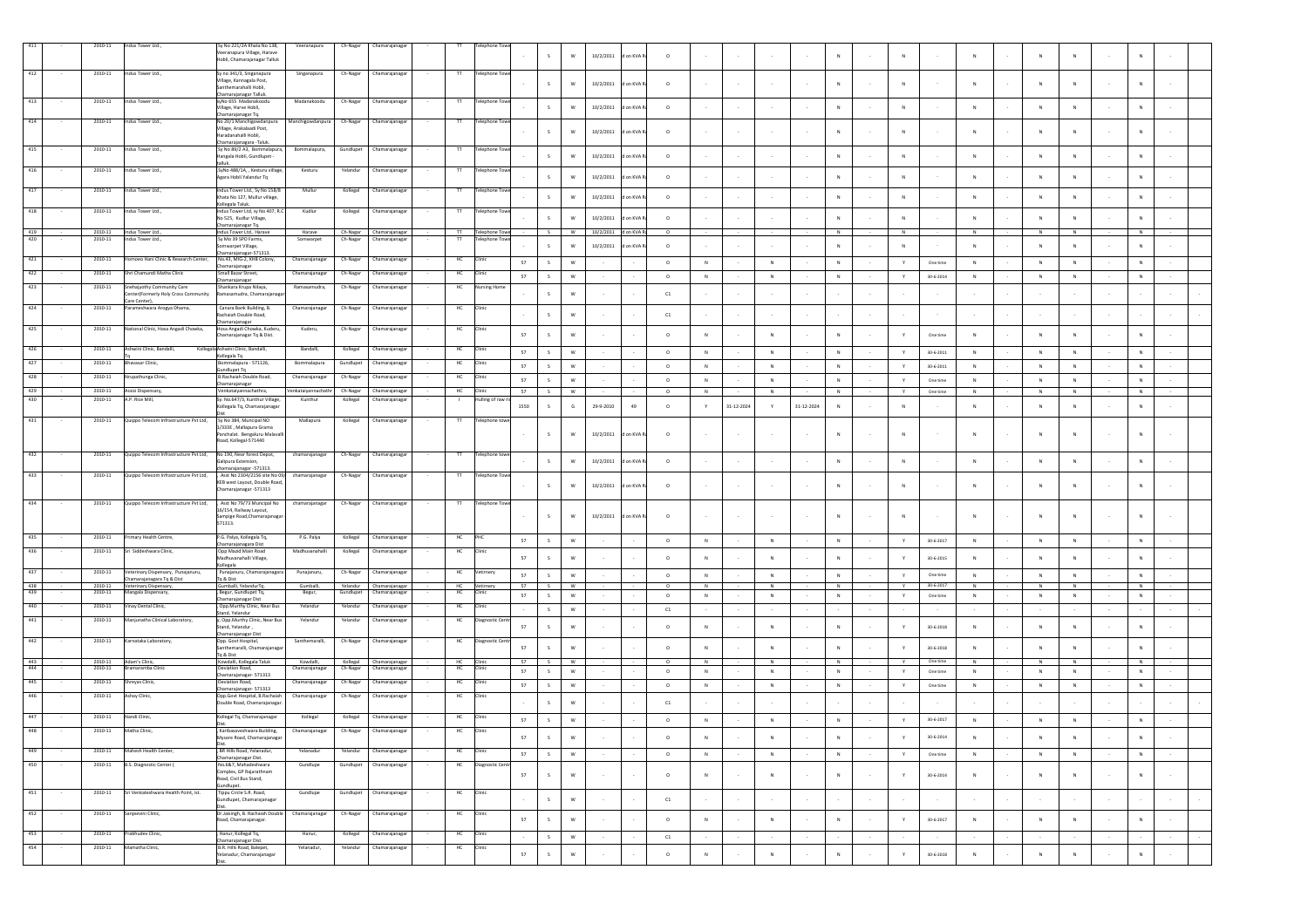|            |                    |                                                               | Sy No 221/2A Khata No 138,                                               |                               |                      |                                  |                    |                          |        |              |                           |                      |            |          |                |            |                |            |             |        |               |                 |                |        |            |              |        |            |                |        |
|------------|--------------------|---------------------------------------------------------------|--------------------------------------------------------------------------|-------------------------------|----------------------|----------------------------------|--------------------|--------------------------|--------|--------------|---------------------------|----------------------|------------|----------|----------------|------------|----------------|------------|-------------|--------|---------------|-----------------|----------------|--------|------------|--------------|--------|------------|----------------|--------|
|            | $2010 - 11$        | Indus Tower Ltd.,                                             | eeranapura Village, Harave<br>Hobli, Chamarajanagar Talluk               | Veeranapura                   | Ch-Nagar             | Chamarajanagar                   |                    |                          |        | s.           | w                         | 10/2/2011            | d on KVA R | $\circ$  |                |            |                |            | N           |        | N             |                 |                |        |            |              |        |            |                |        |
| 412        | 2010-11            | Indus Tower Ltd.,                                             | Sy no 341/3, Singanapura                                                 |                               | Ch-Nagar             | Chamarajanaga                    | $^{\rm{TT}}$       | <b>Telephone Tow</b>     |        |              |                           |                      |            |          |                |            |                |            |             |        |               |                 |                |        |            |              |        |            |                |        |
|            |                    |                                                               | Village, Kannagala Post,                                                 | Singanapura                   |                      |                                  |                    |                          |        | $\mathsf{s}$ | $\mathsf{w}$              | 10/2/2011            | d on KVA R | $\circ$  |                |            |                |            | $_{\rm N}$  |        | N             |                 |                |        |            |              |        |            |                |        |
|            |                    |                                                               | Santhemarahalli Hobli.<br>Chamarajanagar Talluk.                         |                               |                      |                                  |                    |                          |        |              |                           |                      |            |          |                |            |                |            |             |        |               |                 |                |        |            |              |        |            |                |        |
| 413        | 2010-11            | Indus Tower Ltd                                               | svNo 655 Madanakoodu<br>Village, Harve Hobli,                            | Madanakoodu                   | Ch-Nagar             | Chamarajanaga                    | T                  | <b>Telephone Towe</b>    |        | $\mathsf{s}$ | w                         | 10/2/2011            | d on KVA R | $\circ$  |                |            |                |            | N           |        | $\mathbb{N}$  |                 | N              |        | N          |              |        | N          |                |        |
| 414        | 2010-11            | Indus Tower Ltd.,                                             | Chamarajanagar Tq.<br>No 20/1 Manchigowdanpura                           | Manchigowdanpura              | Ch-Nagar             | Chamarajanagar                   | $^{\rm T}$         | <b>Telephone Towe</b>    |        |              |                           |                      |            |          |                |            |                |            |             |        |               |                 |                |        |            |              |        |            |                |        |
|            |                    |                                                               | Village, Arakalaadi Post.<br>Haradanahalli Hobli,                        |                               |                      |                                  |                    |                          |        | S            | W                         | 10/2/2011            | on KVA     | $\circ$  |                |            |                |            | N           |        | N             |                 | $\mathbb{N}$   |        |            |              |        |            |                |        |
| 415        | 2010-11            | Indus Tower Ltd.,                                             | Chamarajanagara - Taluk.                                                 |                               | Gundlupet            |                                  |                    |                          |        |              |                           |                      |            |          |                |            |                |            |             |        |               |                 |                |        |            |              |        |            |                |        |
|            |                    |                                                               | Sy No 89/2 A3, Bommalapura,<br>Hangala Hobli, Gundlupet -                | Bommalapura,                  |                      | Chamarajanagar                   | $^{\rm{TT}}$       | <b>Telephone Towe</b>    |        | s            | W                         | 10/2/2011            | on KVA R   | $\circ$  |                |            |                |            | N           |        | ${\sf N}$     |                 | $\mathbb{N}$   |        |            |              |        |            |                |        |
|            | 2010-11            | ndus Tower Ltd.,                                              | .SyNo 488/1A, , Kesturu village,                                         | Kesturu                       | Yelandu              | Chamarajanaga                    | π                  | elephone Tow             |        |              |                           |                      |            |          |                |            |                |            |             |        |               |                 |                |        |            |              |        |            |                |        |
|            |                    |                                                               | Agara Hobli Yalandur Tq                                                  |                               |                      |                                  |                    |                          |        | $\mathsf S$  | $\mathsf{w}$              | 10/2/2011            | on KVA R   | $\circ$  |                |            |                |            | $_{\rm N}$  |        | $\mathbf N$   |                 | ${\sf N}$      |        |            |              |        |            |                |        |
|            | $2010 - 11$        | ndus Tower Ltd.,                                              | Indus Tower Ltd., Sy No 158/8<br>Khata No 127, Mullur village,           | Mullur                        | Kollegal             | Chamarajanagar                   | $^{\text{TT}}$     | <b>Telephone Towe</b>    |        | S            | $\mathsf{w}$              | 10/2/2011            | d on KVA R | $\circ$  |                |            |                |            | N           |        | ${\sf N}$     |                 | N              |        | N          |              |        |            |                |        |
| 418        | 2010-11            | Indus Tower Ltd.,                                             | Kollegala Taluk.<br>Indus Tower Ltd, sy No 407, R.C                      | Kudlur                        | Kollegal             | Chamarajanagar                   | $^{\text{TT}}$     | <b>Telephone Towe</b>    |        |              |                           |                      |            |          |                |            |                |            |             |        |               |                 |                |        |            |              |        |            |                |        |
|            |                    |                                                               | No 525, Kudlur Village,                                                  |                               |                      |                                  |                    |                          |        | S            | W                         | 10/2/2011            | d on KVA R | $\circ$  |                |            |                |            | N           |        | $\mathsf{N}$  |                 | N              |        |            |              |        |            |                |        |
| 419        | 2010-11            | Indus Tower Ltd.,                                             | Chamarajanagar Tq.<br>Indus Tower Ltd., Harave                           | Harave                        |                      | Ch-Nagar Chamarajanagar          |                    | TT Telephone Towe        |        | $S \t W$     |                           | 10/2/2011 d on KVA R |            | $\circ$  |                |            |                |            | N           |        | N             |                 | N              |        | N          | N            |        | N          |                |        |
| 420        | 2010-11            | ndus Tower Ltd.,                                              | Sy Mo 39 SPO Farms,<br>omwarpet Village,                                 | Somwarpet                     | Ch-Nagar             | Chamarajanaga                    | T                  | Telephone Towe           |        | S            | <b>W</b>                  | 10/2/2011            | d on KVA R | $\circ$  |                |            |                |            | N           |        | $\mathbb{N}$  |                 | N              |        | N          | N            |        | N          |                |        |
| 421        | 2010-11            | omoeo Hani Clinic & Research Center,                          | Chamarajanagar-571313.<br>No.43, MIG-2, KHB Colony,                      | Chamarajanaga                 | Ch-Nagar             | Chamarajanaga                    | HC                 | Clinic                   | 57     | $\mathsf{s}$ | W                         |                      |            | $\circ$  | N              |            | $\mathbb N$    |            | $\,N\,$     |        | $\mathbf Y$   | One time        | ${\sf N}$      |        | $_{\rm N}$ |              |        |            |                |        |
| 422        | 2010-11            | Shri Chamundi Matha Clinic                                    | Chamarajanagar<br>Small Bazar Street.                                    | Chamarajanagar                | Ch-Nagar             | Chamarajanagar                   | HC                 | Clinic                   |        |              |                           |                      |            |          |                |            |                |            |             |        |               |                 |                |        |            |              |        |            |                |        |
| 423        | 2010-11            | Snehajyothy Community Care                                    | hamarajanagar<br>Shankara Krupa Nilaya,                                  | Ramasamudra,                  | Ch-Nagar             | Chamarajanaga                    | HC                 | Nursing Home             | 57     | s            | w                         |                      |            | $\circ$  | N              |            | $\mathbb N$    |            | N           |        | Y             | 30-6-2014       | $\,$ N         |        | ${\sf N}$  | ${\sf N}$    |        |            |                |        |
|            |                    | Center(Formerly Holy Cross Community<br>Care Center),         | Ramasamudra, Chamarajanap                                                |                               |                      |                                  |                    |                          |        | $\mathsf{s}$ | W                         |                      |            | C1       |                |            |                |            |             |        |               |                 |                |        |            |              |        |            |                |        |
| 424        | 2010-11            | Parameshwara Arogya Dhama,                                    | Canara Bank Building, B.                                                 | Chamarajanagar                | Ch-Nagar             | Chamarajanagar                   | HC                 | Clinic                   |        |              |                           |                      |            |          |                |            |                |            |             |        |               |                 |                |        |            |              |        |            |                |        |
|            |                    |                                                               | Rachaiah Double Road,<br>Chamarajanagar                                  |                               |                      |                                  |                    |                          |        | $\mathsf{s}$ | W                         |                      |            | C1       |                |            |                |            |             |        |               |                 |                |        |            |              |        |            |                |        |
| 425        | 2010-11            | National Clinic, Hosa Angadi Chowka,                          | Hosa Angadi Chowka, Kuderu<br>Chamarajanagar Tq & Dist.                  | Kuderu,                       | Ch-Nagar             | Chamarajanaga                    | HC                 |                          | 57     | S            | ${\sf w}$                 |                      |            | $\circ$  |                |            | $\mathbb N$    |            | $_{\rm N}$  |        |               | One time        | $\overline{N}$ |        |            |              |        |            |                |        |
| 426        | 2010-11            | Ashwini Clinic, Bandalli,                                     | Kollegala Ashwini Clinic, Bandalli,                                      | Bandalli,                     | Kollegal             | Chamarajanaga                    | HC                 | Clinic                   |        |              |                           |                      |            |          |                |            |                |            |             |        |               |                 |                |        |            |              |        |            |                |        |
| 427        | $2010 - 11$        | Bhavasar Clinic,                                              | Kollegala Tq<br>ommalapura - 571126,                                     | Bommalapura                   | Gundlupet            | Chamarajanagar                   | HC                 | Clinic                   | 57     | S            | W                         |                      |            | $\circ$  | N              |            | N              | $\sim$     | N           |        | Y             | 30-6-2011       | N              |        | N          | N            |        | N          |                |        |
| 428        |                    |                                                               | indlupet Tq                                                              |                               |                      |                                  |                    |                          | 57     | S            | $\mathsf{w}$              |                      |            | $\circ$  | $\,$ N         |            | $\,N\,$        | $\sim$     | N           |        | Y.            | 30-6-2011       | $\,$ N         |        | N          | $\,$ N       |        | N          |                |        |
|            | 2010-11            | irupathunga Clinic,                                           | B.Rachaiah Double Road,<br>Chamarajanagar                                | Chamarajanaga                 | Ch-Nagar             | Chamarajanaga                    | НC                 | Clinic                   | 57     | $\mathsf{s}$ | $\mathsf{W}$              |                      |            | $\circ$  | $\,$ N         |            | $\,N\,$        | $\sim$     | $\,$ N      | $\sim$ | $\mathsf{Y}$  | One time        | $\,$ N         |        | N          | ${\sf N}$    |        | N          |                |        |
| 429<br>430 | 2010-11<br>2010-11 | Assisi Dispensary,<br>A.P. Rice Mill.                         | Venkataiyannachathra,<br>Sy. No.647/3, Kunthur Village,                  | Venkataiyannachati<br>Kunthur | Ch-Nagar<br>Kollegal | Chamarajanagar<br>Chamarajanagar | HC<br>$\mathbf{L}$ | Clinic<br>Hulling of raw | 57     | S            | ${\mathsf W}$             |                      |            | $\circ$  | N              |            | $\,N\,$        |            | $\,$ N $\,$ |        | $\mathbf{Y}$  | One time        | $\,$ N         |        | $\,N\,$    | $\,$ N       |        | N          |                |        |
|            |                    |                                                               | Collegala Tq, Chamarajanagar                                             |                               |                      |                                  |                    |                          | 1550   | s            | G                         | 29-9-2010            | 49         | $\circ$  | Y              | 31-12-2024 | Y              | 31-12-2024 | N           |        | $\mathbb{N}$  |                 | N              |        | N          | N            |        | N          |                |        |
| 431        | 2010-11            | Quippo Telecom Infrastructure Pvt Ltd, Sy No 384, Muncipal NO |                                                                          | Mallapura                     | Kollegal             | Chamarajanagar                   | $^{\text{TT}}$     | Telephone tow            |        |              |                           |                      |            |          |                |            |                |            |             |        |               |                 |                |        |            |              |        |            |                |        |
|            |                    |                                                               | 1/333E, Mallapura Grama<br>Panchalat, Bengaluru-Malayalli                |                               |                      |                                  |                    |                          |        | s.           | W                         | 10/2/2011            | d on KVA R | $\circ$  |                |            | $\sim$         | $\sim$     | N           | $\sim$ | $\mathbb{N}$  |                 | N              |        | N          |              |        | N          |                |        |
|            |                    |                                                               | Road, Kollegal-571440                                                    |                               |                      |                                  |                    |                          |        |              |                           |                      |            |          |                |            |                |            |             |        |               |                 |                |        |            |              |        |            |                |        |
| 432        | 2010-11            | Quippo Telecom Infrastructure Pvt Ltd,                        | No 190, Near forest Depot,<br>Galipura Extension,                        | chamarajanagar                | Ch-Nagar             | Chamarajanagar                   | $^{\pi}$           | Telephone tow            |        | S            | W                         | 10/2/2011            | d on KVA R | $\circ$  |                |            |                |            | ${\sf N}$   |        | ${\sf N}$     |                 | ${\sf N}$      |        | N          |              |        |            |                |        |
| 433        | 2010-11            | Quippo Telecom Infrastructure Pvt Ltd,                        | hamarajanagar -571313.<br>, Asst No 2304/2156 site No 09/ chamarajanagar |                               | Ch-Nagar             | Chamarajanagar                   | $\mathbf{H}$       | <b>Telephone Towe</b>    |        |              |                           |                      |            |          |                |            |                |            |             |        |               |                 |                |        |            |              |        |            |                |        |
|            |                    |                                                               | KEB west Layout, Double Road,<br>Chamarajanagar -571313                  |                               |                      |                                  |                    |                          |        | S.           | W                         | 10/2/2011            | d on KVA R | $\circ$  |                |            |                |            | N           |        | $\mathbf N$   |                 | $\mathsf{N}$   |        |            |              |        |            |                |        |
|            |                    |                                                               |                                                                          |                               |                      |                                  |                    |                          |        |              |                           |                      |            |          |                |            |                |            |             |        |               |                 |                |        |            |              |        |            |                |        |
|            | 2010-11            | Quippo Telecom Infrastructure Pvt Ltd,                        | , Asst No 79/73 Muncipal No<br>16/154, Railway Layout,                   | chamarajanagar                | Ch-Nagar             | Chamarajanagar                   |                    | <b>Telephone Tow</b>     |        |              |                           |                      |            |          |                |            |                |            |             |        |               |                 |                |        |            |              |        |            |                |        |
|            |                    |                                                               | Sampige Road, Chamarajanagar<br>571313.                                  |                               |                      |                                  |                    |                          |        | $\mathsf{s}$ | $\mathsf{w}$              | 10/2/2011            | d on KVA R | $\circ$  |                |            |                |            | $_{\rm N}$  |        | ${\sf N}$     |                 |                |        |            |              |        |            |                |        |
| 435        | 2010-11            | rimary Health Centre,                                         | P.G. Palya, Kollegala Tq,                                                | P.G. Palya                    | Kollegal             | Chamarajanaga                    | HC                 |                          |        |              |                           |                      |            |          |                |            |                |            |             |        |               |                 |                |        |            | N            |        | N          |                |        |
| 436        | $2010 - 11$        | Sri Siddeshwara Clinic,                                       | Chamarajanagara Dist<br>Opp Mazid Main Road                              | Madhuvanahall                 | Kollegal             | Chamarajanaga                    | НC                 |                          | 57     | S            | ${\bf W}$                 |                      |            | $\circ$  | $\,$ N         |            | $\,$ N         |            | N           |        | $\mathbb {Y}$ | 30-6-2017       | $\,$ N         |        | N          |              |        |            |                |        |
|            |                    |                                                               | Madhuvanahalli Village,                                                  |                               |                      |                                  |                    |                          | 57     | $\mathsf{s}$ | W                         |                      |            | $\circ$  | N              |            | $\mathbf{N}$   |            | N           |        | Y             | 30-6-2015       | $\mathbb{N}$   |        | N          | N            |        |            |                |        |
| 437        | 2010-11            | /eterinary Dispensary, Punajanuru,                            | collegala<br>Punajanuru, Chamarajanagara                                 | Punajanuru,                   | Ch-Nagar             | Chamarajanaga                    | HC                 | etimen                   | 57     | S            | $\mathsf{w}$              |                      |            | $\circ$  | $\,$ N         |            | $_{\rm N}$     |            | $_{\rm N}$  |        | $\mathbf Y$   | One time        | ${\sf N}$      |        | ${\sf N}$  | ${\sf N}$    |        |            |                |        |
| 438        | 2010-11            | hamarajanagara Tq & Dist<br>Veterinary Dispensary,            | To & Dist<br>Gumballi, YelandurTo.                                       | Gumballi                      | Yelandur             | Chamarajanagar                   | HC                 | Vetimerv                 | 57     | S            | <b>W</b>                  |                      |            | $\Omega$ | <b>N</b>       |            |                |            | - N         |        |               | 30-6-2017       | N              |        |            |              |        |            |                |        |
| 439        | 2010-11            | angala Dispensary,                                            | , Begur, Gundlupet Tq,<br>Chamarajanagar Dist                            | Begur                         | Gundlupet            | Chamarajanaga                    | HC                 |                          | 57     | S            | w                         |                      |            | $\circ$  | $\,$ N         |            | $_{\rm N}$     |            | ${\sf N}$   |        | $\mathsf{Y}$  | One time        | $\,$ N         |        | N          | ${\sf N}$    |        | $_{\rm N}$ |                |        |
| 440        | 2010-11            | Vinay Dental Clinic,                                          | , Opp.Murthy Clinic, Near Bus<br>Stand, Yelandur                         | Yelandur                      | Yelandur             | Chamarajanagar                   | HC                 | Clinic                   |        | S            | $\mathsf{w}$              |                      |            | C1       |                |            |                | $\cdot$    |             |        |               |                 |                |        |            |              |        |            |                |        |
| 441        | 2010-11            | Manjunatha Clinical Laboratory,                               | y, Opp.Murthy Clinic, Near Bus<br>Stand, Yelandur,                       | Yelandur                      | Yelandur             | Chamarajanagar                   | HC                 | Diagnostic Cent          | 57     | $\mathsf{s}$ | W                         |                      |            | $\circ$  | N              |            | $_{\rm N}$     |            | N           |        | Y             | $30 - 6 - 2018$ | N              |        | N          | N            |        | N          |                |        |
| 442        | 2010-11            | Carnataka Laboratory,                                         | Chamarajanagar Dist<br>Opp. Govt Hospital,                               | Santhemaralli,                | Ch-Nagar             | Chamarajanagar                   | HC                 | Diagnostic Cent          |        |              |                           |                      |            |          |                |            |                |            |             |        |               |                 |                |        |            |              |        |            |                |        |
|            |                    |                                                               | anthemaralli, Chamarajanaga<br>Tq & Dist                                 |                               |                      |                                  |                    |                          | 57     | $\mathsf{s}$ | W                         |                      |            | $\circ$  |                |            | $\mathbf{N}$   |            | ${\sf N}$   |        | Y             | $30 - 6 - 2018$ | $\mathbb{N}$   |        | -N         |              |        | N          |                |        |
| 443        | 2010-11            | Adam's Clinic,                                                | Kowdalli, Kollegala Taluk                                                | Kowdalli,                     |                      | Kollegal Chamarajanagar          | HC                 | Clinic                   | - 57   |              | W                         |                      |            |          | $\overline{N}$ |            | $\overline{N}$ |            | N           |        |               | One time        | N              |        |            |              |        |            |                |        |
| 444        | 2010-11            | amaramba Clini                                                | Deviation Road,<br>Chamarajanagar- 571313                                | Chamarajanaga                 | Ch-Nagar             | Chamarajanaga                    | HC                 |                          | 57     | s.           | W                         |                      |            | $\circ$  | N              |            | N              |            | N           |        | Y             | One time        | N              |        | N          | N            |        | N          |                |        |
|            | 2010-11            | reyas Clinic,                                                 | <b>Deviation Road</b><br>Chamarajanagar- 571313                          | Chamarajanagar                | Ch-Nagar             | Chamarajanaga                    | HC                 | Clinic                   | 57     | -S           | W                         |                      |            | $\circ$  | N              |            | N              |            | N           |        | Y             | One time        | N              |        | N          | N            |        | N          |                |        |
| 446        | $2010 - 11$        | Ashay Clinic,                                                 | Opp.Govt Hospital, B.Rachaiah<br>Double Road, Chamarajanaga              | Chamarajanagar                | Ch-Nagar             | Chamarajanaga                    | HC                 |                          |        | $\mathsf{s}$ | W                         |                      |            | C1       |                |            |                |            |             |        |               |                 |                |        |            |              |        |            |                |        |
|            | 2010-11            | Vandi Clinic,                                                 | Kollegal Tq, Chamarajanagar                                              | Kollegal                      | Kollegal             | Chamarajanagar                   | HC                 |                          |        |              |                           |                      |            |          |                |            |                |            |             |        |               |                 |                |        |            |              |        |            |                |        |
| 448        | 2010-11            | Matha Clinic,                                                 | , Karibasaveshwara Building,                                             | Chamarajanagar                | Ch-Nagar             | Chamarajanagar                   | HC                 | Clinic                   | 57     | S            | $\mathsf{W}$              |                      |            | $\circ$  | N              |            | $\,N\,$        |            | $\,N\,$     |        | $\mathbb {Y}$ | 30-6-2017       | $\,$ N         |        | $\,N\,$    | N            |        |            |                |        |
|            |                    |                                                               | <i>y</i> sore Road, Chamarajanagar<br><b>Dist</b>                        |                               |                      |                                  |                    |                          |        |              |                           |                      |            |          |                |            |                |            |             |        |               |                 |                |        |            |              |        |            |                |        |
| 449        | 2010-11            | Mahesh Health Center,                                         | . BR Hills Road, Yelanadur.                                              | Yelanadur                     | Yelandur             | Chamarajanagar                   | HC                 | Clinic                   | 57     | S            | ${\bf W}$                 |                      |            | $\circ$  | $\,$ N $\,$    |            | $\,N\,$        | $\sim$     | N           | $\sim$ | Y.            | One time        | N              |        | N          | $\,$ N       |        | ${\sf N}$  |                |        |
| 450        | 2010-11            | B.S. Diagnostic Center (                                      | Chamarajanagar Dist.<br>No.6&7. Mahadeshwara                             | Gundlupe                      | Gundlupet            | Chamarajanagar                   | HC                 | Diagnostic Cent          |        |              |                           |                      |            |          |                |            |                |            |             |        |               |                 |                |        |            |              |        |            |                |        |
|            |                    |                                                               | Complex, GP Raiarathnam<br>Road, Civil Bus Stand,                        |                               |                      |                                  |                    |                          | 57     | S            | $\mathsf{w}$              |                      |            | $\circ$  | $\,$ N $\,$    |            | $\mathbb N$    |            | $\,N\,$     | $\sim$ | Y             | $30 - 6 - 2014$ | $\,$ N         |        | $_{\rm N}$ | $\mathsf{N}$ |        | $_{\rm N}$ |                |        |
| 451        | 2010-11            | Sri Venkateshwara Health Point, ist.                          | sundlupet.<br>Tippu Circle S.R. Road,                                    | Gundlupe                      | Gundlupet            | Chamarajanagar                   | HC                 | Clinic                   |        |              |                           |                      |            |          |                |            |                |            |             |        |               |                 |                |        |            |              |        |            |                |        |
|            |                    |                                                               | Gundlupet, Chamarajanagar                                                |                               |                      |                                  |                    |                          |        | S            | ${\bf W}$                 |                      |            | C1       |                |            | $\sim$         | $\sim$     | $\sim$      | $\sim$ | $\sim$        |                 | $\sim$         | $\sim$ | $\sim$     | $\sim$       | $\sim$ | $\sim$     | $\sim$         | $\sim$ |
| 452        | 2010-11            | Sanjeevini Clinic,                                            | Dr.Jaisingh, B. Rachaiah Double                                          | Chamarajanagar                | Ch-Nagar             | Chamarajanagar                   | HC                 | Clinic                   |        |              |                           |                      |            |          | N              |            |                |            |             | $\sim$ |               |                 |                |        |            |              |        |            |                |        |
|            |                    |                                                               | Road, Chamarajanagar.                                                    |                               |                      |                                  |                    |                          | 57     | S            | $\ensuremath{\mathsf{w}}$ |                      |            | $\circ$  |                |            | $\,$ N         | $\sim$     | $\,$ N      |        | $\mathbf{Y}$  | $30 - 6 - 2017$ | $\,$ N         |        | $\,N\,$    | $\,$ N       | $\sim$ | $\,N\,$    |                |        |
| 453        | 2010-11            | Prabhudev Clinic,                                             | , Hanur, Kollegal Tq,<br>Chamarajanagar Dist.                            | Hanur,                        | Kollegal             | Chamarajanagar                   | HC                 | Clinic                   | $\sim$ | S            | ${\bf W}$                 | $\sim$               |            | C1       | $\sim$         | $\sim$     | $\sim$         | $\sim$     | $\sim$      | $\sim$ | $\sim$        |                 | $\sim$         | $\sim$ | $\sim$     | $\sim$       | $\sim$ | $\sim$     | $\sim 10^{-1}$ | $\sim$ |
| 454        | 2010-11            | Mamatha Clinic,                                               | B.R. Hills Road, Balepet,<br>Yelanadur, Chamarajanagar                   | Yelanadur,                    | Yelandur             | Chamarajanagar                   | HC                 | Clinic                   | 57     | $\mathsf S$  | $\mathsf{w}$              |                      |            | $\circ$  | $\,$ N $\,$    |            | $_{\rm N}$     | $\sim$     | $\,$ N      |        | $\mathbf Y$   | $30 - 6 - 2018$ | $\,$ N         |        | ${\sf N}$  | ${\sf N}$    |        | ${\sf N}$  | $\sim$         |        |
|            |                    |                                                               |                                                                          |                               |                      |                                  |                    |                          |        |              |                           |                      |            |          |                |            |                |            |             |        |               |                 |                |        |            |              |        |            |                |        |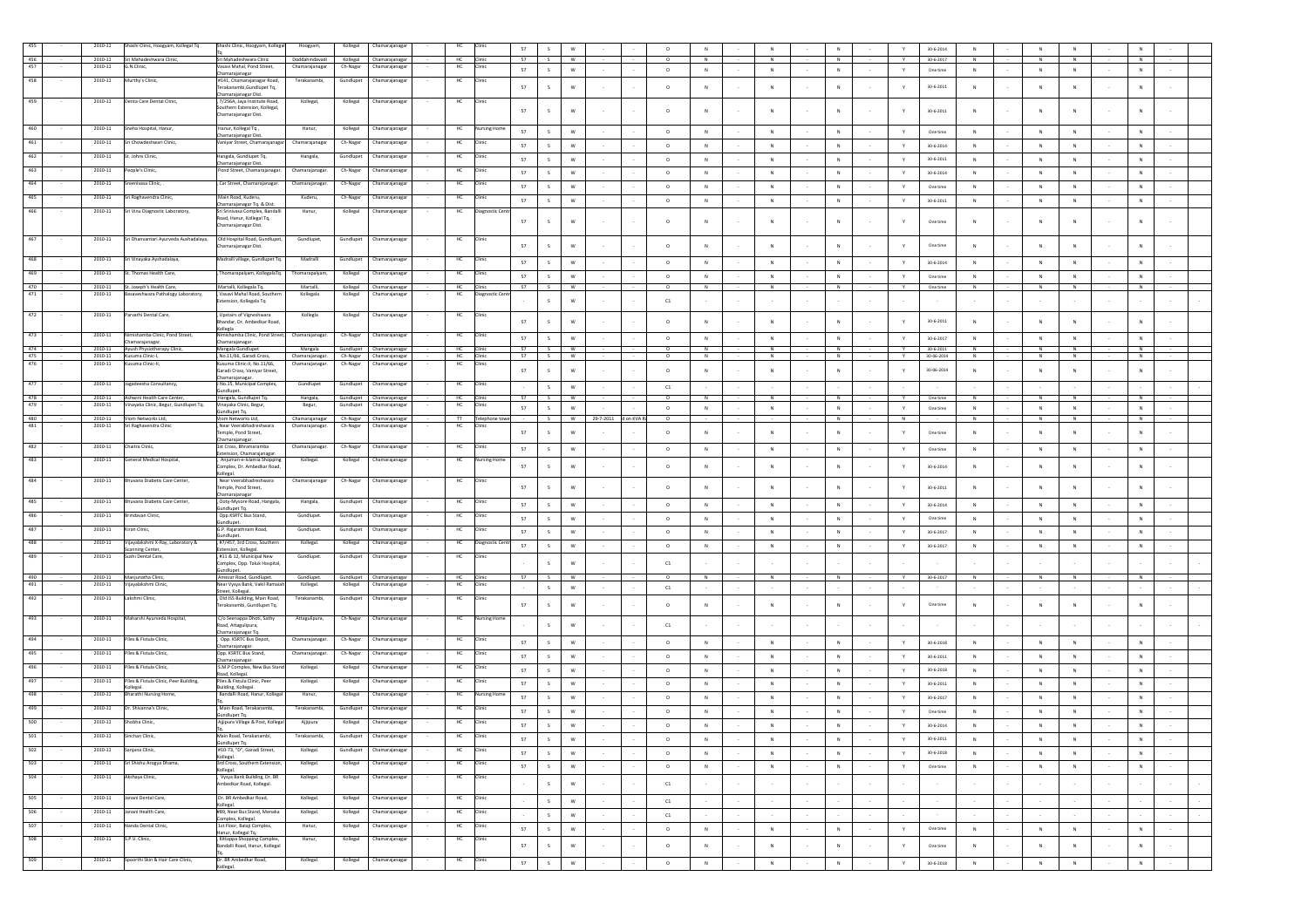|            | 2010-11                | Shashi Clinic, Hoogyam, Kollegal Tq                                 | Shashi Clinic, Hoogyam, Kollegal                              | Hoogyam,                                           | Kollegal  | Chamarajanagar                             | HC                 |                     | 57       |                               | W             |                      | $\circ$    |               |        |                |                   |        | Y                 | $30 - 6 - 2014$         | ${\sf N}$   |        | N           | ${\sf N}$   |        |           |        |  |
|------------|------------------------|---------------------------------------------------------------------|---------------------------------------------------------------|----------------------------------------------------|-----------|--------------------------------------------|--------------------|---------------------|----------|-------------------------------|---------------|----------------------|------------|---------------|--------|----------------|-------------------|--------|-------------------|-------------------------|-------------|--------|-------------|-------------|--------|-----------|--------|--|
| 456        | 2010-11                | Sri Mahadeshwara Clinic,                                            | Sri Mahadeshwara Clinic                                       | Doddahindayadi                                     |           | Kollegal Chamarajanagar                    | <b>HC</b>          | Clinic              | 57       | S                             | W             |                      | $^{\circ}$ | N             |        | N              | N                 |        | Y                 | 30-6-2017               | N           |        | N           | N           |        | N         |        |  |
| 457        | 2010-11                | G.N.Clinic,                                                         | /asavi Mahal, Pond Street,<br>hamarajanagar                   | Chamarajanagar                                     | Ch-Nagar  | Chamarajanaga                              | HC                 |                     | 57       | S                             | W             |                      | $\circ$    | N             |        | $\,N\,$        | N                 |        | Y.                | One time                | N           |        | $\,N\,$     | $\,$ N      |        | N         |        |  |
| 458        | 2010-11                | Murthy's Clinic,                                                    | #141, Chamarajanagar Road,                                    | Terakanambi,                                       | Gundlupet | Chamarajanagar                             | HC                 |                     |          |                               |               |                      |            |               |        |                |                   |        |                   |                         |             |        |             |             |        |           |        |  |
|            |                        |                                                                     | erakanambi, Gundlupet Tq,<br>Chamarajanagar Dist.             |                                                    |           |                                            |                    |                     | 57       | $\mathsf{s}$                  | w             |                      | $\circ$    | N             |        | $_{\rm N}$     | N                 |        | Y                 | $30 - 6 - 2011$         | N           |        | N           | ${\sf N}$   |        | N         |        |  |
| 459        | 2010-11                | Denta Care Dental Clinic,                                           | 7/256A, Jaya Institute Road,<br>southern Extension, Kollegal, | Kollegal,                                          |           | Kollegal Chamarajanagar                    | HC                 | Clinic              |          |                               |               |                      |            |               |        |                |                   |        |                   |                         |             |        |             |             |        |           |        |  |
|            |                        |                                                                     | hamarajanagar Dist.                                           |                                                    |           |                                            |                    |                     | 57       | $\mathsf{s}$                  | w             |                      | $\circ$    | N             |        | N              | N                 | $\sim$ | Y                 | 30-6-2011               | N           |        | N           | N           |        | N         |        |  |
| 460        | 2010-11                | Sneha Hospital, Hanur,                                              | Hanur, Kollegal Tq,                                           | Hanur,                                             | Kollegal  | Chamarajanaga                              | HC                 | <b>Nursing Home</b> | 57       | $\mathsf{s}$                  | W             |                      | $\circ$    | N             |        | N              | N                 |        | Y                 | One time                | N           |        | N           | N           |        | N         |        |  |
| 461        | 2010-11                | iri Chowdeshwari Clinic,                                            | hamarajanagar Dist<br>aniyar Street, Chamarajanagar           | Chamarajanagar                                     | Ch-Nagar  | Chamarajanaga                              | HC                 | Clinic              |          |                               |               |                      |            |               |        |                |                   |        |                   |                         |             |        |             |             |        |           |        |  |
|            |                        |                                                                     |                                                               |                                                    |           |                                            |                    |                     | 57       | S                             | $\mathsf{W}$  |                      | $\circ$    | N             |        | $\mathbb N$    | N                 |        | Y                 | $30 - 6 - 2014$         | N           |        | $\,N\,$     | N           |        | ${\sf N}$ |        |  |
| 462        | 2010-11                | St. Johns Clinic,                                                   | langala, Gundlupet Tq,<br>hamarajanagar Dist.                 | Hangala,                                           | Gundlupet | Chamarajanaga                              | HC                 |                     | 57       | S                             | ${\sf w}$     |                      | $\circ$    | N             |        | $\,N\,$        | N<br>$\sim$       | $\sim$ | $\mathbf{Y}$      | $30 - 6 - 2011$         | N           |        | $\,N\,$     | N           | $\sim$ | N         |        |  |
| 463        | 2010-11                | 'eople's Clinic,.                                                   | Pond Street, Chamarajanagar.                                  | Chamarajanagar                                     | Ch-Nagar  | Chamarajanagar                             | HC                 |                     | 57       | $\mathsf{s}$                  | w             |                      | $\circ$    | N             |        | N              | N<br>$\sim$       |        | Y.                | $30 - 6 - 2014$         | N           |        | $\,N\,$     | N           | $\sim$ | N         |        |  |
| 464        | $2010 - 11$            | enivasa Clinic,                                                     | , Car Street, Chamarajanagar.                                 | Chamarajanagar                                     | Ch-Nagar  | Chamarajanaga                              | HC                 |                     | 57       | $\mathsf{s}$                  | w             |                      | $\circ$    | N             |        | N              | N                 |        | Y                 | One time                | N           |        | $\,N\,$     | N           |        | N         |        |  |
| 465        | 2010-11                | Sri Raghavendra Clinic,                                             | Main Road, Kuderu.                                            | Kuderu,                                            | Ch-Nagar  | Chamarajanagar                             | HC                 |                     |          |                               |               |                      |            |               |        |                |                   |        |                   |                         |             |        |             |             |        |           |        |  |
| 466        | 2010-11                | Sri Vinu Diagnostic Laboratory,                                     | hamarajanagar Tq. & Dist.<br>ri Srinivasa Complex, Bandall    | Hanur,                                             | Kollegal  |                                            | HC                 | ostic Cen           | 57       | S                             | W             |                      | $\circ$    | ${\sf N}$     |        | $_{\rm N}$     | $\,N\,$           |        | Y                 | 30-6-2011               | ${\sf N}$   |        | ${\sf N}$   | ${\sf N}$   |        | ${\sf N}$ |        |  |
|            |                        |                                                                     | toad, Hanur, Kollegal Tq,                                     |                                                    |           | Chamarajanagar                             |                    |                     | 57       | s                             | W             |                      | $\circ$    |               |        | $\mathbb N$    | $_{\rm N}$        |        |                   | One time                |             |        | N           | ${\sf N}$   |        |           |        |  |
|            |                        |                                                                     | Chamarajanagar Dist.                                          |                                                    |           |                                            |                    |                     |          |                               |               |                      |            |               |        |                |                   |        |                   |                         |             |        |             |             |        |           |        |  |
| 467        | 2010-11                | Sri Dhanvantari Ayurveda Aushadalaya, Old Hospital Road, Gundlupet, |                                                               | Gundlupet,                                         |           | Gundlupet Chamarajanagar                   | HC                 | Clinic              | 57       | $\mathsf{s}$                  | W             |                      | $\circ$    | N             |        | $\mathbf{N}$   | N                 |        | Y                 | One time                | N           |        | N           | N           |        | N         |        |  |
|            |                        |                                                                     | hamarajanagar Dist.                                           |                                                    |           |                                            |                    |                     |          |                               |               |                      |            |               |        |                |                   |        |                   |                         |             |        |             |             |        |           |        |  |
| 468        | 2010-11                | Sri Vinayaka Ayshadalaya,                                           | Madralli village, Gundlupet Tq.                               | Madralli                                           |           | Gundlupet Chamarajanaga                    | HC                 | Clinic              | 57       | $\mathsf{s}$                  | W             |                      | $\circ$    | N             |        | ${\sf N}$      | N                 |        | Y                 | 30-6-2014               | N           |        | $\,N\,$     | ${\sf N}$   |        | N         |        |  |
| 469        | 2010-11                | it. Thomas Health Care,                                             | Thomarapalyam, KollegalaTq.                                   | Thomarapalyam,                                     | Kollegal  | Chamarajanaga                              | HC                 | Clinic              | 57       | S                             | W             |                      | $\circ$    | N             |        | N              | N                 |        | Y                 | One time                | ${\sf N}$   |        | $\,N\,$     | N           |        | N         |        |  |
| 470        | 2010-11                | St. Joseph's Health Care,                                           | Martalli, Kollegala Tq.                                       | Martalli,                                          |           | Kollegal Chamarajanagar                    |                    | Clinic              | 57       | $\sim$                        | W             |                      | $\circ$    |               |        | N              | $\overline{N}$    |        |                   | One time                | N           |        | z           | z           |        | Z         |        |  |
| 471        | 2010-11                | sasaveshwara Pathalogy Laboratory,                                  | , Vasavi Mahal Road, South<br>ctension, Kollegala Tq          | Kollegala                                          | Kollegal  | Chamarajanaga                              | HC                 | Diagnostic Cer      |          | S                             | W             |                      | ${\tt C1}$ |               |        |                |                   |        |                   |                         |             |        |             |             |        |           |        |  |
|            |                        |                                                                     |                                                               |                                                    |           |                                            |                    |                     |          |                               |               |                      |            |               |        |                |                   |        |                   |                         |             |        |             |             |        |           |        |  |
| 472        | 2010-11                | Parvathi Dental Care,                                               | Upstairs of Vigneshwara<br>handar, Dr. Ambedkar Road,         | Kollegia                                           | Kollegal  | Chamarajanagar                             | HC                 | Clinic              | 57       | S                             | W             |                      | $\circ$    |               |        | $\mathbb N$    | $\mathbb{N}$      |        |                   | 30-6-2011               |             |        | N           |             |        | ${\sf N}$ |        |  |
| 473        | 2010-11                | iimishamba Clinic, Pond Street                                      | ollegia<br>nishamba Clinic, Pond Street                       | Chamarajanaga                                      | Ch-Nagar  | Chamarajanaga                              | HC                 |                     |          |                               |               |                      |            |               |        |                |                   |        |                   |                         |             |        |             |             |        |           |        |  |
|            |                        | Chamarajanagar.                                                     | hamarajanagar.                                                |                                                    |           |                                            |                    |                     | 57       | S                             | w             |                      | $\circ$    | $\,$ N $\,$   |        | $\mathbb N$    | $\,N\,$           |        | $\mathbf{Y}$      | 30-6-2017               | N           |        | $\,N\,$     | N           |        | N         |        |  |
| 474<br>475 | 2010-11<br>2010-11     | Ayush Physiotherapy Clinic,<br>Kusuma Clinic-I,                     | Mangala Gundlupet<br>, No.11/66, Garadi Cross,                | Mangala<br>Chamarajanagar. Ch-Nagar Chamarajanagar |           | Gundlupet Chamarajanagar                   | HC<br><b>HC</b>    | Clinic              | 57<br>57 | $\overline{\phantom{a}}$<br>S | <b>W</b><br>W |                      | $\circ$    | <b>N</b><br>N |        | N<br>N         | N<br>N            |        | v<br>$\mathbf{v}$ | 30-6-2011<br>30-06-2014 | N<br>N      |        | N<br>N      | N<br>N      |        | N<br>N    |        |  |
| 476        | 2010-11                | Kusuma Clinic-II,                                                   | Cusuma Clinic-II, No.11/66,<br>iaradi Cross, Vaniyar Street,  | Chamarajanagar.                                    |           | Ch-Nagar Chamarajanagar                    | HC                 | Clinic              | 57       | $\mathsf{s}$                  | W             |                      | $\circ$    | ${\sf N}$     |        | $_{\rm N}$     | ${\sf N}$         |        | Y                 | 30-06-2014              | ${\sf N}$   |        | $\,$ N      | ${\sf N}$   |        | $\,$ N    |        |  |
|            |                        |                                                                     | Chamarajanagar.                                               |                                                    |           |                                            |                    |                     |          |                               |               |                      |            |               |        |                |                   |        |                   |                         |             |        |             |             |        |           |        |  |
| 477        | 2010-11                | Jagadeesha Consultancy,                                             | No.15, Municipal Complex,<br>undlupet.                        | Gundlupet                                          |           | Gundlupet Chamarajanagar                   | HC                 |                     |          | S                             | W             |                      | C1         |               |        |                |                   |        |                   |                         |             |        |             |             |        |           |        |  |
| 478        | 2010-11                | Ashwini Health Care Center,                                         | Hangala, Gundlupet Tq.                                        | Hangala,                                           |           | Gundlupet Chamarajanagar                   | HC                 | Clinic              | 57       | S                             | <b>W</b>      |                      | $\circ$    | N             |        | N              | N                 |        | $\mathbf{v}$      | One time                | N           |        | N           | N           |        | N         |        |  |
| 479        | 2010-11                | Vinayaka Clinic, Begur, Gundlupet Tq.                               | /inayaka Clinic, Begur,<br>indlupet Tq.                       | Begur,                                             | Gundlupet | Chamarajanagar                             | HC                 | Clinic              | 57       | S                             | $\mathsf{w}$  |                      | $\circ$    | ${\sf N}$     |        | $_{\rm N}$     | ${\sf N}$         |        | Y                 | One time                | ${\sf N}$   |        | $\,$ N      | ${\sf N}$   |        | ${\sf N}$ |        |  |
| 480<br>481 | 2010-11<br>2010-11     | Viom Networks Ltd,<br>iri Raghavendra Clinic                        | /iom Networks Ltd.<br>Near Veerabhadreshwara                  | Chamarajanagar<br>Chamarajanagar                   | Ch-Nagar  | Ch-Nagar Chamarajanagar<br>Chamarajanaga   | $\mathbf{H}$<br>HC | Telephone towe      |          | S                             | W             | 29-7-2011 d on KVA R | $\circ$    |               |        |                | N                 |        | N                 |                         | N           |        | N           | N           |        | N         |        |  |
|            |                        |                                                                     | emple, Pond Street,                                           |                                                    |           |                                            |                    |                     | 57       | $\mathsf{s}$                  | W             |                      | $\circ$    | N             |        | N              | N<br>$\sim$       | $\sim$ | Y                 | One time                | N           |        | N           | N           |        | N         |        |  |
| 482        | 2010-11                | Chaitra Clinic,                                                     | hamarajanagar.<br>1st Cross, Bhramaramba                      | Chamarajanagar                                     | Ch-Nagar  | Chamarajanaga                              | HC                 | Clinic              | 57       | $\mathsf{s}$                  | W             |                      | $\circ$    | N             |        | $\mathbb N$    |                   |        | Y                 | One time                | ${\sf N}$   |        | $_{\rm N}$  | ${\sf N}$   |        | ${\sf N}$ |        |  |
| 483        | 2010-11                | General Medical Hospital,                                           | ctension, Chamarajanagar.<br>Anjuman-e-Islamia Shopping       | Kollegal.                                          | Kollegal  | Chamarajanagar                             | HC                 | <b>Nursing Hom</b>  |          |                               |               |                      |            |               |        |                |                   |        |                   |                         |             |        |             |             |        |           |        |  |
|            |                        |                                                                     | omplex. Dr. Ambedkar Road.                                    |                                                    |           |                                            |                    |                     | 57       | S                             | ${\bf W}$     |                      | $\circ$    |               |        | $\overline{N}$ | N                 |        | Y                 | $30 - 6 - 2014$         | N           |        | N           | ${\sf N}$   |        | ${\sf N}$ |        |  |
| 484        | 2010-11                | Bhuvana Diabetis Care Center,                                       | ollegal.<br>Near Veerabhadreshwara                            | Chamarajanagar                                     |           | Ch-Nagar Chamarajanagar                    | HC                 | Clinic              |          |                               |               |                      |            |               |        |                |                   |        |                   |                         |             |        |             |             |        |           |        |  |
|            |                        |                                                                     | emple, Pond Street,                                           |                                                    |           |                                            |                    |                     | 57       | $\mathsf{s}$                  | W             |                      | $\circ$    | N             |        | $_{\rm N}$     | N                 |        | Y                 | 30-6-2011               | $\mathbb N$ |        | N           | N           |        | N         |        |  |
| 485        | 2010-11                | Bhuvana Diabetis Care Center,                                       | :hamarajanagar<br>, Ooty-Mysore Road, Hangala,                | Hangala,                                           | Gundlupet | Chamarajanagar                             | HC                 | Clinic              | 57       | S                             | W             |                      | $\circ$    | N             |        | N              | N                 | $\sim$ | Y                 | 30-6-2014               | N           |        | N           | N           |        | N         |        |  |
| 486        | 2010-11                | rindavan Clinic,                                                    | dlupet Tq.<br>Opp.KSRTC Bus Stand,                            | Gundlupet.                                         | Gundlupet | Chamarajanaga                              | HC                 | <b>Iinic</b>        |          |                               |               |                      |            |               |        |                |                   |        |                   |                         |             |        |             |             |        |           |        |  |
| 487        |                        |                                                                     | ndlupet.<br>G.P. Rajarathnam Road,                            |                                                    |           |                                            |                    | Clinic              | 57       | $\mathsf{s}$                  | W             |                      | $\circ$    | N             |        | N              | N                 | $\sim$ | Y                 | One time                | N           |        | N           | N           |        | N         |        |  |
|            | 2010-11                | Gran Clinic,                                                        | dlupet.                                                       | Gundlupet.                                         | Gundlupet | Chamarajanagar                             | HC                 |                     | 57       | $\mathsf{s}$                  | W             |                      | $\circ$    | N             |        | N              | N<br>$\sim$       | $\sim$ | Y                 | $30 - 6 - 2017$         | N           |        | N           | N           |        | N         |        |  |
| 488        | 2010-11                | Vijayalakshmi X-Ray, Laboratory &<br>canning Center                 | #7/457, 3rd Cross, Southern<br>tension, Kollegal.             | Kollegal.                                          | Kollegal  | Chamarajanagar                             | HC                 | Diagnostic Cent     | 57       | S                             | ${\sf w}$     |                      | $\circ$    | $\,$ N $\,$   |        | $\,$ N         | $\,N\,$<br>$\sim$ | $\sim$ | $\mathbf{Y}$      | 30-6-2017               | $\,$ N      |        | $\,$ N $\,$ | $\,$ N      | $\sim$ | $\,$ N    |        |  |
| 489        | 2010-11                | Sushi Dental Care,                                                  | #11 & 12, Municipal New                                       | Gundlupet.                                         | Gundlupet | Chamarajanagar                             | HC                 |                     |          | $\mathsf{s}$                  | W             |                      |            |               |        |                |                   |        |                   |                         |             |        |             |             |        |           |        |  |
|            |                        |                                                                     | omplex, Opp. Taluk Hospital,<br>indlupet.                     |                                                    |           |                                            |                    |                     |          |                               |               |                      | C1         |               |        |                |                   |        |                   |                         |             |        |             |             |        |           |        |  |
| 490<br>491 | 2010-11<br>$2010 - 11$ | Manjunatha Clinic<br>jayalakshmi Clinic,                            | Amezar Road, Gundlupet<br>ear Vysya Bank, Vakil Rama          | Gundlupet<br>Kollegal.                             | Kollegal  | Gundlupet Chamarajanagar<br>Chamarajanagar | HC<br>HC           |                     | 57       |                               | <b>W</b>      |                      |            | N             |        | N              | N                 |        | $\mathbf{v}$      | 30-6-2017               | N           |        | N           | N           |        | N         |        |  |
|            | 2010-11                |                                                                     | treet, Kollegal.                                              |                                                    |           |                                            |                    |                     |          | S                             | w             |                      | C1         |               |        |                |                   |        |                   |                         |             |        |             |             |        |           |        |  |
| 492        |                        | Lakshmi Clinic.                                                     | Old JSS Building, Main Road,<br>erakanambi, Gundlupet Tq.     | Terakanambi                                        | Gundlupet | Chamarajanaga                              | HC                 | Clinic              | 57       | $\mathsf{s}$                  | W             |                      | $\circ$    | N             |        | $\mathbb{N}$   | N                 |        | Y                 | One time                | N           |        | N           | N           |        | N         |        |  |
| 493        | 2010-11                | Maharshi Ayurveda Hospital,                                         | C/o Seenappa Dhoti, Sathy                                     | Attagulipura,                                      |           | Ch-Nagar Chamarajanagar                    | HC                 | Nursing Home        |          |                               |               |                      |            |               |        |                |                   |        |                   |                         |             |        |             |             |        |           |        |  |
|            |                        |                                                                     | Road, Attagulipura,                                           |                                                    |           |                                            |                    |                     |          | $\mathsf{s}$                  | W             |                      | C1         |               |        |                |                   |        |                   |                         |             |        |             |             |        |           |        |  |
| 494        | 2010-11                | Piles & Fistula Clinic,                                             | hamarajanagar Tq<br>Opp. KSRTC Bus Depot,                     | Chamarajanagar.                                    |           | Ch-Nagar Chamarajanagar                    | HC                 |                     | 57       |                               | W             |                      | $\circ$    | $\,$ N        |        | $\,N\,$        | N                 |        | Y.                | $30 - 6 - 2018$         | ${\sf N}$   |        |             | ${\sf N}$   |        | N         |        |  |
| 495        | 2010-11                | Piles & Fistula Clinic,                                             | hamarajanagar<br>Opp. KSRTC Bus Stand.                        | Chamarajanagar.                                    |           | Ch-Nagar Chamarajanagar                    | HC                 |                     |          | S                             |               |                      |            |               |        |                |                   |        |                   |                         |             |        | $\,$ N      |             |        |           |        |  |
|            |                        |                                                                     | hamarajanagar.                                                |                                                    |           |                                            |                    |                     | 57       | S                             | W             |                      | $\circ$    | N             |        | ${\sf N}$      | N                 |        | Y.                | 30-6-2011               | ${\sf N}$   |        | $\,N\,$     | N           |        | N         |        |  |
| 496        | 2010-11                | Piles & Fistula Clinic,                                             | S.M.P Complex, New Bus Stand<br>load, Kollegal.               | Kollegal.                                          | Kollegal  | Chamarajanaga                              | HC                 | Clinic              | 57       | S                             | <b>W</b>      |                      | $\circ$    | N             |        | N              | $\sim$<br>N       | $\sim$ | Y.                | 30-6-2018               | N           |        | N           | N           | $\sim$ | N         |        |  |
| 497        | 2010-11                | Piles & Fistula Clinic, Peer Building,<br>legal.                    | Piles & Fistula Clinic, Peer<br>uilding, Kollegal.            | Kollegal.                                          | Kollegal  | Chamarajanaga                              | HC                 |                     | 57       | S                             | W             |                      | $\circ$    | N             |        | N              | N<br>$\sim$       | $\sim$ | Y                 | 30-6-2011               | N           |        | N           | N           | $\sim$ | N         |        |  |
| 498        | 2010-11                | Bharathi Nursing Home,                                              | Bandalli Road, Hanur, Kollegal                                | Hanur,                                             | Kollegal  | Chamarajanaga                              | HC                 | Nursing Hom         | 57       | $\mathsf{s}$                  | W             |                      | $\circ$    | N             |        | N              | N                 |        | Y                 | 30-6-2017               | N           |        | N           | N           |        | N         |        |  |
| 499        | 2010-11                | Dr. Shivanna's Clinic,                                              | Main Road, Terakanambi,                                       | Terakanambi                                        | Gundlupet | Chamarajanaga                              | HC                 | Clinic              |          |                               |               |                      |            |               |        |                |                   |        |                   |                         |             |        |             |             |        |           |        |  |
| 500        | 2010-11                | Shobha Clinic,                                                      | undlupet Tq.                                                  |                                                    |           | Chamarajanagar                             | HC                 | Clinic              | 57       | S                             | W             |                      | $\circ$    | N             |        | N              | N                 |        | Y                 | One time                | N           |        | N           | N           |        | N         |        |  |
|            |                        |                                                                     | Ajjipura Village & Post, Kollegal                             | Ajjipura                                           | Kollegal  |                                            |                    |                     | 57       | $\mathsf{s}$                  | $\mathsf{w}$  |                      | $\circ$    | $\,$ N        |        | $\mathbb N$    | N                 |        | Y.                | $30 - 6 - 2014$         | $\,$ N      |        | $\,N\,$     | $\mathbb N$ |        | ${\sf N}$ |        |  |
| 501        | 2010-11                | Sinchan Clinic,                                                     | Main Road, Terakanambi,<br>Sundlupet Tq.                      | Terakanambi,                                       |           | Gundlupet Chamarajanagar                   | HC                 | Clinic              | - 57     | s —                           | w             |                      | $^{\circ}$ | N             |        | N              | N                 |        | Y.                | 30-6-2011               | N           |        | N           | N           |        | N.        |        |  |
| 502        | 2010-11                | Sanjana Clinic,                                                     | #10-73, "D", Garadi Street,                                   | Kollegal.                                          | Gundlupet | Chamarajanagar                             | HC                 | Clinic              | 57       | S                             | ${\sf w}$     |                      | $\circ$    | N             |        | N              | N                 |        | Y                 | $30 - 6 - 2018$         | N           |        | N           | $\,$ N      | $\sim$ | N         |        |  |
| 503        | 2010-11                | Sri Shishu Arogya Dhama,                                            | collegal.<br>3rd Cross, Southern Extension,                   | Kollegal.                                          | Kollegal  | Chamarajanaga                              | HC                 | Clinic              | 57       | ${\sf S}$                     | $\mathsf{w}$  |                      | $\circ$    | $\,$ N        |        | $\mathbb N$    | $\,N\,$           |        | Y                 | One time                | N           |        | $\,$ N $\,$ | ${\sf N}$   | $\sim$ | ${\sf N}$ |        |  |
| 504        | 2010-11                | Akshava Clinic.                                                     | ollegal.<br>Vysya Bank Building, Dr. BR                       | Kollegal.                                          | Kollegal  | Chamarajanagar                             | HC                 | Clinic              |          |                               |               |                      |            |               |        |                |                   |        |                   |                         |             |        |             |             |        |           |        |  |
|            |                        |                                                                     | \mbedkar Road, Kollegal.                                      |                                                    |           |                                            |                    |                     | $\sim$   | S                             | ${\mathsf W}$ |                      | C1         |               |        | $\sim$         | $\sim$            | $\sim$ | $\sim$            |                         | $\sim$      |        | $\sim$      | $\sim$      | $\sim$ |           | $\sim$ |  |
| 505        | 2010-11                | Janani Dental Care,                                                 | Dr. BR Ambedkar Road,                                         | Kollegal.                                          |           | Kollegal Chamarajanagar                    | HC Clinic          |                     | $\sim$   | S                             | ${\mathsf W}$ | $\sim$               | C1         | $\sim$        | $\sim$ | $\sim$         | $\sim$            | $\sim$ | $\sim$            |                         | $\sim$      | ×.     | $\sim$      | $\sim$      | $\sim$ |           | $\sim$ |  |
| 506        | 2010-11                | Janani Health Care,                                                 | Collegal.<br>#B9, Near Bus Stand, Menaka                      | Kollegal.                                          | Kollegal  | Chamarajanagar                             | HC                 | Clinic              |          |                               |               |                      |            |               |        |                |                   |        |                   |                         |             |        |             |             |        |           |        |  |
|            |                        |                                                                     | omplex, Kollegal.                                             |                                                    |           |                                            |                    |                     | $\sim$   | S                             | ${\mathsf W}$ |                      | C1         | $\sim$        |        | $\sim$         | $\sim$            | $\sim$ | $\sim$            |                         |             |        | $\sim$      | $\sim$      | $\sim$ |           | $\sim$ |  |
| 507        | 2010-11                | Nanda Dental Clinic,                                                | 1st Floor, Balaii Complex.<br>anur, Kollegal Tq.              | Hanur,                                             | Kollegal  | Chamarajanagar                             | HC                 | Clinic              | 57       | S                             | ${\bf W}$     |                      | $\circ$    | N             |        | N              | $\sim$<br>N       | $\sim$ | Y                 | One time                | $\mathbb N$ |        | $\,N\,$     | N           | $\sim$ | N         | $\sim$ |  |
| 508        | 2010-11                | S.P.V. Clinic,                                                      | Kittappa Shopping Complex.<br>andalli Road, Hanur, Kollegal   | Hanur,                                             | Kollegal  | Chamarajanagar                             | HC                 | Clinic              | 57       | $\mathsf{s}$                  | $\mathsf{w}$  |                      | $\circ$    | ${\sf N}$     |        | ${\sf N}$      | $\,N\,$<br>$\sim$ | $\sim$ | Y                 | One time                | ${\sf N}$   | $\sim$ | $\,N\,$     | $\mathbb N$ | $\sim$ | ${\sf N}$ | $\sim$ |  |
|            |                        |                                                                     |                                                               |                                                    |           |                                            |                    |                     |          |                               |               |                      |            |               |        |                |                   |        |                   |                         |             |        |             |             |        |           |        |  |
| 509        | 2010-11                | Spoorthi Skin & Hair Care Clinic,                                   | r. BR Ambedkar Road,<br>collegal.                             | Kollegal.                                          | Kollegal  | Chamarajanagar                             | HC                 | Clinic              | 57       | $\mathsf{s}$                  | ${\bf W}$     |                      | $\circ$    | N             |        | $\mathbb N$    | $\,N\,$           |        | Y                 | 30-6-2018               | N           |        | $\,N\,$     | $\mathbb N$ |        | ${\sf N}$ |        |  |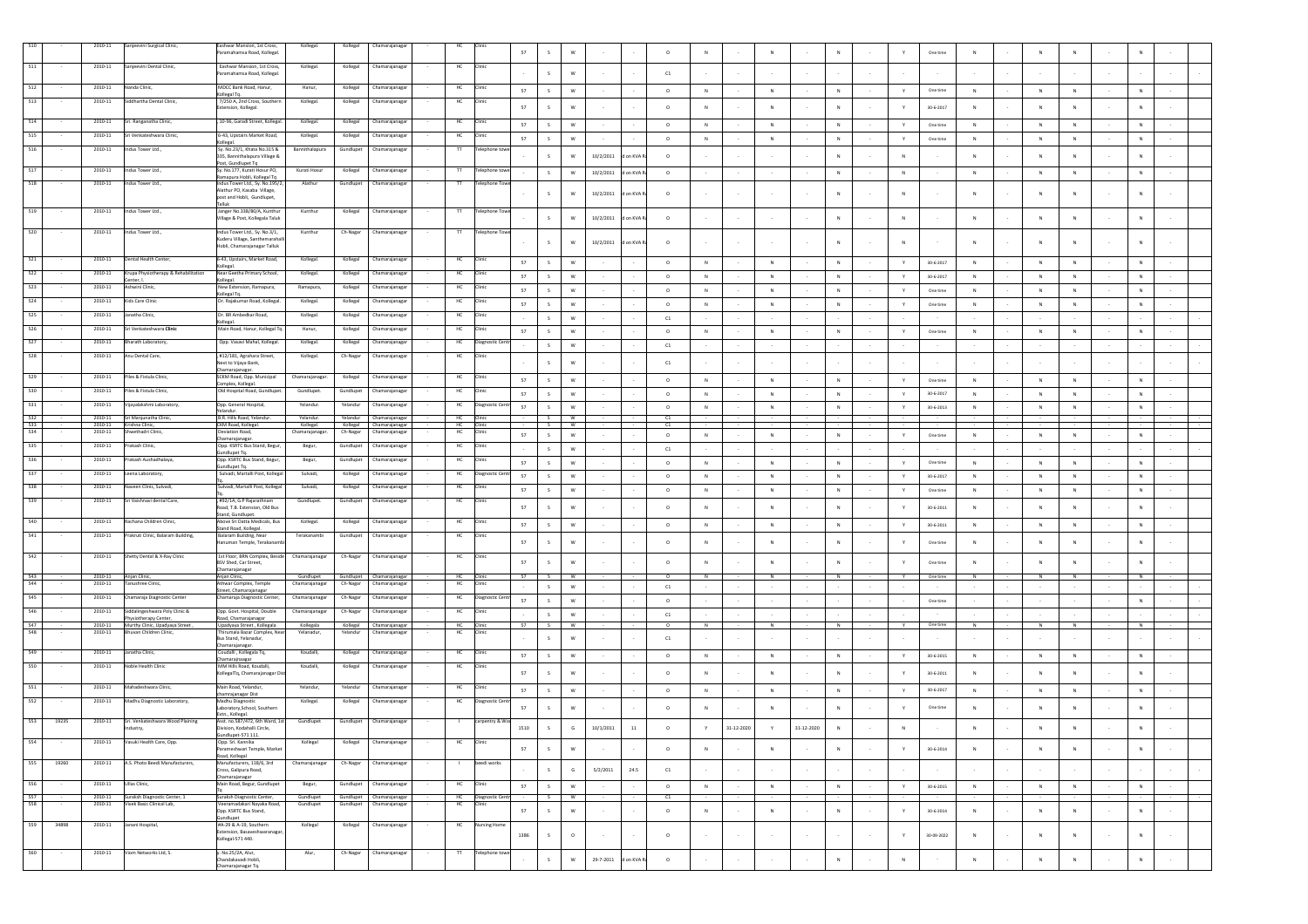|            |       | 2010-11                | Sanjeevini Surgical Clinic,                                     | Eashwar Mansion, 1st Cross,<br>aramahamsa Road, Kollegal.                      | Kollegal.                   | Kollegal            | Chamarajanagar                             |                        |                        | 57   |                   |                    |           |            |               |           |                  |                  |            |                     |                       | One tim         |              |        |             |              |        |           |        |
|------------|-------|------------------------|-----------------------------------------------------------------|--------------------------------------------------------------------------------|-----------------------------|---------------------|--------------------------------------------|------------------------|------------------------|------|-------------------|--------------------|-----------|------------|---------------|-----------|------------------|------------------|------------|---------------------|-----------------------|-----------------|--------------|--------|-------------|--------------|--------|-----------|--------|
| 511        |       | 2010-11                | Sanjeevini Dental Clinic,                                       | Eashwar Mansion, 1st Cross,<br>Paramahamsa Road, Kollegal.                     | Kollegal                    | Kollegal            | Chamarajanaga                              | HC                     |                        |      | $\mathcal{L}$     | w                  |           |            | C1            |           |                  |                  |            |                     |                       |                 |              |        |             |              |        |           |        |
| 512        |       | 2010-11                | Nanda Clinic,                                                   | MDCC Bank Road, Hanur,                                                         | Hanur,                      | Kollegal            | Chamarajanaga                              | HC                     |                        | 57   | s.                | W                  |           |            | $\circ$       | N         |                  | $\,N\,$          |            | ${\sf N}$           | Y                     | One time        | $\,$ N $\,$  |        | N           | N            |        |           |        |
| 513        |       | 2010-11                | Siddhartha Dental Clinic,                                       | Kollegal Tq.<br>7/250 A, 2nd Cross, Southern<br>ixtension, Kollegal.           | Kollegal.                   | Kollegal            | Chamarajanaga                              | $\rm HC$               | Clinis                 | 57   |                   | W                  |           |            | $\circ$       |           |                  | N                |            | N                   |                       | 30-6-2017       | $\,$ N       |        | N           |              |        |           |        |
| 514        |       | 2010-11                | Sri. Ranganatha Clinic,                                         | , 10-96, Garadi Street, Kollegal.                                              | Kollegal.                   | Kollegal            | Chamarajanagar                             | HC                     |                        | 57   | $\mathsf{s}$      | w                  |           |            | $\circ$       | ${\sf N}$ |                  | $\overline{N}$   |            | $\mathsf{N}$        | $\mathbf Y$           | One time        | ${\sf N}$    |        | $\,N\,$     |              |        |           |        |
| 515        |       | 2010-11                | Sri Venkateshwara Clinic.                                       | 6-43, Upstairs Market Road,                                                    | Kollegal.                   | Kollegal            | Chamarajanaga                              | HC                     |                        | 57   | $\mathsf{s}$      | w                  |           |            | $\circ$       | ${\sf N}$ |                  | N                |            | $\mathsf{N}$        | Y                     | One time        | ${\sf N}$    |        | $\mathbb N$ | $\mathsf{N}$ |        |           |        |
| 516        |       | 2010-11                | Indus Tower Ltd.,                                               | Kollegal.<br>Sv. No. 23/1 Khata No. 315 &<br>335, Bannithalapura Village &     | Bannithalapura              | Gundlupet           | Chamarajanaga                              | $\mathbf{H}$           | elephone tow           |      | s.                | W                  | 10/2/2011 | on KVA     | $\circ$       |           |                  | $\sim$           |            | N                   | $\mathsf N$<br>$\sim$ |                 | N            |        | N           | N            |        |           |        |
| 517        |       | 2010-11                | Indus Tower Ltd.,                                               | Post, Gundlupet Tq<br>Sy. No.177, Kurati Hosur PO,                             | Kurati Hosur                | Kollegal            | Chamarajanagar                             | π                      | elephone tow           |      | s                 | W                  | 10/2/2011 | on KVA     | $\circ$       |           |                  |                  |            | $\,$ N              | $\mathsf N$           |                 | ${\sf N}$    |        | $\mathbb N$ | N            |        | N         |        |
| 518        |       | 2010-11                | Indus Tower Ltd.,                                               | Ramapura Hobli, Kollegal Tq<br>Indus Tower Ltd., Sy. No.195/2,                 | Alathur                     | Gundlupet           | Chamarajanagar                             | $\pi$                  | <b>Telephone Tow</b>   |      |                   |                    |           |            |               |           |                  |                  |            |                     |                       |                 |              |        |             |              |        |           |        |
|            |       |                        |                                                                 | Alathur PO, Kasaba Village,<br>post and Hobli, Gundlupet,<br>Talluk            |                             |                     |                                            |                        |                        |      | S.                | W                  | 10/2/2011 | d on KVA R | $\circ$       |           |                  | $\sim$           | $\sim$     | N<br>$\sim$         | $\mathbb{N}$          |                 | N            |        | N           |              |        | <b>N</b>  |        |
| 519        |       | 2010-11                | ndus Tower Ltd.,                                                | Janger No.338/80/A, Kunthur<br>/illage & Post, Kollegala Taluk                 | Kunthur                     | Kollegal            | Chamarajanagar                             | $\overline{\pi}$       | <b>Felephone Tov</b>   |      | S                 | w                  | 10/2/2011 | on KVA     | $\circ$       |           |                  |                  |            | $\mathbb N$         |                       |                 | ${\sf N}$    |        |             |              |        |           |        |
| 520        |       | 2010-11                | Indus Tower Ltd.,                                               | Indus Tower Ltd., Sy. No.3/1,<br>Guderu Village, Santhemarahall                | Kunthur                     | Ch-Nagar            | Chamarajanagar                             | $\mathsf{T}\mathsf{T}$ | <b>Telephone Towe</b>  |      |                   |                    |           |            |               |           |                  |                  |            |                     |                       |                 |              |        |             |              |        |           |        |
|            |       |                        |                                                                 | Hobli, Chamarajanagar Talluk                                                   |                             |                     |                                            |                        |                        |      | $\mathsf{s}$      | W                  | 10/2/2011 | on KVA F   | $\circ$       |           |                  |                  |            | N                   | $\mathsf{N}$          |                 |              |        |             |              |        |           |        |
| 521        |       | 2010-11                | Dental Health Center,                                           | 6-43, Upstairs, Market Road,<br>Collegal.                                      | Kollegal.                   | Kollegal            | Chamarajanagar                             | HC                     |                        | 57   | S                 | W                  |           |            | $\circ$       | $\,$ N    |                  | $\,$ N $\,$      |            | ${\sf N}$           | Y                     | 30-6-2017       | $\,$ N       |        | N           | N            |        | N         |        |
| 522<br>523 |       | $2010 - 11$<br>2010-11 | Krupa Physiotherapy & Rehabilitation<br>iter.<br>Ashwini Clinic | Near Geetha Primary School,<br>ollegal.<br>New Extension, Ramapura             | Kollegal.<br>Ramapura,      | Kollega<br>Kollegal | Chamarajanagar<br>Chamarajanaga            | нс<br>HC               |                        | 57   | s.                | W                  |           |            | $\circ$       | N         |                  | $\,N\,$          |            | $_{\rm N}$          | Y                     | $30 - 6 - 2017$ | ${\sf N}$    |        | N           | N            |        | N         |        |
| 524        |       | 2010-11                | Kids Care Clinic                                                | Kollegal Tq.<br>Dr. Rajakumar Road, Kollegal                                   | Kollegal.                   | Kollegal            | Chamarajanagar                             | HC                     |                        | 57   | s                 |                    |           |            | $\circ$       | ${\sf N}$ |                  | $_{\rm N}$       |            | N                   | Y                     | One time        | ${\sf N}$    |        | $\mathbb N$ |              |        |           |        |
| 525        |       | 2010-11                | Janatha Clinic,                                                 | Dr. BR Ambedkar Road.                                                          | Kollegal.                   | Kollegal            | Chamarajanaga                              | HC                     | Clinic                 | 57   |                   | W                  |           |            | $\circ$       | ${\sf N}$ |                  | ${\sf N}$        |            | N                   | $\mathbf Y$           | One time        | ${\sf N}$    |        | N           | ${\sf N}$    |        |           |        |
| 526        |       | 2010-11                | Sri Venkateshwara Clinic                                        | ollegal.<br>Main Road, Hanur, Kollegal Tq.                                     | Hanur,                      | Kollegal            | Chamarajanagar                             | HC                     |                        | 57   | $\mathcal{L}$     | W                  |           |            | C1<br>$\circ$ | ${\sf N}$ |                  | ${\sf N}$        |            | N                   | Y                     | One time        | $\,$ N       |        | $\,N\,$     | ${\sf N}$    |        |           |        |
| 527        |       | 2010-11                | Bharath Laboratory,                                             | Opp. Vasavi Mahal, Kollegal.                                                   | Kollegal.                   | Kollegal            | Chamarajanaga                              | HC                     | Diagnostic Cen         |      | $\mathsf{s}$      | W                  |           |            | C1            |           |                  |                  |            |                     |                       |                 |              |        |             |              |        |           |        |
| 528        |       | 2010-11                | Anu Dental Care,                                                | , #12/181, Agrahara Street,<br>Next to Vijaya Bank,                            | Kollegal.                   | Ch-Nagar            | Chamarajanagar                             | HC                     | :Tinis                 |      | $\mathsf{s}$      | W                  |           |            | C1            |           |                  |                  |            |                     |                       |                 |              |        |             |              |        |           |        |
| 529        |       | 2010-11                | Piles & Fistula Clinic,                                         | Chamarajanagar.<br>SCKM Road, Opp. Municipal                                   | Chamarajanagar              | Kollegal            | Chamarajanaga                              | HC                     |                        | 57   | S.                | W                  |           |            | $\circ$       | N         |                  | N                |            | N                   | Y.                    | One time        | N            |        | N           | N            |        |           |        |
| 530        |       | 2010-11                | Piles & Fistula Clinic,                                         | Complex, Kollegal.<br>Old Hospital Road, Gundlupet.                            | Gundlupet.                  | Gundlupet           | Chamarajanaga                              | HC                     |                        | 57   | S.                | W                  |           |            | $\circ$       | N         |                  | N                |            | N                   | Y.                    | 30-6-2017       | N            |        | N           | N            |        | N         |        |
| 531        |       | 2010-11                | Vijayalakshmi Laboratory,                                       | Opp. General Hospital,                                                         | Yelandur                    | Yelandur            | Chamarajanagar                             | HC                     | Diagnostic Cent        | 57   | S                 | W                  |           |            | $\circ$       | N         |                  | N                |            | N                   | Y.                    | $30 - 6 - 2013$ | N            |        | N           | N            |        | N         |        |
| 532        |       | 2010-11                | Sri Manjunatha Clinic,                                          | relandur.<br>B.R. Hills Road, Yelandur                                         | Yelandur.                   | Yelandur            | Chamarajanagar                             | - HC                   | <b>Tinir</b>           |      | S                 | <b>W</b>           |           |            | C1            |           |                  |                  |            |                     |                       |                 |              |        |             |              |        |           |        |
| 533<br>534 |       | 2010-11<br>2010-11     | Krishna Clinic,<br>Shwethadri Clinic,                           | CKM Road, Kollegal.<br><b>Deviation Road</b>                                   | Kollegal.<br>Chamarajanaga  | Ch-Nagar            | Kollegal Chamarajanagar<br>Chamarajanagar  | HC<br>HC               | Clinic                 | 57   | $\mathsf{s}$<br>S | - W<br>W           |           |            | C1<br>$\circ$ | N         |                  | N                |            | N                   | Y                     | One time        | $\,$ N $\,$  |        | N           | $\,$ N       |        | N         |        |
| 535        |       | 2010-11                | Prakash Clinic,                                                 | Chamarajanagar.<br>Opp. KSRTC Bus Stand, Begur,<br>ndlupet Tq.                 | Begur,                      | Gundlupet           | Chamarajanagar                             | HC                     | Clinic                 |      | S.                | W                  |           |            | C1            |           |                  |                  |            |                     |                       |                 |              |        |             |              |        |           |        |
| 536        |       | 2010-11                | Prakash Aushadhalaya,                                           | Opp. KSRTC Bus Stand, Begur,<br>sundlupet Tq                                   | Begur,                      | Gundlupet           | Chamarajanagar                             | HC                     | <b>Clinic</b>          | 57   | $\mathsf{s}$      | w                  |           |            | $\circ$       | ${\sf N}$ |                  | ${\sf N}$        |            | N                   | Y                     | One time        | $\,$ N       |        | $\,N\,$     | ${\sf N}$    |        |           |        |
| 537        |       | 2010-11                | Leena Laboratory,                                               | Sulvadi, Martalli Post, Kollegal                                               | Sulvadi,                    | Kollegal            | Chamarajanagar                             | HC                     | Diagnostic Cent        | 57   | $\mathsf{s}$      |                    |           |            | $\circ$       | ${\sf N}$ |                  | $_{\rm N}$       |            | $\mathsf{N}$        | $\mathbf Y$           | 30-6-2017       | $\,$ N       |        | $\mathbb N$ |              |        |           |        |
| 538        |       | 2010-11                | Naveen Clinic, Sulvadi,                                         | Sulvadi, Martalli Post, Kollegal                                               | Sulvadi,                    | Kollegal            | Chamarajanagar                             | HC                     | Clinic                 | 57   |                   |                    |           |            | $\circ$       | ${\sf N}$ |                  | $\,N\,$          |            | N                   | $\mathbf Y$           | One time        | ${\sf N}$    |        | $\mathbb N$ | ${\sf N}$    |        |           |        |
| 539        |       | 2010-11                | Sri Vaishnavi dental Care.                                      | , #92/1A, G.P Rajarathnam<br>Road, T.B. Extension, Old Bus<br>Stand, Gundlupet | Gundlupet.                  | Gundlupet           | Chamarajanaga                              | HC                     | <b>Clinic</b>          | 57   | s.                | W                  |           |            | $\circ$       |           |                  | N                |            | N                   | Y                     | 30-6-2011       | $\,$ N       |        | N           |              |        |           |        |
| 540        |       | 2010-11                | Rachana Children Clinic,                                        | Above Sri Datta Medicals, Bus<br>Stand Road, Kollegal.                         | Kollegal.                   | Kollegal            | Chamarajanagar                             | HC                     |                        | 57   | S                 | W                  |           |            | $\circ$       | N         |                  | $\,N\,$          |            | ${\sf N}$           | Y.                    | $30 - 6 - 2011$ | N            |        | N           | ${\sf N}$    |        | N         |        |
| 541        |       | 2010-11                | Prakruti Clinic, Balaram Building,                              | Balaram Building, Near<br>lanuman Temple, Terakanami                           | Terakanambi                 | Gundlupet           | Chamarajanagar                             | HC                     | Clinic                 | 57   | s                 | W                  |           |            | $\circ$       | N         |                  | N                |            | $\,N\,$<br>$\sim$   | Y                     | One time        | N            |        | N           | $\mathbb N$  |        | <b>N</b>  |        |
| 542        |       | 2010-11                | Shetty Dental & X-Ray Clinic                                    | 1st Floor, BRN Complex, Beside<br>BSV Shed, Car Street,                        | Chamarajanagar              | Ch-Nagar            | Chamarajanagar                             | HC                     |                        | 57   | $\mathsf{s}$      | W                  |           |            | $\circ$       |           |                  | N                |            | $\mathsf{N}$        |                       | One time        |              |        |             |              |        |           |        |
| 543<br>544 |       | 2010-11<br>2010-11     | Anjan Clinic,<br>Fanushree Clinic,                              | Chamarajanagar<br>Anjan Clinic,<br>Athwar Complex, Temple                      | Gundlupet<br>Chamarajanagar | Ch-Nagar            | Gundlupet Chamarajanagar<br>Chamarajanagar | HC Clinic<br>HC        | Jiniı                  | 57   | S                 | w                  |           |            | $\circ$       | N         |                  | $\,N\,$          |            | $_{\rm N}$          | Y                     | One time        | ${\sf N}$    |        | $\,N\,$     | N            |        | N         |        |
| 545        |       | 2010-11                | Chamaraja Diagnostic Center                                     | Street, Chamarajanagar<br>hamaraja Diagnostic Center,                          | Chamarajanagar              | Ch-Nagar            | Chamarajanagar                             | HC                     | <b>Diagnostic Cent</b> |      | S                 | ${\mathsf w}$<br>W |           |            | C1            |           |                  | $\sim$           | $\sim$     | $\sim$              |                       |                 |              |        |             |              |        |           |        |
| 546        |       | 2010-11                | Siddalingeshwara Poly Clinic &                                  | Opp. Govt. Hospital, Double                                                    | Chamarajanagar              | Ch-Nagar            | Chamarajanagar                             | HC                     |                        | 57   | S<br>S            | ${\mathsf w}$      |           |            | $\circ$<br>C1 |           |                  | $\sim$<br>$\sim$ | $\sim$     | $\sim$              |                       | One time        |              |        |             |              |        | <b>N</b>  |        |
| 547        |       | 2010-11                | siotherapy Center,<br>Murthy Clinic, Upadyaya Stree             | Road, Chamarajanagar<br>Upadyaya Street, Kollegala                             | Kollegala                   |                     | Kollegal Chamarajanagar                    | <b>HC</b>              |                        | 57   | S                 | W                  |           |            | $\Omega$      | N         |                  | N                |            | N                   | $\mathbf{v}$          | One time        | N            |        | N           | N            |        | N         |        |
| 548        |       | $2010 - 11$            | uvan Children Clinic,                                           | Thirumala Bazar Complex, Near<br>Bus Stand, Yelanadur.                         | Yelanadur,                  | Yelandur            | Chamarajanagar                             | $\sf HC$               |                        |      | $\mathsf{s}$      | W                  |           |            | C1            |           |                  | $\sim$           |            | $\sim$              |                       |                 |              |        |             |              |        |           |        |
| 549        |       | 2010-11                | Janatha Clinic,                                                 | Chamaraianagar<br>Coudalli, Kollegala To.                                      | Koudalli,                   | Kollegal            | Chamarajanagar                             | HC                     |                        | 57   | $\mathsf{s}$      | w                  |           |            | $\circ$       | ${\sf N}$ |                  | $\,N\,$          |            | $_{\rm N}$          | Y                     | $30 - 6 - 2015$ | $\,$ N       |        | N           | ${\sf N}$    |        |           |        |
| 550        |       | 2010-11                | Noble Health Clinic                                             | Chamarajnaagar<br>MM Hills Road, Koudalli,<br>KollegalTq, Chamarajanagar Dis   | Koudalli.                   | Kollegal            | Chamarajanagar                             | HC                     | Clinic                 | 57   | s.                | W                  |           |            | $\circ$       | N         |                  | $\mathbb{N}$     |            | N<br>$\sim$         | Y                     | $30 - 6 - 2011$ | $\mathbb{N}$ |        | N           | N            |        |           |        |
| 551        |       | 2010-11                | Mahadeshwara Clinic,                                            | Main Road, Yelandur,                                                           | Yelandur,                   | Yelandur            | Chamarajanagar                             | HC                     |                        | 57   | s                 | W                  |           |            | $\circ$       | ${\sf N}$ |                  | $\,N\,$          |            | $\,N\,$             |                       | 30-6-2017       | ${\sf N}$    |        | N           | N            |        | N         |        |
| 552        |       | 2010-11                | Madhu Diagnostic Laboratory,                                    | chamrajanagar Dist<br>Madhu Diagnostic<br>Laboratory, School, Southern         | Kollegal.                   | Kollegal            | Chamarajanagar                             | HC                     | Diagnostic Cer         | 57   | $\mathsf{s}$      | W                  |           |            | $\circ$       |           |                  | N                |            | $\overline{N}$      | Y                     | One time        | ${\sf N}$    |        | N           |              |        | N         |        |
| 553        | 19235 | 2010-11                | Sri. Venkateshwara Wood Plaining                                | Extn., Kollegal.<br>Asst. no.587/472, 6th Ward, 1st                            | Gundlupet                   |                     | Gundlupet Chamarajanagar                   | - 11                   | carpentry & Wo         |      |                   |                    |           |            |               |           |                  |                  |            |                     |                       |                 |              |        |             |              |        |           |        |
| 554        |       | 2010-11                | adustry,<br>Vasuki Health Care, Opp.                            | Division, Kodahalli Circle,<br>Gundlupet-571 111.<br>Opp. Sri. Kannika         | Kollegal                    | Kollegal            | Chamarajanagar                             | HC                     |                        | 1510 | S                 | $\mathsf G$        | 10/1/2011 | $11\,$     | $\circ$       | Y         | $31 - 12 - 2020$ | $\mathbb {Y}$    | 31-12-2020 | $\,$ N              | $\sim$<br>${\sf N}$   |                 | ${\sf N}$    |        | $\,N\,$     |              |        |           |        |
|            |       |                        |                                                                 | arameshwari Temple, Market<br>load, Kollegal                                   |                             |                     |                                            |                        |                        | 57   | $\mathsf{s}$      | w                  |           |            | $\circ$       | ${\sf N}$ |                  | $\,N\,$          |            | $_{\rm N}$          |                       | $30 - 6 - 2014$ | $\,$ N       |        | $_{\rm N}$  | ${\sf N}$    |        | ${\sf N}$ |        |
| 555        | 19260 | 2010-11                | A.S. Photo Beedi Manufacturers,                                 | Manufacturers, 118/6, 3rd<br>Cross, Galipura Road,<br>Chamarajanagar           | Chamarajanagar              | Ch-Nagar            | Chamarajanagar                             |                        | beedi works            |      | S                 | $\mathsf{G}$       | 5/2/2011  | 24.5       | C1            | $\sim$    |                  | $\sim$           | $\sim$     |                     | $\sim$                |                 | $\sim$       |        |             |              | $\sim$ |           | $\sim$ |
| 556        |       | 2010-11                | Ullas Clinic,                                                   | Main Road, Begur, Gundlupet                                                    | Begur,                      | Gundlupet           | Chamarajanagar                             | HC                     | Clini                  | 57   | S                 | ${\mathsf w}$      |           |            | $\circ$       | $\,$ N    |                  | $\,N\,$          | $\sim$     | $\,N\,$<br>$\sim$   | $\mathbb {Y}$         | 30-6-2015       | $\,$ N       |        | $\,N\,$     | $\,$ N       | $\sim$ | N         | $\sim$ |
| 557<br>558 |       | 2010-11<br>2010-11     | Suraksh Diagnostic Center, 1<br>Vivek Basic Clinical Lab,       | Suraksh Diagnostic Center,<br>Veeramadakari Nayaka Road,                       | Gundlupet<br>Gundlupet      | Gundlupet           | Gundlupet Chamarajanagar<br>Chamarajanagar | HC                     | HC Diagnostic Centr    |      | S                 | W                  |           |            | C1            |           |                  |                  |            |                     |                       |                 |              |        |             |              |        |           |        |
| 559        | 34898 | 2010-11                | Janani Hospital,                                                | Opp. KSRTC Bus Stand,<br>Gundlupet<br>#A-29 & A-19, Southern                   | Kollegal                    |                     | Kollegal Chamarajanagar                    | HC                     | Nursing Home           | 57   | $\mathsf{s}$      | ${\mathsf w}$      |           |            | $\circ$       | N         | $\sim$           | N                | $\sim$     | ${\sf N}$<br>$\sim$ | Y                     | 30-6-2014       | $\,$ N       | $\sim$ | N           | N            | $\sim$ | N         | $\sim$ |
|            |       |                        |                                                                 | Extension, Basaveshwaranagar<br>Kollegal-571 440.                              |                             |                     |                                            |                        |                        | 1386 | S                 | $\circ$            |           |            | $\circ$       |           |                  | $\sim$           | $\sim$     |                     | Y                     | 30-09-2022      | ${\sf N}$    |        | $\mathbb N$ | ${\sf N}$    |        | ${\sf N}$ |        |
| 560        |       | 2010-11                | Viom Networks Ltd. S                                            | v. No.25/2A. Alur.<br>Chandakavadi Hobli,<br>Chamarajanagar Tq.                | Alur,                       |                     | Ch-Nagar Chamarajanagar                    | $\mathbf{H}$           | Telephone towe         |      | S                 | $\mathsf{W}$       | 29-7-2011 | d on KVA   | $\circ$       |           | $\sim$           | $\sim$           | $\sim$     | $_{\rm N}$          | ${\sf N}$<br>$\sim$   |                 | ${\sf N}$    |        | $\mathbb N$ | $\mathbb N$  |        | $\,$ N    |        |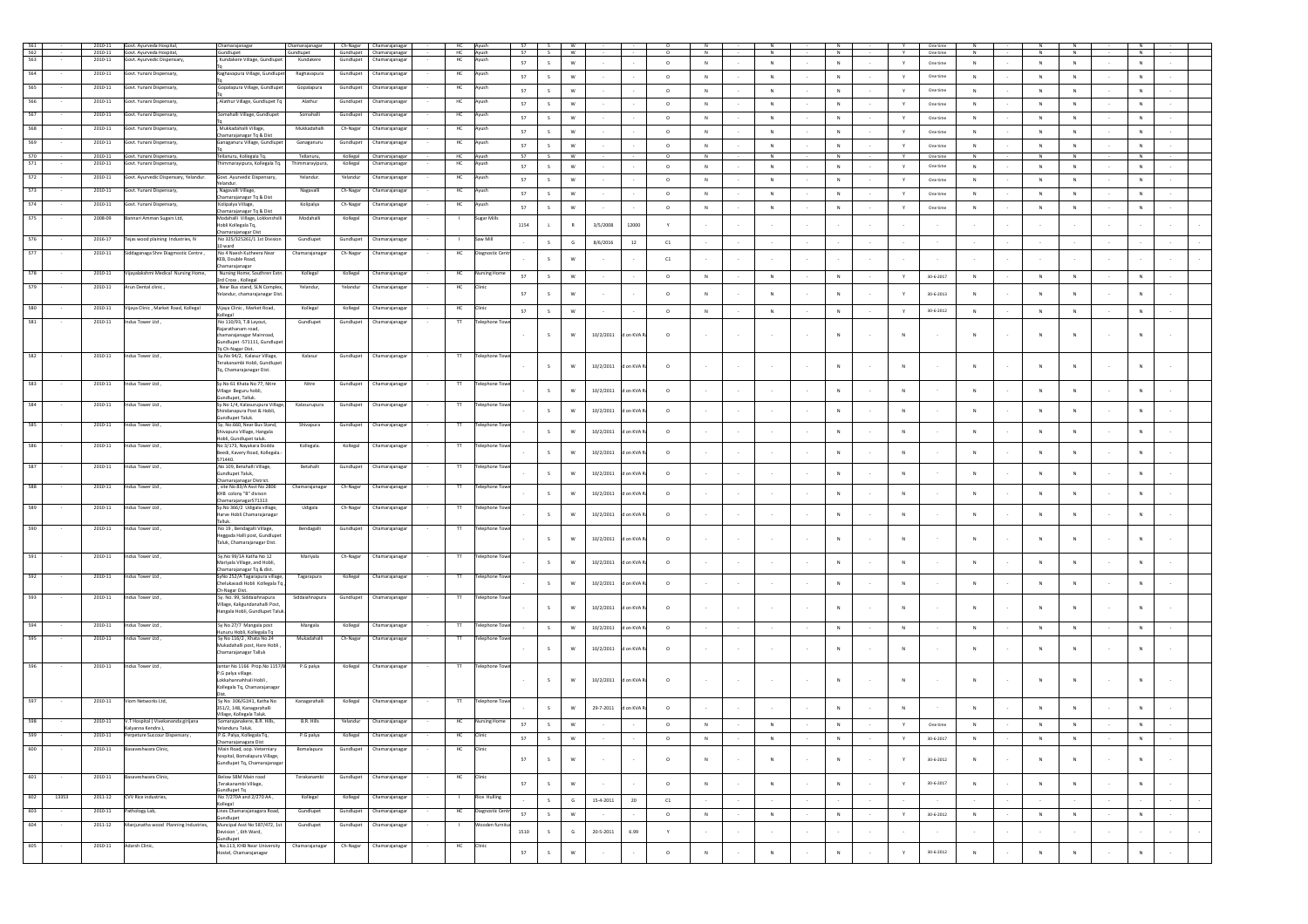|            | 2010-11          | Govt. Ayurveda Hospital,              | Chamarajanagar                                            | Chamarajanagar |           | Ch-Nagar Chamarajanagar  | HC<br>Ayush        |                      | 57   |              | w                         |           |            |            |              |        |             |                        |        |               | One time        |              |        |            |                |        |            |        |
|------------|------------------|---------------------------------------|-----------------------------------------------------------|----------------|-----------|--------------------------|--------------------|----------------------|------|--------------|---------------------------|-----------|------------|------------|--------------|--------|-------------|------------------------|--------|---------------|-----------------|--------------|--------|------------|----------------|--------|------------|--------|
|            | 2010-11          | Govt. Ayurveda Hospital,              | Gundlupet                                                 | Gundlupet      |           | Gundlupet Chamarajanagar | HC<br>Ayush        |                      | 57   | s.           | w                         |           |            |            |              |        |             | N                      |        |               | One time        |              |        |            |                |        |            |        |
| 563        | 2010-11          | Govt. Ayurvedic Dispensary,           | Kundakere Village, Gundlupet                              | Kundakere      | Gundlupet | Chamarajanaga            | HC<br>Ayush        |                      | 57   | S            | $\mathsf{W}$              |           |            | $\circ$    | $\,$ N       |        | N           | $\,$ N $\,$            |        | Y             | One time        | $\mathbb N$  |        | N          | ${\sf N}$      |        | N          |        |
| S64        | 2010-11          | Govt. Yunani Dispensary,              | Raghavapura Village, Gundlupet                            | Raghavapur     | Gundlupet | Chamarajanaga            | HC<br>Ayush        |                      | 57   | S            | w                         |           |            | $\circ$    | $\,$ N       |        | N           | $\,$ N $\,$            |        | Y             | One time        | $\mathbb N$  |        | N          | ${\sf N}$      |        | N          |        |
| 565        | 2010-11          | Govt. Yunani Dispensary,              | Gopalapura Village, Gundlupet                             | Gopalapura     | Gundlupe  | Chamarajanaga            | HC<br>Ayush        |                      |      |              |                           |           |            |            |              |        |             |                        |        |               |                 |              |        |            |                |        |            |        |
|            |                  |                                       |                                                           |                |           |                          |                    |                      | 57   | $\mathsf{s}$ | W                         |           |            | $\circ$    | N            |        | N           | $_{\rm N}$             |        | Y             | One time        | ${\sf N}$    |        | N          | $\,$ N         |        | ${\sf N}$  |        |
| 566        | 2010-11          | Govt. Yunani Dispensary,              | , Alathur Village, Gundlupet Tq                           | Alathur        | Gundlupet | Chamarajanaga            | HC<br>Ayush        |                      | 57   | $\mathsf{s}$ | w                         |           |            | $\circ$    | ${\sf N}$    |        | $\mathbb N$ | $_{\rm N}$             |        |               | One time        | ${\sf N}$    |        |            | ${\sf N}$      |        | N          |        |
| 567        | 2010-11          | Govt. Yunani Dispensary,              | Somahalli Village, Gundlupet                              | Somahalli      | Gundlupet | Chamarajanaga            | HC<br>Ayush        |                      | 57   | s            | w                         |           |            |            | ${\sf N}$    |        | $\mathbb N$ | $_{\rm N}$             |        |               |                 | ${\sf N}$    |        | $_{\rm N}$ | ${\sf N}$      |        | $_{\rm N}$ |        |
|            |                  |                                       |                                                           |                |           |                          |                    |                      |      |              |                           |           |            | $\circ$    |              |        |             |                        |        |               | One time        |              |        |            |                |        |            |        |
| 568        | 2010-11          | Govt. Yunani Dispensary,              | , Mukkadahalli Village,<br>Chamarajanagar Tq & Dist       | Mukkadahalli   | Ch-Nagar  | Chamarajanaga            | HC<br>Avush        |                      | 57   | $\mathsf{s}$ |                           |           |            | $\circ$    | ${\sf N}$    |        | ${\sf N}$   | $_{\rm N}$             |        |               | One time        | ${\sf N}$    |        |            | ${\sf N}$      |        | N          |        |
| 569        | 2010-11          | Govt. Yunani Dispensary,              | Ganaganuru Village, Gundlupet                             | Ganaganuru     | Gundlupet | Chamarajanaga            | HC<br>Ayush        |                      | 57   | S            | W                         |           |            | $\circ$    | ${\sf N}$    |        | N           | $_{\rm N}$             |        | $\mathbf{v}$  | One time        | ${\sf N}$    |        | N          | ${\sf N}$      |        | $\,N\,$    |        |
| 570        | 2010-11          | Govt. Yunani Dispensary,              | Tellanuru, Kollegala Tq.                                  | Tellanuru,     |           | Kollegal Chamarajanagar  | HC<br>Ayush        |                      | 57   | s.           | W                         |           |            | $^{\circ}$ | N            |        | N           | N                      |        |               | One time        | N            |        |            | N              |        | N          |        |
| 571        | 2010-11          | Govt. Yunani Dispensary,              | immarayipura, Kollegala Tq.                               | Thimmarayipura | Kollegal  | Chamarajanaga            | HC<br>Avush        |                      | 57   | S            | w                         |           |            |            | N            |        | N           | ${\sf N}$              |        | Y             |                 | $\mathbb N$  |        | N          | $\,$ N         |        | N          |        |
|            |                  |                                       |                                                           |                |           |                          |                    |                      |      |              |                           |           |            | $\circ$    |              |        |             |                        |        |               | One time        |              |        |            |                |        |            |        |
| 572        | 2010-11          | Govt. Ayurvedic Dispensary, Yelandur. | Govt. Ayurvedic Dispensary,<br>Yelandur.                  | Yelandur.      | Yelandur  | Chamarajanagar           | HC<br>Ayush        |                      | 57   | S            | W                         |           |            | $\circ$    | N            |        | N           | $\,N\,$                |        | Y             | One time        | N            |        | N          | $\,$ N         |        | ${\sf N}$  |        |
| 573        | 2010-11          | Govt. Yunani Dispensary,              | , Nagavalli Village,                                      | Nagavalli      | Ch-Nagar  | Chamarajanagar           | HC<br>Ayush        |                      | 57   | S            | <b>W</b>                  |           |            | $\circ$    | N            |        | N           | N                      |        | Y             | One time        | N            |        | N          | N              | $\sim$ | N          |        |
| 574        | 2010-11          | Govt. Yunani Dispensary,              | Chamarajanagar Tq & Dist<br>Kolipalya Village,            | Kolipalya      | Ch-Nagar  | Chamarajanaga            | HC<br>Ayush        |                      |      |              |                           |           |            |            |              |        |             |                        |        |               |                 |              |        |            |                |        |            |        |
|            |                  |                                       | Chamarajanagar Tq & Dist                                  |                |           |                          |                    |                      | 57   | S            | <b>W</b>                  |           |            | $\circ$    | N            |        | N           | N                      |        | Y             | One time        | N            |        | N          | N              | $\sim$ | N          |        |
| 575        | 2008-09          | Bannari Amman Sugars Ltd,             | Modahalli Village, Lokksnshs                              | Modahalli      | Kollegal  | Chamarajanagar           | Sugar Mill         |                      |      |              |                           |           |            |            |              |        |             |                        |        |               |                 |              |        |            |                |        |            |        |
|            |                  |                                       | tobli Kollegala Tq,<br>Chamarajanagar Dis                 |                |           |                          |                    |                      | 1154 |              | ${\mathsf R}$             | 3/5/2008  | 12000      |            |              |        |             |                        |        |               |                 |              |        |            |                |        |            |        |
| 576        | 2016-17          | Tejas wood plaining Industries, N     | No 325/325261/1 1st Division                              | Gundlupet      | Gundlupet | Chamarajanaga            | Saw Mill           |                      |      | S            | $\mathsf{G}$              | 8/6/2016  | 12         | C1         |              |        | $\sim$      |                        |        |               |                 |              |        |            |                |        |            |        |
| <b>S77</b> | 2010-11          | Siddaganaga Shre Diagmostic Centre,   | 10 ward<br>No 4 Naesh Kutheera Near                       | Chamarajanagar | Ch-Nagar  | Chamarajanaga            | HO                 | Jiagnostic Cer       |      |              |                           |           |            |            |              |        |             |                        |        |               |                 |              |        |            |                |        |            |        |
|            |                  |                                       | KEB, Double Road,                                         |                |           |                          |                    |                      |      | $\sim$       | w                         |           |            | C1         |              |        |             |                        |        |               |                 |              |        |            |                |        |            |        |
|            |                  |                                       | Chamarajanagar                                            |                |           |                          |                    |                      |      |              |                           |           |            |            |              |        |             |                        |        |               |                 |              |        |            |                |        |            |        |
| 578        | 2010-11          | Vijayalakshmi Medical Nursing Home,   | Nursing Home, Southren Extn.<br>3rd Cross, Kollegal       | Kollegal       | Kollegal  | Chamarajanaga            | $\mathsf{HC}$      | Nursing Hor          | 57   | $\mathsf{s}$ | W                         |           |            | $\circ$    | $\,$ N       |        | N           | ${\sf N}$              |        | Y             | 30-6-2017       | ${\sf N}$    |        | N          | $\,$ N         |        | ${\sf N}$  |        |
| 579        | 2010-11          | Arun Dental clinic.                   | , Near Bus stand, SLN Complex,                            | Yelandur,      | Yelandur  | Chamarajanaga            | HC<br>Clinic       |                      |      |              |                           |           |            |            |              |        |             |                        |        |               |                 |              |        |            |                |        |            |        |
|            |                  |                                       | Yelandur, chamarajanagar Dist.                            |                |           |                          |                    |                      | 57   | $\sim$       | W                         |           |            | $\circ$    | N            |        | N           | N                      |        |               | $30 - 6 - 2013$ | $\mathbb{N}$ |        |            | $\mathbb{N}$   |        | N          |        |
| 580        | 2010-11          | Vijaya Clinic, Market Road, Kollegal  | Vijaya Clinic, Market Road,                               | Kollegal       | Kollegal  | Chamarajanagar           | HC<br>Clinic       |                      |      | S            | W                         |           |            | $\circ$    | ${\sf N}$    |        | $\mathbb N$ | $_{\rm N}$             |        | $\mathsf{Y}$  | $30 - 6 - 2012$ | ${\sf N}$    |        | N          | $\overline{N}$ |        | $_{\rm N}$ |        |
|            |                  |                                       | ollegal                                                   |                |           |                          |                    |                      | 57   |              |                           |           |            |            |              |        |             |                        |        |               |                 |              |        |            |                |        |            |        |
| 581        | 2010-11          | Indus Tower Ltd.                      | No 110/93, T.B Layout,<br>Rajarathanam road,              | Gundlupet      | Gundlupet | Chamarajanagar           | $\mathsf{T}$       | <b>Telephone Toy</b> |      |              |                           |           |            |            |              |        |             |                        |        |               |                 |              |        |            |                |        |            |        |
|            |                  |                                       | chamarajanagar Mainroad,                                  |                |           |                          |                    |                      |      | s.           | W                         | 10/2/2011 | on KVA R   | $\circ$    |              |        | $\sim$      | N                      |        |               |                 |              |        |            | N              |        | N          |        |
|            |                  |                                       | Gundlupet -571111, Gundlupet<br>Tq Ch-Nagar Dist.         |                |           |                          |                    |                      |      |              |                           |           |            |            |              |        |             |                        |        |               |                 |              |        |            |                |        |            |        |
| 582        | 2010-11          | Indus Tower Ltd.                      | Sy.No 94/2, Kalasur Village,                              | Kalasur        | Gundlupet | Chamarajanagar           | $^{\rm{TT}}$       | <b>Telephone Toy</b> |      |              |                           |           |            |            |              |        |             |                        |        |               |                 |              |        |            |                |        |            |        |
|            |                  |                                       | Terakanambi Hobli, Gundlupet                              |                |           |                          |                    |                      |      | S.           | W                         | 10/2/2011 | d on KVA R | $\circ$    |              |        | $\sim$      | N                      |        |               |                 |              |        |            | N              |        | N          |        |
|            |                  |                                       | Tq, Chamarajanagar Dist.                                  |                |           |                          |                    |                      |      |              |                           |           |            |            |              |        |             |                        |        |               |                 |              |        |            |                |        |            |        |
|            | 2010-11          | ndus Tower Ltd ,                      | Sy.No 61 Khata No 77, Nitre                               | Nitre          | Gundlupet | Chamarajanaga            |                    | Telephone To         |      |              |                           |           |            |            |              |        |             |                        |        |               |                 |              |        |            |                |        |            |        |
|            |                  |                                       | Village Beguru hobli,                                     |                |           |                          |                    |                      |      | S            | $\mathsf{w}$              | 10/2/2011 | on KVA R   | $\circ$    |              |        |             | $_{\rm N}$             |        |               |                 |              |        |            | $\mathsf{N}$   |        | N          |        |
| 584        | 2010-11          | Indus Tower Ltd,                      | undlupet, Talluk.<br>Sy.No 1/4, Kalasurupura Village,     | Kalasurupura   | Gundlupet | Chamarajanagar           | $\overline{\rm H}$ | <b>Telephone Tow</b> |      |              |                           |           |            |            |              |        |             |                        |        |               |                 |              |        |            |                |        |            |        |
|            |                  |                                       | indanapura Post & Hobli,                                  |                |           |                          |                    |                      |      | S            | W                         | 10/2/2011 | on KVA i   | $\circ$    |              |        |             | $_{\rm N}$             |        | ${\sf N}$     |                 |              |        |            | $\mathsf{N}$   |        | ${\sf N}$  |        |
| 585        | 2010-11          | Indus Tower Ltd,                      | sundlupet Taluk.<br>Sy. No.660, Near Bus Stand,           | Shivapura      | Gundlupet | Chamarajanaga            | π                  | Telephone Tov        |      |              |                           |           |            |            |              |        |             |                        |        |               |                 |              |        |            |                |        |            |        |
|            |                  |                                       | Shivapura Village, Hangala                                |                |           |                          |                    |                      |      | S            | W                         | 10/2/2011 | on KVA     | $\circ$    |              |        |             | $\mathbb{N}$           |        |               |                 | N            |        |            | $\sim$         |        | N          |        |
| 586        | $2010 - 11$      | Indus Tower Ltd,                      | lobli, Gundlupet taluk.<br>No 3/173, Nayakara Dodda       | Kollegala      | Kollegal  |                          | $^{\text{II}}$     | Telephone To         |      |              |                           |           |            |            |              |        |             |                        |        |               |                 |              |        |            |                |        |            |        |
|            |                  |                                       | seedi, Kavery Road, Kollegala.                            |                |           | Chamarajanaga            |                    |                      |      | $\mathsf{s}$ | W                         | 10/2/2011 | on KVA R   | $\circ$    |              |        |             | $_{\rm N}$             |        | ${\sf N}$     |                 | ${\sf N}$    |        |            | N              |        | N          |        |
|            |                  |                                       | 571440.                                                   |                |           |                          |                    |                      |      |              |                           |           |            |            |              |        |             |                        |        |               |                 |              |        |            |                |        |            |        |
| 587        | 2010-11          | Indus Tower Ltd.                      | , No 109, Betahalli Village,<br>Gundlupet Taluk.          | Betahall       | Gundlupet | Chamarajanaga            |                    | elephone To          |      | $\mathsf{s}$ | W                         | 10/2/2011 | d on KVA R | $\circ$    |              |        | $\sim$      | N                      |        | N             |                 | N            |        |            | N              |        | N          |        |
|            |                  |                                       | Chamarajanagar District.                                  |                |           |                          |                    |                      |      |              |                           |           |            |            |              |        |             |                        |        |               |                 |              |        |            |                |        |            |        |
| 588        | 2010-11          | Indus Tower Ltd.                      | . site No 83/A Asst No 2806                               | Chamarajanagar | Ch-Nagar  | Chamarajanaga            | $\pi$              | <b>Telephone Tow</b> |      | S            | W                         | 10/2/2011 | d on KVA R |            |              |        |             | N                      |        |               |                 | $\mathbb{N}$ |        |            | $\mathbb{N}$   |        | N          |        |
|            |                  |                                       | KHB colony "B" divison<br>Chamarajanagar571313            |                |           |                          |                    |                      |      |              |                           |           |            | $\circ$    |              |        |             |                        |        | $\mathsf{N}$  |                 |              |        |            |                |        |            |        |
| 589        | 2010-11          | Indus Tower Ltd.                      | Sy.No 366/2 Udigala village,                              | Udigala        | Ch-Nagar  | Chamarajanagar           | $^{\text{TT}}$     | <b>Telephone Tow</b> |      |              |                           |           |            |            |              |        |             |                        |        |               |                 |              |        |            |                |        |            |        |
|            |                  |                                       | larve Hobli Chamarajanagar<br>Talluk.                     |                |           |                          |                    |                      |      | S            | W                         | 10/2/2011 | d on KVA   | $\circ$    |              |        | $\sim$      | $_{\rm N}$             |        | N             |                 | $\mathsf{N}$ |        |            | N              |        | N          |        |
| 590        | 2010-11          | Indus Tower Ltd.                      | No 19, Bendagalli Village,                                | Bendagalli     | Gundlupet | Chamarajanagar           | $^{\text{TT}}$     | Telephone Toy        |      |              |                           |           |            |            |              |        |             |                        |        |               |                 |              |        |            |                |        |            |        |
|            |                  |                                       | Heggada Halli post, Gundlupet                             |                |           |                          |                    |                      |      | $\mathsf{s}$ | W                         | 10/2/2011 | on KVA R   | $\circ$    |              |        | $\sim$      | $_{\rm N}$             |        | N             |                 |              |        |            | N              |        | $_{\rm N}$ |        |
|            |                  |                                       | Taluk, Chamarajanagar Dist.                               |                |           |                          |                    |                      |      |              |                           |           |            |            |              |        |             |                        |        |               |                 |              |        |            |                |        |            |        |
| 591        | 2010-11          | Indus Tower Ltd.,                     | Sy.No 99/1A Katha No 12                                   | Mariyala       | Ch-Nagar  | Chamarajanaga            | $\overline{\pi}$   | Telephone To         |      |              |                           |           |            |            |              |        |             |                        |        |               |                 |              |        |            |                |        |            |        |
|            |                  |                                       | Mariyala Village, and Hobli,<br>Chamarajanagar Tq & dist. |                |           |                          |                    |                      |      | S            | W                         | 10/2/2011 | d on KVA R | $\circ$    |              |        |             | $_{\rm N}$             |        |               |                 |              |        |            | $\mathsf{N}$   |        | $\,$ N     |        |
| 592        | 2010-11          | Indus Tower Ltd,                      | SyNo 252/A Tagarapura village,                            | Tagarapura     | Kollegal  | Chamarajanaga            | $\overline{\rm H}$ | <b>Telephone Tow</b> |      |              |                           |           |            |            |              |        |             |                        |        |               |                 |              |        |            |                |        |            |        |
|            |                  |                                       | Chelukavadi Hobli Kollegala Tq,                           |                |           |                          |                    |                      |      | S            | W                         | 10/2/2011 | on KVA R   | $\circ$    |              |        |             | $_{\rm N}$             |        | $\,$ N        |                 | ${\sf N}$    |        |            | $\mathsf{N}$   |        | N          |        |
| 593        | 2010-11          | Indus Tower Ltd,                      | Ch-Nagar Dist.<br>Sy. No. 99, Siddaiahnapura              | Siddaiahnapura |           | Gundlupet Chamarajanagar |                    | Telephone To         |      |              |                           |           |            |            |              |        |             |                        |        |               |                 |              |        |            |                |        |            |        |
|            |                  |                                       | Village, Kaligundanahalli Post,                           |                |           |                          |                    |                      |      | $\mathsf{s}$ | W                         | 10/2/2011 | d on KVA R | $\circ$    |              |        | $\sim$      | N                      |        | -N            |                 |              |        |            | N              |        | N          |        |
|            |                  |                                       | langala Hobli, Gundlupet Taluk                            |                |           |                          |                    |                      |      |              |                           |           |            |            |              |        |             |                        |        |               |                 |              |        |            |                |        |            |        |
| 594        | 2010-11          | Indus Tower Ltd,                      | Sy No 27/7 Mangala post                                   | Mangala        | Kollegal  | Chamarajanagar           | $^{\text{II}}$     | Telephone Tov        |      | S            | w                         | 10/2/2011 | d on KVA   | $\circ$    |              |        |             | $_{\rm N}$             |        | ${\sf N}$     |                 | ${\sf N}$    |        |            | $\mathbb N$    |        | ${\sf N}$  |        |
|            |                  |                                       | .<br>unuru Hobli, Kollegala Tq<br>Sv No 116/2 Khata No 24 |                |           |                          |                    |                      |      |              |                           |           |            |            |              |        |             |                        |        |               |                 |              |        |            |                |        |            |        |
| 595        | 2010-11          | Indus Tower Ltd.                      | Mukadahalli post. Hare Hobli                              | Mukadahalli    | Ch-Nagar  | Chamarajanagar           | $^{\text{II}}$     | Telephone Toy        |      |              |                           |           |            |            |              |        |             |                        |        |               |                 |              |        |            |                |        |            |        |
|            |                  |                                       | Chamarajanagar Talluk                                     |                |           |                          |                    |                      |      |              | W                         | 10/2/2011 | on KVA i   | $\circ$    |              |        |             | N                      |        | ${\sf N}$     |                 |              |        |            |                |        | N          |        |
| 596        | 2010-11          | Indus Tower Ltd.                      | Jantar No 1166 Prop. No 1157/B                            | P.G palya      |           | Kollegal Chamarajanaga   | $\mathsf{H}$       | <b>Telephone Tow</b> |      |              |                           |           |            |            |              |        |             |                        |        |               |                 |              |        |            |                |        |            |        |
|            |                  |                                       | P.G palya village.                                        |                |           |                          |                    |                      |      |              |                           |           |            |            |              |        |             |                        |        |               |                 |              |        |            |                |        |            |        |
|            |                  |                                       | Lokkahannahhali Hobli                                     |                |           |                          |                    |                      |      |              | $\mathsf{W}$              | 10/2/2011 | d on KVA R | $\circ$    |              |        | $\sim$      | $\mathbb{N}$           |        | <b>N</b>      |                 |              |        |            | N              |        | N          |        |
|            |                  |                                       | Kollegala Tq, Chamarajanagar                              |                |           |                          |                    |                      |      |              |                           |           |            |            |              |        |             |                        |        |               |                 |              |        |            |                |        |            |        |
|            | 2010-11          | Viom Networks Ltd,                    | Sv No 306/G1H1, Katha No                                  | Kanagarahalli  | Kollegal  | Chamarajanagar           | л                  | Telephone To         |      |              |                           |           |            |            |              |        |             |                        |        |               |                 |              |        |            |                |        |            |        |
|            |                  |                                       | 351/2, 148, Kanagarahalli                                 |                |           |                          |                    |                      |      | s.           | w                         | 29-7-2011 | d on KVA R | $\circ$    |              |        |             | $\mathbb{N}$           |        | <b>N</b>      |                 |              |        |            | $\mathbf N$    |        | N          |        |
| 598        | 2010-11          | V.T Hospital (Vivekananda girijana    | Village, Kollegala Taluk.<br>Somarajanakere, B.R. Hills,  | B.R. Hills     |           | Yelandur Chamarajanagar  | HC                 | <b>Nursing Home</b>  | 57   |              | W                         |           |            | $\circ$    |              |        |             | N                      |        |               |                 | N            |        |            |                |        |            |        |
|            |                  | Kalyanna Kendra ),                    | Yelanduru Taluk.                                          |                |           |                          |                    |                      |      | S            |                           |           |            |            | N            |        | N           |                        |        | Y             | One time        |              |        | N          | N              |        | N          |        |
|            | 2010-11          | Perpeture Succour Dispensary,         | P.G. Palya, Kollegala Tq,<br>Chamarajanagara Dist         | P.G palya      | Kollegal  | Chamarajanagar           |                    |                      | 57   | s.           | W                         |           |            | $\circ$    | N            |        | N           | N                      |        |               | 30-6-2017       | N            |        | N          | N              |        | N          |        |
| 600        | 2010-11          | Basaveshwara Clinic,                  | Main Road, oop. Veterniary                                | Bomalapura     | Gundlupet | Chamarajanagar           | HC<br>Clinic       |                      |      |              |                           |           |            |            |              |        |             |                        |        |               |                 |              |        |            |                |        |            |        |
|            |                  |                                       | ospital, Bomalapura Village,                              |                |           |                          |                    |                      | 57   | $\mathsf{s}$ | $\mathsf{w}$              |           |            | $\circ$    | $\mathsf{N}$ |        | N           | $\mathbb{N}$           |        |               | $30 - 6 - 2012$ | $\mathsf{N}$ |        |            | $\mathbf{N}$   | $\sim$ | $\,N\,$    | $\sim$ |
|            |                  |                                       | Sundlupet Tq, Chamarajanagar                              |                |           |                          |                    |                      |      |              |                           |           |            |            |              |        |             |                        |        |               |                 |              |        |            |                |        |            |        |
| 601        | 2010-11          | Basaveshwara Clinic,                  | Below SBM Main road                                       | Terakanambi    | Gundlupet | Chamarajanagar           | HC<br>Clinic       |                      |      |              |                           |           |            |            |              |        |             |                        |        |               |                 |              |        |            |                |        |            |        |
|            |                  |                                       | ,Terakanambi Village,<br>Gundlupet Tq                     |                |           |                          |                    |                      | 57   | $\mathsf S$  | $\ensuremath{\mathsf{w}}$ | $\sim$    | $\sim$     | $\circ$    | $\,$ N       | $\sim$ | $\,N\,$     | $\,$ N $\,$<br>$\sim$  | $\sim$ | Y             | $30 - 6 - 2017$ | ${\sf N}$    | $\sim$ | N          | ${\sf N}$      | $\sim$ | $\,N\,$    | $\sim$ |
| 602        | 13353<br>2011-12 | CVV Rice industries,                  | No 7/270A and 2/270 AA,                                   | Kollegal       |           | Kollegal Chamarajanagar  | $\pm$              | <b>Rice Hulling</b>  |      | S            | ${\mathbb G}$             | 15-4-2011 | 20         | C1         | $\sim$       | $\sim$ | $\sim$      | $\sim$                 | $\sim$ |               |                 | $\sim$       | $\sim$ |            | $\sim$         | $\sim$ |            | $\sim$ |
| 603        | 2010-11          | Pathology Lab,                        | Kollegal<br>Lines Chamarajanagara Road,                   | Gundlupet      | Gundlupet |                          | HC                 | Diagnostic Cen       |      |              |                           |           |            |            |              |        |             |                        |        |               |                 |              |        |            |                |        |            |        |
|            |                  |                                       | Gundlupet                                                 |                |           | Chamarajanagar           |                    |                      | 57   | S            | ${\mathsf w}$             | $\sim$    |            | $\circ$    | $\,$ N       | $\sim$ | $\,$ N $\,$ | $\,$ N $\,$<br>$\cdot$ | $\sim$ | $\mathbb {Y}$ | 30-6-2012       | ${\sf N}$    |        | $\,$ N     | $\,$ N         | $\sim$ | $\,$ N     | $\sim$ |
| 604        | 2011-12          | Manjunatha wood Planning Industries,  | Muncipal Asst No 587/472. 1st                             | Gundlupet      | Gundlupet | Chamarajanaga            |                    | Wooden fur<br>1510   |      |              |                           | 20-5-2011 |            |            |              |        | $\sim$      |                        |        |               |                 |              |        |            |                |        |            |        |
|            |                  |                                       | Jevision `, 6th Ward,<br>Sundlupet                        |                |           |                          |                    |                      |      | S            | G                         |           | 6.99       | Y          | $\sim$       | $\sim$ |             | $\sim$<br>$\sim$       | $\sim$ |               |                 |              | $\sim$ |            | $\sim$         | $\sim$ |            | $\sim$ |
| 605        | 2010-11          | Adarsh Clinic.                        | . No.113. KHB Near University                             | Chamarajanagar | Ch-Nagar  | Chamarajanagar           | HC<br>Clinic       |                      |      |              |                           |           |            |            |              |        |             |                        |        |               |                 |              |        |            |                |        |            |        |
|            |                  |                                       | ostel, Chamarajanagar                                     |                |           |                          |                    |                      | 57   | S            | $\ensuremath{\mathsf{w}}$ |           |            | $\circ$    | ${\sf N}$    |        | $\,$ N $\,$ | $\,$ N $\,$            |        | Y             | $30 - 6 - 2012$ | ${\sf N}$    |        | N          | $\mathbb N$    | $\sim$ | $\,$ N     | $\sim$ |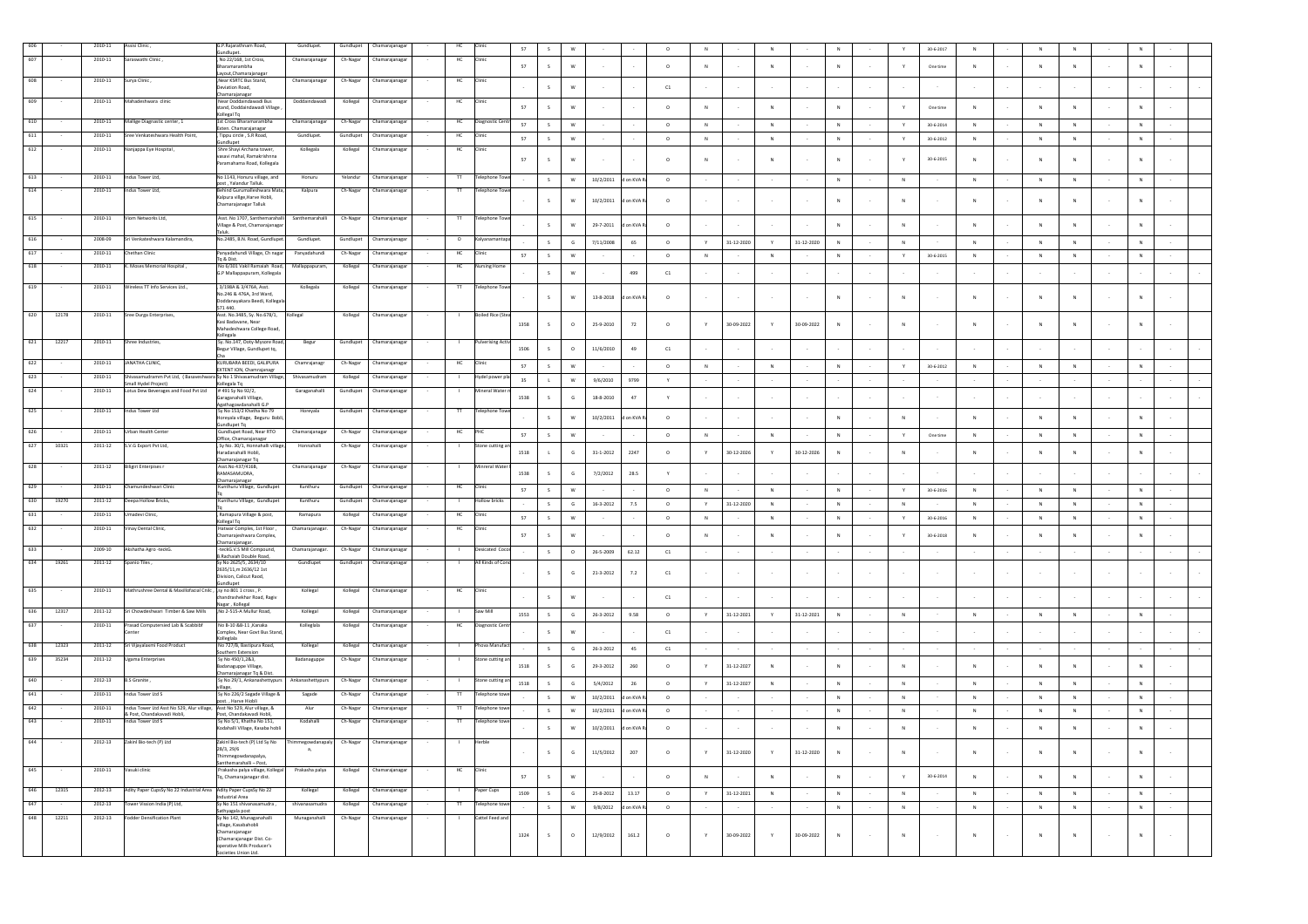|              | 2010-11     | Assisi Clinic                                                                                | G.P.Rajarathnam Road,                                            | Gundlupet.                 | Gundlupet | Chamarajanagar           | HC             |                          | 57     |                         |                                        |            | $\circ$    |           |                  |                 |                  |                |        |              | 30-6-2017       | $\mathbb{N}$ |           |                |        |             |        |  |
|--------------|-------------|----------------------------------------------------------------------------------------------|------------------------------------------------------------------|----------------------------|-----------|--------------------------|----------------|--------------------------|--------|-------------------------|----------------------------------------|------------|------------|-----------|------------------|-----------------|------------------|----------------|--------|--------------|-----------------|--------------|-----------|----------------|--------|-------------|--------|--|
|              |             |                                                                                              | undlupet.                                                        |                            |           |                          |                |                          |        |                         |                                        |            |            |           |                  |                 |                  |                |        |              |                 |              |           |                |        |             |        |  |
|              | $2010 - 11$ | Saraswathi Clinic,                                                                           | No 22/168, 1st Cross,<br>haramarambha                            | Chamarajanagar             | Ch-Nagar  | Chamarajanagar           | HC             | <b>Iinic</b>             | 57     | s.<br>W                 |                                        |            | $\circ$    | ${\sf N}$ |                  | $\,N\,$         |                  | N              |        |              | One time        | ${\sf N}$    | N         | N              |        | N           |        |  |
| 608          | 2010-11     | , Surya Clinic                                                                               | ayout, Chamarajanaga<br>,Near KSRTC Bus Stand,                   | Chamarajanagar             | Ch-Nagar  | Chamarajanagar           |                |                          |        |                         |                                        |            |            |           |                  |                 |                  |                |        |              |                 |              |           |                |        |             |        |  |
|              |             |                                                                                              | Deviation Road,                                                  |                            |           |                          | HC             |                          |        | w<br>$\mathcal{L}$      |                                        |            | C1         |           |                  |                 |                  |                |        |              |                 |              |           |                |        |             |        |  |
| 609          | 2010-11     | Mahadeshwara clinic                                                                          | Chamarajanagar<br>Near Doddaindawadi Bus                         | Doddaindawadi              | Kollegal  | Chamarajanagar           | HC             |                          |        |                         |                                        |            |            |           |                  |                 |                  |                |        |              |                 |              |           |                |        |             |        |  |
|              |             |                                                                                              | tand, Doddaindawadi Village                                      |                            |           |                          |                |                          | 57     | w                       |                                        |            | $\circ$    | $\,$ N    |                  | $\,$ N          |                  | $_{\rm N}$     |        |              | One time        | ${\sf N}$    | N         | $\overline{N}$ |        | N           |        |  |
|              | 2010-11     | Mallige Diagnastic center, 1                                                                 | Kollegal Tq<br>1st Cross Bharamarambha                           | Chamarajanagar             | Ch-Nagar  | Chamarajanagar           | HC             | Diagnostic Cen           |        |                         |                                        |            |            |           |                  |                 |                  |                |        |              |                 |              |           |                |        |             |        |  |
|              |             |                                                                                              | Exten. Chamarajanagar                                            |                            |           |                          |                |                          | 57     | w                       |                                        |            | $\circ$    | ${\sf N}$ |                  | ${\sf N}$       |                  | N              |        | Y.           | 30-6-2014       | ${\sf N}$    |           | $\overline{N}$ |        |             |        |  |
| 611          | 2010-11     | Sree Venkateshwara Health Point.                                                             | Tippu circle, S.R Road,<br>undlupet                              | Gundlupet.                 | Gundlupet | Chamarajanaga            | HC             | Clinic                   | 57     | $\mathsf{s}$<br>w       |                                        |            | $\circ$    | ${\sf N}$ |                  | ${\sf N}$       |                  | $\,N\,$        |        | $\mathsf{Y}$ | $30 - 6 - 2012$ | ${\sf N}$    | ${\sf N}$ | $\overline{N}$ |        | ${\sf N}$   |        |  |
| 612          | 2010-11     | Nanjappa Eye Hospital,                                                                       | Shre Shavi Archana tower                                         | Kollegala                  | Kollegal  | Chamarajanagar           | HC             | Clinic                   |        |                         |                                        |            |            |           |                  |                 |                  |                |        |              |                 |              |           |                |        |             |        |  |
|              |             |                                                                                              | vasavi mahal, Ramakrishnna<br>Paramahama Road, Kollegala         |                            |           |                          |                |                          | 57     | w<br>s.                 |                                        |            | $\circ$    |           |                  | $\,N\,$         |                  | N              |        |              | 30-6-2015       | $\mathsf{N}$ |           |                |        | N           |        |  |
|              |             |                                                                                              |                                                                  |                            |           |                          |                |                          |        |                         |                                        |            |            |           |                  |                 |                  |                |        |              |                 |              |           |                |        |             |        |  |
|              | 2010-11     | Indus Tower Ltd,                                                                             | No 1143, Honuru village, and<br>ost, Yalandur Talluk.            | Honuru                     | Yelandur  | Chamarajanaga            | $\pi$          | <b>Telephone Tow</b>     |        | S<br>W                  | 10/2/2011                              | d on KVA R | $\circ$    |           |                  | $\sim$          |                  | N              | $\sim$ | ${\sf N}$    |                 | ${\sf N}$    | N         | $\,$ N         |        | N           |        |  |
| 614          | 2010-11     | Indus Tower Ltd,                                                                             | Behind Gurumalleshwara Mata,                                     | Kalpura                    | Ch-Nagar  | Chamarajanagar           | $^{\text{TT}}$ | <b>Felephone Tow</b>     |        |                         |                                        |            |            |           |                  |                 |                  |                |        |              |                 |              |           |                |        |             |        |  |
|              |             |                                                                                              | Kalpura villge, Harve Hobli,<br>Chamarajanagar Talluk            |                            |           |                          |                |                          |        | W<br>$\mathcal{L}$      | 10/2/2011                              | I on KVA R | $\circ$    |           |                  | $\sim$          |                  | N              |        | $\mathbb{N}$ |                 | $\mathbb{N}$ |           | $\mathbb{N}$   |        | N           |        |  |
|              |             |                                                                                              |                                                                  |                            |           |                          |                |                          |        |                         |                                        |            |            |           |                  |                 |                  |                |        |              |                 |              |           |                |        |             |        |  |
| 615          | 2010-11     | Viom Networks Ltd,                                                                           | Asst. No 1707, Santhemarahalli<br>/illage & Post, Chamarajanagar | Santhemarahalli            | Ch-Nagar  | Chamarajanagar           | π              | <b>Telephone Tow</b>     |        | $\mathsf{s}$<br>w       | 29-7-2011                              | on KVA     | $\circ$    |           |                  |                 |                  | $_{\rm N}$     |        | $\mathbf N$  |                 | $\mathsf N$  |           | $\mathsf{N}$   |        | N           |        |  |
|              |             |                                                                                              |                                                                  |                            |           |                          |                |                          |        |                         |                                        |            |            |           |                  |                 |                  |                |        |              |                 |              |           |                |        |             |        |  |
| 616          | 2008-09     | iri Venkateshwara Kalamandira,                                                               | No.2485, B.N. Road, Gundlupet.                                   | Gundlupet.                 | Gundlupet | Chamarajanagar           | $\circ$        | Kalyanamantap            |        | $\mathsf{s}$<br>G       | 7/11/2008                              | 65         | $\circ$    | Y         | 31-12-2020       | $\mathbb {Y}$   | 31-12-2020       | N              |        | ${\sf N}$    |                 | ${\sf N}$    | N         | $\,$ N         |        | N           |        |  |
|              | 2010-11     | <b>Chethan Clinic</b>                                                                        | anyadahundi Village, Ch nagar                                    | Panyadahun                 | Ch-Nagar  | hamarajanaga             | нс             |                          | 57     | S<br>w                  |                                        |            | $\circ$    | $\,$ N    |                  | $\,N\,$         |                  | $\,N\,$        |        | Y.           | 30-6-2015       | $\,$ N $\,$  | N         | ${\sf N}$      |        | ${\sf N}$   |        |  |
| 618          | 2010-11     | K. Moses Memorial Hospital,                                                                  | To & Dist.<br>No 6/301 Vakil Ramaiah Road,                       | Mallappapuram              | Kollegal  | Chamarajanaga            | HC             | rsing Hom                |        |                         |                                        |            |            |           |                  |                 |                  |                |        |              |                 |              |           |                |        |             |        |  |
|              |             |                                                                                              | G.P Mallappapuram, Kollegala                                     |                            |           |                          |                |                          |        | W                       |                                        | 499        | C1         |           |                  |                 |                  |                |        |              |                 |              |           |                |        |             |        |  |
| 619          | 2010-11     | Wireless TT Info Services Ltd.,                                                              | .3/198A & 3/476A. Asst.                                          | Kollegala                  | Kollegal  | Chamarajanagar           | $^{\text{TT}}$ | Telephone Towe           |        |                         |                                        |            |            |           |                  |                 |                  |                |        |              |                 |              |           |                |        |             |        |  |
|              |             |                                                                                              | No.246 & 476A. 3rd Ward.                                         |                            |           |                          |                |                          |        | $\mathsf{s}$<br>w       | $13 - 8 - 2018$                        | on KVA R   | $\circ$    |           |                  |                 |                  | N              |        | N            |                 |              |           | $\mathsf{N}$   |        | $_{\rm N}$  |        |  |
|              |             |                                                                                              | Doddanayakara Beedi, Kollegal<br>571 440.                        |                            |           |                          |                |                          |        |                         |                                        |            |            |           |                  |                 |                  |                |        |              |                 |              |           |                |        |             |        |  |
| 620<br>12178 | 2010-11     | Sree Durga Enterprises,                                                                      | Asst. No.3485, Sy. No.678/1, Kollegal                            |                            | Kollegal  | Chamarajanaga            | $\blacksquare$ | <b>Boiled Rice (Ste</b>  |        |                         |                                        |            |            |           |                  |                 |                  |                |        |              |                 |              |           |                |        |             |        |  |
|              |             |                                                                                              | Kasi Badavane, Near<br>Mahadeshwara College Road                 |                            |           |                          |                |                          | 1358   | S                       | $\circ$<br>25-9-2010                   | 72         | $\circ$    |           | 30-09-2022       | Y.              | 30-09-2022       | $\,N\,$        |        | $\mathbf N$  |                 | $\mathsf{N}$ |           | $\mathbb{N}$   |        | $_{\rm N}$  |        |  |
|              |             |                                                                                              | Kollegala                                                        |                            |           |                          |                |                          |        |                         |                                        |            |            |           |                  |                 |                  |                |        |              |                 |              |           |                |        |             |        |  |
| 621<br>12217 | 2010-11     | Shree Industries,                                                                            | Sy. No.147, Ooty-Mysore Road,<br>Begur Village, Gundlupet tq,    | Begur                      |           | Gundlupet Chamarajanagar | - 11           | ulverising Act           | 1506   | $\mathsf{s}$<br>$\circ$ | 11/6/2010                              | 49         | C1         |           |                  |                 |                  |                |        |              |                 |              |           |                |        |             |        |  |
| 622          | 2010-11     | JANATHA CLINIC,                                                                              | KURUBARA BEEDI, GALIPURA                                         |                            |           |                          |                |                          |        |                         |                                        |            |            |           |                  |                 |                  |                |        |              |                 |              |           |                |        |             |        |  |
|              |             |                                                                                              | EXTENT ION, Chamrajanagr                                         | Chamrajanagr               | Ch-Nagar  | Chamarajanagar           | HC             |                          | 57     | S<br>W                  |                                        |            | $\circ$    | N         |                  | N               |                  | N              |        | Y            | 30-6-2012       | N            | N         | N              |        | N           |        |  |
| 623          | 2010-11     | Shivasamudramm Pvt Ltd, ( Basaveshwara Sy No 1 Shivasamudram Village,<br>mall Hydel Project) | Kollegala Tq                                                     | Shivasamudran              | Kollegal  | Chamarajanaga            |                | Hydel power pl:          | 35     | $\mathbf{L}$            | 9/6/2010<br>W                          | 9799       | Y          |           |                  | $\sim$          |                  |                |        |              |                 |              |           |                |        |             |        |  |
|              | 2010-11     | Lotus Dew Beverages and Food Pvt Ltd                                                         | #491 Sy No 92/2,                                                 | Garaganahall               | Gundlupet | Chamarajanaga            |                | lineral Wate             |        |                         |                                        |            |            |           |                  |                 |                  |                |        |              |                 |              |           |                |        |             |        |  |
|              |             |                                                                                              | Garaganahalli Village,<br>Agathagowdanahalli G.F                 |                            |           |                          |                |                          | 1538   | G                       | 18-8-2010                              | 47         | Y          |           |                  |                 |                  |                |        |              |                 |              |           |                |        |             |        |  |
|              | 2010-11     | Indus Tower Ltd                                                                              | Sy No 153/2 Khatha No 79                                         | Horeyala                   | Gundlupet | Chamarajanagar           | $^{\text{II}}$ | elephone Tow             |        |                         |                                        |            |            |           |                  |                 |                  |                |        |              |                 |              |           |                |        |             |        |  |
|              |             |                                                                                              | oreyala village, Beguru Bobli,<br>undlupet Tq                    |                            |           |                          |                |                          |        | W<br>$\mathcal{L}$      | 10/2/2011                              | on KVA F   | $\circ$    |           |                  |                 |                  | $\mathbb{N}$   |        | $\mathbb{N}$ |                 | $\mathbf N$  |           | N              |        | N           |        |  |
|              | 2010-11     | Urban Health Center                                                                          | Gundlupet Road, Near RTO                                         | Chamarajanaga              | Ch-Nagar  | Chamarajanagar           | HC             |                          | 57     | W<br>-S                 |                                        |            | $\circ$    | N         |                  | N               |                  | $\,N\,$        |        | Y.           | One time        | ${\sf N}$    | N         | $\,$ N         |        | N           |        |  |
| 627<br>10321 | 2011-12     | S.V.G Export Pvt Ltd,                                                                        | Office, Chamarajanagar<br>, Sy No. 30/1, Honnahalli village      | Honnahalli                 | Ch-Nagar  | Chamarajanagar           | $\mathbf{I}$   | Stone cutting a          |        |                         |                                        |            |            |           |                  |                 |                  |                |        |              |                 |              |           |                |        |             |        |  |
|              |             |                                                                                              | aradanahalli Hobli,                                              |                            |           |                          |                |                          | 1518   | G                       | $31 - 1 - 2012$                        | 2247       | $\circ$    |           | 30-12-2026       | Y.              | 30-12-2026       | $\,N\,$        |        | N            |                 | ${\sf N}$    | N         | N              |        | N           |        |  |
| 628          | 2011-12     | <b>Biligiri Enterpises r</b>                                                                 | Chamarajanagar Tq<br>Asst.No 437/416B.                           | Chamarajanagar             | Ch-Nagar  | Chamarajanagar           |                | Minreral Wat             |        |                         |                                        |            |            |           |                  |                 |                  |                |        |              |                 |              |           |                |        |             |        |  |
|              |             |                                                                                              | RAMASAMUDRA.                                                     |                            |           |                          |                |                          | 1538   | G<br>s.                 | 7/2/2012                               | 28.5       | Y          |           |                  | $\sim$          |                  |                |        |              |                 |              |           | $\sim$         | $\sim$ |             |        |  |
| 629          | 2010-11     | Chamundeshwari Clinic                                                                        | Chamarajanagar<br>Kunthuru Village, Gundlupet                    | Kunthuru                   | Gundlupet | Chamarajanaga            | HC             | <b>Tinic</b>             | 57     | w                       |                                        |            | $\circ$    | ${\sf N}$ |                  | $\mathbb N$     |                  | $_{\rm N}$     |        | $\mathbf{Y}$ | 30-6-2016       | ${\sf N}$    |           | $\mathsf{N}$   |        | N           |        |  |
| 630<br>19270 | 2011-12     | Deepa Hollow Bricks,                                                                         | Kunthuru Village, Gundlupet                                      | Kunthuru                   | Gundlupet | Chamarajanaga            | $\blacksquare$ | <b>Iollow bricks</b>     |        |                         |                                        |            |            |           |                  |                 |                  |                |        |              |                 |              |           |                |        |             |        |  |
|              |             |                                                                                              |                                                                  |                            |           |                          |                |                          |        | G                       | 16-3-2012                              | 7.5        | $\circ$    | v         | $31 - 12 - 2020$ | $\,N\,$         |                  | N              |        | $\mathbb N$  |                 | ${\sf N}$    |           | $\mathbb{N}$   |        | N           |        |  |
| 631          | 2010-11     | Umadevi Clinic,                                                                              | , Ramapura Village & post,<br>Kollegal Tq                        | Ramapura                   | Kollegal  | Chamarajanaga            | HC             | Jinic                    | 57     | W                       |                                        |            | $\circ$    | ${\sf N}$ |                  | $\,N\,$         |                  | $\,N\,$        |        | Y            | 30-6-2016       | ${\sf N}$    | N         | ${\sf N}$      |        | ${\sf N}$   |        |  |
| 632          | 2010-11     | Vinay Dental Clinic,                                                                         | Hatwar Comples, 1st Floor,                                       | Chamarajanagar             | Ch-Nagar  | Chamarajanaga            | HC             | Jinic                    | 57     |                         |                                        |            |            |           |                  |                 |                  | $\overline{N}$ |        |              |                 |              |           | N              |        |             |        |  |
|              |             |                                                                                              | Chamarajeshwara Complex,<br>Chamarajanagar.                      |                            |           |                          |                |                          |        | W                       |                                        |            | $\circ$    | N         |                  | N               |                  |                |        |              | 30-6-2018       | $\mathsf N$  |           |                |        | N           |        |  |
|              | 2009-10     | Akshatha Agro -teckG.                                                                        | -teckG.V.S Mill Compound,<br>B.Rachaiah Double Road,             | Chamarajanagar             | Ch-Nagar  | Chamarajanagar           | -11            | <b>Desicated Coco</b>    |        | S<br>$\circ$            | 26-5-2009                              | 62.12      | C1         |           |                  |                 |                  |                | $\sim$ |              |                 |              |           |                |        |             |        |  |
| 634<br>19261 | 2011-12     | Spanio Tiles,                                                                                | Sy No 2625/5, 2634/10                                            | Gundlupet                  | Gundlupet | Chamarajanagar           | -11            | <b>All Kinds of Cond</b> |        |                         |                                        |            |            |           |                  |                 |                  |                |        |              |                 |              |           |                |        |             |        |  |
|              |             |                                                                                              | 2635/11,m 2636/12 1st<br>ivision, Calicut Raod,                  |                            |           |                          |                |                          |        | G<br>$\mathcal{L}$      | 21-3-2012                              | 7.2        | C1         |           |                  | $\sim$          |                  |                |        |              |                 |              |           |                |        |             |        |  |
|              |             |                                                                                              | Sundlupet                                                        |                            |           |                          |                |                          |        |                         |                                        |            |            |           |                  |                 |                  |                |        |              |                 |              |           |                |        |             |        |  |
| 635          | 2010-11     | Mathrushree Dental & Maxillofacial Cnilc, , sy no 801 1 cross, P.                            | handrashekhar Road, Ragiv                                        | Kollegal                   | Kollegal  | Chamarajanagar           | HC             | Clinic                   |        | W                       |                                        |            | C1         |           |                  |                 |                  |                |        |              |                 |              |           |                |        |             |        |  |
|              |             |                                                                                              | Jagar, Kollegal                                                  |                            |           |                          |                |                          |        |                         |                                        |            |            |           |                  |                 |                  |                |        |              |                 |              |           |                |        |             |        |  |
| 636<br>12317 | 2011-12     | Sri Chowdeshwari Timber & Saw Mills                                                          | ,No 2-515-A Mullur Road,                                         | Kollegal                   | Kollegal  | Chamarajanagar           |                | Saw Mill                 | 1553   | S                       | $\mathsf{G}$<br>26-3-2012              | 9.58       | $\circ$    | Y         | $31 - 12 - 2021$ | $\mathbb {Y}$   | $31 - 12 - 2021$ | $\,$ N         |        | ${\sf N}$    |                 | ${\sf N}$    | N         | N              |        | N           |        |  |
| 637          | $2010 - 11$ | Prasad Computersied Lab & Scabbibf                                                           | No B-10 &B-11 ,Kanaka                                            | Kollegiala                 | Kollegal  | Chamarajanaga            | HC             | Diagnostic Centr         |        | w                       |                                        |            |            |           |                  |                 |                  |                |        |              |                 |              |           |                |        |             |        |  |
|              |             |                                                                                              | Complex, Near Govt Bus Stand<br>Kollegiala                       |                            |           |                          |                |                          |        |                         |                                        |            | C1         |           |                  |                 |                  |                |        |              |                 |              |           |                |        |             |        |  |
| 638<br>12323 | 2011-12     | Sri Vijayalaxmi Food Product                                                                 | No 727/B, Bastipura Road,<br>outhern Extension                   | Kollegal                   | Kollegal  | Chamarajanagar           | $\mathbf{L}$   | hova Manufa              |        |                         | 26-3-2012<br>G                         | $45\,$     | ${\tt C1}$ |           |                  |                 |                  |                |        |              |                 |              |           |                |        |             |        |  |
| 639<br>35234 | 2011-12     | <b>Ugama Enterprises</b>                                                                     | Sy No 450/1,2&3,                                                 | Badanaguppe                | Ch-Nagar  | Chamarajanaga            | $\blacksquare$ | Stone cutting a          |        |                         |                                        |            |            |           |                  |                 |                  |                |        |              |                 |              |           |                |        |             |        |  |
|              |             |                                                                                              | Badanaguppe Village,<br>Chamarajanagar Tq & Dist.                |                            |           |                          |                |                          | 1518   | s.<br>G                 | 29-3-2012                              | 260        | $\circ$    |           | 31-12-2027       | N               |                  | N              |        | N            |                 | $\mathbb{N}$ |           | $\mathbb{N}$   |        | N           |        |  |
|              | 2012-13     | <b>B.S</b> Granite,                                                                          | Sy No 29/1, Ankanashettypurs                                     | Ankanashettypurs           | Ch-Nagar  | Chamarajanagar           |                | Stone cutting an         | 1518   | S                       | $\mathsf{G}$<br>5/4/2012               | 26         | $\circ$    | Y         | $31 - 12 - 2027$ | $\,$ N          |                  | $\,N\,$        |        | ${\sf N}$    |                 | ${\sf N}$    | N         | N              |        | N           |        |  |
| 641          | 2010-11     | Indus Tower Ltd S                                                                            | illage,<br>Sy No 226/2 Sagade Village &                          | Sagade                     | Ch-Nagar  | Chamarajanaga            |                | elephone tov             |        |                         |                                        | on KVA R   |            |           |                  |                 |                  |                |        |              |                 |              | N         |                |        |             |        |  |
| 642          | 2010-11     | Indus Tower Ltd Asst No 529, Alur village, Asst No 529, Alur village, &                      | ost., Harve Hiobli                                               | Alur                       | Ch-Nagar  |                          | TT             | Telephone towe           |        | W<br>S.                 | 10/2/2011                              |            | $\circ$    |           |                  |                 |                  | $\,N\,$        |        | ${\sf N}$    |                 | $\mathbb N$  |           | ${\sf N}$      |        | ${\sf N}$   |        |  |
|              |             | & Post, Chandakavadi Hobli,                                                                  | Post, Chandakavadi Hobli,                                        |                            |           | Chamarajanagar           |                |                          |        | S                       | W<br>10/2/2011                         | d on KVA F | $\circ$    |           |                  |                 |                  | $\,N\,$        |        | ${\sf N}$    |                 | $\mathbb N$  | N         | N              |        | N           |        |  |
| 643          | 2010-11     | Indus Tower Ltd S                                                                            | Sy No 5/1, Khatha No 151,<br>Kodahalli Village, Kasaba hobli     | Kodahalli                  | Ch-Nagar  | Chamarajanagar           | TT             | Telephone towe           |        | S                       | $\ensuremath{\mathsf{w}}$<br>10/2/2011 | d on KVA F | $\circ$    |           |                  | $\sim$          |                  | ${\sf N}$      |        | ${\sf N}$    |                 | ${\sf N}$    |           | $\mathsf{N}$   |        | $\,N\,$     |        |  |
|              |             |                                                                                              |                                                                  |                            |           |                          |                |                          |        |                         |                                        |            |            |           |                  |                 |                  |                |        |              |                 |              |           |                |        |             |        |  |
| 644          | 2012-13     | Zakinl Bio-tech (P) Ltd                                                                      | lakinl Bio-tech (P) Ltd Sy No<br>28/3, 29/6                      | megowdanapa<br>$a_{\rm r}$ | Ch-Nagar  | Chamarajanagar           |                |                          |        |                         |                                        |            |            |           |                  |                 |                  |                |        |              |                 |              |           |                |        |             |        |  |
|              |             |                                                                                              | immegowdanapalya,                                                |                            |           |                          |                |                          | $\sim$ | S<br>G                  | 11/5/2012                              | 207        | $\circ$    | Y         | 31-12-2020       | Y               | $31 - 12 - 2020$ | N              |        | ${\sf N}$    |                 | N            | N         | N              | $\sim$ | N           | $\sim$ |  |
|              |             |                                                                                              | nthemarahalli - Post,<br>Prakasha palya village, Kollegal        | Prakasha palya             |           | Kollegal Chamarajanagar  | HC             | Clinic                   |        |                         |                                        |            |            |           |                  |                 |                  |                |        |              |                 |              |           |                |        |             |        |  |
|              | 2010-11     | Vasuki clinic                                                                                |                                                                  |                            |           |                          |                |                          | 57     | $\mathsf{s}$            | W                                      |            | $\circ$    | N         |                  | $\,N\,$         |                  | $\,$ N         |        | $\mathbf{v}$ | 30-6-2014       | N            | N         | N              | $\sim$ | ${\sf N}$   | $\sim$ |  |
| 645          |             |                                                                                              | Tq, Chamarajanagar dist.                                         |                            |           |                          |                |                          |        |                         |                                        |            |            |           |                  |                 |                  |                |        |              |                 |              |           |                |        |             |        |  |
| 646<br>12315 | 2012-13     |                                                                                              |                                                                  |                            |           |                          | $\mathbf{I}$   |                          |        |                         |                                        |            |            |           |                  |                 |                  |                |        |              |                 |              |           |                |        |             |        |  |
|              |             | Adity Paper CupsSy No 22 Industrial Area Adity Paper CupsSy No 22                            | dustrial Area                                                    | Kollegal                   | Kollegal  | Chamarajanagar           |                | Paper Cups               | 1509   | S                       | $\mathsf{G}$<br>25-8-2012              | 13.17      | $\circ$    | Y         | $31 - 12 - 2021$ | $\,$ N $\,$     |                  | $\,N\,$        | $\sim$ | ${\sf N}$    |                 | ${\sf N}$    | $\,$ N    | $\,$ N         | $\sim$ | ${\sf N}$   | $\sim$ |  |
| 647          | 2012-13     | Tower Vission India (P) Ltd,                                                                 | Sy No 151 shivanasamudra,<br>athyagala post                      | shivanasamudra             | Kollegal  | Chamarajanagar           | $\mathbf{H}$   | Telephone tow            |        | S                       | $\mathsf{W}$<br>9/8/2012               | on KVA F   | $\circ$    |           |                  |                 |                  | $_{\rm N}$     |        | $\mathbb N$  |                 | ${\sf N}$    | $\,N\,$   | $\,$ N         | $\sim$ | $\,$ N $\,$ | $\sim$ |  |
| 648<br>12211 | 2012-13     | <b>Fodder Densification Plant</b>                                                            | Sy No 142, Munaganahalli                                         | Munaganahalli              | Ch-Nagar  | Chamarajanagar           | $\mathbf{L}$   | Cattel Feed and          |        |                         |                                        |            |            |           |                  |                 |                  |                |        |              |                 |              |           |                |        |             |        |  |
|              |             |                                                                                              | village, Kasabahobli<br>Chamarajanagar                           |                            |           |                          |                |                          |        |                         |                                        |            |            |           |                  |                 |                  |                |        |              |                 |              |           |                |        |             |        |  |
|              |             |                                                                                              | Chamarajanagar Dist. Co-<br>pperative Milk Producer's            |                            |           |                          |                |                          | 1324   | S                       | $\circ$<br>12/9/2012                   | 161.2      | $\circ$    | Y         | 30-09-2022       | $\mathbb {Y}$ . | 30-09-2022       | $\,N\,$        | $\sim$ | ${\sf N}$    |                 | ${\sf N}$    | N         | ${\sf N}$      | $\sim$ | $\,$ N      | $\sim$ |  |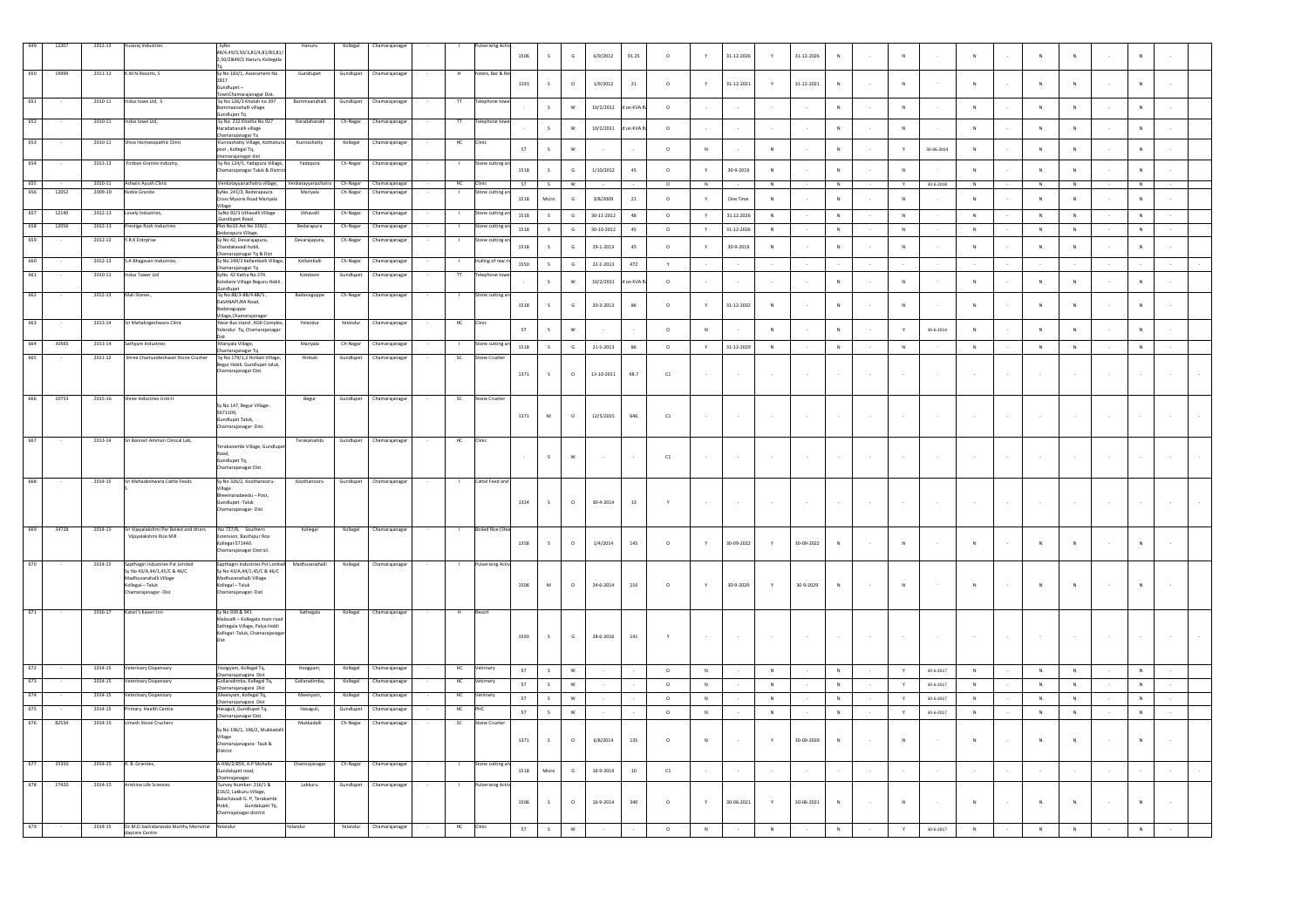| 650        | 12207<br>19999 | 2012-13<br>2011-12 | uvaraj Industries<br>K.M.N.Resorts, S                              | 48/4 49/3 50/3 81/4 81/83 81/<br>2,50/2&49/2 Hanuru Kollegala<br>Sy No 183/1, Assessment No     | Hanuru<br>Gundlupet            | Kollegal<br>Gundlupet | hamarajanag<br>Chamarajanaga    |              | tels, Bar & R               | 1506   |                      | $\mathbb{G}$              | 6/9/2012         | 91.25         | $\circ$      |              | $31 - 12 - 2026$ |                | 31-12-2026 |        |        | $\mathbf N$  |                 |              |                |                         |        |              |  |
|------------|----------------|--------------------|--------------------------------------------------------------------|-------------------------------------------------------------------------------------------------|--------------------------------|-----------------------|---------------------------------|--------------|-----------------------------|--------|----------------------|---------------------------|------------------|---------------|--------------|--------------|------------------|----------------|------------|--------|--------|--------------|-----------------|--------------|----------------|-------------------------|--------|--------------|--|
|            |                |                    |                                                                    | 2817<br>Gundlupet-<br>FownChamarajanagar Dist.                                                  |                                |                       |                                 |              |                             | 1335   | $\mathsf{s}$         | $\circ$                   | 1/9/2012         | $21\,$        | $\circ$      |              | $31 - 12 - 2021$ | Y              | 31-12-2021 | N      |        | $\mathsf{N}$ |                 |              |                | N                       |        |              |  |
| 651        |                | 2010-11            | Indus towe Ltd, S                                                  | Sy No 126/3 Khatah no 397<br>mmaanahalli village<br>undlupet Tq                                 | Bommaanahalli                  | Gundlupet             | Chamarajanaga                   | $\mathbf{H}$ | elephone to                 |        | $\mathsf{s}$         | W                         | 10/2/2011        | on KVA        | $\circ$      |              |                  |                |            | N      |        | $\mathbb{N}$ |                 | N            | $\mathbf{N}$   | N                       |        | N            |  |
| 652        |                | 2010-11            | ndus towe Ltd.                                                     | Sv No 232 Khatha No 927<br>.<br>Iradahanalli village                                            | Haradahanall                   | Ch-Nagar              | Chamarajanaga                   |              | lephone ti                  |        | $\mathsf S$          | $\mathsf{w}$              | 10/2/2011        | on KVA        | $\circ$      |              |                  |                |            | N      |        | $\mathbb N$  |                 |              | ${\sf N}$      | $\mathbf N$             |        | N            |  |
| 653        |                | 2010-11            | Shiva Homoeopathic Clinic                                          | hamarajanagar Ta<br>Kunnashatty Village, Kothanu<br>ost , Kollegal Tq,                          | Kunnashatty                    | Kollegal              | Chamarajanaga                   | HC           | linic                       | $57\,$ | $\mathsf S$          | $\mathsf{w}$              |                  |               | $\circ$      | N            |                  | $\overline{N}$ |            | N      |        | Y            | 30-06-2014      | $\mathbf{N}$ | ${\sf N}$      | $\mathbb{N}$            |        | N            |  |
| 654        |                | 2012-13            | Firdose Granite Industry,                                          | hamarajanagar dist<br>.<br>Sy No 124/5, Yadapura Village,<br>hamarajanagar Taluk & Distri       | Yadapura                       | Ch-Nagar              | <b>Chamarajanaga</b>            |              | one cutting a               | 1518   | $\mathsf{s}$         | G                         | 1/10/2012        | 45            | $\circ$      | Y            | 30-9-2019        | N              |            | N      |        | N            |                 | N            | N              | N                       |        | N            |  |
| 655<br>656 | 12052          | $2009 - 10$        | 2010-11 Ashwin Ayush Clinic<br>Noble Granite                       | Venkatayyanachatra village,<br>SyNo. 241/3, Bedarapaura                                         | Venkatayyanachatra<br>Mariyala | Ch-Nagar<br>Ch-Nagar  | Chamarajanagar<br>Chamarajanaga |              | HC<br>Clinic<br>one cutting | 57     | S                    | w                         |                  |               | $\circ$      | $\,$ N       |                  | ${\sf N}$      |            | N      |        | Y            | $30 - 6 - 2018$ | $\mathbb N$  | $\,N\,$        | $\overline{\mathsf{N}}$ |        | N            |  |
| 657        | 12140          | 2012-13            | Lovely Industries.                                                 | ross Mysore Road Mariyala<br>Village<br>SyNo 92/3 Uthavalli Village                             | Uthavalli                      |                       |                                 |              | tone cutting                | 1518   | Micro                | G                         | 3/8/2009         | 21            | $\circ$      | Y            | One Time         | N              |            | N      |        | N            |                 | N            | N              | N                       |        | N            |  |
| 658        | 12056          | 2012-13            | restige Rock Industrie                                             | sundlupet Road.<br>Plot No33 Ast No 339/2                                                       | Bedarapura                     | Ch-Nagar<br>Ch-Nagar  | Chamarajanagai<br>hamarajanaga  |              | one cutting                 | 1518   | $\mathsf{s}$         | $\mathsf{G}$              | $30 - 11 - 2012$ | $48\,$        | $\circ$      | $\mathbf{v}$ | 31.12.2026       | $_{\rm N}$     |            | $\,$ N |        | $\,$ N       |                 | $\mathbf{N}$ | ${\sf N}$      | $\,$ N $\,$             |        | $\,$ N       |  |
| 659        |                | 2012-13            | Y.R.K Entrprise                                                    | Bedarapura Village,<br>Sy No 42, Devarajapura,                                                  | Devarajapura,                  | Ch-Nagar              | Chamarajanagar                  |              | stone cutting a             | 1518   | $\mathsf{s}$         | G                         | $30 - 10 - 2012$ | $4\mathsf{S}$ | $\circ$      | $\mathsf{Y}$ | $31 - 12 - 2026$ | $_{\rm N}$     |            | $\,$ N |        | $\mathbb N$  |                 | $\,$ N       | ${\sf N}$      | $\mathbb N$             |        | $_{\rm N}$   |  |
| 660        |                | 2012-13            |                                                                    | Chandakavadi hobli.<br>hamarajanagar Tq & Dist<br>Sy No 249/3 Kellamballi Vill                  | Kellamballi                    |                       |                                 |              |                             | 1518   | $\ddot{\phantom{a}}$ | $\mathsf{G}$              | 29-1-2013        | 45            | $\circ$      |              | 30-9-2019        | $\,N\,$        |            | N      |        | ${\sf N}$    |                 | $\,$ N       | ${\sf N}$      | ${\sf N}$               |        | N            |  |
|            |                | $2010 - 11$        | S.A Bhagavan Industries<br>dus Tower Ltd                           | Chamarajanagar Tq<br>SyNo 42 Katha No 274.                                                      | Kotekere                       | Ch-Nagar<br>Gundlupe  | Ihamarajanaga<br>hamarajanaga   |              | ulling of ra<br>lephone t   | 1550   | $\mathsf{s}$         | $\mathsf G$               | 22-2-2013        | $472\,$       | $\mathsf{Y}$ |              |                  |                |            |        |        |              |                 |              |                |                         |        |              |  |
|            |                |                    |                                                                    | otekere Village Beguru Hobli<br>indlupet                                                        |                                |                       |                                 |              |                             |        | s                    | W                         | 10/2/2011        | on KVA        | $\circ$      |              |                  |                |            | N      |        | $\,$ N       |                 | N            | N              | N                       | $\sim$ | N            |  |
| 662        |                | 2012-13            | Mali Stones                                                        | Sy No 88/3-88/4-88/5,<br>danaguppe                                                              | Badanaguppe                    | Ch-Nagar              | Chamarajanaga                   |              | tone cutting                | 1518   | s                    | G                         | 20-3-2013        | 86            | $\circ$      |              | 31-12-2032       | N              | $\sim$     | N      |        | N            |                 |              | $\overline{N}$ | $\mathbb{N}$            |        | N            |  |
| 663        |                | 2013-14            | Sri Mahalingeshwara Clinic                                         | /illage,Chamarajanagar<br>Vear Bus stand, KGK Complex<br>alandur Tq, Chamarajanaga              | Yelandur                       | Yelandur              | Chamarajanaga                   | HC           | inic                        | 57     | $\mathsf{s}$         | w                         |                  |               | $\circ$      | N            |                  | $\mathbf{N}$   |            | N      |        | Y.           | 30-6-2014       | N            | $\overline{N}$ | N                       |        | $\mathbb{N}$ |  |
| 664        | 30565          | 2013-14            |                                                                    | Mariyala Village,                                                                               | Mariyala                       | Ch-Nagar              | hamarajanaga                    |              | one cutting an              | 1518   | $\mathsf S$          | $\mathsf G$               | $21 - 5 - 2013$  | $86\,$        | $\circ$      | $\mathsf{Y}$ | 31-12-2029       | ${\sf N}$      |            | $\,$ N |        | $\,$ N       |                 | $\,$ N       | $\,$ N $\,$    | $\mathbb N$             |        | $_{\rm N}$   |  |
| 665        |                | 2011-12            | Shree Chamundeshwari Stone Crusher                                 | Chamarajanagar Tq<br>Sy No 179/1,2 Hirikati Village,                                            | Hirikati                       | Gundlupet             | Chamarajanagar                  | SC           | one Crushe                  |        |                      |                           |                  |               |              |              |                  |                |            |        |        |              |                 |              |                |                         |        |              |  |
|            |                |                    |                                                                    | Begur Hobli, Gundlupet taluk,<br>Chamarajanagar Dist.                                           |                                |                       |                                 |              |                             | 1371   | $\leq$               | $\circ$                   | 13-10-2011       | 48.7          | C1           |              |                  | $\sim$         | $\sim$     |        | $\sim$ | $\sim$       | $\sim$          |              |                |                         | $\sim$ |              |  |
| 666        | 20753          | 2015-16            | Shree Industries Unit-II                                           | Sy No 147, Begur Village-                                                                       | Begur                          | Gundlupet             | Chamarajanagar                  | - SC         | Stone Crushe                |        |                      |                           |                  |               |              |              |                  |                |            |        |        |              |                 |              |                |                         |        |              |  |
| 667        |                | 2013-14            | Sri Bannari Amman Clinical Lab,                                    | 5671109,<br>Gundlupet Taluk.<br>hamarajanagar- Dist.                                            | Terakanambi                    | Gundlupet             | Chamarajanaga                   | HC           |                             | 1371   | ${\sf M}$            | $\circ$                   | 12/5/2015        | 646           | $_{\rm C1}$  |              |                  |                |            |        |        |              |                 |              |                |                         |        |              |  |
|            |                |                    |                                                                    | Terakanambi Village, Gundlupe<br>Raod,<br>Gundlupet Tq,<br>Chamarajanagar Dist.                 |                                |                       |                                 |              |                             |        | $\mathsf{s}$         | $\mathsf{w}$              |                  |               | C1           |              |                  |                |            |        | $\sim$ | $\sim$       |                 |              |                |                         | $\sim$ |              |  |
| 668        |                | 2014-15            | Sri Mahadeshwara Cattle Feeds                                      | Sy No 326/2, Koothanooru<br>Village                                                             | Koothanooru                    | Gundlupet             | Chamarajanaga                   |              | Cattel Feed and             |        |                      |                           |                  |               |              |              |                  |                |            |        |        |              |                 |              |                |                         |        |              |  |
|            |                |                    |                                                                    | Bheemanabeedu - Post,<br>Gundlupet -Taluk<br>Chamarajanagar- Dist                               |                                |                       |                                 |              |                             | 1324   | s                    | $\circ$                   | 30-4-2014        | 13            |              |              |                  |                | $\sim$     |        | $\sim$ | $\sim$       | $\sim$          |              |                |                         | $\sim$ |              |  |
| 669        | 34728          | 2014-15            | Sri Vijayalakshmi Par Boiled and driers<br>Vijavalakshmi Rice Mill | No 727/B, Southers<br>Extension, Basthipur Roa                                                  | Kollegal                       | Kollega               | Chamarajanag                    |              | oiled Rice ()               |        |                      |                           |                  |               |              |              |                  |                |            |        |        |              |                 |              |                |                         |        |              |  |
|            |                |                    |                                                                    | Kollegal-571440.<br>Chamarajanagar District.                                                    |                                |                       |                                 |              |                             | 1358   | $\mathsf{s}$         | $\circ$                   | 1/4/2014         | 145           | $\circ$      |              | 30-09-2022       |                | 30-09-2022 | $\,$ N |        | $\mathbb N$  |                 |              |                |                         |        |              |  |
|            |                | 2014-15            | Sapthagiri Industries Pvt Limite<br>Sy No 43/A,44/1,45/C & 46/C    | nthaeirí Industries Pvt Lir<br>Sy No 43/A,44/1,45/C & 46/C                                      | Madhuvanahalli                 | Kollegal              | Chamarajanaga                   |              | erising A                   |        |                      |                           |                  |               |              |              |                  |                |            |        |        |              |                 |              |                |                         |        |              |  |
|            |                |                    | Madhuvanahalli Village<br>Kollegal - Taluk<br>hamarajanagar- Dist  | adhuvanahalli Village<br>Kollegal - Taluk<br>amarajanagar-Dist                                  |                                |                       |                                 |              |                             | 1506   | M                    | $\circ$                   | 24-6-2014        | 210           | $\circ$      |              | 30-9-2029        | $\mathbf{v}$   | 30-9-2029  | N      |        | $\,$ N       |                 |              | N              | N                       |        |              |  |
|            |                | 2016-17            | Katari's Kaveri Inn                                                | Sy No 939 & 941<br>Malayalli - Kollegala main roac                                              | Sathegala                      | Kollegal              | Chamarajanagai                  |              |                             |        |                      |                           |                  |               |              |              |                  |                |            |        |        |              |                 |              |                |                         |        |              |  |
|            |                |                    |                                                                    | Sathegala Village, Palya Hobli<br>Kollegal -Taluk, Chamarajanag                                 |                                |                       |                                 |              |                             | 1593   | $\sf s$              | $\mathsf{G}$              | 28-6-2016        | $141$         |              |              |                  |                |            |        |        | $\cdot$      |                 |              |                |                         |        |              |  |
|            |                | 2014-15            | Veterinary Dispensary                                              | iloogyam, Kollegal Tq,                                                                          | Hoogyam                        | Kollegal              | Chamarajanaga                   | HC           |                             | 57     | S                    | $\ensuremath{\mathsf{w}}$ |                  |               | $\circ$      | $\mathbb N$  |                  | N              |            | N      |        | $\mathbf{Y}$ | 30-6-2017       | $\,$ N       | $\,N\,$        | $\,$ N                  |        | N            |  |
| 673        |                | 2014-15            | Veterinary Dispensary                                              | Chamarajanagara Dist<br>.<br>Illaradimba, Kollegal Tq,                                          | Gollaradimba                   | Kollegal              | :<br>hamarajanaga               |              | HC<br>timery                | 57     | S                    | $\ensuremath{\mathsf{w}}$ |                  |               | $\circ$      | $\,$ N       |                  | $\,N\,$        |            | N      |        | $\mathsf{Y}$ | $30 - 6 - 2017$ | ${\sf N}$    | $\,$ N $\,$    | $\,$ N                  |        | ${\sf N}$    |  |
| 674        |                | 2014-15            | terinary Dispensary                                                | hamarajanagara Dist<br>leenyam, Kollegal Tq,                                                    | Meenyam,                       | Kollegal              | hamarajanaga                    | HC           | imery                       | 57     | $\mathsf{s}$         | $\ensuremath{\mathsf{w}}$ |                  |               | $\circ$      | $\,$ N $\,$  |                  | ${\sf N}$      |            | N      | $\sim$ | $\gamma$     | 30-6-2017       | N            | $\,$ N $\,$    | $\,$ N                  | $\sim$ | $\,$ N       |  |
| 675        |                | 2014-15            | Primary Health Centre                                              | Chamarajanagara Dist<br>Hasaguli, Gundlupet Tq,<br>hamarajanagar Dist.                          | Hasaguli,                      | Gundlupet             | Chamarajanaga                   | HC           |                             | 57     | S                    | W                         |                  |               | $\circ$      | N            |                  | N              |            | N      |        | Y.           | 30-6-2017       | N            | N              | N                       |        | N            |  |
| 676        | 82534          | 2014-15            | <b>Umesh Stone Crushers</b>                                        | Sy No 196/1, 196/2, Mukkadalli<br>Village<br>Chamarajanagara- Tauk &<br>District                | Mukkadalli                     | Ch-Nagar              | Chamarajanagar                  | <b>SC</b>    | tone Crusher                | 1371   | $\mathsf{s}$         | $\circ$                   | 6/8/2014         | 135           | $\circ$      |              |                  | $\mathbf{v}$   | 30-09-2029 | N      |        | $\mathbb{N}$ |                 |              |                | $\mathbf{N}$            |        | N            |  |
| 677        | 35350          | 2014-15            | R. B. Granites,                                                    | A-936/2/859, A.P Mohalla<br>Sundalupet road,                                                    | Chamrajanagar                  | Ch-Nagar              | hamarajanaga                    |              | one cutting a               | 1518   | Micro                | ${\mathsf G}$             | 16-9-2014        | $10\,$        | ${\tt C1}$   |              |                  |                |            |        |        |              |                 |              |                |                         |        |              |  |
| 678        | 27420          | 2014-15            | Arishina Life Science:                                             | hamrajanagar<br>Survey Number: 216/1 &<br>216/2, Lakkuru Village,<br>Balachavadi G. P, Terakamb | Lakkuru                        | Gundlupet             | Chamarajanagar                  |              |                             | 1506   | $\mathsf{s}$         | $\circ$                   | 16-9-2014        | 340           | $\circ$      |              | 30-06-2021       | $\mathbf{Y}$   | 30-06-2021 | N      |        | $\,$ N       |                 |              |                |                         |        |              |  |
|            |                | 2014-15            | Dr.M.D.Sachidananda Murthy Memorial Yelandur                       | Hobli. Gundalupet To.<br>Chamrajanagar district                                                 |                                | Yelandur              | Chamarajanagar                  |              |                             | 57     | s                    | W                         |                  |               | $\circ$      | N            |                  | N              |            |        |        | Y            | 30-6-2017       | N            |                |                         |        |              |  |
|            |                |                    | daycare Centre                                                     |                                                                                                 |                                |                       |                                 |              |                             |        |                      |                           |                  |               |              |              |                  |                |            |        |        |              |                 |              |                |                         |        |              |  |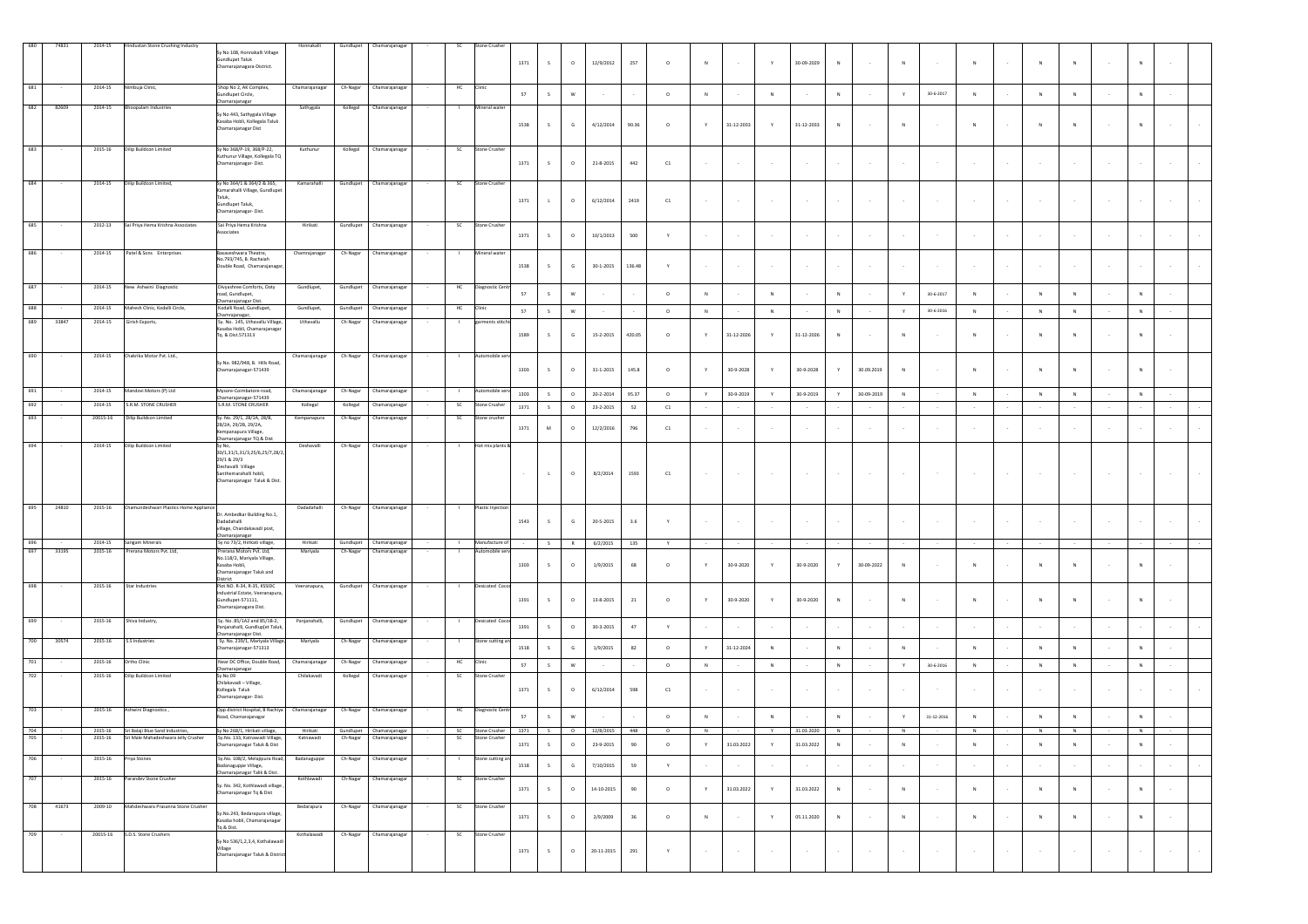| 680 | 74831 | 2014-15     | Hindustan Stone Crushing Industry        | iy No 108, Honnakalli Village<br>sundlupet Taluk<br>Chamarajanagara-District.                                                                                      | Honnakalli     |           | Gundlupet Chamarajanagar |        | <b>SC</b>      | Stone Crusher                           | 1371   | S                    | $\circ$       | 12/9/2012       | 257       | $\circ$             | N            |                  | Y             | 30-09-2029               | $\,N\,$   | $\sim$        | ${\sf N}$    |                 | N             |        | N            | ${\sf N}$    |        | ${\sf N}$      |        |        |
|-----|-------|-------------|------------------------------------------|--------------------------------------------------------------------------------------------------------------------------------------------------------------------|----------------|-----------|--------------------------|--------|----------------|-----------------------------------------|--------|----------------------|---------------|-----------------|-----------|---------------------|--------------|------------------|---------------|--------------------------|-----------|---------------|--------------|-----------------|---------------|--------|--------------|--------------|--------|----------------|--------|--------|
| 681 |       | 2014-15     | limbuja Clinic,                          | Shop No 2, AK Complex,<br>aundlupet Circle,<br>hamarajanagar                                                                                                       | Chamarajanagar | Ch-Nagar  | Chamarajanagar           |        | HC             | Clinic                                  | 57     | S                    | ${\sf w}$     |                 |           | $\circ$             | N            |                  | $\mathbb N$   |                          | $\,N\,$   |               | $\mathbf Y$  | 30-6-2017       | N             |        | N            | N            |        | $\,$ N         |        |        |
| 682 | 82609 | 2014-15     | <b>Bhoopalam Industries</b>              | y No 443, Sathygala Village<br>Kasaba Hobli, Kollegala Taluk<br>hamarajanagar Dist                                                                                 | Sathygala      |           | Kollegal Chamarajanagar  |        | - 11           | Mineral water                           | 1538   | S                    | $\mathsf{G}$  | 4/12/2014       | 90.36     | $\circ$             | $\mathbf{v}$ | 31-12-2033       | Y             | 31-12-2033               | N         | $\sim$        | N            |                 |               |        |              |              |        | N              |        |        |
|     |       | $2015 - 16$ | <b>Dilip Buildcon Limited</b>            | Sy No 368/P-19, 368/P-22,<br>uthunur Village, Kollegala TQ<br>Chamarajanagar-Dist.                                                                                 | Kuthunur       | Kollegal  | Chamarajanagar           |        | SC             | Stone Crusher                           | 1371   | S                    | $\circ$       | 21-8-2015       | $442\,$   | C1                  |              |                  |               |                          |           | $\sim$        |              |                 |               |        |              |              |        |                |        |        |
| 684 |       | 2014-15     | Dilip Buildcon Limited,                  | Sy No 364/1 & 364/2 & 365,<br>Camarahalli Village, Gundlupi<br>Taluk.<br>Gundlupet Taluk.<br>Chamarajanagar- Dist.                                                 | Kamarahalli    |           | Gundlupet Chamarajanagar |        | SC             | Stone Crusher                           | 1371   | $\mathbf{L}$         | $\circ$       | 6/12/2014       | 2419      | ${\tt C1}$          |              |                  |               |                          |           | $\sim$        |              |                 |               |        |              |              |        |                |        |        |
| 685 |       | 2012-13     | Sai Priya Hema Krishna Associates        | Sai Priva Hema Krishna<br>ssociates                                                                                                                                | Hirikati       |           | Gundlupet Chamarajanaga  |        | SC             | Stone Crushe                            | 1371   | $\mathsf{s}$         | $\circ$       | 10/1/2013       | 500       | Y                   |              |                  |               |                          |           | $\sim$        |              |                 |               |        |              |              |        |                |        |        |
|     |       | 2014-15     | Patel & Sons Enterprises                 | Basaveshwara Theatre,<br>lo.793/745, B. Rachaiah<br>Jouble Road, Chamarajanagar                                                                                    | Chamrajanagar  |           | Ch-Nagar Chamarajanagar  |        |                | Mineral water                           | 1538   | $\mathsf{s}$         | ${\mathsf G}$ | 30-1-2015       | 136.48    | Y                   |              |                  | $\sim$        |                          |           | $\sim$        |              |                 |               |        |              |              | $\sim$ |                |        |        |
| 687 |       | 2014-15     | New Ashwini Diagnostic                   | Divyashree Comforts, Ooty<br>oad, Gundlupet,                                                                                                                       | Gundlupet,     | Gundlupet | Chamarajanagar           |        | HC             | Jiagnostic Cent                         | 57     | S                    | ${\sf w}$     |                 |           | $\circ$             |              |                  | $\mathbb N$   |                          | $\,N\,$   |               |              | 30-6-2017       |               |        |              |              |        | N              |        |        |
| 688 |       | 2014-15     | Mahesh Clinic, Kodalli Circle,           | hamarajanagar Dist.<br>Codalli Road, Gundlupet,<br>hamrajanagar,                                                                                                   | Gundlupet,     | Gundlupet | Chamarajanagar           |        | $\sf HC$       | Clinic                                  | 57     | S                    | W             |                 |           | $\circ$             | N            |                  | N             |                          | N         |               | Y            | 30-6-2016       | N             |        | N            | N            |        | N              |        |        |
| 689 | 33847 | 2014-15     | Girish Exports,                          | Sy. No. 145, Uthavallu Village,<br>.<br>asaba Hobli, Chamarajanaga<br>Tq. & Dist.571313                                                                            | Uthavallu      | Ch-Nagar  | Chamarajanagar           |        | -              | garments stitch                         | 1589   | $\mathsf{s}$         | $\mathsf G$   | 15-2-2015       | 420.05    | $\circ$             | $\mathbf{v}$ | 31-12-2026       | Y.            | 31-12-2026               | N         | $\sim$        | $\mathsf{N}$ |                 | N             |        | N            | N            |        | N              |        |        |
| 690 |       | 2014-15     | Chakrika Motor Pvt. Ltd.,                | v No. 982/948. B. Hills Road<br>Chamarajanagar-571439                                                                                                              | Chamarajanagar | Ch-Nagar  | Chamarajanagar           |        |                | Automobile serv                         | 1303   | $\mathsf{s}$         | $\circ$       | $31 - 1 - 2015$ | 145.8     | $\circ$             |              | 30-9-2028        | $\mathsf{Y}$  | 30-9-2028                | Y         | 30.09.2019    | ${\sf N}$    |                 |               |        | N            | N            | $\sim$ | N              |        |        |
| 691 |       | 2014-15     | Mandovi Motors (P) Ltd                   | Mysore-Coimbatore road,                                                                                                                                            | Chamarajanagar | Ch-Nagar  | Chamarajanaga            |        | п.             | Automobile ser                          | 1303   | $\mathsf{s}$         | $\circ$       | $20 - 2 - 2014$ | 95.37     | $\circ$             | Y            | $30 - 9 - 2019$  | $\mathsf{Y}$  | 30-9-2019                | Y         | 30-09-2019    | ${\sf N}$    |                 | ${\sf N}$     |        | $\,N\,$      | ${\sf N}$    |        | ${\sf N}$      |        |        |
| 692 |       | 2014-15     | S.R.M. STONE CRUSHER                     | hamarajanagar-571439<br>S.R.M. STONE CRUSHER                                                                                                                       | Kollegal       | Kollegal  | Chamarajanagar           |        | SC             | Stone Crushe                            | 1371   | S                    | $\circ$       | 23-2-2015       | 52        | ${\tt C1}$          |              |                  |               |                          |           |               |              |                 |               |        |              |              |        |                |        |        |
| 693 |       | 20015-16    | Dilip Buildcon Limited                   | iy. No. 29/1, 28/1A, 28/B,<br>28/2A, 29/2B, 29/2A,<br>Cempanapura Village,                                                                                         | Kempanapura    | Ch-Nagar  | Chamarajanaga            |        | - SC           | tone crushe                             | 1371   | M                    | $\circ$       | 12/2/2016       | 796       | C1                  |              |                  |               |                          |           | $\sim$        |              |                 |               |        |              |              | $\sim$ |                |        |        |
| 694 |       | 2014-15     | Dilip Buildcon Limited                   | hamarajanagar TQ & Dist<br>Sy No,<br>30/1,31/1,31/3,25/6,25/7,28/2,<br>29/1 & 29/3<br>Deshavalli Village<br>ianthemarahalli hobli,<br>Chamarajanagar Taluk & Dist. | Deshavalli     | Ch-Nagar  | Chamarajanagar           |        | <b>COL</b>     | Hot mix plants &                        | $\sim$ | $\mathbf{L}_{\perp}$ | $\circ$       | 8/2/2014        | 1593      | ${\tt C1}$          |              |                  |               |                          |           |               |              |                 |               |        |              |              |        |                |        |        |
| 695 | 24810 | 2015-16     | Chamundeshwari Plastics Home Applianc    | Dr. Ambedkar Building No.1,<br>Dadadahalli<br>illage, Chandakavadi post,                                                                                           | Dadadahalli    | Ch-Nagar  | Chamarajanagar           |        |                | Plastic Injection                       | 1543   | $\mathsf{s}$         | $\mathsf{G}$  | 20-5-2015       | 3.6       | v                   |              |                  | $\sim$        | $\sim$                   | $\sim$    | $\sim$        | $\sim$       |                 |               |        |              |              |        |                |        |        |
| 696 |       | 2014-15     | Sangam Minerals                          | amarajanagar<br>Sy no 73/2, Hirikati village,                                                                                                                      | Hirikati       | Gundlupet | Chamarajanagar           |        | $\mathbf{1}$   | Manufacture of                          |        | S                    | R             | 6/2/2015        | 135       | Y                   |              |                  |               |                          |           |               |              |                 |               |        |              |              |        |                |        |        |
| 697 | 33195 | 2015-16     | Prerana Motors Pvt. Ltd,                 | Prerana Motors Pvt. Ltd,<br>No.118/2, Mariyala Village,<br>Kasaba Hobli,<br>Chamarajanagar Taluk and<br>District                                                   | Mariyala       | Ch-Nagar  | Chamarajanagar           |        |                | Automobile serv                         | 1303   | $\mathsf{s}$         | $\circ$       | 1/9/2015        | 68        | $\circ$             |              | 30-9-2020        | Y             | 30-9-2020                | Y         | 30-09-2022    | N            |                 | N             |        | N            | N            |        | N              |        |        |
| 698 |       | 2015-16     | Star Industries                          | Plot NO. R-34, R-35, KSSIDC<br>Industrial Estate, Veeranapura<br>Gundlupet-571111,<br>hamarajanagara Dist.                                                         | Veeranapura,   |           | Gundlupet Chamarajanagar | $\sim$ | <b>COLLEGE</b> | Desicated Cocor                         | 1391   | $\mathsf{s}$         | $\circ$       | 13-8-2015       | 21        | $\circ$             |              | 30-9-2020        | $\mathbf Y$   | 30-9-2020                | N         | $\sim$        | N            |                 |               |        | N            | $\mathsf{N}$ |        |                |        |        |
| 699 |       | 2015-16     | Shiva Industry,                          | Sy. No. 85/1A2 and 85/1B-2,<br>anjanahalli, Gundlup[et Taluk,<br>hamarajanagar Dist.                                                                               | Panjanahalli,  |           | Gundlupet Chamarajanagar |        |                | Desicated Cocor                         | 1391   | S                    | $\circ$       | 30-3-2015       | 47        | Y                   |              |                  |               | $\sim$                   |           |               |              |                 |               |        |              |              |        |                |        |        |
| 700 | 30574 | 2015-16     | S.S Industries                           | Sy. No. 239/1, Mariyala Village<br>hamarajanagar-571313                                                                                                            | Mariyala       | Ch-Nagar  | Chamarajanaga            |        | л.             | Stone cutting a                         | 1518   | S                    | $\mathbb{G}$  | 1/9/2015        | 82        | $\circ$             |              | $31 - 12 - 2024$ | $\mathbb N$   |                          | ${\sf N}$ |               | $\mathsf{N}$ |                 |               |        | N            |              |        | ${\sf N}$      |        |        |
| 701 |       | 2015-16     | Ortho Clinic                             | Near DC Office, Double Road<br>hamarajanagar                                                                                                                       | Chamarajanagar | Ch-Nagar  | Chamarajanaga            |        | HC             |                                         | 57     | S                    | <b>W</b>      |                 |           | $\circ$             | N            |                  | N             | $\sim$                   | N         |               | Y            | $30 - 6 - 2016$ | N             |        | N            | N            |        | N              |        |        |
| 702 |       | 2015-16     | <b>Dilip Buildcon Limited</b>            | iy No 09<br>hilakavadi - Village,<br>Collegala Taluk<br>hamarajanagar- Dist.                                                                                       | Chilakavadi    | Kollegal  | Chamarajanagar           |        | SC             | Stone Crusher                           | 1371   | $\mathsf{s}$         | $\circ$       | 6/12/2014       | 598       | C1                  |              |                  | $\sim$        | $\sim$                   | $\sim$    | $\sim$        | ÷.           |                 |               |        |              |              |        |                |        |        |
|     |       | 2015-16     | <b>Ishwini Diagnostics</b>               | Opp district Hospital, B Rachiya<br>Road, Chamarajanagar                                                                                                           | Chamarajanagar | Ch-Nagar  | Chamarajanaga            |        | нс             |                                         | 57     | S                    | ${\mathsf W}$ |                 |           | $\circ$             | N            |                  | N             |                          | N         |               | Y            | 31-12-2016      | N             |        | N            | N            |        | N              |        |        |
| 704 |       |             | 2015-16 Sri Balaji Blue Sand Industries, | Sy No 268/1, Hirikati village,<br>v No. 133 Ka<br>hamarajanagar Taluk & Dist                                                                                       | Hirikati       |           | Gundlupet Chamarajanagar |        |                | SC Stone Crusher 1371 S 0 12/8/2015 448 | 1371   | S                    | $\circ$       | 23-9-2015       | 90        | $\Omega$<br>$\circ$ | N<br>Y       | 31.03.2022       | Y<br>Y        | 31.03.2020<br>31.03.2022 | N<br>N    |               | N<br>$\,$ N  |                 | <b>N</b><br>N |        | N<br>$\,N\,$ | N<br>N       |        | N<br>${\sf N}$ |        |        |
| 706 |       | 2015-16     | Priya Stones                             | Sy.No. 108/2, Melajipura Road,<br>adanaguppe Village,<br>Chamarajanagar Talik & Dist.                                                                              | Badanaguppe    | Ch-Nagar  | Chamarajanagar           |        | - 11           | Stone cutting a                         | 1518   | S                    | ${\mathbb G}$ | 7/10/2015       | 59        | Y                   |              |                  | $\sim$        | $\sim$                   | $\sim$    | $\sim$        | $\sim$       |                 | $\sim$        |        |              |              | $\sim$ |                |        | $\sim$ |
| 707 |       | 2015-16     | Parandev Stone Crusher                   | y. No. 342, Kothlawadi village<br>hamarajanagar Tq & Dist                                                                                                          | Kothlawadi     |           | Ch-Nagar Chamarajanagar  |        | <b>SC</b>      | <b>Stone Crusher</b>                    | 1371   | $\mathsf{s}$         | $\circ$       | 14-10-2015      | 90        | $\circ$             |              | 31.03.2022       | $\mathbb {Y}$ | 31.03.2022               | $\,$ N    | $\sim$        | ${\sf N}$    |                 | ${\sf N}$     | $\sim$ | $\,$ N       | ${\sf N}$    | $\sim$ | N              |        |        |
| 708 | 41673 | 2009-10     | Mahdeshwara Prasanna Stone Crusher       | y.No.243, Bedarapura village,<br>Kasaba hobli, Chamarajanagar<br>q & Dist.                                                                                         | Bedarapura     |           | Ch-Nagar Chamarajanagar  |        | <b>SC</b>      | Stone Crusher                           | 1371   | S                    | $\circ$       | 2/9/2009        | 36        | $\circ$             | N            |                  | Y             | 05.11.2020               | $\,$ N    | $\sim$        | $\mathsf{N}$ |                 | N             | $\sim$ | N            | N            | $\sim$ | N              |        |        |
| 709 |       | 20015-16    | S.D.S. Stone Crushers                    | y No 536/1,2,3,4, Kothalawa<br>ʻillage<br>hamarajanagar Taluk & Distri                                                                                             | Kothalawadi    |           | Ch-Nagar Chamarajanagar  |        | SC             | Stone Crusher                           | 1371   | S                    | $\circ$       | 20-11-2015      | $\bf 291$ | Y                   | $\sim$       | $\sim$           | $\sim$        | $\sim$                   | $\sim$    | $\sim$ $\sim$ | $\sim$       |                 | $\sim$        | $\sim$ | $\sim$       | $\sim$       | $\sim$ | $\sim$         | $\sim$ | $\sim$ |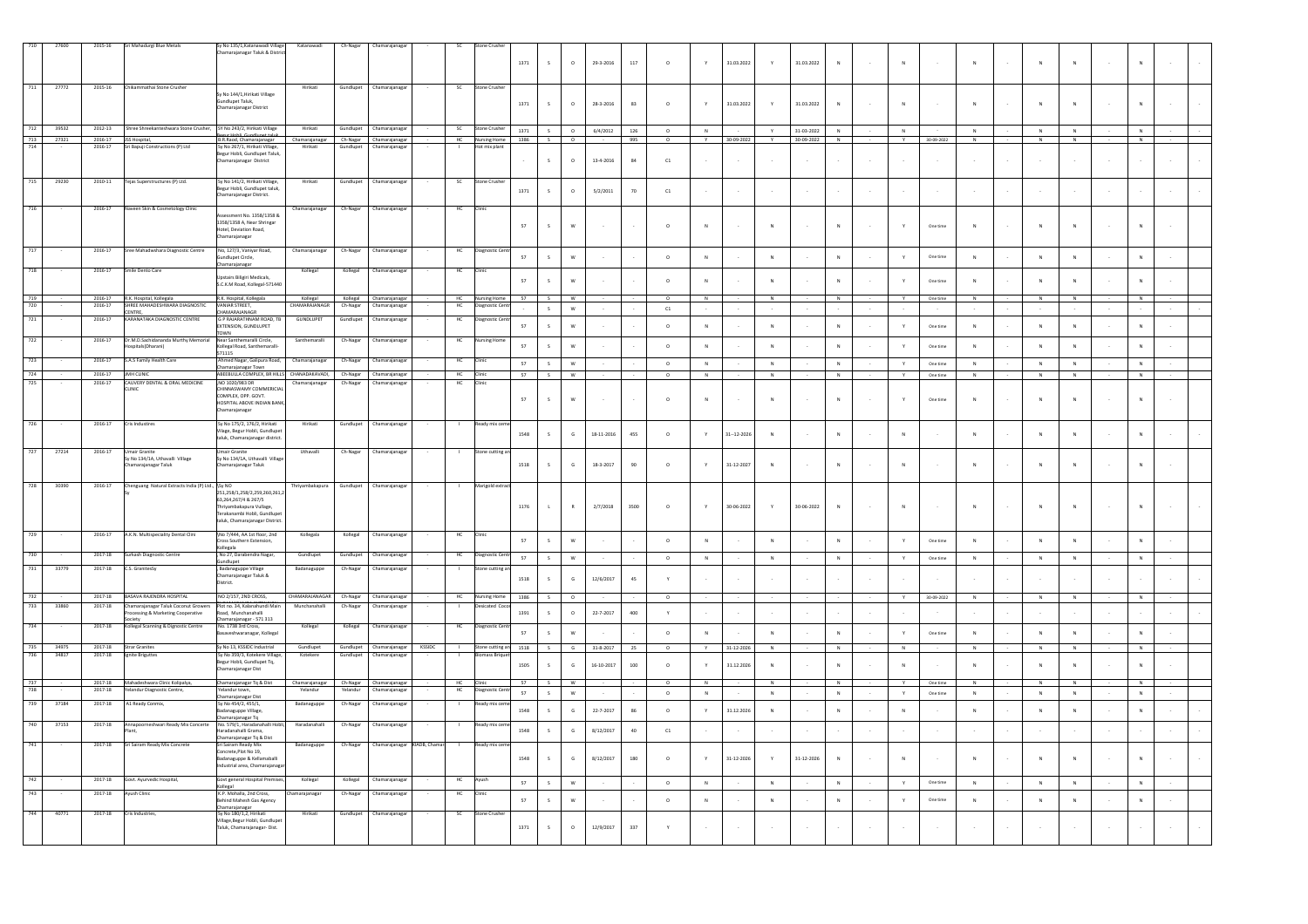|            | 27600 | 2015-16                          | Sri Mahadurgi Blue Metals                                                            | Sy No 135/1, Katanawadi Village<br>Chamarajanagar Taluk & District                                                                                | Katanawadi                                        | Ch-Nagar             | Chamarajanaga                            |             | sc              | ne Crushe                           | 1371 | $\mathsf{s}$  | $\circ$      | 29-3-2016       | 117         | $\circ$      |                         | 31.03.2022       | Y                       | 31.03.2022 | $\overline{N}$ | $\mathbb{N}$   |            |                         |   | $\overline{N}$            |        |              |  |
|------------|-------|----------------------------------|--------------------------------------------------------------------------------------|---------------------------------------------------------------------------------------------------------------------------------------------------|---------------------------------------------------|----------------------|------------------------------------------|-------------|-----------------|-------------------------------------|------|---------------|--------------|-----------------|-------------|--------------|-------------------------|------------------|-------------------------|------------|----------------|----------------|------------|-------------------------|---|---------------------------|--------|--------------|--|
| 711        | 27772 | 2015-16                          | Chikammathai Stone Crusher                                                           | Sy No 144/1, Hirikati Village<br>undlupet Taluk,<br>hamarajanagar District                                                                        | Hirikati                                          |                      | Gundlupet Chamarajanaga                  |             | SC              | Stone Crusher                       | 1371 | $\mathsf{s}$  | $\circ$      | 28-3-2016       | 83          | $\circ$      |                         | 31.03.2022       | Y                       | 31.03.2022 | $\overline{N}$ |                |            | $\mathsf{N}$            |   | $\overline{N}$            |        |              |  |
|            | 39532 | 2012-13                          | Shree Shreekanteshwara Stone Crusher,                                                | SY No 243/2, Hirikati Village<br>ur Hohli-Gundlunat talu                                                                                          | Hirikati                                          | Gundlupet            | Chamarajanagar                           |             | - SC            | Stone Crusher                       | 1371 | S             |              | 6/4/2012        | 126         | $\circ$      | N                       |                  | $\mathbf{v}$            | 31-03-2022 | N              | N              |            | N                       | N | N                         |        | N            |  |
| 713<br>714 | 27321 | 2016-17 JSS Hospital,<br>2016-17 | Sri Bapuji Constructions (P) Ltd                                                     | B.R.Raod, Chamarajanagar<br>Sy No 267/1, Hirikati Village,                                                                                        | Chamarajanagar Ch-Nagar Chamarajanagar<br>Hirikat | Gund                 | Chamaraj                                 |             |                 | HC Nursing Home 1386                |      | S             | $\circ$      |                 | 995         | $^{\circ}$   | Y                       | 30-09-2022       | Y                       | 30-09-2022 | N              | Y              | 30-09-2022 | N                       | N | N                         |        | N            |  |
|            |       |                                  |                                                                                      | Begur Hobli, Gundlupet Taluk,<br>Chamarajanagar District                                                                                          |                                                   |                      |                                          |             |                 |                                     |      | S             | $\circ$      | 13-4-2016       | $^{\rm 84}$ | ${\tt C1}$   |                         |                  |                         |            |                |                |            |                         |   |                           |        |              |  |
| 715        | 29230 | 2010-11<br>2016-17               | Tejas Superstructures (P) Ltd.                                                       | Sv No 141/2. Hirikati Village<br>ey  The Line of The Line of The Begunder<br>hamarajanagar District.                                              | Hirikati                                          | Gundlupet            | Chamarajanaga                            |             | - SC            | Stone Crush                         | 1371 | s.            | $\circ$      | 5/2/2011        | 70          | C1           |                         |                  | $\sim$                  |            |                |                |            |                         |   |                           |        |              |  |
|            |       |                                  | Naveen Skin & Cosmetology Clinic                                                     | essment No. 1358/1358 &<br>1358/1358 A, Near Shringar<br>Hotel, Deviation Road,<br>hamarajanagar                                                  | hamarajanagai                                     | Ch-Nagar             | hamarajanaga                             |             |                 |                                     | 57   | $\mathsf{s}$  | $\mathsf{w}$ |                 |             | $\circ$      | $\overline{\mathsf{N}}$ |                  | $\overline{\mathbf{N}}$ |            | $\mathbf N$    |                | One time   | N                       |   | $\overline{N}$            |        | $\mathbf N$  |  |
|            |       | 2016-17                          | Sree Mahadwshara Diagnostic Centre                                                   | No, 127/3, Vaniyar Road,<br>indlupet Circle,                                                                                                      | Chamarajanagar                                    | Ch-Nagar             | Chamarajanaga                            |             | HC              | Diagnostic Cen                      | 57   | $\mathsf{s}$  | W            |                 |             | $\circ$      | ${\sf N}$               |                  | $\,N\,$                 |            | ${\sf N}$      | Y.             | One time   | $\mathbb{N}$            | N | ${\sf N}$                 |        | ${\sf N}$    |  |
|            |       | 2016-17                          | mile Dento Care                                                                      | hamarajanagar<br>pstairs Biligiri Medicals,<br>.<br>C.K.M Road, Kollegal-571440                                                                   | Kollegal                                          | Kollegal             | Chamarajanaga                            |             | HC              |                                     | 57   | $\leq$        | w            |                 |             | $\circ$      | $\mathbf{N}$            |                  | N                       |            | $\mathbb{N}$   |                | One time   | $\mathbf{N}$            |   | $\overline{N}$            |        | $\mathbf{N}$ |  |
|            |       | 2016-17                          | R.K. Hospital, Kollegala                                                             | R.K. Hospital, Kollegala                                                                                                                          | Kollegal                                          |                      | Kollegal Chamarajanagar                  |             | <b>HC</b>       | Nursing Home                        | 57   | S             | <b>W</b>     |                 |             | $\circ$      | N                       |                  | N                       |            | N              | Y              | One time   | N                       | N | N                         |        |              |  |
|            |       | 2016-17                          | SHREE MAHADESHWARA DIAGNOSTIC<br>CENTRE,                                             | VANIAR STREET<br><b>HAMARAJANAGR</b>                                                                                                              | CHAMARAIANAGE                                     | Ch-Nagar             | Chamarajanaga                            |             | HC              |                                     |      | $\mathsf S$   | $\mathsf{W}$ |                 |             | ${\tt C1}$   |                         |                  |                         |            |                |                |            |                         |   |                           |        |              |  |
|            |       | 2016-17                          | KARANATAKA DIAGNOSTIC CENTRE                                                         | <b>G P RAJARATHNAM ROAD. TI</b><br>EXTENSION, GUNDLUPET                                                                                           | <b>GUNDLUPET</b>                                  | Sundlupet            | hamarajanaga                             |             | HC              |                                     | 57   | $\mathcal{L}$ | W            |                 |             | $\circ$      | $_{\rm N}$              |                  | $_{\rm N}$              |            | $\mathbf N$    | Y              | One time   | $_{\rm N}$              | N | $\boldsymbol{\mathsf{N}}$ |        | $_{\rm N}$   |  |
|            |       | 2016-17                          | Dr.M.D.Sachidananda Murthy Memoria<br>ospitals(Dharani)                              | TOWN<br>Near Santhemaralli Circle.<br>Kollegal Road, Santhemaralli-                                                                               | Santhemaralli                                     | Ch-Nagar             | Chamarajanaga                            |             | HC              | sing I                              | 57   |               | w            |                 |             | $\circ$      | $_{\rm N}$              |                  | ${\sf N}$               |            | $\mathbf{N}$   | $\mathbf{y}$   | One time   | $_{\mathsf{N}}$         |   | $\overline{N}$            |        | N            |  |
|            |       | 2016-17                          | S.A.S Family Health Care                                                             | 571115<br>Ahmed Nagar, Galipura Road,                                                                                                             | Chamarajanagar                                    | Ch-Nagar             | Chamarajanaga                            |             | HC              |                                     | 57   | $\mathsf{s}$  | W            |                 |             | $\circ$      | N                       |                  | N                       |            | N              | Y              | One time   | N                       | N | N                         |        | N            |  |
| 724        |       | 2016-17                          | JMH CLINIC                                                                           | hamarajanagar Town<br>ABEEBULLA COMPLEX, BR HILLS CHANADAKAVADI,                                                                                  |                                                   |                      | Ch-Nagar Chamarajanagar                  |             | HC              | Clinic                              | 57   | S             | W            |                 |             | $\circ$      | N                       |                  | N                       |            | N              | Y              | One time   | N                       | N | N                         |        | N            |  |
| 725        |       | 2016-17                          | CAUVERY DENTAL & ORAL MEDICINE<br><b>CLINIC</b>                                      | ,NO 1020/983 DR<br>HINNASWAMY COMMERICIA<br>COMPLEX, OPP. GOVT.<br>HOSPITAL ABOVE INDIAN BAN<br>hamarajanagar                                     | Chamarajanagar                                    | Ch-Nagar             | Chamarajanagar                           |             | HC              |                                     | 57   | $\mathsf S$   | $\mathsf{w}$ |                 |             | $\circ$      | $_{\rm N}$              |                  | ${\sf N}$               |            | $\mathsf N$    |                | One time   | $\mathbb N$             |   | ${\sf N}$                 |        | $\,N\,$      |  |
|            |       | 2016-17                          | Cris Industires                                                                      | Sy No 175/2, 176/2, Hirikati<br>filage, Begur Hobli, Gundlupe<br>aluk, Chamarajanagar district                                                    | Hirikati                                          | Gundlupet            | Chamarajanaga                            |             |                 | eady mix                            | 1548 | $\mathbf{S}$  | $\mathsf{G}$ | 18-11-2016      | 455         | $\circ$      | v                       | $31 - 12 - 2026$ | N                       |            | $\mathbf{N}$   | $\overline{N}$ |            | $\mathbf{N}$            |   | $\overline{N}$            |        | $\mathbf{N}$ |  |
| 727        | 27214 | 2016-17                          | <b>Umair Granite</b><br>iy No 134/1A, Uthavalli Village<br>.<br>:hamarajanagar Taluk | Umair Granite<br>Sy No 134/1A, Uthavalli Villag<br>.<br>hamarajanagar Taluk                                                                       | Uthavalli                                         | Ch-Nagar             | Chamarajanaga                            |             |                 | tone cutting an                     | 1518 |               | $\mathsf{G}$ | 18-3-2017       | $90\,$      | $\circ$      |                         | 31-12-2027       | ${\sf N}$               |            | $\mathbf N$    | ${\sf N}$      |            | $\overline{\mathsf{N}}$ |   | $\overline{N}$            |        | $_{\rm N}$   |  |
| 728        | 30390 | 2016-17                          | Chenguang Natural Extracts India (P) Ltd., \Sy NO                                    | 251.258/1.258/2.259.260.261.2<br>63,264,267/4 & 267/5<br>hrivambakapura Vullage.<br>erakanambi Hobli, Gundlupet<br>taluk, Chamarajanagar District | Thriyambakapura                                   | Gundlupet            | Chamarajanagar                           |             |                 | Marigold extr                       | 1176 | $\mathbf{L}$  | R            | 2/7/2018        | 3500        | $\circ$      |                         | 30-06-2022       | Y                       | 30-06-2022 | $\mathbb{N}$   | $\mathbb{N}$   |            | $\mathsf{N}$            |   | $\overline{N}$            | $\sim$ | N            |  |
|            |       | 2016-17                          | A.K.N. Multispeciality Dental Clini                                                  | \No 7/444, AA 1st floor, 2nd<br>Cross Southern Extension.                                                                                         | Kollegala                                         | Kollegal             | Chamarajanaga                            |             | нс              |                                     | 57   | $\mathsf{s}$  | W            |                 |             | $\circ$      | N                       |                  | N                       |            | $\mathbb{N}$   | Y.             | One time   | N                       | N | $\mathbf{N}$              |        | N            |  |
|            |       | 2017-18                          | Surkash Diagnostic Centre                                                            | (ollegala<br>No 27, Darabendra Nagar,<br>dlupet                                                                                                   | Gundlupet                                         | Gundlupet            | Chamarajanaga                            |             | HC              | Diagnostic Cent                     | 57   | S             | ${\sf w}$    |                 |             | $\circ$      | $\,$ N $\,$             |                  | N                       |            | N              | $\mathbb {Y}$  | One time   | $\,$ N                  | N | $\,$ N                    |        | N            |  |
| 731        | 33779 | 2017-18                          | CS GranitesSv                                                                        | Badanaguppe Village<br>hamarajanagar Taluk &                                                                                                      | Badanaguppe                                       | Ch-Nagar             | Chamarajanaga                            |             |                 | tone cutting                        | 1518 | $\mathsf{s}$  | G            | 12/6/2017       | 45          |              |                         |                  |                         |            |                |                |            |                         |   |                           |        |              |  |
|            |       |                                  |                                                                                      | trict.                                                                                                                                            |                                                   |                      |                                          |             |                 |                                     |      |               |              |                 |             |              |                         |                  |                         |            |                |                |            |                         |   |                           |        |              |  |
| 732<br>733 | 33860 | 2017-18<br>2017-18               | BASAVA RAJENDRA HOSPITAL<br>Chamaraianagar Taluk Coconut Grower                      | NO 2/157, 2ND CROSS,<br>Plot no. 34. Kalanahundi Mair                                                                                             | CHAMARAIANAGAR<br>Munchanahalli                   | Ch-Nagar<br>Ch-Nagar | Chamarajanagar<br>Chamarajanaga          |             | HC              | <b>Nursing Home</b><br>sicated Coco | 1386 | S             | $\circ$      |                 |             | $\circ$      |                         |                  |                         |            |                | Y              | 30-09-2022 | N                       | N | N                         |        | N            |  |
|            |       |                                  | ocessing & Marketing Cooperative<br>ociety                                           | Road, Munchanahalli                                                                                                                               |                                                   |                      |                                          |             |                 |                                     | 1391 | $\mathsf{s}$  | $\circ$      | 22-7-2017       | $400\,$     | $\mathbf{Y}$ |                         |                  |                         |            |                |                |            |                         |   |                           |        |              |  |
|            |       | 2017-18                          | Collegal Scanning & Dignostic Centre                                                 | Chamarajanagar - 571 313<br>No. 1738 3rd Cross,<br>saveshwaranagar, Kollegal                                                                      | Kollegal                                          | Kollegal             | Ihamarajanaga                            |             | HC              | agnostic C                          | 57   | $\mathbf{S}$  | W            |                 |             | $\circ$      | N                       |                  | $\mathbb{N}$            |            | N              | $\mathbf{v}$   | One time   | N                       | N | N                         |        | N            |  |
| 735        | 34975 |                                  | 2017-18 Strar Granites                                                               | Sy No 13, KSSIDC Industrial                                                                                                                       | Gundlupet                                         |                      | Gundlupet Chamarajanagar                 | KSSIDC      | $\overline{1}$  | Stone cutting an 1518               |      | S             | G            | $31 - 8 - 2017$ | 25          | $\circ$      | Y                       | 31-12-2026       | $\,$ N $\,$             |            | $\,$ N         | N              |            | $\overline{N}$          | N | $\overline{N}$            |        | N            |  |
| 736        | 34817 | $2017 - 18$                      | Ignite Briguttes                                                                     | Sy No 359/3, Kotekere Village,<br>Begur Hobli, Gundlupet Tq,<br>hamarajanagar Dist                                                                | Kotekere                                          | Gundlupet            | Chamarajanagar                           |             |                 |                                     | 1505 | $\mathbf{S}$  | $\mathsf{G}$ | 16-10-2017      | 100         | $\Omega$     | Y                       | 31 12 2026       | N                       |            | $\mathbf{N}$   | $\mathbf{N}$   |            | $\mathbf{N}$            |   | $\overline{N}$            |        | $\mathbb{N}$ |  |
| 738        |       | 2017-18                          | 2017-18 Mahadeshwara Clinic Kolipalya,<br>Yelandur Diagnostic Centre,                | Chamarajanagar Tq & Dist<br>Yelandur town,                                                                                                        | Chamarajanagar<br>Yelandur                        |                      | Ch-Nagar Chamarajanagar<br>Chamarajanaga |             | HC Clinic<br>HC | ostic Cer                           | 57   | S.            | W            |                 |             | $\circ$      | N                       |                  | N                       |            | N              | Y.             | One time   | N                       |   | N                         |        | <b>N</b>     |  |
| 739        | 37184 | 2017-18                          | A1 Ready Conmix,                                                                     | Chamarajanagar Dist<br>Sy No 454/2, 455/1,                                                                                                        | Badanaguppe                                       | Ch-Nagar             | Chamarajanaga                            |             |                 | ady mix cr                          | 57   | S             | $\mathsf{w}$ |                 |             | $\circ$      | $\,$ N $\,$             |                  | N                       |            | $\,$ N         | $\mathbf{Y}$   | One time   | ${\bf N}$               | N | $\mathbb N$               |        | $\,$ N $\,$  |  |
|            |       |                                  |                                                                                      | adanaguppe Village,<br>hamaraianagar To<br>rajanagar Tq                                                                                           |                                                   |                      |                                          |             |                 |                                     | 1548 | $\mathsf{s}$  | G            | 22-7-2017       | 86          | $\circ$      | Y                       | 31.12.2026       | $\,N\,$                 |            | $\,N\,$        | $\mathsf{N}$   |            | ${\sf N}$               | N | $\mathbf{N}$              |        | ${\sf N}$    |  |
| 740        | 37153 | 2017-18                          | Annapoorneshwari Ready Mix Concerte                                                  | No. 579/1. Haradanahalli Hob<br>aradanahalli Grama,<br>hamarajanagar Tq & Dist                                                                    | Haradanahalli                                     | Ch-Nagar             | Chamarajanaga                            |             |                 | leady mix cr                        | 1548 | $\sf S$       | $\mathsf{G}$ | 8/12/2017       | $40\,$      | ${\tt C1}$   |                         |                  |                         |            |                |                |            |                         |   |                           |        |              |  |
| 741        |       | 2017-18                          | Sri Sairam Ready Mix Concrete                                                        | Sri Sairam Ready Mix<br>oncrete, Plot No 19,<br>adanaguppe & Kellamaballi<br>dustrial area, Chamarajanaga                                         | Badanaguppe                                       | Ch-Nagar             | Chamarajanagar                           | KIADB, Cham | $\blacksquare$  | Ready mix cer                       | 1548 | $\leq$        | $\mathsf{G}$ | 8/12/2017       | 180         | $\circ$      |                         | 31-12-2026       | Y                       | 31-12-2026 | N              | $\mathbb{N}$   |            | $\mathsf{N}$            |   | $\overline{N}$            |        | N            |  |
|            |       | 2017-18                          | Govt. Ayurvedic Hospital,                                                            | Govt general Hospital Premises<br>ollegal                                                                                                         | Kollegal                                          | Kollegal             | Chamarajanaga                            |             | HC              |                                     | 57   | S             | W            |                 |             | $\circ$      | N                       |                  | N                       |            | $\mathbf{N}$   | Y              | One time   | $\mathbb{N}$            | N | N                         |        | N            |  |
|            |       | 2017-18                          | <b>Nyush Clinic</b>                                                                  | K.P. Mohalla, 2nd Cross,<br>ehind Mahesh Gas Agency<br>hamarajanagar                                                                              | amarajanagar                                      | Ch-Nagar             | Chamarajanaga                            |             | HC              |                                     | 57   | $\mathsf{s}$  | w            |                 |             | $\circ$      | $\mathbb{N}$            |                  | ${\sf N}$               |            | $\mathbf{N}$   | $\mathbf{v}$   | One time   | $\mathbb{N}$            | N | $\overline{N}$            |        | N            |  |
|            | 40771 | 2017-18                          | Cris Industries,                                                                     | Sy No 180/1,2, Hirikati<br>Village.Begur Hobli, Gundlupe<br>Taluk, Chamarajanagar- Dist.                                                          | Hirikati                                          | Gundlupet            | Chamarajanagar                           |             | <sub>SC</sub>   | ne Crus                             | 1371 | $\mathsf S$   | $\circ$      | 12/9/2017       | 337         |              |                         |                  |                         |            |                |                |            |                         |   |                           |        |              |  |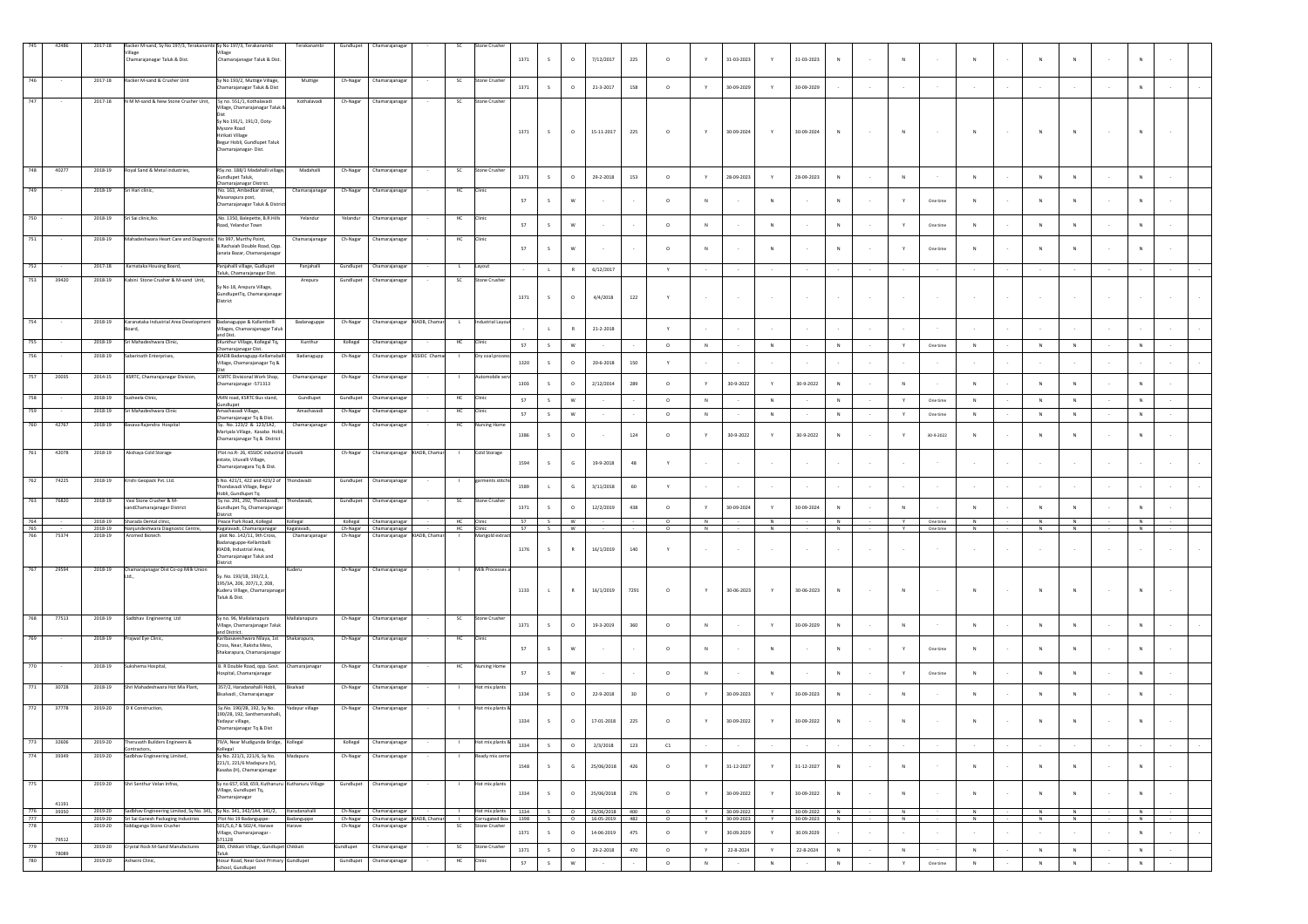|            | 42486 | 2017-18            | Racker M-sand, Sy No 197/3, Terakanambi Sy No 197/3, Terakanambi                           |                                                                                             | Terakanambi     | Gundlupet | Chamarajanaga                                                                                             | SC        | one Crushe             |      |               |              |                  |         |                       |              |                  |                   |                          |                 |        |              |           |                |             |                  |                     |        |  |
|------------|-------|--------------------|--------------------------------------------------------------------------------------------|---------------------------------------------------------------------------------------------|-----------------|-----------|-----------------------------------------------------------------------------------------------------------|-----------|------------------------|------|---------------|--------------|------------------|---------|-----------------------|--------------|------------------|-------------------|--------------------------|-----------------|--------|--------------|-----------|----------------|-------------|------------------|---------------------|--------|--|
|            |       |                    | Chamarajanagar Taluk & Dist.                                                               | Chamarajanagar Taluk & Dist                                                                 |                 |           |                                                                                                           |           |                        | 1371 | $\mathsf{s}$  | $\circ$      | 7/12/2017        | 225     | $\circ$               |              | 31-03-2023       | Y                 | 31-03-2023               | $_{\rm N}$      |        | N            |           | N              |             | $\overline{N}$   | N                   |        |  |
| 746        |       | 2017-18            | Racker M-sand & Crusher Unit                                                               | Sy No 193/2, Muttige Village                                                                | Muttige         | Ch-Nagar  | Chamarajanaga                                                                                             | <b>SC</b> | Stone Crushe           |      |               |              |                  |         |                       |              |                  |                   |                          |                 |        |              |           |                |             |                  |                     |        |  |
| 747        |       | 2017-18            | N M M-sand & New Stone Crusher Unit. Sy no. 551/1. Kothalayadi                             | hamarajanagar Taluk & Dist                                                                  | Kothalavadi     | Ch-Nagar  | Chamarajanagar                                                                                            | <b>SC</b> | Stone Crusher          | 1371 | S             | $\circ$      | 21-3-2017        | 158     | $\circ$               | Y            | 30-09-2029       | Y                 | 30-09-2029               |                 | $\sim$ |              |           |                |             |                  | N                   |        |  |
|            |       |                    |                                                                                            | illage, Chamarajanagar Taluk                                                                |                 |           |                                                                                                           |           |                        |      |               |              |                  |         |                       |              |                  |                   |                          |                 |        |              |           |                |             |                  |                     |        |  |
|            |       |                    |                                                                                            | Sy No 191/1, 191/2, Ooty-<br>Mysore Road                                                    |                 |           |                                                                                                           |           |                        | 1371 | $\mathsf{s}$  | $\circ$      | $15 - 11 - 2017$ | 225     | $\circ$               |              | 30-09-2024       | Y.                | $30 - 09 - 2024$         | ${\sf N}$       |        | N            |           | ${\sf N}$      |             |                  |                     |        |  |
|            |       |                    |                                                                                            | Hirikati Village<br>Begur Hobli, Gundlupet Taluk<br>Chamarajanagar-Dist.                    |                 |           |                                                                                                           |           |                        |      |               |              |                  |         |                       |              |                  |                   |                          |                 |        |              |           |                |             |                  |                     |        |  |
|            |       |                    |                                                                                            |                                                                                             |                 |           |                                                                                                           |           |                        |      |               |              |                  |         |                       |              |                  |                   |                          |                 |        |              |           |                |             |                  |                     |        |  |
|            | 4027  | 2018-19            | Royal Sand & Metal industries,                                                             | RSy.no. 188/1 Madahalli village,<br>indlupet Taluk,                                         | Madahalli       | Ch-Nagar  | Chamarajanaga                                                                                             | sc        | tone Crusi             | 1371 | S             | $\circ$      | 29-2-2018        | 153     | $\circ$               |              | 28-09-2023       | $\mathbf Y$       | 28-09-2023               | $_{\rm N}$      |        | $\mathsf{N}$ |           | $\mathsf{N}$   |             | $\overline{N}$   | $\,N\,$             |        |  |
| 749        |       | 2018-19            | i Hari clinic,                                                                             | hamarajanagar District<br>No. 163, Ambedkar street,<br>Masanapura post,                     | Chamarajanagar  | Ch-Nagar  | Chamarajanagar                                                                                            | HC        | Clinic                 |      |               |              |                  |         |                       |              |                  |                   |                          |                 |        |              |           |                |             |                  |                     |        |  |
|            |       |                    |                                                                                            | Chamarajanagar Taluk & Distri                                                               |                 |           |                                                                                                           |           |                        | 57   | $\mathsf{s}$  | W            |                  |         | $\circ$               |              |                  | N                 |                          | $\mathbb{N}$    |        |              | One time  |                |             |                  | N                   |        |  |
| 750        |       | 2018-19            | Sri Sai clinic, No.                                                                        | No. 1350, Balepette, B.R.Hill<br>oad, Yelandur Town                                         | Yelandur        | Yelandu   | Chamarajanaga                                                                                             | HC        | Clinic                 | 57   | S             | W            |                  |         | $\circ$               | $\,$ N       |                  | $\,N\,$           |                          | $\,$ N          | $\sim$ | Y            | One time  | ${\sf N}$      | N           | $\overline{N}$   | N                   |        |  |
| 751        |       | 2018-19            | Mahadeshwara Heart Care and Diagnostic No 997, Murthy Point,                               | B.Rachaiah Double Road, Opp                                                                 | Chamarajanagar  | Ch-Nagar  | Chamarajanaga                                                                                             | HC        | Clinic                 |      |               |              |                  |         |                       |              |                  |                   |                          |                 |        |              |           |                |             |                  |                     |        |  |
|            |       |                    |                                                                                            | lanata Bazar, Chamarajanaga                                                                 |                 |           |                                                                                                           |           |                        | 57   | s             | W            |                  |         | $\circ$               |              |                  | $_{\rm N}$        |                          | $_{\rm N}$      |        |              | One time  |                |             |                  | N                   |        |  |
| 752        |       | 2017-18            | Karnataka Housing Board,                                                                   | Panjahalli village, Gudlupet<br><b>Taluk, Chamarajanagar Dist.</b>                          | Panjahalli      | Gundlupet | Chamarajanaga                                                                                             | L         | Layout                 |      | $\mathbf{L}$  | R            | 6/12/2017        |         | $\mathsf{Y}$          |              |                  |                   |                          |                 |        |              |           |                |             |                  |                     |        |  |
| 753        | 39420 | 2018-19            | Kabini Stone Crusher & M-sand Unit,                                                        | Sy No 18, Arepura Village,<br>GundlupetTq, Chamarajanagar                                   | Arepura         | Gundlupet | Chamarajanagar                                                                                            | <b>SC</b> | Stone Crushe           |      |               |              |                  |         |                       |              |                  |                   |                          |                 |        |              |           |                |             |                  |                     |        |  |
|            |       |                    |                                                                                            | District                                                                                    |                 |           |                                                                                                           |           |                        | 1371 | S             | $\circ$      | 4/4/2018         | $122\,$ | Y                     |              |                  | $\sim$            | $\sim$                   |                 | $\sim$ |              |           |                |             |                  |                     |        |  |
| 754        |       | 2018-19            | Karanataka Industrial Area Development Badanaguppe & Kallambelli                           |                                                                                             | Badanaguppe     | Ch-Nagar  | Chamarajanagar KIADB, Chamar                                                                              | L         | Industrial Layou       |      |               |              |                  |         |                       |              |                  |                   |                          |                 |        |              |           |                |             |                  |                     |        |  |
|            |       | 2018-19            | Mahadeshwara Clinic                                                                        | illages, Chamarajanagar Taluk<br>and Dist.<br>Cunthur Village, Kollegal Tq,                 | Kunthur         | Kollegal  | Chamarajanaga                                                                                             |           |                        |      | $\mathbf{L}$  | R            | $21 - 2 - 2018$  |         | Y                     |              |                  |                   |                          |                 |        |              |           |                |             |                  |                     |        |  |
| 756        |       | 2018-19            | barinath Enterprises,                                                                      | hamarajanagar Dist.<br>IADB Badanagupp-Kellamaba                                            | Badanagupp      | Ch-Nagar  | KSSIDC Cha<br>Chamarajanaga                                                                               | HC        | linic<br>Dry coal proc | 57   | $\mathsf{s}$  | W            |                  |         | $\circ$               | N            |                  | N                 |                          | N               |        | Y            | One time  | N              | N           | N                | N                   |        |  |
|            |       |                    |                                                                                            | illage, Chamarajanagar Tq &                                                                 |                 |           |                                                                                                           |           |                        | 1320 | s             | $\circ$      | 20-6-2018        | 150     | Y                     |              |                  |                   |                          |                 |        |              |           |                |             |                  |                     |        |  |
| 757        | 20035 | 2014-15            | KSRTC, Chamarajanagar Division,                                                            | <b>KSRTC Divisional Work Shop</b><br>hamarajanagar -571313                                  | Chamarajanag    | Ch-Nagar  | Chamarajanaga                                                                                             |           |                        | 1303 | $\mathsf{s}$  | $\circ$      | 2/12/2014        | 289     | $\circ$               |              | 30-9-2022        | Y                 | 30-9-2022                | N               |        | N            |           | ${\sf N}$      |             | $\overline{N}$   |                     |        |  |
| 758        |       | 2018-19            | Susheela Clinic,                                                                           | VMN road, KSRTC Bus stand,<br>sundlupet                                                     | Gundlupet       | Gundlupet | Chamarajanaga                                                                                             | HC        | Clinic                 | 57   | S             | $\mathsf{w}$ |                  |         | $\circ$               | N            |                  | ${\sf N}$         |                          | $\mathbb{N}$    | $\sim$ | $\mathbf Y$  | One time  | ${\sf N}$      | N           | N                | N                   |        |  |
| 759        |       | 2018-19            | Sri Mahadeshwara Clinic                                                                    | Amachavadi Village<br>Chamarajanagar Tq & Dist.                                             | Amachavadi      | Ch-Nagar  | Chamarajanaga                                                                                             | HC        | Clinis                 | 57   | S             | $\mathsf{w}$ |                  |         | $\circ$               | $\,$ N       |                  | ${\sf N}$         |                          | ${\sf N}$       | $\sim$ | $\mathbf Y$  | One time  | ${\sf N}$      | ${\sf N}$   | ${\sf N}$        | ${\sf N}$           |        |  |
| 760        | 42767 | 2018-19            | Basava Rajendra Hospital                                                                   | Sy. No. 123/2 & 123/1A2,<br>Mariyala Village, Kasaba Hobli,<br>Chamarajanagar Tq & District | Chamarajanagar  | Ch-Nagar  | Chamarajanaga                                                                                             | HC        | <b>Nursing Home</b>    | 1386 | s             | $\circ$      |                  | 124     | $\circ$               |              | 30-9-2022        | Y                 | 30-9-2022                | $_{\rm N}$      |        |              | 30-9-2022 | $\mathsf N$    |             |                  | N                   |        |  |
| 761        | 42078 | 2018-19            | Akshaya Cold Storage                                                                       | Plot no.R- 26, KSSIDC industrial Utuvalli                                                   |                 | Ch-Nagar  | Chamarajanagar KIADB, Chamar                                                                              | - 11      | Cold Storage           |      |               |              |                  |         |                       |              |                  |                   |                          |                 |        |              |           |                |             |                  |                     |        |  |
|            |       |                    |                                                                                            | estate, Utuvalli Village,<br>Chamarajanagara Tq & Dist.                                     |                 |           |                                                                                                           |           |                        | 1594 | s             | G            | 19-9-2018        | $48\,$  |                       |              |                  | $\sim$            |                          |                 |        |              |           |                |             |                  |                     |        |  |
| 762        | 74225 | 2018-19            | Krishi Geopack Pvt. Ltd.                                                                   | No. 421/1, 422 and 423/2 of<br>ondavadi Village, Begur                                      | hondavadi       | Gundlupet | Chamarajanaga                                                                                             |           | garments stitcl        | 1589 | $\mathbf{L}$  | G            | 3/11/2018        | 60      | Y                     |              |                  | $\sim$            |                          |                 |        |              |           |                |             |                  |                     |        |  |
| 763        | 76820 | 2018-19            | Vasi Stone Crusher & M-                                                                    | Hobli, Gundlupet Tq<br>Sy no. 291, 292, Thondavadi, Thondavadi,                             |                 | Gundlupet | Chamarajanaga                                                                                             | SC        | Stone Crushe           |      |               |              |                  |         |                       |              |                  |                   |                          |                 |        |              |           |                |             |                  |                     |        |  |
| 764        |       | 2018-19            | andChamarajanagar District<br>Sharada Dental clinic,                                       | indlupet Tq, Chamarajanagar<br>listrict<br>Peace Park Road, Kollegal Kollegal               |                 |           | Kollegal Chamarajanagar                                                                                   | HC Clinic |                        | 1371 | S<br>57   S W | $\circ$      | 12/2/2019        | 438     | $\circ$<br>$^{\circ}$ |              | 30-09-2024       | $\mathbf{Y}$<br>N | 30-09-2024               | $_{\rm N}$<br>N |        |              | One time  | Z              |             | $\mathbf N$<br>Z | N<br>$\overline{N}$ |        |  |
| 765<br>766 | 75374 | 2018-19<br>2018-19 | Nanjundeshwara Diagnostic Centre,<br><b>Aromed Biotech</b>                                 | Kagalavadi, Chamarajanagar Kagalavadi,<br>plot No. 142/11, 9th Cross,                       | Chamarajanagar  | Ch-Nagar  | Ch-Nagar Chamarajanagar<br>Chamarajanagar KIADB, Chamar                                                   | HC Clinic | Marigold extra         | 57   | S             | <b>W</b>     |                  |         |                       |              |                  | ${\sf N}$         |                          | N               |        | Y            | One time  | $\overline{N}$ | N           | N                | N                   |        |  |
|            |       |                    |                                                                                            | adanaguppe-Kellamballi<br>KIADB, Industrial Area,                                           |                 |           |                                                                                                           |           |                        | 1176 | $\mathsf{s}$  | R            | 16/1/2019        | 140     | Y                     |              |                  |                   |                          | $\sim$          |        |              |           |                |             |                  |                     |        |  |
| 767        | 29594 | 2018-19            | Chamarajanagar Dist Co-op Milk Union                                                       | Chamarajanagar Taluk and<br>District                                                        |                 | Ch-Nagar  | Chamarajanagar                                                                                            |           | Milk Processes         |      |               |              |                  |         |                       |              |                  |                   |                          |                 |        |              |           |                |             |                  |                     |        |  |
|            |       |                    |                                                                                            | v. No. 193/18, 193/2,3,<br>195/3A, 206, 207/1,2, 208,                                       |                 |           |                                                                                                           |           |                        |      |               |              |                  |         |                       |              |                  |                   |                          |                 |        |              |           |                |             |                  |                     |        |  |
|            |       |                    |                                                                                            | Kuderu Village, Chamarajanag<br>Taluk & Dist.                                               |                 |           |                                                                                                           |           |                        | 1133 | $\mathbf{L}$  | R            | 16/1/2019        | 7291    | $\circ$               | Y            | 30-06-2023       | Y                 | 30-06-2023               | $\mathbb{N}$    |        | N            |           |                |             | N                |                     |        |  |
| 768        | 77513 | 2018-19            | Sadbhav Engineering Ltd                                                                    | Sy no. 96, Mallalanapura                                                                    | Mallalanapura   | Ch-Nagar  | Chamarajanaga                                                                                             | <b>SC</b> | Stone Crushe           |      |               |              |                  |         |                       |              |                  |                   |                          |                 |        |              |           |                |             |                  |                     |        |  |
|            |       |                    |                                                                                            | 'illage, Chamarajanagar Taluk<br>and District.                                              |                 |           |                                                                                                           |           |                        | 1371 | S             | $\circ$      | 19-3-2019        | 360     | $\circ$               | N            |                  | Y                 | 30-09-2029               | N               |        | $\mathbb{N}$ |           | $\mathbb{N}$   |             | $\overline{N}$   | N                   |        |  |
| 769        |       | 2018-19            | rajwal Eye Clinic,                                                                         | Karibasaveshwara Nilaya, 1st<br>ross, Near, Raksha Mess,<br>Shakarapura, Chamarajanaga      | Shakarapura,    | Ch-Nagar  | Chamarajanagar                                                                                            | HC        |                        | 57   | s             | W            |                  |         | $\circ$               |              |                  | N                 |                          | $_{\rm N}$      |        |              | One time  | $\mathbb{N}$   |             | N                | N                   |        |  |
| 770        |       | 2018-19            | Sukshema Hospital,                                                                         | B. R Double Road, opp. Govt. Chamarajanagar                                                 |                 | Ch-Nagar  | Chamarajanagar                                                                                            | HC        | <b>Nursing Home</b>    | 57   |               |              |                  |         |                       |              |                  |                   |                          |                 |        |              |           |                |             |                  |                     |        |  |
| 771        | 30728 | 2018-19            | ri Mahadeshwara Hot Mix Plant,                                                             | ospital, Chamaraianagar<br>357/2, Haradanahalli Hobli,                                      | lisalvad        | Ch-Nagar  | Chamarajanaga                                                                                             |           | Hot mix plant          |      | $\mathsf{s}$  | w            |                  |         | $\circ$               | N            |                  | ${\sf N}$         |                          | $_{\rm N}$      |        | Y            | One time  | $\mathbf N$    |             | $\overline{N}$   | N                   |        |  |
|            |       |                    |                                                                                            | salvadi, Chamarajanagar                                                                     |                 |           |                                                                                                           |           |                        | 1334 | $\mathsf{s}$  | $\circ$      | 22-9-2018        | 30      | $\circ$               |              | 30-09-2023       | Y.                | 30-09-2023               | $_{\rm N}$      |        | $\mathsf{N}$ |           | N              |             | $\mathbf N$      | $\,$ N              |        |  |
| 772        | 37778 | 2019-20            | D K Construction,                                                                          | Sy.No. 190/2B, 192, Sy.No.<br>190/2B, 192, Santhemarahalli,                                 | Yadayur village | Ch-Nagar  | Chamarajanagar                                                                                            |           | Hot mix plants &       | 1334 | $\mathsf{s}$  | $\circ$      | 17-01-2018       |         | $\circ$               |              | 30-09-2022       | Y                 | 30-09-2022               | $_{\rm N}$      |        |              |           |                |             |                  |                     |        |  |
|            |       |                    |                                                                                            | Yadayur village,<br>Chamarajanagar Tq & Dist                                                |                 |           |                                                                                                           |           |                        |      |               |              |                  | 225     |                       |              |                  |                   |                          |                 |        |              |           |                |             |                  |                     |        |  |
| 773        | 32606 | 2019-20            | Theruvath Builders Engineers &<br>Contractors,                                             | 9/A, Near Mudigunda Bridge, Kollegal<br>Collegal                                            |                 | Kollegal  | Chamarajanagar                                                                                            |           | Hot mix plants         | 1334 | S             | $\circ$      | 2/3/2018         | 123     | C1                    |              |                  |                   |                          |                 |        |              |           |                |             |                  |                     |        |  |
| 774        | 39349 | 2019-20            | Sadbhav Engineering Limited,                                                               | Sy No. 221/1, 221/6, Sy No.<br>221/1. 221/6 Madapura (V).<br>Kasaba (H), Chamarajanaga      | Madapura        | Ch-Nagar  | Chamarajanagar                                                                                            |           | Ready mix cent         | 1548 | S             | G            | 25/06/2018       | 426     | $\circ$               |              | $31 - 12 - 2027$ | Y                 | $31 - 12 - 2027$         | $\mathbb{N}$    |        | $\mathsf{N}$ |           | ${\sf N}$      |             | $\overline{N}$   | $_{\rm N}$          |        |  |
| 775        |       | 2019-20            | Shri Senthur Velan Infras,                                                                 | Sy no 657, 658, 659, Kuthanuru Kuthanuru Village<br>Village, Gundlupet Tq,                  |                 |           | Gundlupet Chamarajanagar                                                                                  |           | Hot mix plants         | 1334 | S             | $\circ$      | 25/06/2018       | 276     | $\circ$               |              | 30-09-2022       | Y                 | 30-09-2022               | $\mathbb{N}$    |        | $\mathsf{N}$ |           | ${\sf N}$      |             | $\mathsf{N}$     | ${\sf N}$           |        |  |
| 776        | 41191 |                    | 2019-20 Sadbhav Engineering Limited, Sy No. 341, Sy No. 341, 342/1A4, 341/2, Haradanahalli | Chamarajanagar                                                                              |                 |           |                                                                                                           |           |                        |      |               |              |                  |         |                       |              | Y 30-09-2022     |                   |                          |                 |        |              |           |                |             |                  |                     |        |  |
| 777        | 39350 |                    | 2019-20 Sri Sai Ganesh Packaging Industries                                                | Plot No 19 Badanguppe-                                                                      | Badanguppe      |           | Ch-Nagar Chamarajanagar<br>Ch-Nagar Chamarajanagar KIADB, Chamar I Corrugated Box 1398 S 0 16-05-2019 482 |           | Hot mix plants 1334    |      | S             |              | 0 25/06/2018 400 |         | $\circ$<br>$\circ$    |              | Y 30-09-2023     | Y<br>Y            | 30-09-2022<br>30-09-2023 | N<br>N          |        | N<br>N       |           | N<br>N         | N<br>N      | N<br>N           | N<br>N              |        |  |
| 778        |       | 2019-20            | Siddaganga Stone Crusher                                                                   | 501/5,6,7 & 502/4, Harave<br>fillage, Chamarajanagar -                                      | Harave          | Ch-Nagar  | Chamarajanagar                                                                                            | <b>SC</b> | Stone Crusher          | 1371 | S             | $\circ$      | 14-06-2019       | 475     | $\circ$               | $\mathsf{v}$ | 30.09.2029       | Y                 | 30.09.2029               |                 |        |              |           |                |             | $\sim$           | N                   |        |  |
| 779        | 79512 | 2019-20            | Crystal Rock M-Sand Manufactures                                                           | 571128<br>280, Chikkati Village, Gundlupet Chikkati                                         |                 | Gundlupet | Chamarajanagar                                                                                            | <b>SC</b> | Stone Crusher          | 1371 | S             | $\circ$      | 29-2-2018        | 470     | $\circ$               | $\mathsf{Y}$ | 22-8-2024        | $\mathbb {Y}$     | 22-8-2024                | N               |        | ${\sf N}$    |           | ${\sf N}$      | $\,N\,$     | $\,$ N           | $\,$ N              | $\sim$ |  |
| 780        | 78089 | 2019-20            | Ashwini Clinic.                                                                            | Taluk<br>losur Road, Near Govt Primary Gundlupet                                            |                 | Gundlupet | Chamarajanagar                                                                                            | HC        | Clinic                 | 57   | S             | $\mathsf{W}$ |                  |         | $\circ$               | $\,$ N       |                  | $\,$ N $\,$       |                          | $\,N\,$         |        | $\mathbf{Y}$ | One time  | ${\sf N}$      | $\mathbb N$ | ${\sf N}$        | $\,$ N              |        |  |
|            |       |                    |                                                                                            | school, Gundlupet                                                                           |                 |           |                                                                                                           |           |                        |      |               |              |                  |         |                       |              |                  |                   |                          |                 |        |              |           |                |             |                  |                     |        |  |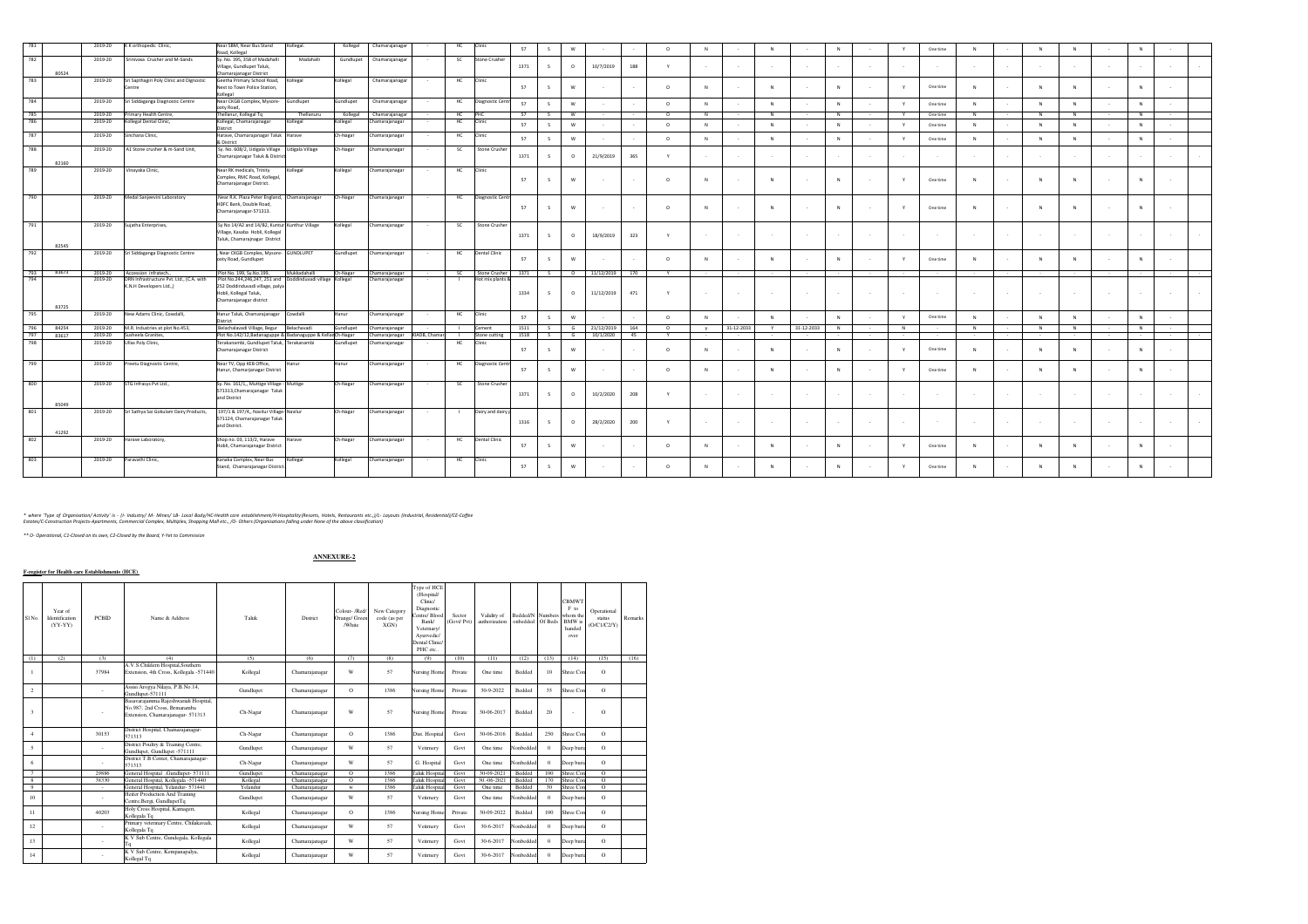| 781                          | 2019-20            | K K orthopedic Clinic,                                           | Near SBM, Near Bus Stand<br>Road, Kollegal                                                | Kollegal.                                     | Kollegal  | Chamarajanagar                   |               | HC              | Clinic                                 | 57           | -S           | W                        |                         |           | $\Omega$     | N            |            |                 |            |          |        |          | One time |     |          |           |        | N        |  |
|------------------------------|--------------------|------------------------------------------------------------------|-------------------------------------------------------------------------------------------|-----------------------------------------------|-----------|----------------------------------|---------------|-----------------|----------------------------------------|--------------|--------------|--------------------------|-------------------------|-----------|--------------|--------------|------------|-----------------|------------|----------|--------|----------|----------|-----|----------|-----------|--------|----------|--|
| 782                          | 2019-20            | Srinivasa Crusher and M-Sands                                    | Sv. No. 395, 358 of Madahalli                                                             | Madahalli                                     | Gundlupet | Chamarajanagar                   |               | SC.             | Stone Crusher                          |              |              |                          |                         |           |              |              |            |                 |            |          |        |          |          |     |          |           |        |          |  |
| 80524                        |                    |                                                                  | Village, Gundlupet Taluk,<br>Chamarajanagar District                                      |                                               |           |                                  |               |                 |                                        | 1371         |              | $\circ$                  | 10/7/2019               | 188       |              |              |            |                 |            |          |        |          |          |     |          |           |        |          |  |
| 783                          | 2019-20            | Sri Sapthagiri Poly Clinic and Dignostic                         | Geetha Primary School Road,                                                               | Kollegal                                      | Kollegal  | Chamarajanagar                   |               | HC              | Clinic                                 |              |              |                          |                         |           |              |              |            |                 |            |          |        |          |          |     |          |           |        |          |  |
|                              |                    | Centre                                                           | Next to Town Police Station,                                                              |                                               |           |                                  |               |                 |                                        | 57           |              | w                        |                         |           | $\sim$       | N            |            | $\mathbf{M}$    |            | N        | - 2    |          | One time |     | <b>N</b> | <b>NI</b> |        | N        |  |
| 784                          | 2019-20            | Sri Siddaganga Diagnostic Centre                                 | Kollegal<br>Near CKGB Complex, Mysore-                                                    | Gundlupet                                     | Gundlupet | Chamarajanagar                   |               | HC              | Diagnostic Centr                       |              |              |                          |                         |           |              |              |            |                 |            |          |        |          |          |     |          |           |        |          |  |
|                              |                    |                                                                  | ooty Road.                                                                                |                                               |           |                                  |               |                 |                                        | 57           |              | W                        |                         |           | $\circ$      | N            |            | $\mathbf{N}$    |            | N        |        |          | One time |     |          | N         |        | N        |  |
| 785                          | 2019-20            | Primary Health Centre.                                           | Thellanur, Kollegal Tq                                                                    | Thellanuru                                    | Kollegal  | Chamarajanagar                   |               | HC              | PHC                                    | 57           | $\sim$       | W                        |                         |           | $\circ$      | N            |            | N               |            | N        |        | Y        | One time | - N | N        | N         |        | N        |  |
| 786                          | 2019-20            | Kollegal Dental Clinic,                                          | Kollegal, Chamarajanagar<br>District                                                      | Collegal                                      | Kollegal  | hamarajanagar                    |               | HC              | Clinic                                 | 57           | s            | W                        |                         |           | $\circ$      | N            |            | $\mathbf{N}$    |            | N        |        | <b>Y</b> | One time |     | <b>N</b> | N         |        | N        |  |
| 787                          | 2019-20            | Sinchana Clinic,                                                 | Harave, Chamarajanagar Taluk Harave                                                       |                                               | Ch-Nagar  | Chamarajanagar                   |               | HC              | Clinic                                 | 57           |              | W                        |                         |           | $\Omega$     | N            |            | $\mathbf{M}$    |            | <b>N</b> |        |          | One time |     |          |           |        | N        |  |
| 788                          | 2019-20            | A1 Stone crusher & m-Sand Unit,                                  | & District<br>Sy. No. 608/2, Udigala Village                                              | Udigala Village                               | Ch-Nagar  | Chamarajanagar                   |               | SC.             | Stone Crusher                          |              |              |                          |                         |           |              |              |            |                 |            |          |        |          |          |     |          |           |        |          |  |
|                              |                    |                                                                  | Chamarajanagar Taluk & Distric                                                            |                                               |           |                                  |               |                 |                                        | 1371         | $\leq$       | $\circ$                  | 21/9/2019               | 365       |              |              |            |                 | $\sim$     |          | $\sim$ | $\sim$   | $\sim$   |     |          |           |        |          |  |
| 82160                        |                    |                                                                  |                                                                                           |                                               |           |                                  |               |                 |                                        |              |              |                          |                         |           |              |              |            |                 |            |          |        |          |          |     |          |           |        |          |  |
| 789                          | 2019-20            | Vinayaka Clinic,                                                 | Near RK medicals, Trinity                                                                 | Kollegal                                      | Kollegal  | Chamarajanagar                   |               | HC              | Clinic                                 |              |              |                          |                         |           |              |              |            |                 |            |          |        |          |          |     |          |           |        |          |  |
|                              |                    |                                                                  | Complex, RMC Road, Kollegal,<br>Chamarajanagar District.                                  |                                               |           |                                  |               |                 |                                        | 57           | s            | w                        |                         |           | $\circ$      | N            |            | $\mathbf{N}$    |            | N        |        |          | One time |     |          | N         |        | <b>M</b> |  |
|                              |                    |                                                                  |                                                                                           |                                               |           |                                  |               |                 |                                        |              |              |                          |                         |           |              |              |            |                 |            |          |        |          |          |     |          |           |        |          |  |
| 790                          | 2019-20            | Medal Sanjeevini Laboratory                                      | Near R.K. Plaza Peter England,                                                            | Chamarajanagar                                | Ch-Nagar  | Chamarajanagar                   |               | HC              | Diagnostic Centr                       |              |              |                          |                         |           |              |              |            |                 |            |          |        |          |          |     |          |           |        |          |  |
|                              |                    |                                                                  | HDFC Bank, Double Road,<br>Chamarajanagar-571313.                                         |                                               |           |                                  |               |                 |                                        | 57           |              | w                        |                         |           | $\Omega$     | <b>N</b>     |            |                 |            | N        |        |          | One time |     |          |           |        |          |  |
|                              |                    |                                                                  |                                                                                           |                                               |           |                                  |               |                 |                                        |              |              |                          |                         |           |              |              |            |                 |            |          |        |          |          |     |          |           |        |          |  |
| 791                          | 2019-20            | Sujatha Enterprises,                                             | Sy No 14/A2 and 14/B2, Kuntur Kunthur Village                                             |                                               | Kollegal  | Chamarajanagar                   |               | SC.             | Stone Crusher                          |              |              |                          |                         |           |              |              |            |                 |            |          |        |          |          |     |          |           |        |          |  |
|                              |                    |                                                                  | Village, Kasaba Hobli, Kollegal                                                           |                                               |           |                                  |               |                 |                                        | 1371         | $\leq$       | $\circ$                  | 18/9/2019               | 323       |              |              |            |                 | $\sim$     |          | $\sim$ | $\sim$   | $\sim$   |     |          |           |        |          |  |
| 82545                        |                    |                                                                  | Taluk, Chamarajnagar District                                                             |                                               |           |                                  |               |                 |                                        |              |              |                          |                         |           |              |              |            |                 |            |          |        |          |          |     |          |           |        |          |  |
| 792                          | 2019-20            | Sri Siddaganga Diagnostic Centre                                 | , Near CKGB Complex, Mysore-                                                              | <b>GUNDLUPET</b>                              | Gundlupet | Chamarajanagar                   |               | HC              | Dental Clinic                          |              |              |                          |                         |           |              |              |            |                 |            |          |        |          |          |     |          |           |        |          |  |
|                              |                    |                                                                  | ooty Road, Gundlupet                                                                      |                                               |           |                                  |               |                 |                                        | 57           |              | w                        |                         |           | $\sim$       | <b>N</b>     |            | N               |            | N        | $\sim$ | $\vee$   | One time |     | <b>N</b> | N         |        | N        |  |
| 83673<br>793                 |                    |                                                                  |                                                                                           |                                               |           |                                  |               |                 |                                        |              | S            | $\overline{\phantom{a}}$ | 11/12/2019 170          |           | Y            |              |            |                 |            |          |        |          |          |     |          |           |        |          |  |
|                              | 2019-20<br>2019-20 | Accession infratech.<br>DRN Infrastructure Pvt. Ltd., (C.A. with | Plot No. 199, Sy.No.199,<br>Plot No.244,246,247, 251 and                                  | Mukkadahalli<br>Doddinduvadi village Kollegal | Ch-Nagar  | Chamarajanagar<br>Chamarajanagar |               | SC <sub>1</sub> | Stone Crusher 1371<br>Hot mix plants & |              |              |                          |                         |           |              |              |            |                 |            |          |        |          |          |     |          |           |        |          |  |
|                              |                    | K.N.H Developers Ltd.,)                                          | 252 Doddinduvadi village, palya                                                           |                                               |           |                                  |               |                 |                                        |              |              |                          |                         |           |              |              |            |                 |            |          |        |          |          |     |          |           |        |          |  |
|                              |                    |                                                                  | Hobli, Kollegal Taluk,                                                                    |                                               |           |                                  |               |                 |                                        | 1334         |              | $\circ$                  | 11/12/2019              | 471       |              |              |            |                 |            |          |        | $\sim$   | $\sim$   |     |          |           |        |          |  |
| 83725                        |                    |                                                                  | Chamarajanagar district                                                                   |                                               |           |                                  |               |                 |                                        |              |              |                          |                         |           |              |              |            |                 |            |          |        |          |          |     |          |           |        |          |  |
| 795                          | 2019-20            | New Adams Clinic, Cowdalli,                                      | Hanur Taluk, Chamarajanagar                                                               | Cowdalli                                      | Hanur     | Chamarajanagar                   |               | HC              | Clinic                                 | 57           | $\mathsf{s}$ | W                        |                         |           | $\circ$      | N            |            | N               |            | N        |        | Y        | One time |     | N        | N         |        | N        |  |
|                              |                    |                                                                  | District                                                                                  |                                               |           |                                  |               |                 |                                        |              |              |                          |                         |           |              |              |            |                 |            |          |        |          |          |     |          |           |        |          |  |
| 796<br>84254<br>797<br>83617 | 2019-20<br>2019-20 | M.R. Industries at plot No.453,<br>Susheela Granites.            | Belachalavadi Village, Begur<br>Plot No.142/12.Badanaguppe & Badanaguppe & KellanCh-Nagar | Belachavadi                                   | Gundlupet | hamarajanagar<br>hamarajanagar   | KIADB, Chaman | $\mathbf{I}$    | Cement<br>Stone cutting                | 1511<br>1518 | S<br>S       | G<br>G                   | 21/12/2019<br>10/1/2020 | 164<br>45 | $\circ$<br>Y |              | 31-12-2033 | Y               | 31-12-2033 | N        | $\sim$ | N        |          | N   | N        | N         | $\sim$ | N        |  |
| 798                          | 2019-20            | Ullas Poly Clinic,                                               | Terakanambi, Gundlupet Taluk,                                                             | Terakanambi                                   | Gundlupet | hamarajanagar                    |               | - 11<br>HC      | Clinic                                 |              |              |                          |                         |           |              |              |            |                 |            |          |        |          |          |     |          |           |        |          |  |
|                              |                    |                                                                  | Chamarajanagar District                                                                   |                                               |           |                                  |               |                 |                                        | 57           | $\leq$       | w                        |                         |           | $\Omega$     | N            |            | $_{\mathsf{N}}$ |            | N        |        |          | One time |     |          | N         |        | N        |  |
|                              |                    |                                                                  |                                                                                           |                                               |           |                                  |               |                 |                                        |              |              |                          |                         |           |              |              |            |                 |            |          |        |          |          |     |          |           |        |          |  |
| 799                          | 2019-20            | reetu Diagnostic Centre,                                         | Near TV, Opp KEB Office,<br>Hanur, Chamarjanagar District                                 | Hanur                                         | Hanur     | Chamarajanagar                   |               | HC              | Diagnostic Centr                       | 57           |              | W                        |                         |           | $\Omega$     | $\mathbb{N}$ |            | $\mathbf{N}$    |            | N        | - 2    |          | One time |     | N        | N         |        | N        |  |
|                              |                    |                                                                  |                                                                                           |                                               |           |                                  |               |                 |                                        |              |              |                          |                         |           |              |              |            |                 |            |          |        |          |          |     |          |           |        |          |  |
| 800                          | 2019-20            | STG Infrasys Pvt Ltd.,                                           | Sy. No. 161/1,, Muttige Village - Muttige                                                 |                                               | Ch-Nagar  | Chamarajanagar                   |               | SC.             | Stone Crusher                          |              |              |                          |                         |           |              |              |            |                 |            |          |        |          |          |     |          |           |        |          |  |
|                              |                    |                                                                  | 571313, Chamarajanagar Taluk                                                              |                                               |           |                                  |               |                 |                                        | 1371         | $\leq$       | $\circ$                  | 10/2/2020               | 208       |              |              |            |                 | $\sim$     | $\sim$   | $\sim$ | $\sim$   | $\sim$   |     |          |           |        |          |  |
| 85049                        |                    |                                                                  | and District                                                                              |                                               |           |                                  |               |                 |                                        |              |              |                          |                         |           |              |              |            |                 |            |          |        |          |          |     |          |           |        |          |  |
| 801                          | 2019-20            | Sri Sathya Sai Gokulam Dairy Products,                           | 197/1 & 197/4,, Navilur Village-Navilur                                                   |                                               | Ch-Nagar  | Chamarajanagar                   |               |                 | Dairy and dairy p                      |              |              |                          |                         |           |              |              |            |                 |            |          |        |          |          |     |          |           |        |          |  |
|                              |                    |                                                                  | 571124, Chamarajanagar Taluk                                                              |                                               |           |                                  |               |                 |                                        | 1316         |              | $\Omega$                 | 28/2/2020               | 200       | Y            |              |            |                 |            |          |        |          |          |     |          |           |        |          |  |
| 41292                        |                    |                                                                  | and District.                                                                             |                                               |           |                                  |               |                 |                                        |              |              |                          |                         |           |              |              |            |                 |            |          |        |          |          |     |          |           |        |          |  |
| 802                          | 2019-20            | larave Laboratory,                                               | Shop no. 03, 113/2, Harave                                                                | Harave                                        | Ch-Nagar  | Chamarajanagar                   |               | HC              | <b>Dental Clinic</b>                   |              |              |                          |                         |           |              |              |            |                 |            |          |        |          |          |     |          |           |        |          |  |
|                              |                    |                                                                  | Hobli, Chamarajanagar District                                                            |                                               |           |                                  |               |                 |                                        | 57           |              | w                        |                         |           | $\Omega$     | <b>N</b>     |            |                 |            | N        |        |          | One time |     |          |           |        | N        |  |
| 803                          |                    |                                                                  |                                                                                           |                                               |           |                                  |               |                 |                                        |              |              |                          |                         |           |              |              |            |                 |            |          |        |          |          |     |          |           |        |          |  |
|                              | 2019-20            | Paravathi Clinic,                                                | Kanaka Complex, Near Bus<br>Stand, Chamarajanagar District                                | Kollegal                                      | Kollegal  | Chamarajanagar                   |               | HC              | Clinic                                 | 57           |              | w                        |                         |           | $\Omega$     | <b>N</b>     |            |                 |            | N        |        |          | One time |     |          | <b>IN</b> |        | N        |  |
|                              |                    |                                                                  |                                                                                           |                                               |           |                                  |               |                 |                                        |              |              |                          |                         |           |              |              |            |                 |            |          |        |          |          |     |          |           |        |          |  |
|                              |                    |                                                                  |                                                                                           |                                               |           |                                  |               |                 |                                        |              |              |                          |                         |           |              |              |            |                 |            |          |        |          |          |     |          |           |        |          |  |

\* where "Type of Organisation/Activity" is - (i- industry/ Mr- Maires/ Les Laby/HC-Health Garget Stabishment/H+fospitality(Resorts, Hotels, Residential/CE-Coffee<br>Estates/C-Construction Projects-Apartments, Commercial Compl

*\*\* O- Operational, C1-Closed on its own, C2-Closed by the Board, Y-Yet to Commission*

## **ANNEXURE-2**

**F-register for Health care Establishments (HCE)** 

| SI <sub>No.</sub> | Year of<br>Identification<br>(YY-YY)<br>(2) | <b>PCRID</b><br>(3) | Name & Address                                                                                            | Taluk<br>(5) | District<br>(6) | Colour- /Red<br>Orange/ Green<br>/White<br>(7) | New Category<br>code (as per<br>XGN<br>(8) | Type of HCE<br>(Hospital/<br>Clinic/<br>Diagnostic<br>Centre/ Blood<br>Bank/<br>Vetemary/<br>Avurvedic/<br>Dental Clinic/<br>PHC etc | Sector<br>(Govt/Pvt)<br>(10) | Validity of<br>authorization<br>(11) | Bedded/N Numbers<br>onbedded Of Beds<br>(12) | (13)         | <b>CBMWT</b><br>F to<br>whom the<br><b>BMW</b> is<br>handed<br>over<br>(14) | Operational<br>status<br>(O/C1/C2/Y)<br>(15) | Remarks<br>(16) |
|-------------------|---------------------------------------------|---------------------|-----------------------------------------------------------------------------------------------------------|--------------|-----------------|------------------------------------------------|--------------------------------------------|--------------------------------------------------------------------------------------------------------------------------------------|------------------------------|--------------------------------------|----------------------------------------------|--------------|-----------------------------------------------------------------------------|----------------------------------------------|-----------------|
| (1)               |                                             |                     | (4)                                                                                                       |              |                 |                                                |                                            | (9)                                                                                                                                  |                              |                                      |                                              |              |                                                                             |                                              |                 |
|                   |                                             | 37984               | A.V.S.Childern Hospital.Southern<br>Extension, 4th Cross, Kollegala -571440                               | Kollegal     | Chamarajanagar  | W                                              | 57                                         | <b>Nursing Home</b>                                                                                                                  | Private                      | One time                             | Bedded                                       | 10           | Shree Con                                                                   | $\Omega$                                     |                 |
| $\overline{2}$    |                                             | ×.                  | Assisi Arogva Nilava, P.B.No.14.<br>Gundlupet-571111                                                      | Gundlupet    | Chamaraianagar  | $\Omega$                                       | 1386                                       | <b>Nursing Home</b>                                                                                                                  | Private                      | 30-9-2022                            | Bedded                                       | 35           | Shree Con                                                                   | $\Omega$                                     |                 |
| $\ddot{ }$        |                                             | $\sim$              | Basayarajamma Rajeshwariah Hospital.<br>No.987, 2nd Cross, Brmaramba<br>Extension, Chamaraianagar- 571313 | Ch-Nagar     | Chamarajanagar  | W                                              | 57                                         | <b>Nursing Home</b>                                                                                                                  | Private                      | 30-06-2017                           | <b>Bedded</b>                                | 20           |                                                                             | $\Omega$                                     |                 |
| $\mathbf{4}$      |                                             | 30153               | District Hospital, Chamarajanagar-<br>571313                                                              | Ch-Nagar     | Chamaraianagar  | $\Omega$                                       | 1386                                       | Dist. Hospital                                                                                                                       | Govt                         | 30-06-2016                           | Bedded                                       | 250          | Shree Con                                                                   | $\Omega$                                     |                 |
| $\leq$            |                                             | $\sim$              | District Poultry & Training Centre.<br>Gundlupet, Gundlupet -571111                                       | Gundlupet    | Chamarajanagar  | W                                              | 57                                         | Vetirnery                                                                                                                            | Govt                         | One time                             | Nonbedded                                    | $\mathbf{0}$ | Deep buri:                                                                  | $\Omega$                                     |                 |
| 6                 |                                             | ×.                  | District T.B Center, Chamarajanagar-<br>571313                                                            | Ch-Nagar     | Chamaraianagar  | W                                              | 57                                         | G. Hospital                                                                                                                          | Govt                         | One time                             | Nonbeddee                                    |              | Deep buri:                                                                  | $\Omega$                                     |                 |
| $\tau$            |                                             | 29886               | General Hospital , Gundlupet- 571111                                                                      | Gundlupet    | Chamarajanagar  | $\Omega$                                       | 1386                                       | <b>Taluk Hospita</b>                                                                                                                 | Govt                         | 30-09-2021                           | Bedded                                       | 100          | Shree Con                                                                   | $\Omega$                                     |                 |
| 8                 |                                             | 38330               | General Hospital, Kollegala -571440                                                                       | Kollegal     | Chamarajanagar  | $\Omega$                                       | 1386                                       | Taluk Hospita                                                                                                                        | Govt                         | 30, -06-2021                         | Bedded                                       | 170          | Shree Con                                                                   | $\Omega$                                     |                 |
| $\mathbf Q$       |                                             |                     | General Hospital, Yelandur- 571441                                                                        | Yelandur     | Chamaraianaear  | w                                              | 1386                                       | <b>Taluk Hospita</b>                                                                                                                 | Govt                         | One time                             | Bedded                                       | 30           | Shree Con                                                                   | $\Omega$                                     |                 |
| 10                |                                             | ÷.                  | Heifer Production And Training<br>Centre, Bergi, GundlupetTq                                              | Gundlupet    | Chamarajanagar  | W                                              | 57                                         | Vetirnery                                                                                                                            | Govt                         | One time                             | Nonbedded                                    | $\Omega$     | Deep buri:                                                                  | $\Omega$                                     |                 |
| 11                |                                             | 40203               | Holy Cross Hospital, Kamageri,<br>Kollegala To                                                            | Kollegal     | Chamaraianagar  | $\Omega$                                       | 1386                                       | <b>Nursing Home</b>                                                                                                                  | Private                      | 30-09-2022                           | Bedded                                       | 100          | Shree Con                                                                   | $\Omega$                                     |                 |
| 12                |                                             | ×.                  | Primary veterinary Centre, Chilakayadi,<br>Kollegala To                                                   | Kollegal     | Chamarajanagar  | W                                              | 57                                         | Vetimery                                                                                                                             | Govt                         | 30-6-2017                            | Nonbeddec                                    |              | Deep buri:                                                                  | $\Omega$                                     |                 |
| 13                |                                             | ٠                   | K V Sub Centre, Gundeeala, Kollegala<br>Tq                                                                | Kollegal     | Chamaraianagar  | W                                              | 57                                         | Vetirnery                                                                                                                            | Govt                         | 30-6-2017                            | Nonbedded                                    | $\Omega$     | Deep buri:                                                                  | $\Omega$                                     |                 |
| 14                |                                             |                     | K V Sub Centre, Kempanapalya,<br>Kollegal To                                                              | Kollegal     | Chamaraianagar  | W                                              | 57                                         | Vetimery                                                                                                                             | Govt                         | 30-6-2017                            | Nonbedded                                    | $\Omega$     | Deep buri:                                                                  | $\Omega$                                     |                 |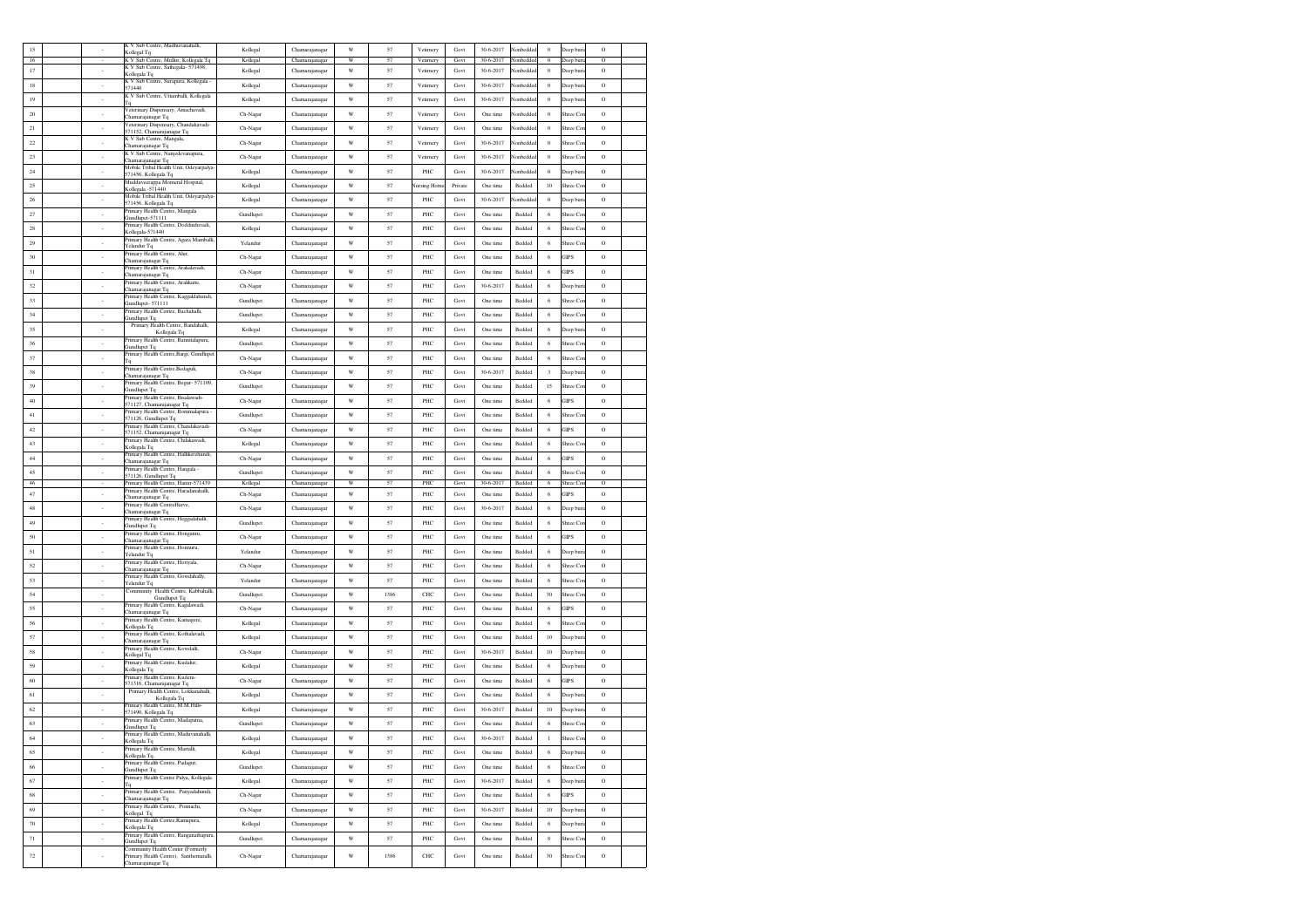| 15       |                             | K V Sub Centre, Madhuvanahalli,<br>Kollegal Tq                             | Kollegal              | Chamarajanaga                    | W                       | 57       | Vetirnery   | Govt         | 30-6-2017             | lonbedde         | $\theta$     | Deep bur              | $\circ$            |  |
|----------|-----------------------------|----------------------------------------------------------------------------|-----------------------|----------------------------------|-------------------------|----------|-------------|--------------|-----------------------|------------------|--------------|-----------------------|--------------------|--|
| 16       |                             | K V Sub Centre, Mullur, Kollegala Tq<br>K V Sub Centre, Sathegala- 571498, | Kollegal              | Chamarajanagar                   | W                       | 51       | Vetimery    | Govt         | 30-6-2017             | lonbeddee        | $\Omega$     | Deep buri             | $\Omega$           |  |
| $17\,$   |                             | Kollegala Tq                                                               | Kollegal              | Chamarajanagar                   | W                       | 57       | Vetimery    | Govt         | 30-6-2017             | <b>Ionbedde</b>  | $\,$ 0 $\,$  | Jeep buri             | $\circ$            |  |
| 18       | $\overline{\phantom{a}}$    | K V Sub Centre, Surapura, Kollegala -<br>571440                            | Kollegal              | Chamaraianagar                   | $\mathbf W$             | 57       | Vetimery    | Govt         | 30-6-2017             | lonbedded        | $\,$ 0       | Deep bur              | $\circ$            |  |
| 19       | $\sim$                      | K V Sub Centre, Uttamballi, Kollegala<br>Tq                                | Kollegal              | Chamarajanagar                   | W                       | 57       | Vetirnery   | Govt         | 30-6-2017             | Vonbeddec        | $\theta$     | Deep bur              | $\circ$            |  |
| 20       | $\sim$                      | Veterinary Dispensary, Amachavadi,<br>hamarajanagar Tq                     | Ch-Nagar              | Chamarajanagar                   | W                       | 57       | Vetimery    | Govt         | One time              | Nonbedded        | $\theta$     | Shree Co.             | $\circ$            |  |
| 21       |                             | Veterinary Dispensary, Chandakavadi-<br>571152, Chamarajanagar Tq          | Ch-Nagar              | Chamarajanagar                   | W                       | 57       | Vetirnery   | Govt         | One time              | Vonbedde         | $\,$ 0       | Shree Co              | $\circ$            |  |
| 22       | $\overline{\phantom{a}}$    | K V Sub Centre, Mangala,<br>hamarajanagar Tq                               | Ch-Nagar              | Chamarajanagar                   | W                       | 57       | Vetirnery   | Govt         | 30-6-2017             | lonbedde         | $\bf{0}$     | Shree Co              | $\circ$            |  |
| $23\,$   |                             | K V Sub Centre, Nanjedevanapura,                                           | Ch-Nagar              | Chamarajanagar                   | $\ensuremath{\text{W}}$ | 57       | Vetirnery   | Govt         | 30-6-2017             | lonbedde         | $\theta$     | Shree Co              | $\circ$            |  |
| 24       | $\sim$                      | Thamarajanagar To<br>Mobile Tribal Health Unit, Odeyarpalya                | Kollegal              | Chamarajanagar                   | $\ensuremath{\text{W}}$ | 57       | PHC         | Govt         | 30-6-2017             | lonbeddeo        | $\theta$     | Deep buri             | $\rm{O}$           |  |
| 25       | $\sim$                      | 571456, Kollegala Tq<br>Mudduveerappa Momeral Hospital,                    |                       | Chamarajanagar                   | W                       | 57       |             | Private      | One time              | Bedded           | 10           | Shree Co.             | $\circ$            |  |
|          |                             | Collegala -571440<br>Mobile Tribal Health Unit, Odeyarpalya                | Kollegal              |                                  |                         |          | Vursing Hom |              |                       |                  |              |                       |                    |  |
| 26       | $\sim$                      | 571456, Kollegala Tq<br>Primary Health Centre, Mangala                     | Kollegal              | Chamarajanagar                   | W                       | 57       | PHC         | Govt         | 30-6-2017             | lonbeddee        | $\theta$     | Deep bur              | $\circ$            |  |
| 27       | ×                           | Gundlupet-571111<br>Primary Health Centre, Doddinduvadi,                   | Gundlupet             | Chamarajanagar                   | W                       | 57       | PHC         | Govt         | One time              | Bedded           | 6            | Shree Co              | $\circ$            |  |
| 28       |                             | Kollegala-571440                                                           | Kollegal              | Chamarajanagar                   | W                       | 57       | PHC         | Govt         | One time              | Bedded           | 6            | hree Co               | $\circ$            |  |
| 29       |                             | Primary Health Centre, Agara Mamballi,<br>Yelandur Tq                      | Yelandur              | Chamarajanagar                   | W                       | 57       | PHC         | Govt         | One time              | Bedded           | 6            | Shree Co              | $\circ$            |  |
| 30       |                             | Primary Health Centre, Alur<br>Chamarajanagar Tq                           | Ch-Nagar              | Chamarajanagar                   | W                       | 57       | PHC         | Govt         | One time              | Bedded           | 6            | <b>GIPS</b>           | $\circ$            |  |
| 31       | $\sim$                      | Primary Health Centre, Arakalavadi,<br>hamarajanagar Tq                    | Ch-Nagar              | Chamarajanagar                   | W                       | 57       | PHC         | Govt         | One time              | Bedded           | 6            | <b>GIPS</b>           | $\circ$            |  |
| 32       | $\cdot$                     | Primary Health Centre, Aralikatte,<br>hamarajanagar Tq                     | Ch-Nagar              | Chamarajanagar                   | W                       | 57       | PHC         | Govt         | 30-6-2017             | Bedded           | 6            | Deep bur              | $\circ$            |  |
| 33       | $\sim$                      | rimary Health Centre, Kaggaldahundi,                                       | Gundlupet             | Chamarajanagar                   | W                       | 57       | PHC         | Govt         | One time              | Bedded           | 6            | Shree Co.             | $\circ$            |  |
| 34       | ٠                           | Gundlupet- 571111<br>Primary Health Centre, Bachahalli,                    | Gundlupet             | Chamarajanagar                   | W                       | 57       | PHC         | Govt         | One time              | Bedded           | 6            | Shree Co              | $\circ$            |  |
| 35       | $\cdot$                     | <b>Jundlupet Tq</b><br>Primary Health Centre, Bandahalli,                  |                       | Chamarajanagar                   | $\mathbf W$             | 57       | PHC         | Govt         | One time              | Bedded           | 6            |                       | $\circ$            |  |
|          |                             | Kollegala Tq<br>Primary Health Centre, Bannitalapura,                      | Kollegal              |                                  |                         |          |             |              |                       |                  |              | Deep buri             |                    |  |
| 36       | $\cdot$                     | Gundlupet Ta<br>Primary Health Centre, Bargi, Gundlupet                    | Gundlupet             | Chamarajanagar                   | $\ensuremath{\text{W}}$ | 57       | PHC         | Govt         | One time              | Bedded           | 6            | Shree Co              | $\circ$            |  |
| 37       | $\epsilon$                  |                                                                            | Ch-Nagar              | Chamaraianagar                   | $\ensuremath{\text{W}}$ | 57       | PHC         | Govt         | One time              | Bedded           | 6            | Shree Co              | $\rm _O$           |  |
| 38       | $\sim$                      | Primary Health Centre, Bedaguli,<br>hamarajanagar Tq                       | Ch-Nagar              | Chamarajanagar                   | W                       | 57       | PHC         | Govt         | 30-6-2017             | Bedded           | 3            | Deep bur              | $\circ$            |  |
| 39       | $\sim$                      | Primary Health Centre, Begur- 571109,<br>Gundlupet Tq                      | Gundlupet             | Chamarajanagar                   | W                       | 57       | PHC         | Govt         | One time              | Bedded           | 15           | Shree Co              | $\circ$            |  |
| 40       | ٠                           | Primary Health Centre, Bisalawadi-<br>571127, Chamarajanagar Tq            | Ch-Nagar              | Chamarajanagar                   | W                       | 57       | PHC         | Govt         | One time              | Bedded           | 6            | <b>GIPS</b>           | $\circ$            |  |
| $41\,$   |                             | Primary Health Centre, Bommalapura<br>571126, Gundlupet Tq                 | Gundlupet             | Chamarajanagar                   | W                       | 57       | PHC         | Govt         | One time              | Bedded           | 6            | Shree Co              | $\circ$            |  |
| $42\,$   | $\sim$                      | Primary Health Centre, Chandakayadi-                                       | Ch-Nagar              | Chamarajanagar                   | $\mathbf W$             | 57       | PHC         | Govt         | One time              | Bedded           | 6            | <b>GIPS</b>           | $\circ$            |  |
| $43\,$   | $\sim$                      | 571152, Chamarajanagar Tq<br>Primary Health Centre, Chilakawadi,           | Kollegal              | Chamarajanagar                   | W                       | 57       | PHC         | Govt         | One time              | Bedded           | 6            | Shree Co              | $\rm{O}$           |  |
| 44       |                             | Collegala Tq<br>Primary Health Centre, Hallikerehundi,                     | Ch-Nagar              |                                  | W                       | 57       | PHC         | Govt         | One time              | Bedded           |              | <b>GIPS</b>           | $\circ$            |  |
|          | $\sim$                      | hamarajanagar Tq<br>Primary Health Centre, Hangala                         |                       | Chamarajanagar                   |                         |          |             |              |                       |                  | 6            |                       |                    |  |
| 45<br>46 | ٠                           | 571126, Gundlupet Tq<br>Primary Health Centre, Hanur-571439                | Gundlupet<br>Kollegal | Chamarajanagar<br>Chamarajanagar | W<br>W                  | 57<br>57 | PHC<br>PHC  | Govt<br>Govt | One time<br>30-6-2017 | Bedded<br>Bedded | 6<br>6       | Shree Co<br>Shree Cor | $\circ$<br>$\circ$ |  |
| 47       |                             | Primary Health Centre, Haradanahalli,                                      | Ch-Nagar              | Chamarajanagar                   | W                       | 57       | PHC         | Govt         | One time              | Bedded           | 6            | <b>GIPS</b>           | $\circ$            |  |
| 48       |                             | Chamarajanagar Tq<br>Primary Health CentreHarve.                           | Ch-Nagar              | Chamarajanagar                   | W                       | 57       | PHC         | Govt         | 30-6-2017             | Bedded           | 6            | eep buri              | $\circ$            |  |
| 49       |                             | hamarajanagar Tq<br>Primary Health Centre, Heggadahalli,                   | Gundlupet             |                                  | $\mathbf W$             | 57       | PHC         | Govt         |                       | Bedded           | 6            | Shree Co              | $\circ$            |  |
|          | $\sim$                      | Gundlupet Tq<br>Primary Health Centre, Honganru,                           |                       | Chamarajanagar                   |                         |          |             |              | One time              |                  |              |                       |                    |  |
| 50       | $\cdot$                     | hamarajanagar Tq<br>Primary Health Centre, Honnuru,                        | Ch-Nagar              | Chamarajanagar                   | W                       | 57       | PHC         | Govt         | One time              | Bedded           | 6            | <b>GIPS</b>           | $\rm{O}$           |  |
| 51       | $\sim$                      | r'elandur Tq<br>Primary Health Centre, Horiyala,                           | Yelandur              | Chamarajanagar                   | W                       | 57       | PHC         | Govt         | One time              | Bedded           | 6            | Deep bur              | $\circ$            |  |
| 52       | ٠                           | Chamarajanagar Tq                                                          | Ch-Nagar              | Chamarajanagar                   | W                       | 57       | PHC         | Govt         | One time              | Bedded           | 6            | Shree Co.             | $\circ$            |  |
| 53       | $\sim$                      | Primary Health Centre, Gowdahally,<br>r'elandur Tq                         | Yelandur              | Chamarajanagar                   | W                       | 57       | PHC         | Govt         | One time              | Bedded           | 6            | Shree Co.             | $\circ$            |  |
| 54       |                             | Community Health Centre, Kabbahalli,<br>Gundlupet Tq                       | Gundlupet             | Chamarajanagar                   | W                       | 1386     | CHC         | Govt         | One time              | Bedded           | 30           | Shree Co              | $\circ$            |  |
| 55       | $\epsilon$                  | Primary Health Centre, Kagalawadi,<br>Thamarajanagar Tq                    | Ch-Nagar              | Chamarajanagar                   | $\ensuremath{\text{W}}$ | 57       | PHC         | Govt         | One time              | Bedded           | 6            | <b>GIPS</b>           | $\rm{O}$           |  |
| 56       | $\cdot$                     | Primary Health Centre, Kamagere,                                           | Kollegal              | Chamarajanagar                   | $\ensuremath{\text{W}}$ | 57       | PHC         | Govt         | One time              | Bedded           | 6            | Shree Co              | $\rm _O$           |  |
| 57       | $\sim$                      | Collegala Tq<br>Primary Health Centre, Kothalavadi,                        | Kollegal              | Chamarajanagar                   | W                       | 57       | PHC         | Govt         | One time              | Bedded           | 10           | Deep bur              | $\circ$            |  |
| 58       | $\sim$                      | Thamarajanagar Tq<br>Primary Health Centre, Kowdalli,                      | Ch-Nagar              | Chamarajanagar                   | W                       | 57       | PHC         | Govt         | 30-6-2017             | Bedded           | 10           | Deep bur              | $\circ$            |  |
|          |                             | Kollegal Tq<br>Primary Health Centre, Kudalur,                             |                       |                                  |                         |          |             |              |                       |                  |              |                       |                    |  |
| 59       | ٠                           | Kollegala Tq<br>Primary Health Centre, Kuderu-                             | Kollegal              | Chamarajanagar                   | W                       | 57       | PHC         | Govt         | One time              | Bedded           | 6            | Deep bur              | $\circ$            |  |
| 60       | $\overline{\phantom{a}}$    | 571316, Chamarajanagar Tq<br>Primary Health Centre, Lokkanahalli.          | Ch-Nagar              | Chamaraianagar                   | W                       | 57       | PHC         | Govt         | One time              | Bedded           | 6            | GIPS                  | $\circ$            |  |
| 61       |                             | Kollegala Tq                                                               | Kollegal              | Chamarajanagar                   | W                       | 57       | PHC         | Govt         | One time              | Bedded           | 6            | eep buri              | $\circ$            |  |
| 62       | $\sim$                      | Primary Health Centre, M.M.Hills-<br>571490, Kollegala Tq                  | Kollegal              | Chamarajanagar                   | W                       | 57       | PHC         | Govt         | 30-6-2017             | Bedded           | 10           | Deep bur              | $\circ$            |  |
| 63       | $\sim$                      | Primary Health Centre, Madapatna,<br>Gundlupet Tq                          | Gundlupet             | Chamaraianagar                   | W                       | 57       | PHC         | Govt         | One time              | Bedded           | 6            | Shree Co.             | $\circ$            |  |
| 64       |                             | Primary Health Centre, Maduvanahalli,                                      | Kollegal              | Chamarajanagar                   | W                       | 57       | PHC         | Govt         | 30-6-2017             | Bedded           | $\mathbf{1}$ | Shree Cor             | $\circ$            |  |
| 65       |                             | Primary Health Centre, Martalli,                                           | Kollegal              | Chamarajanagar                   | W                       | 57       | PHC         | Govt         | One time              | Bedded           | 6            | Deep buri             | $\circ$            |  |
| 66       | $\mathcal{L}_{\mathcal{A}}$ | Kollegala Tq.<br>Primary Health Centre, Padagur,                           | Gundlupet             | Chamarajanaga                    | $\mathbf W$             | 57       | PHC         | Govt         | One time              | Bedded           | 6            | Shree Co              | $\circ$            |  |
| 67       | $\epsilon$                  | <b>Gundlupet Tq</b><br>Primary Health Centre Palva, Kollegala              | Kollegal              | Chamarajanaga                    | $\mathbf W$             | 57       | PHC         | Govt         | 30-6-2017             | Bedded           | 6            |                       | $\circ$            |  |
|          |                             | .<br>Primary Health Centre, Panyadahundi,                                  |                       |                                  |                         |          |             |              |                       |                  |              | Deep buri             |                    |  |
| 68       | $\sim$                      | Chamarajanagar Tq<br>Primary Health Centre, Ponnachi,                      | Ch-Nagar              | Chamarajanagar                   | W                       | 57       | PHC         | Govt         | One time              | Bedded           | 6            | <b>GIPS</b>           | $\rm{O}$           |  |
| 69       | $\sim$                      | Kollegal Tq                                                                | Ch-Nagar              | Chamarajanagar                   | W                       | 57       | PHC         | Govt         | 30-6-2017             | Bedded           | 10           | Deep bur              | $\circ$            |  |
| 70       | $\sim$                      | Primary Health Centre, Ramapura,<br>Kollegala Tq                           | Kollegal              | Chamarajanagar                   | W                       | 57       | PHC         | Govt         | One time              | Bedded           | 6            | Deep bur              | $\circ$            |  |
| 71       | ٠                           | Primary Health Centre, Ranganathapura<br><b>Gundlupet Tq</b>               | Gundlupet             | Chamarajanagar                   | W                       | 57       | PHC         | Govt         | One time              | Bedded           | 8            | Shree Co              | $\circ$            |  |
| 72       |                             | Community Health Center (Formerly<br>Primary Health Centre), Santhemaralli | Ch-Nagar              | Chamarajanagar                   | W                       | 1386     | CHC         | Govt         | One time              | Bedded           | 30           | Shree Co.             | $\circ$            |  |
|          |                             | hamarajanagar Tq                                                           |                       |                                  |                         |          |             |              |                       |                  |              |                       |                    |  |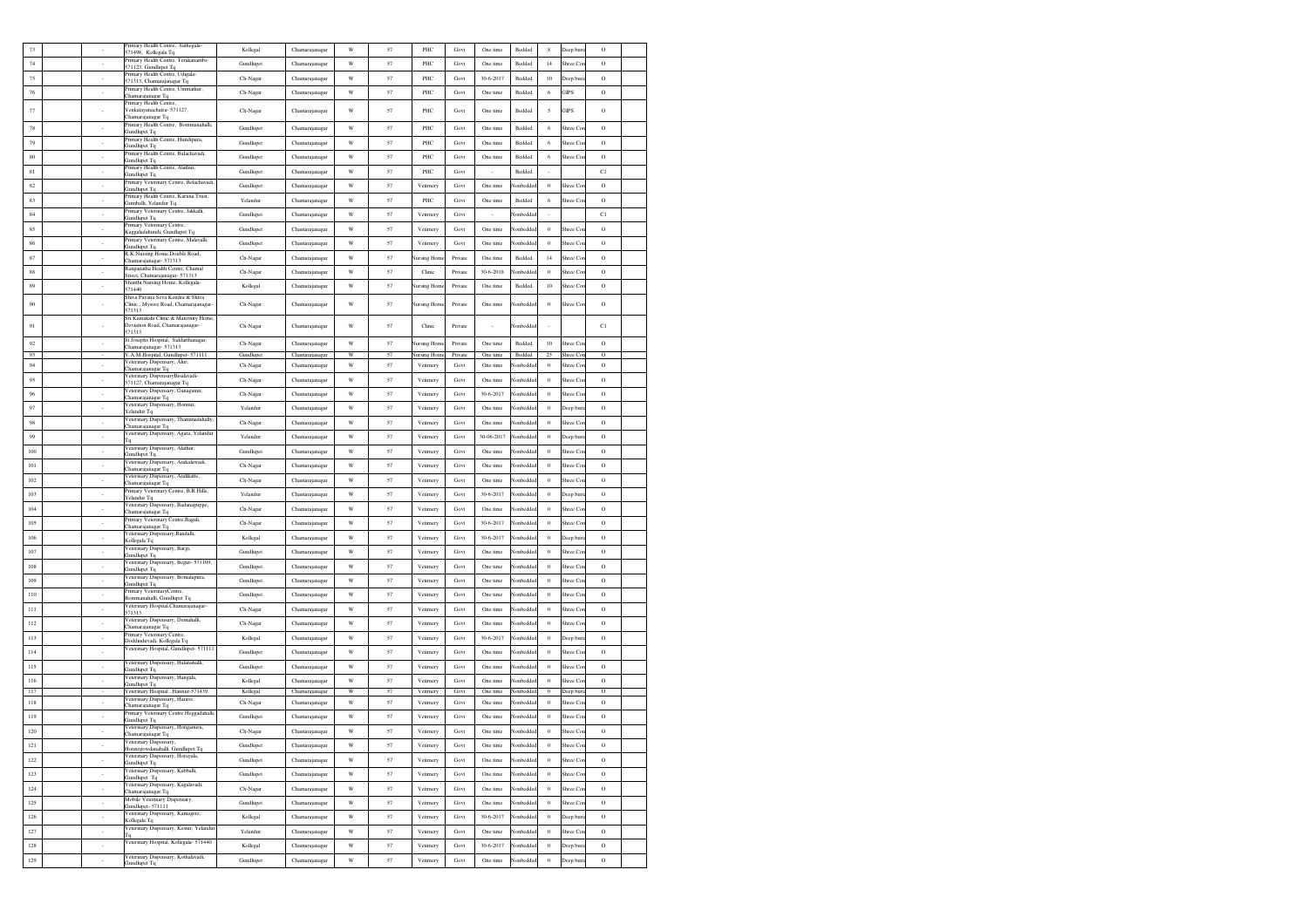| 73       |                             | Primary Health Centre, Sathegala-<br>571498, Kollegala Tq               | Kollegal              | Chamarajanagar                   | W                | 57       | PHC                                       | Govt               | One time             | Bedded           | 8                    | Jeep bur             | $\circ$            |  |
|----------|-----------------------------|-------------------------------------------------------------------------|-----------------------|----------------------------------|------------------|----------|-------------------------------------------|--------------------|----------------------|------------------|----------------------|----------------------|--------------------|--|
| 74       |                             | Primary Health Centre, Terakanambi-                                     | Gundlupet             | Chamarajanagar                   | W                | 57       | PHC                                       | Govt               | One time             | Bedded           | 14                   | hree Co              | $\circ$            |  |
| 75       | ٠                           | 571123, Gundlupet Tq<br>Primary Health Centre, Udigala-                 | Ch-Nagar              | Chamarajanagar                   | W                | 57       | PHC                                       | Govt               | 30-6-2017            | Bedded           | 10                   | Deep bur             | $\circ$            |  |
| 76       | $\sim$                      | 571313, Chamarajanagar Tq<br>Primary Health Centre, Ummathur,           |                       |                                  | W                | 57       | PHC                                       | Govt               | One time             | Bedded           | 6                    | <b>GIPS</b>          | $\circ$            |  |
|          |                             | Chamarajanagar Tq<br>Primary Health Centre,                             | Ch-Nagar              | Chamarajanagar                   |                  |          |                                           |                    |                      |                  |                      |                      |                    |  |
| 77       |                             | Venkatayanachatra-571127,<br>Chamarajanagar Tq                          | Ch-Nagar              | Chamarajanagar                   | W                | 57       | PHC                                       | Govt               | One time             | Bedded           | 5                    | <b>GIPS</b>          | $\circ$            |  |
| 78       | à.                          | Primary Health Centre, Bommanahalli,                                    | Gundlupet             | Chamarajanagar                   | W                | 57       | PHC                                       | Govt               | One time             | Bedded           | $\sqrt{6}$           | Shree Co             | $\mathcal{O}$      |  |
| 79       | $\overline{\phantom{a}}$    | Gundlupet Tq<br>Primary Health Centre, Hundipura,                       | Gundlupet             | Chamarajanagar                   | W                | 57       | PHC                                       | Govt               | One time             | Bedded           | 6                    | hree Co              | $\circ$            |  |
| 80       |                             | Gundlupet Tq<br>Primary Health Centre, Balachavadi,                     | Gundlupet             |                                  | $\mathbf W$      | 57       | PHC                                       | Govt               | One time             | Bedded           | 6                    | Shree Co             | $\rm{O}$           |  |
|          | ٠                           | Gundlupet Tq<br>Primary Health Centre, Alathur,                         |                       | Chamarajanagar                   |                  |          |                                           |                    |                      |                  |                      |                      |                    |  |
| 81       | $\overline{\phantom{a}}$    | Gundlupet Tq<br>Primary Veterinary Centre, Belachavadi,                 | Gundlupet             | Chamarajanagar                   | $\mathbf W$      | 57       | PHC                                       | Govt               | $\sim$               | Bedded           | $\sim$               |                      | C1                 |  |
| 82       | $\sim$                      | Gundlupet Tq<br>Primary Health Centre, Karuna Trust,                    | Gundlupet             | Chamarajanagar                   | W                | 57       | Vetimery                                  | Govt               | One time             | Vonbedde         | $\overline{0}$       | Shree Co.            | $\circ$            |  |
| 83       | ÷                           | Gumballi, Yelandur Tq.<br>Primary Veterinary Centre, Jakkalli,          | Yelandur              | Chamarajanagar                   | W                | 57       | PHC                                       | Govt               | One time             | Bedded           | 6                    | Shree Co             | $\mathcal{O}$      |  |
| 84       | $\mathcal{L}_{\mathcal{A}}$ | Gundlupet Tq                                                            | Gundlupet             | Chamarajanagar                   | W                | 57       | Vetimery                                  | Govt               | ÷                    | <b>Nonbedde</b>  | $\sim$               |                      | C1                 |  |
| 85       | $\overline{\phantom{a}}$    | Primary Veterinary Centre,<br>Kaggaladahundi, Gundlupet Tq              | Gundlupet             | Chamarajanagar                   | W                | 57       | Vetimery                                  | Govt               | One time             | lonbedde         | $\theta$             | Shree Co             | $\circ$            |  |
| 86       | $\sim$                      | Primary Veterinary Centre, Malavalli,<br>Gundlunet To                   | Gundlupet             | Chamarajanagar                   | $\mathbf W$      | 57       | Vetimery                                  | Govt               | One time             | Vonbedde         | $\theta$             | Shree Co             | $\rm{O}$           |  |
| 87       | $\cdot$                     | R.K.Nursing Home,Double Road,<br>Chamarajanagar- 571313                 | Ch-Nagar              | Chamarajanagar                   | W                | 57       | Nursing Home                              | Private            | One time             | Bedded           | 14                   | Shree Co             | $\rm{O}$           |  |
| 88       | $\sim$                      | Ranganatha Health Centre, Chamal<br>Street, Chamarajanagar- 571313      | Ch-Nagar              | Chamarajanagar                   | W                | 57       | Clinic                                    | Private            | 30-6-2018            | lonbedde         | $\overline{0}$       | Shree Co             | $\circ$            |  |
| 89       | $\sim$                      | Shanthi Nursing Home, Kollegala-<br>571440                              | Kollegal              | Chamarajanagar                   | W                | 57       | Nursing Hom                               | Private            | One time             | Bedded           | 10                   | Shree Co             | $\rm{O}$           |  |
|          |                             | Shiva Pavana Seva Kendra & Shiva                                        |                       |                                  |                  |          |                                           |                    |                      |                  |                      |                      |                    |  |
| 90       |                             | Clinic, Mysore Road, Chamarajanagar<br>571313                           | Ch-Nagar              | Chamarajanagar                   | W                | 57       | Nursing Home                              | Private            | One time             | Vonbeddee        | $\ddot{\phantom{0}}$ | Shree Co             | $\rm{O}$           |  |
| 91       | ä,                          | Sri Kamakshi Clinic & Maternity Home<br>Deviation Road, Chamarajanagar- | Ch-Nagar              | Chamarajanagar                   | W                | 57       | Clinic                                    | Private            |                      | Nonbedde         |                      |                      | C1                 |  |
|          |                             | 571313<br>St.Josephs Hospital, Siddarthanagar,                          |                       |                                  |                  |          |                                           |                    |                      |                  |                      |                      |                    |  |
| 92<br>93 | $\overline{\phantom{a}}$    | Chamarajanagar- 571313<br>V.A.M. Hospital, Gundlupet- 571111            | Ch-Nagar<br>Gundlupet | Chamarajanagar<br>Chamarajanagar | $\mathbf W$<br>W | 57<br>57 | <b>Nursing Hom</b><br><b>Nursing Home</b> | Private<br>Private | One time<br>One time | Bedded<br>Bedded | 10<br>25             | Shree Co<br>Shree Co | $\circ$<br>$\circ$ |  |
| 94       | $\sim$                      | Veterinary Dispensary, Alur,<br>Chamarajanagar Tq                       | Ch-Nagar              | Chamarajanagar                   | W                | 57       | Vetimery                                  | Govt               | One time             | Vonbedde         | $\overline{0}$       | Shree Co             | $\circ$            |  |
| 95       | à.                          | Veterinary DispensaryBisalavadi-                                        | Ch-Nagar              | Chamarajanagar                   | W                | 57       | Vetimery                                  | Govt               | One time             | Vonbedde         | $\theta$             | Shree Co             | $\rm{O}$           |  |
| 96       | $\overline{\phantom{a}}$    | 571127, Chamarajanagar Tq<br>Veterinary Dispensary, Ganaganur,          | Ch-Nagar              | Chamarajanagar                   | W                | 57       | Vetimery                                  | Govt               | 30-6-2017            | lonbedde         | $\theta$             | ihree Co             | $\circ$            |  |
| 97       | ÷.                          | Chamarajanagar Tq<br>Veterinary Dispensary, Honnur,                     | Yelandur              | Chamarajanagar                   | W                | 57       | Vetimery                                  | Govt               | One time             | lonbedde         | $\theta$             | Jeep bur             | $\circ$            |  |
|          |                             | Yelandur To<br>Veterinary Dispensary, Thammadahally                     |                       |                                  |                  |          |                                           |                    |                      |                  |                      |                      |                    |  |
| 98       | ٠                           | Chamarajanagar Tq<br>Veterinary Dispensary, Agara, Yelandur             | Ch-Nagar              | Chamarajanagar                   | W                | 57       | Vetimery                                  | Govt               | One time             | Vonbedde         | $\theta$             | Shree Co             | $\circ$            |  |
| 99       | $\overline{\phantom{a}}$    | Гq<br>Veterinary Dispensary, Alathur,                                   | Yelandur              | Chamarajanagar                   | W                | 57       | Vetimery                                  | Govt               | 30-06-2017           | Vonbedde         | $\ddot{\phantom{0}}$ | Jeep buri            | $\rm{O}$           |  |
| 100      | $\sim$                      | Gundlupet Tq                                                            | Gundlupet             | Chamarajanagar                   | W                | 57       | Vetimery                                  | Govt               | One time             | Vonbedde         | $\overline{0}$       | Shree Co             | $\circ$            |  |
| 101      | $\sim$                      | Veterinary Dispensary, Arakalawadi,<br>Chamarajanagar Tq                | Ch-Nagar              | Chamarajanagar                   | W                | 57       | Vetimery                                  | Govt               | One time             | Nonbeddee        | $\theta$             | Shree Co             | $\rm{O}$           |  |
| 102      | ÷                           | Veterinary Dispensary, Aralikatte,<br>Chamarajanagar Tq                 | Ch-Nagar              | Chamarajanagar                   | W                | 57       | Vetimery                                  | Govt               | One time             | lonbedde         | $\theta$             | Shree Co             | $\circ$            |  |
| 103      | à,                          | Primary Veterinary Centre, B.R.Hills,<br>Yelandur Tq                    | Yelandur              | Chamarajanagar                   | W                | 57       | Vetimery                                  | Govt               | 30-6-2017            | lonbedde         | $\theta$             | Jeep bur             | $\rm{O}$           |  |
| 104      | à,                          | Veterinary Dispensary, Badanaguppe,<br>Chamarajanagar Tq                | Ch-Nagar              | Chamarajanagar                   | W                | 57       | Vetimery                                  | Govt               | One time             | Vonbedde         | $\theta$             | Shree Co             | $\rm{O}$           |  |
| 105      | $\sim$                      | Primary Veterinary Centre, Bagali,<br>Chamarajanagar Tq                 | Ch-Nagar              | Chamarajanagar                   | W                | 57       | Vetimery                                  | Govt               | 30-6-2017            | Vonbedde         | $\ddot{\phantom{0}}$ | Shree Co             | $\rm{O}$           |  |
| 106      | $\sim$                      | Veterinary Dispensary, Bandalli,<br>Kollegala Tq                        | Kollegal              | Chamarajanagar                   | W                | 57       | Vetimery                                  | Govt               | 30-6-2017            | lonbedde         | $\overline{0}$       | Deep bur             | $\circ$            |  |
| 107      | $\epsilon$                  | Veterinary Dispensary, Bargi,                                           | Gundlupet             | Chamarajanagar                   | W                | 57       | Vetimery                                  | Govt               | One time             | lonbedde         | $\theta$             | Shree Co             | $\rm{O}$           |  |
| 108      | $\sim$                      | Gundlupet Tq<br>Veterinary Dispensary, Begur- 571109.                   | Gundlupet             | Chamarajanagar                   | W                | 57       | Vetimery                                  | Govt               | One time             | Vonbedde         | $\ddot{\phantom{0}}$ | Shree Co             | $\circ$            |  |
| 109      |                             | Gundlupet Tq<br>Veterinary Dispensary, Bomalapura,                      | Gundlupet             |                                  | W                | 57       | Vetimery                                  | Govt               | One time             | lonbedde         | $\theta$             | hree Co              | $\circ$            |  |
|          | ÷.                          | Gundlupet Tq<br>Primary VeterinaryCentre,                               |                       | Chamarajanagar                   |                  |          |                                           |                    |                      |                  |                      |                      |                    |  |
| 110      | $\overline{\phantom{a}}$    | Bommanahalli, Gundlupet Tq<br>Veterinary Hospital, Chamarajanagar-      | Gundlupet             | Chamarajanagar                   | W                | 57       | Vetimery                                  | Govt               | One time             | lonbedde         | $\theta$             | hree Co              | $\circ$            |  |
| 111      | $\overline{\phantom{a}}$    | 571313<br>Veterinary Dispensary, Demahalli,                             | Ch-Nagar              | Chamarajanagar                   | $\mathbf W$      | 57       | Vetimery                                  | Govt               | One time             | Vonbedde         | $\theta$             | Shree Co             | $\rm{O}$           |  |
| 112      | $\sim$                      | Chamarajanagar Tq                                                       | Ch-Nagar              | Chamarajanagar                   | W                | 57       | Vetimery                                  | Govt               | One time             | Vonbedde         | $\overline{0}$       | Shree Co.            | $\circ$            |  |
| 113      | $\sim$                      | Primary Veterinary Centre,<br>Doddinduvadi, Kollegala Tq                | Kollegal              | Chamarajanagar                   | W                | 57       | Vetimery                                  | Govt               | 30-6-2017            | Vonbedde         | $\overline{0}$       | Deep buri            | $\circ$            |  |
| 114      | $\mathcal{L}_{\mathcal{A}}$ | Veterinary Hospital, Gundlupet- 571111                                  | Gundlupet             | Chamarajanagar                   | W                | 57       | Vetimery                                  | Govt               | One time             | Vonbedde         | $\theta$             | Shree Co             | $\mathcal{O}$      |  |
| 115      | $\overline{\phantom{a}}$    | Veterinary Dispensary, Halanahalli,<br>Gundlupet Tq                     | Gundlupet             | Chamarajanagar                   | W                | 57       | Vetimery                                  | Govt               | One time             | lonbedde         | $\theta$             | Shree Co             | $\circ$            |  |
| 116      | $\sim$                      | Veterinary Dispensary, Hangala,<br>Gundlupet Tq                         | Kollegal              | Chamarajanagar                   | W                | 57       | Vetimery                                  | Govt               | One time             | lonbedde         | $\,$ 0               | Shree Co             | $\mathcal{O}$      |  |
| 117      |                             | Veterinary Hospital, Hannur-571439<br>Veterinary Dispensary, Harave,    | Kollegal              | Chamarajanagar                   | W                | 57       | Vetimery                                  | Govt               | One time             | lonbedded        | $\Omega$             | Deep buri            | Ω                  |  |
| 118      | $\overline{\phantom{a}}$    | Chamarajanagar Tq                                                       | Ch-Nagar              | Chamarajanagar                   | $\mathbf W$      | 57       | Vetimery                                  | Govt               | One time             | Vonbedde         | $\theta$             | Shree Co             | $\rm{O}$           |  |
| 119      | $\sim$                      | Primary Veterinary Centre Heggadahalli<br>Gundlupet Tq                  | Gundlupet             | Chamarajanagar                   | W                | 57       | Vetirnery                                 | Govt               | One time             | Nonbedde         | $\overline{0}$       | Shree Co             | $\circ$            |  |
| 120      | $\sim$                      | Veterinary Dispensary, Honganuru,<br>Chamarajanagar Tq                  | Ch-Nagar              | Chamarajanagar                   | W                | 57       | Vetimery                                  | Govt               | One time             | Nonbedde         | $\overline{0}$       | Shree Co             | $\circ$            |  |
| 121      |                             | Veterinary Dispensary,<br>Honnegowdanahalli, Gundlupet Tq               | Gundlupet             | Chamarajanagar                   | W                | 57       | Vetimery                                  | Govt               | One time             | Nonbeddec        | $\theta$             | Shree Cor            | $\mathcal{O}$      |  |
| 122      | ä,                          | Veterinary Dispensary, Horayala,<br>Gundlupet Tq                        | Gundlupet             | Chamarajanagar                   | W                | 57       | Vetimery                                  | Govt               | One time             | lonbedde         | $\,$ 0               | Shree Co             | $\mathcal{O}$      |  |
| 123      | $\cdot$                     | Veterinary Dispensary, Kabballi,<br>Gundlupet Tq                        | Gundlupet             | Chamarajanagar                   | W                | 57       | Vetimery                                  | Govt               | One time             | Vonbedde         | $\theta$             | Shree Co             | $\circ$            |  |
| 124      | $\cdot$                     | Veterinary Dispensary, Kagalavadi,<br>Chamarajanagar Tq                 | Ch-Nagar              | Chamarajanagar                   | W                | 57       | Vetimery                                  | Govt               | One time             | Vonbeddee        | $\ddot{\phantom{0}}$ | Shree Co             | $\circ$            |  |
| 125      | $\sim$                      | Mobile Veterinary Dispensary,                                           | Gundlupet             | Chamarajanagar                   | W                | 57       | Vetimery                                  | Govt               | One time             | lonbedde         | $\overline{0}$       | Shree Co             | $\circ$            |  |
| 126      | $\sim$                      | Gundlupet-571111<br>Veterinary Dispensary, Kamagere,                    | Kollegal              | Chamarajanagar                   | W                | 57       | Vetimery                                  | Govt               | 30-6-2017            | Vonbedde         | $\overline{0}$       | Deep bur             | $\circ$            |  |
|          | à.                          | Kollegala Tq<br>Veterinary Dispensary, Kestur, Yelandur                 |                       |                                  |                  |          |                                           |                    |                      |                  |                      |                      |                    |  |
| 127      |                             | Τq<br>Veterinary Hospital, Kollegala- 571440                            | Yelandur              | Chamarajanagar                   | W                | 57       | Vetimery                                  | Govt               | One time             | Vonbedde         | $\,$ 0               | Shree Co             | $\rm{O}$           |  |
| 128      | ä,                          | Veterinary Dispensary, Kothalavadi,                                     | Kollegal              | Chamarajanagar                   | W                | 57       | Vetimery                                  | Govt               | $30 - 6 - 2017$      | lonbedd          | $\bf{0}$             | Jeep bur             | $\circ$            |  |
| 129      |                             | Gundlupet Tq                                                            | Gundlupet             | Chamarajanagar                   | W                | 57       | Vetimery                                  | Govt               | One time             | lonbedd          | $\bf{0}$             | Jeep bur             | $\circ$            |  |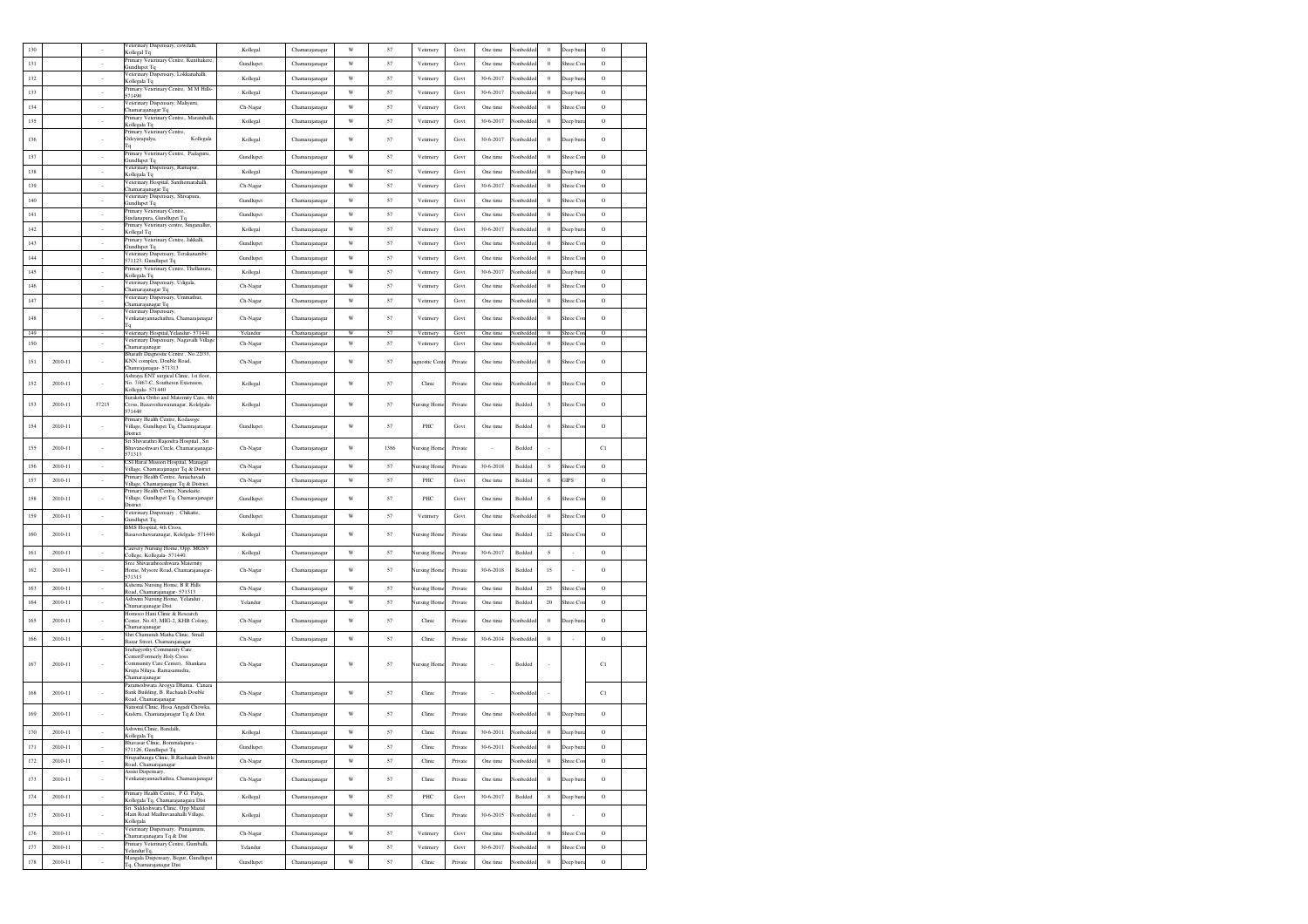| 130        |             |                          | /eterinary Dispensary, cowdalli,<br>Kollegal Tq                                                                | Kollegal  | Chamarajanagar                   | W           | 57       | Vetirnery            | Govt         | One time             | Vonbedde              | $\bf{0}$                   | Deep buri             | $\circ$                   |  |
|------------|-------------|--------------------------|----------------------------------------------------------------------------------------------------------------|-----------|----------------------------------|-------------|----------|----------------------|--------------|----------------------|-----------------------|----------------------------|-----------------------|---------------------------|--|
| 131        |             |                          | Primary Veterinary Centre, Kunthakere,<br>Gundlupet Tq                                                         | Gundlupet | Chamarajanagar                   | W           | 57       | Vetirnery            | Govt         | One time             | Vonbedde              | $\bf{0}$                   | Shree Co              | $\circ$                   |  |
| 132        |             |                          | Veterinary Dispensary, Lokkanahalli,<br>Kollegala Tq                                                           | Kollegal  | Chamarajanagar                   | W           | 57       | Vetimery             | Govt         | 30-6-2017            | Vonbedde              | $\bf{0}$                   | Deep buri             | $\circ$                   |  |
| 133        |             | $\sim$                   | Primary Veterinary Centre. M M Hills<br>571490                                                                 | Kollegal  | Chamarajanagar                   | $\mathbf W$ | 57       | Vetimery             | Govt         | 30-6-2017            | Vonbedde              | $\,0\,$                    | Deep buri             | $\rm{O}$                  |  |
| 134        |             | $\cdot$                  | Veterinary Dispensary, Maliyuru,                                                                               | Ch-Nagar  | Chamarajanagar                   | $\mathbf W$ | 57       | Vetimery             | Govt         | One time             | Vonbedde              | $\,0\,$                    | Shree Cor             | $\rm{O}$                  |  |
| 135        |             | $\sim$                   | hamarajanagar Tq<br>Primary Veterinary Centre,, Maratahalli,                                                   | Kollegal  | Chamarajanagar                   | W           | 57       | Vetimery             | Govt         | 30-6-2017            | Nonbedde              | $\theta$                   | Deep buri             | $\circ$                   |  |
|            |             |                          | Kollegala Tq<br>Primary Veterinary Centre,                                                                     |           |                                  |             |          |                      |              |                      |                       |                            |                       |                           |  |
| 136        |             |                          | Kollegala<br>Odeyarapalya,<br>Tq                                                                               | Kollegal  | Chamarajanagar                   | W           | 57       | Vetimery             | Govt         | 30-6-2017            | Vonbedde              | $\bf{0}$                   | Deep buri             | $\rm{O}$                  |  |
| 137        |             | $\overline{\phantom{a}}$ | Primary Veterinary Centre, Padaguru,<br>Gundlupet Tq                                                           | Gundlupet | Chamarajanagar                   | $\mathbf W$ | 57       | Vetimery             | Govt         | One time             | Vonbedde              | $\theta$                   | Shree Co              | $\rm{O}$                  |  |
| 138        |             |                          | Veterinary Dispensary, Ramapur,<br>Kollegala Tq                                                                | Kollegal  | Chamarajanagar                   | W           | 57       | Vetimery             | Govt         | One time             | lonbedde              | $\bf{0}$                   | Deep buri             | $\circ$                   |  |
| 139        |             | $\sim$                   | Veterinary Hospital, Santhemarahalli,<br>Chamarajanagar Tq                                                     | Ch-Nagar  | Chamarajanagar                   | W           | 57       | Vetimery             | Govt         | 30-6-2017            | Vonbedde              | $\,0\,$                    | Shree Cor             | $\rm{O}$                  |  |
| 140        |             | $\sim$                   | Veterinary Dispensary, Shivapura,<br><b>Gundlupet Tq</b>                                                       | Gundlupet | Chamarajanagar                   | W           | 57       | Vetirnery            | Govt         | One time             | Nonbedde              | $\theta$                   | Shree Cor             | $\circ$                   |  |
| 141        |             | $\sim$                   | Primary Veterinary Centre,<br>Sindanapura, Gundlupet Tq                                                        | Gundlupet | Chamarajanagar                   | W           | 57       | Vetimery             | Govt         | One time             | <b>Nonbedde</b>       | $\theta$                   | Shree Cor             | $\circ$                   |  |
| 142        |             | $\sim$                   | rimary Veterinary centre, Singanallur,<br>Kollegal Tq                                                          | Kollegal  | Chamarajanagar                   | W           | 57       | Vetimery             | Govt         | 30-6-2017            | <b>Nonbedde</b>       | $\theta$                   | Deep buri             | $\circ$                   |  |
| 143        |             | $\sim$                   | Primary Veterinary Centre, Jakkalli,<br>Gundlupet Tq                                                           | Gundlupet | Chamarajanaga                    | $\mathbf W$ | 57       | Vetimery             | Govt         | One time             | Vonbedde              | $\,0\,$                    | Shree Cor             | $\rm{O}$                  |  |
| 144        |             | $\cdot$                  | Veterinary Dispensary, Terakanambi-<br>571123. Gundlupet To                                                    | Gundlupet | Chamarajanagar                   | $\mathbf W$ | 57       | Vetimery             | Govt         | One time             | lonbedde              | $\bf{0}$                   | Shree Cor             | $\rm{O}$                  |  |
| 145        |             | $\epsilon$               | Primary Veterinary Centre, Thellanuru,<br>Kollegala Tq                                                         | Kollegal  | Chamarajanagar                   | W           | 57       | Vetimery             | Govt         | 30-6-2017            | Nonbedde              | $\,$ 0                     | Deep buri             | $\rm{O}$                  |  |
| 146        |             | $\sim$                   | Veterinary Dispensary, Udigala,                                                                                | Ch-Nagar  | Chamarajanagar                   | W           | 57       | Vetimery             | Govt         | One time             | Vonbedde              | $\theta$                   | Shree Cor             | $\rm{O}$                  |  |
| 147        |             | $\sim$                   | hamarajanagar Tq<br>Veterinary Dispensary, Ummathur,                                                           | Ch-Nagar  | Chamarajanagar                   | W           | 57       | Vetimery             | Govt         | One time             | <b>Nonbedde</b>       | $\theta$                   | Shree Cor             | $\circ$                   |  |
|            |             |                          | Chamarajanagar Tq<br>/eterinary Dispensary,                                                                    |           |                                  |             |          |                      |              |                      |                       |                            |                       |                           |  |
| 148        |             |                          | Venkataiyannachathra, Chamarajanaga<br>Гq                                                                      | Ch-Nagar  | Chamarajanagar                   | W           | 57       | Vetimery             | Govt         | One time             | Vonbedde              | $\,0\,$                    | Shree Cor             | $\rm{O}$                  |  |
| 149<br>150 |             |                          | Veterinary Hospital, Yelandur- 571441<br>Veterinary Dispensary, Nagavalli Villags                              | Yelandur  | Chamarajanagar<br>Chamarajanagar | W<br>W      | 57<br>57 | Vetimery<br>Vetimery | Govt<br>Govt | One time<br>One time | Vonbeddee<br>Vonbedde | $\overline{0}$<br>$\bf{0}$ | Shree Cor<br>Shree Co | $\overline{O}$<br>$\circ$ |  |
|            |             |                          | Chamarajanagar<br>Bharath Diagnostic Centre . No.22/33.                                                        | Ch-Nagar  |                                  |             |          |                      |              |                      |                       |                            |                       |                           |  |
| 151        | 2010-11     |                          | KNN complex, Double Road,<br>Chamrajanagar- 571313                                                             | Ch-Nagar  | Chamarajanagar                   | W           | 57       | agnostic Cen         | Private      | One time             | Vonbedde              | $\,0\,$                    | Shree Cor             | $\circ$                   |  |
| 152        | 2010-11     |                          | Ashraya ENT surgical Clinic, 1st floor,<br>No. 7/467-C, Southeren Extension,                                   | Kollegal  | Chamarajanagar                   | W           | 57       | Clinic               | Private      | One time             | Vonbedde              | $\theta$                   | Shree Cor             | $\rm{O}$                  |  |
|            |             |                          | Kollegala-571440<br>Suraksha Ortho and Maternity Care, 4th                                                     |           |                                  |             |          |                      |              |                      |                       |                            |                       |                           |  |
| 153        | 2010-11     | 37215                    | 'ross, Basaveshawaranagar, Kolelgala-<br>571440                                                                | Kollegal  | Chamarajanagar                   | W           | 57       | <b>Nursing Home</b>  | Private      | One time             | Bedded                | 5                          | Shree Cor             | $\rm _O$                  |  |
| 154        | 2010-11     |                          | Primary Health Centre, Kodasoge<br>Village, Gundlupet Tq, Chamrajanagar<br>District                            | Gundlupet | Chamarajanagar                   | W           | 57       | PHC                  | Govt         | One time             | Bedded                | 6                          | Shree Cor             | $\circ$                   |  |
| 155        | 2010-11     |                          | Sri Shivarathri Rajendra Hospital, Sri<br>Bhuvaneshwari Circle, Chamarajanagar<br>571313                       | Ch-Nagar  | Chamarajanagar                   | W           | 1386     | Nursing Hom          | Private      |                      | Bedded                |                            |                       | C1                        |  |
| 156        | 2010-11     | $\sim$                   | CSI Rural Mission Hospital, Managal<br>Village, Chamarajanagar Tq & District                                   | Ch-Nagar  | Chamarajanagar                   | W           | 57       | Nursing Hom          | Private      | 30-6-2018            | Bedded                | 5                          | Shree Cor             | $\circ$                   |  |
| 157        | 2010-11     | $\sim$                   | Primary Health Centre, Amachavadi<br>Village, Chamarjanagar Tq & District.                                     | Ch-Nagar  | Chamarajanagar                   | W           | 57       | PHC                  | Govt         | One time             | Bedded                | 6                          | <b>GIPS</b>           | $\circ$                   |  |
| 158        | 2010-11     |                          | Primary Health Centre, Nanekatte<br>Village, Gundlupet Tq, Chamarajanagar                                      | Gundlupet | Chamarajanagar                   | W           | 57       | PHC                  | Govt         | One time             | Bedded                | 6                          | Shree Cor             | $\circ$                   |  |
| 159        | 2010-11     |                          | District<br>Veterinary Dispensary, Chikatte,                                                                   | Gundlupet | Chamarajanagar                   | W           | 57       | Vetimery             | Govt         | One time             | Vonbedde              | $\,0\,$                    | Shree Cor             | $\rm{O}$                  |  |
|            |             | $\cdot$                  | Gundlupet Tq<br>BMS Hospital, 4th Cross,                                                                       |           |                                  |             |          |                      |              |                      |                       |                            |                       |                           |  |
| 160        | 2010-11     |                          | Basaveshawaranagar, Kolelgala- 571440                                                                          | Kollegal  | Chamarajanagar                   | W           | 57       | <b>Vursing Hom</b>   | Private      | One time             | Bedded                | 12                         | Shree Cor             | $\circ$                   |  |
| 161        | 2010-11     | $\sim$                   | Cauvery Nursing Home, Opp. MGSV<br>College, Kollegala- 571440.                                                 | Kollegal  | Chamarajanagar                   | W           | 57       | Nursing Hom          | Private      | 30-6-2017            | Bedded                | 5                          | $\sim$                | $\rm{O}$                  |  |
| 162        | 2010-11     |                          | Sree Shivarathreeshwara Maternity<br>Home, Mysore Road, Chamarajanagar<br>571313                               | Ch-Nagar  | Chamarajanagar                   | W           | 57       | <b>Nursing Hom</b>   | Private      | 30-6-2018            | Bedded                | 15                         |                       | $\rm{O}$                  |  |
| 163        | 2010-11     | $\cdot$                  | Kshema Nursing Home, B R Hills<br>Road, Chamarajanagar- 571313                                                 | Ch-Nagar  | Chamarajanagar                   | $\mathbf W$ | 57       | Nursing Hom          | Private      | One time             | Bedded                | 25                         | Shree Cor             | $\rm{O}$                  |  |
| 164        | 2010-11     |                          | Ashwini Nursing Home, Yelandur,                                                                                | Yelandur  | Chamarajanagar                   | W           | 57       | <b>Nursing Hom</b>   | Private      | One time             | Bedded                | $20\,$                     | Shree Cor             | $\rm{O}$                  |  |
|            |             |                          | Chamarajanagar Dist.<br>Homoeo Hani Clinic & Research                                                          |           |                                  | W           |          |                      |              |                      |                       |                            |                       |                           |  |
| 165        | 2010-11     |                          | Center, No.43, MIG-2, KHB Colony,<br>Chamarajanagar<br>Shri Chamundi Matha Clinic, Small                       | Ch-Nagar  | Chamarajanagar                   |             | 57       | Clinic               | Private      | One time             | lonbedde              | $\bf{0}$                   | Deep buri             | $\rm{O}$                  |  |
| 166        | 2010-11     | $\sim$                   | Bazar Street, Chamarajanagar<br>Snehajyothy Community Care                                                     | Ch-Nagar  | Chamarajanagar                   | W           | 57       | Clinic               | Private      | 30-6-2014            | Nonbedde              | $\,$ 0 $\,$                | $\sim$                | $\circ$                   |  |
| 167        | 2010-11     |                          | Center(Formerly Holy Cross<br>Community Care Center), Shankara<br>Crupa Nilaya, Ramasamudra,<br>Chamarajanagar | Ch-Nagar  | Chamarajanagar                   | W           | 57       | Nursing Hom          | Private      |                      | Bedded                |                            |                       | C1                        |  |
| 168        | 2010-11     |                          | Parameshwara Arogya Dhama, Canara<br>Bank Building, B. Rachaiah Double<br>Road, Chamarajanagar                 | Ch-Nagar  | Chamarajanagar                   | W           | 57       | Clinic               | Private      |                      | Vonbedde              |                            |                       | C1                        |  |
| 169        | 2010-11     |                          | National Clinic, Hosa Angadi Chowka,<br>Kuderu, Chamarajanagar Tq & Dist.                                      | Ch-Nagar  | Chamarajanagar                   | W           | 57       | Clinic               | Private      | One time             | Nonbedde              | $\bf{0}$                   | Deep buri             | $\rm _O$                  |  |
| 170        | 2010-11     |                          | Ashwini Clinic, Bandalli,<br>Kollegala To                                                                      | Kollegal  | Chamarajanagar                   | W           | 57       | Clinic               | Private      | 30-6-2011            | Vonbedde              | $\bf{0}$                   | Deep buri             | $\circ$                   |  |
| 171        | $2010 - 11$ |                          | Bhavasar Clinic, Bommalapura -<br>571126, Gundlupet Tq                                                         | Gundlupet | Chamarajanagar                   | $\mathbf W$ | 57       | Clinic               | Private      | $30 - 6 - 2011$      | Nonbeddee             | $\,0\,$                    | Deep buri:            | $\rm{O}$                  |  |
| 172        | $2010 - 11$ | $\sim$                   | Nrupathunga Clinic, B.Rachaiah Double<br>Road, Chamarajanagar                                                  | Ch-Nagar  | Chamarajanagar                   | W           | 57       | Clinic               | Private      | One time             | Vonbedde              | $\theta$                   | Shree Cor             | $\rm{O}$                  |  |
| 173        | 2010-11     |                          | Assisi Dispensary,<br>Venkataiyannachathra, Chamarajanagar                                                     | Ch-Nagar  | Chamarajanagar                   | W           | 57       | Clinic               | Private      | One time             | Nonbedde              | $\bf{0}$                   | Deep buri             | $\rm{O}$                  |  |
| 174        | 2010-11     | ×                        | Primary Health Centre, P.G. Palya,<br>Kollegala Tq, Chamarajanagara Dist                                       | Kollegal  | Chamarajanagar                   | W           | 57       | PHC                  | Govt         | 30-6-2017            | Bedded                | $\bf8$                     | Deep buri             | $\circ$                   |  |
| 175        | 2010-11     |                          | Sri Siddeshwara Clinic, Opp Mazid<br>Main Road Madhuvanahalli Village,                                         | Kollegal  | Chamarajanagar                   | W           | 57       | Clinic               | Private      | 30-6-2015            | Vonbedde              | $\,0\,$                    |                       | $\rm{O}$                  |  |
|            |             |                          | Kollegala<br>Veterinary Dispensary, Punajanuru,                                                                |           |                                  |             |          |                      |              |                      |                       |                            |                       |                           |  |
| 176<br>177 | 2010-11     | $\cdot$                  | Chamarajanagara Tq & Dist<br>Primary Veterinary Centre, Gumballi,                                              | Ch-Nagar  | Chamarajanagar                   | $\mathbf W$ | 57       | Vetimery             | Govt         | One time             | Vonbedde              | $\,$ 0 $\,$                | Shree Cor             | $\rm{O}$                  |  |
|            | 2010-11     | $\cdot$                  | YelandurTq.<br>Mangala Dispensary, Begur, Gundlupet                                                            | Yelandur  | Chamarajanagar                   | $\mathbf W$ | 57       | Vetimery             | Govt         | 30-6-2017            | Vonbedde              | $\,0\,$                    | Shree Cor             | $\rm{O}$                  |  |
| 178        | 2010-11     | $\cdot$                  | Fq. Chamarajanagar Dist                                                                                        | Gundlupet | Chamarajanagar                   | W           | 57       | Clinic               | Private      | One time             | Nonbedde              | $\bf{0}$                   | Deep buri             | $\rm{O}$                  |  |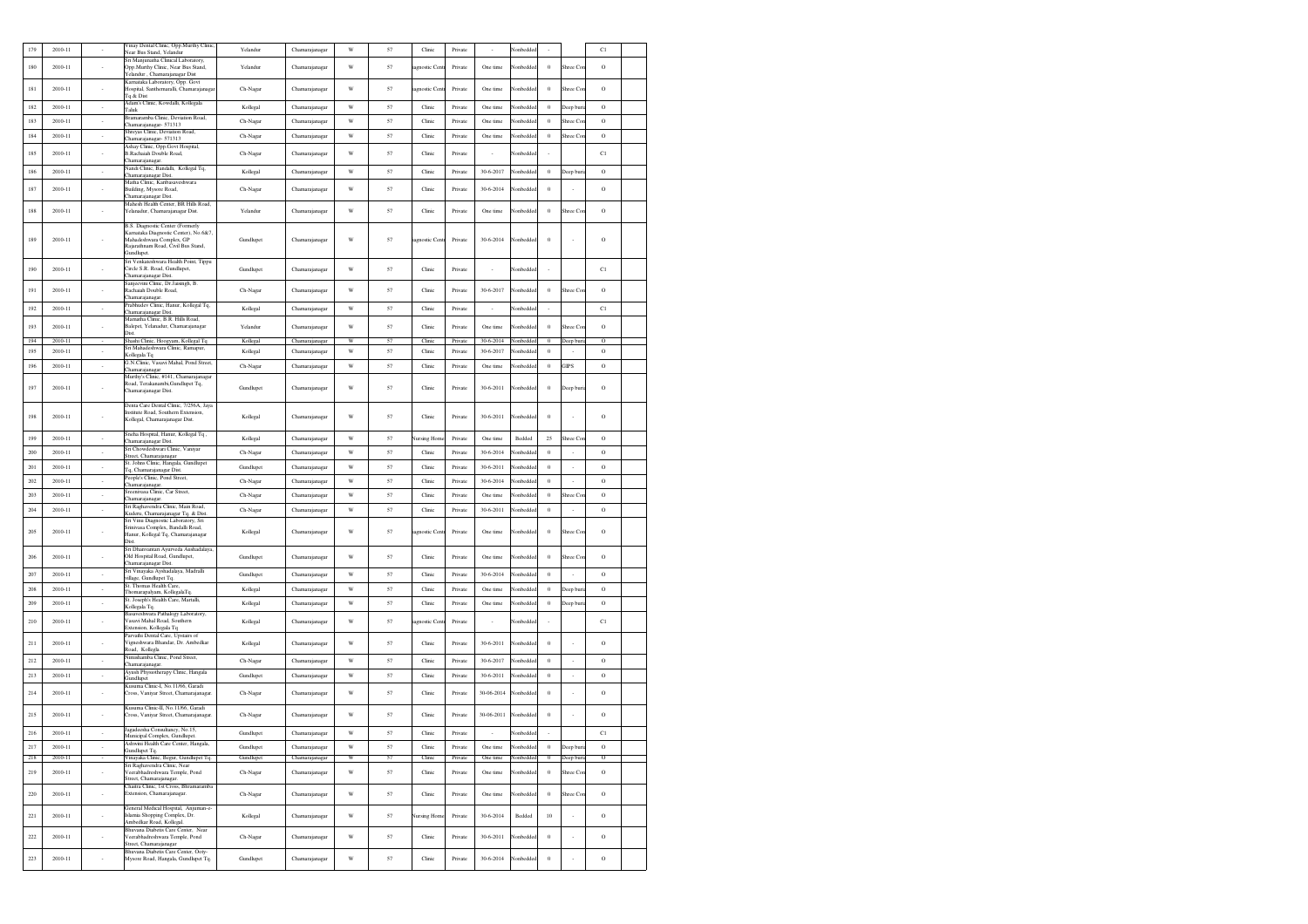| 179        | 2010-11            |                          | Vinay Dental Clinic, Opp.Murthy Clinic<br>Vear Bus Stand, Yelandur                                                                                                                                 | Yelandur              | Chamarajanagar                   | W                       | 57       | Clinic           | Private            |                          | Vonbedd                |                      |                          | C1                  |  |
|------------|--------------------|--------------------------|----------------------------------------------------------------------------------------------------------------------------------------------------------------------------------------------------|-----------------------|----------------------------------|-------------------------|----------|------------------|--------------------|--------------------------|------------------------|----------------------|--------------------------|---------------------|--|
| 180        | 2010-11            |                          | Sri Maniunatha Clinical Laboratory.<br>Opp.Murthy Clinic, Near Bus Stand.<br>r'elandur , Chamarajanagar Dist                                                                                       | Yelandur              | Chamarajanagar                   | W                       | 57       | agnostic Cent    | Private            | One time                 | Nonbeddec              | $\theta$             | Shree Co.                | $\circ$             |  |
| 181        | 2010-11            |                          | Karnataka Laboratory, Opp. Govt<br>Hospital, Santhemaralli, Chamarajanaga<br>Tq & Dist                                                                                                             | Ch-Nagar              | Chamarajanagar                   | W                       | 57       | iagnostic Cent   | Private            | One time                 | Nonbeddee              | $\,0\,$              | Shree Cor                | $\rm{O}$            |  |
| 182        | 2010-11            | ٠                        | Adam's Clinic, Kowdalli, Kollegala<br>Taluk                                                                                                                                                        | Kollegal              | Chamarajanagar                   | W                       | 57       | Clinic           | Private            | One time                 | Nonbeddee              | $\bf{0}$             | Deep buri                | $\circ$             |  |
| 183        | 2010-11            | $\sim$                   | Bramaramba Clinic, Deviation Road,                                                                                                                                                                 | Ch-Nagar              | Chamarajanagar                   | W                       | 57       | Clinic           | Private            | One time                 | Nonbedde               | $\theta$             | Shree Co.                | $\circ$             |  |
| 184        | 2010-11            | $\overline{\phantom{a}}$ | hamarajanagar- 571313<br>Shreyas Clinic, Deviation Road,<br>hamarajanagar- 571313                                                                                                                  | Ch-Nagar              | Chamarajanagar                   | $\ensuremath{\text{W}}$ | 57       | Clinic           | Private            | One time                 | Nonbedde               | $\,0\,$              | Shree Co.                | $\circ$             |  |
| 185        | 2010-11            |                          | Ashay Clinic, Opp.Govt Hospital,<br>B.Rachaiah Double Road.                                                                                                                                        | Ch-Nagar              | Chamarajanagar                   | W                       | 57       | Clinic           | Private            |                          | Nonbedde               |                      |                          | C1                  |  |
| 186        | 2010-11            | $\cdot$                  | Chamarajanagar.<br>Nandi Clinic, Bandalli, Kollegal Tq,<br>hamarajanagar Dist.                                                                                                                     | Kollegal              | Chamarajanagar                   | W                       | 57       | Clinic           | Private            | 30-6-2017                | Nonbeddee              | $\theta$             | Deep bur                 | $\circ$             |  |
| 187        | 2010-11            |                          | Matha Clinic, Karibasaveshwara<br>Building, Mysore Road,<br>Chamarajanagar Dist.                                                                                                                   | Ch-Nagar              | Chamarajanagar                   | W                       | 57       | Clinic           | Private            | 30-6-2014                | lonbeddeo              | $\,0\,$              |                          | O                   |  |
| 188        | 2010-11            |                          | Mahesh Health Center, BR Hills Road,<br>Yelanadur, Chamarajanagar Dist.                                                                                                                            | Yelandur              | Chamarajanagar                   | W                       | 57       | Clinic           | Private            | One time                 | Nonbeddee              | $\bf{0}$             | Shree Co.                | O                   |  |
| 189        | 2010-11            |                          | B.S. Diagnostic Center (Formerly<br>Karnataka Diagnostic Center), No.6&7.<br>Mahadeshwara Complex, GP<br>Raiarathnam Road, Civil Bus Stand,<br>Gundlupet.<br>Sri Venkateshwara Health Point, Tippu | Gundlupet             | Chamarajanagar                   | W                       | 57       | iagnostic Cent   | Private            | 30-6-2014                | Nonbeddec              | $\bf{0}$             |                          | Ó                   |  |
| 190        | 2010-11            |                          | Circle S.R. Road, Gundlupet,<br>Chamarajanagar Dist.                                                                                                                                               | Gundlupet             | Chamarajanagar                   | W                       | 57       | Clinic           | Private            | $\overline{\phantom{a}}$ | Nonbeddee              |                      |                          | C1                  |  |
| 191        | 2010-11            | $\cdot$                  | Sanjeevini Clinic, Dr.Jaisingh, B.<br>Rachaiah Double Road,<br>hamarajanagar.                                                                                                                      | Ch-Nagar              | Chamarajanagar                   | W                       | 57       | Clinic           | Private            | 30-6-2017                | Nonbeddee              | $\bf{0}$             | Shree Co.                | $\circ$             |  |
| 192        | $2010 - 11$        | $\epsilon$               | Prabhudev Clinic, Hanur, Kollegal Tq,<br>Chamarajanagar Dist.                                                                                                                                      | Kollegal              | Chamarajanagar                   | $\mathbf W$             | 57       | Clinic           | Private            | $\sim$                   | Nonbeddee              | $\sim$               |                          | C1                  |  |
| 193        | 2010-11            |                          | Mamatha Clinic, B.R. Hills Road.<br>Balepet, Yelanadur, Chamarajanagar<br>Dist                                                                                                                     | Yelandur              | Chamarajanagar                   | W                       | 57       | Clinic           | Private            | One time                 | Nonbedde               | $\,0\,$              | Shree Co.                | O                   |  |
| 194        | 2010-11            |                          | Shashi Clinic, Hoogyam, Kollegal Tq                                                                                                                                                                | Kollegal              | Chamarajanagar                   | W                       | 57       | Clinic           | Private            | 30-6-2014                | Nonbeddec              | $\bf{0}$             | Deep buri                | $\overline{0}$      |  |
| 195        | 2010-11            | $\sim$                   | Sri Mahadeshwara Clinic, Ramapur,<br>Kollegala Tq                                                                                                                                                  | Kollegal              | Chamarajanagar                   | W                       | 57       | Clinic           | Private            | 30-6-2017                | Nonbedde               | $\,0\,$              |                          | $\rm{O}$            |  |
| 196        | 2010-11            | $\overline{\phantom{a}}$ | G.N.Clinic, Vasavi Mahal, Pond Street,<br>hamarajanagar                                                                                                                                            | Ch-Nagar              | Chamarajanagar                   | W                       | 57       | Clinic           | Private            | One time                 | Vonbedde               | $\,0\,$              | <b>GIPS</b>              | $\circ$             |  |
| 197        | 2010-11            |                          | Murthy's Clinic, #141, Chamarajanagar<br>Road, Terakanambi, Gundlupet Tq,<br>Chamarajanagar Dist.                                                                                                  | Gundlupet             | Chamarajanagar                   | W                       | 57       | Clinic           | Private            | $30 - 6 - 2011$          | Nonbeddec              | $\bf{0}$             | Deep buri                | O                   |  |
| 198        | 2010-11            |                          | Denta Care Dental Clinic, 7/256A, Jaya<br>Institute Road, Southern Extension.<br>Kollegal, Chamarajanagar Dist.                                                                                    | Kollegal              | Chamarajanagar                   | W                       | 57       | Clinic           | Private            | 30-6-2011                | Nonbeddec              | $\mathbf{0}$         |                          | $\circ$             |  |
| 199        | 2010-11            | $\sim$                   | Sneha Hospital, Hanur, Kollegal Tq.<br>hamarajanagar Dist.<br>Sri Chowdeshwari Clinic, Vaniyar                                                                                                     | Kollegal              | Chamarajanagar                   | W                       | 57       | Nursing Home     | Private            | One time                 | Bedded                 | 25                   | Shree Co                 | $\circ$             |  |
| 200        | 2010-11            | $\overline{\phantom{a}}$ | Street, Chamarajanagar                                                                                                                                                                             | Ch-Nagar              | Chamarajanagar                   | $\ensuremath{\text{W}}$ | 57       | Clinic           | Private            | 30-6-2014                | Nonbedde               | $\,0\,$              |                          | $\rm _O$            |  |
| 201        | $2010 - 11$        | $\sim$                   | St. Johns Clinic, Hangala, Gundlupet<br>Tq, Chamarajanagar Dist.                                                                                                                                   | Gundlupet             | Chamaraianagar                   | $\mathbf W$             | 57       | Clinic           | Private            | 30-6-2011                | Nonbedde               | $\theta$             | $\sim$                   | $\rm{O}$            |  |
| 202        | 2010-11            | $\sim$                   | People's Clinic, Pond Street,<br>hamarajanagar.                                                                                                                                                    | Ch-Nagar              | Chamarajanagar                   | W                       | 57       | Clinic           | Private            | 30-6-2014                | Vonbedde               | $\theta$             | $\sim$                   | $\rm{O}$            |  |
| 203        | $2010 - 11$        | $\epsilon$               | Sreenivasa Clinic, Car Street,<br>hamarajanagar.                                                                                                                                                   | Ch-Nagar              | Chamarajanagar                   | W                       | 57       | Clinic           | Private            | One time                 | Nonbeddee              | $\theta$             | Shree Co.                | $\circ$             |  |
| 204        | 2010-11            | $\sim$                   | Sri Raghavendra Clinic, Main Road,<br>Kuderu, Chamarajanagar Tq. & Dist.                                                                                                                           | Ch-Nagar              | Chamarajanagar                   | W                       | 57       | Clinic           | Private            | 30-6-2011                | Vonbedde               | $\,0\,$              | ÷                        | $\rm{O}$            |  |
| 205        | $2010 - 11$        |                          | Sri Vinu Diagnostic Laboratory, Sri<br>Srinivasa Complex, Bandalli Road,<br>Ianur, Kollegal Tq, Chamarajanagar<br>Dist.                                                                            | Kollegal              | Chamarajanagar                   | W                       | 57       | iagnostic Cent   | Private            | One time                 | Nonbeddec              | $\,0\,$              | Shree Cor                | O                   |  |
| 206        | 2010-11            |                          | Sri Dhanvantari Ayurveda Aushadalaya,<br>Old Hospital Road, Gundlupet,<br>hamarajanagar Dist.                                                                                                      | Gundlupet             | Chamarajanagar                   | W                       | 57       | Clinic           | Private            | One time                 | Nonbeddee              | $\bf{0}$             | Shree Co                 | $\circ$             |  |
| 207        | 2010-11            | $\sim$                   | Sri Vinayaka Ayshadalaya, Madralli<br>village, Gundlupet Tq.                                                                                                                                       | Gundlupet             | Chamarajanagar                   | W                       | 57       | Clinic           | Private            | 30-6-2014                | Nonbeddee              | $\theta$             | $\sim$                   | $\circ$             |  |
| 208        | 2010-11            | $\sim$                   | St. Thomas Health Care,<br>Thomarapalyam, KollegalaTq.                                                                                                                                             | Kollegal              | Chamarajanagar                   | W                       | 57       | Clinic           | Private            | One time                 | Nonbedde               | $\bf{0}$             | Jeep buri                | $\circ$             |  |
| 209        | 2010-11            | $\cdot$                  | St. Joseph's Health Care, Martalli,<br>Kollegala Tq.                                                                                                                                               | Kollegal              | Chamarajanagar                   | W                       | 57       | Clinic           | Private            | One time                 | Vonbedde               | $\bf{0}$             | Jeep buri                | $\circ$             |  |
| 210        | 2010-11            |                          | Basaveshwara Pathalogy Laboratory,<br>Vasavi Mahal Road, Southern<br>Extension, Kollegala Tq                                                                                                       | Kollegal              | Chamarajanagar                   | W                       | 57       | agnostic Cent    | Private            | ٠                        | Nonbeddee              |                      |                          | C1                  |  |
| 211        | 2010-11            |                          | Parvathi Dental Care, Upstairs of<br>Vigneshwara Bhandar, Dr. Ambedkar<br>Road, Kollegla                                                                                                           | Kollegal              | Chamarajanagar                   | W                       | 57       | Clinic           | Private            | $30 - 6 - 2011$          | Nonbeddee              | $\bf{0}$             |                          | $\circ$             |  |
| 212        | 2010-11            | $\sim$                   | Nimishamba Clinic, Pond Street,<br>Chamarajanagar.                                                                                                                                                 | Ch-Nagar              | Chamarajanagar                   | W                       | 57       | Clinic           | Private            | 30-6-2017                | Nonbedded              | $\theta$             | $\sim$                   | $\circ$             |  |
| 213        | 2010-11            | $\sim$                   | Ayush Physiotherapy Clinic, Hangala<br>Gundlupet                                                                                                                                                   | Gundlupet             | Chamarajanagar                   | W                       | 57       | Clinic           | Private            | 30-6-2011                | Nonbeddee              | $\theta$             | $\overline{\phantom{a}}$ | $\circ$             |  |
| 214        | 2010-11            |                          | Kusuma Clinic-I, No.11/66, Garadi<br>Cross, Vaniyar Street, Chamarajanagar                                                                                                                         | Ch-Nagar              | Chamarajanagar                   | W                       | 57       | Clinic           | Private            | 30-06-2014               | Nonbeddee              | $\bf{0}$             |                          | Ó                   |  |
| 215        | 2010-11            |                          | Kusuma Clinic-II, No.11/66, Garadi<br>Cross, Vaniyar Street, Chamarajanagar                                                                                                                        | Ch-Nagar              | Chamarajanagar                   | W                       | 57       | Clinic           | Private            | 30-06-2011               | Nonbeddee              | $\bf{0}$             |                          | Ó                   |  |
| 216        | 2010-11            | $\sim$                   | Jagadeesha Consultancy, No.15,<br>Municipal Complex, Gundlupet.                                                                                                                                    | Gundlupet             | Chamarajanagar                   | W                       | 57       | Clinic           | Private            | $\sim$                   | Nonbedded              | ×                    |                          | C1                  |  |
| 217        | 2010-11            | $\sim$                   | Ashwini Health Care Center, Hangala,<br><b>Gundlupet Tq.</b>                                                                                                                                       | Gundlupet             | Chamarajanagar                   | W                       | 57       | Clinic           | Private            | One time                 | Nonbeddee              | $\theta$             | Deep bur                 | $\circ$             |  |
| 218<br>219 | 2010-11<br>2010-11 |                          | Vinayaka Clinic, Begur, Gundlupet Tq.<br>Sri Raghavendra Clinic, Near<br>Veerabhadreshwara Temple, Pond<br>Street, Chamaraianagar.                                                                 | Gundlupet<br>Ch-Nagar | Chamarajanagar<br>Chamarajanagar | W<br>$\mathbf W$        | 57<br>57 | Clinic<br>Clinic | Private<br>Private | One time<br>One time     | Nonbeddee<br>Nonbeddee | $\theta$<br>$\bf{0}$ | Deep buri<br>Shree Co    | $\circ$<br>$\rm{O}$ |  |
| 220        | 2010-11            | $\cdot$                  | Chaitra Clinic. 1st Cross, Bhramaramba<br>Extension, Chamarajanagar.                                                                                                                               | Ch-Nagar              | Chamarajanagar                   | W                       | 57       | Clinic           | Private            | One time                 | Nonbeddee              | $\theta$             | Shree Co.                | $\circ$             |  |
| 221        | 2010-11            |                          | General Medical Hospital, Anjuman-e-<br>Islamia Shopping Complex, Dr.<br>Ambedkar Road, Kollegal.                                                                                                  | Kollegal              | Chamarajanagar                   | W                       | 57       | Nursing Home     | Private            | 30-6-2014                | Bedded                 | 10                   |                          | $\circ$             |  |
| $222\,$    | 2010-11            | $\overline{\phantom{a}}$ | Bhuvana Diabetis Care Center, Near<br>/eerabhadreshwara Temple, Pond<br>Street, Chamarajanagar                                                                                                     | Ch-Nagar              | Chamarajanagar                   | $\ensuremath{\text{W}}$ | 57       | Clinic           | Private            | 30-6-2011                | Vonbedde               | $\,0\,$              | ×                        | $\rm{O}$            |  |
| 223        | 2010-11            | $\cdot$                  | Bhuvana Diabetis Care Center, Ooty-<br>Mysore Road, Hangala, Gundlupet Tq.                                                                                                                         | Gundlupet             | Chamarajanagar                   | W                       | 57       | Clinic           | Private            | 30-6-2014                | Nonbeddee              | $\,0\,$              | ٠                        | $\rm ^o$            |  |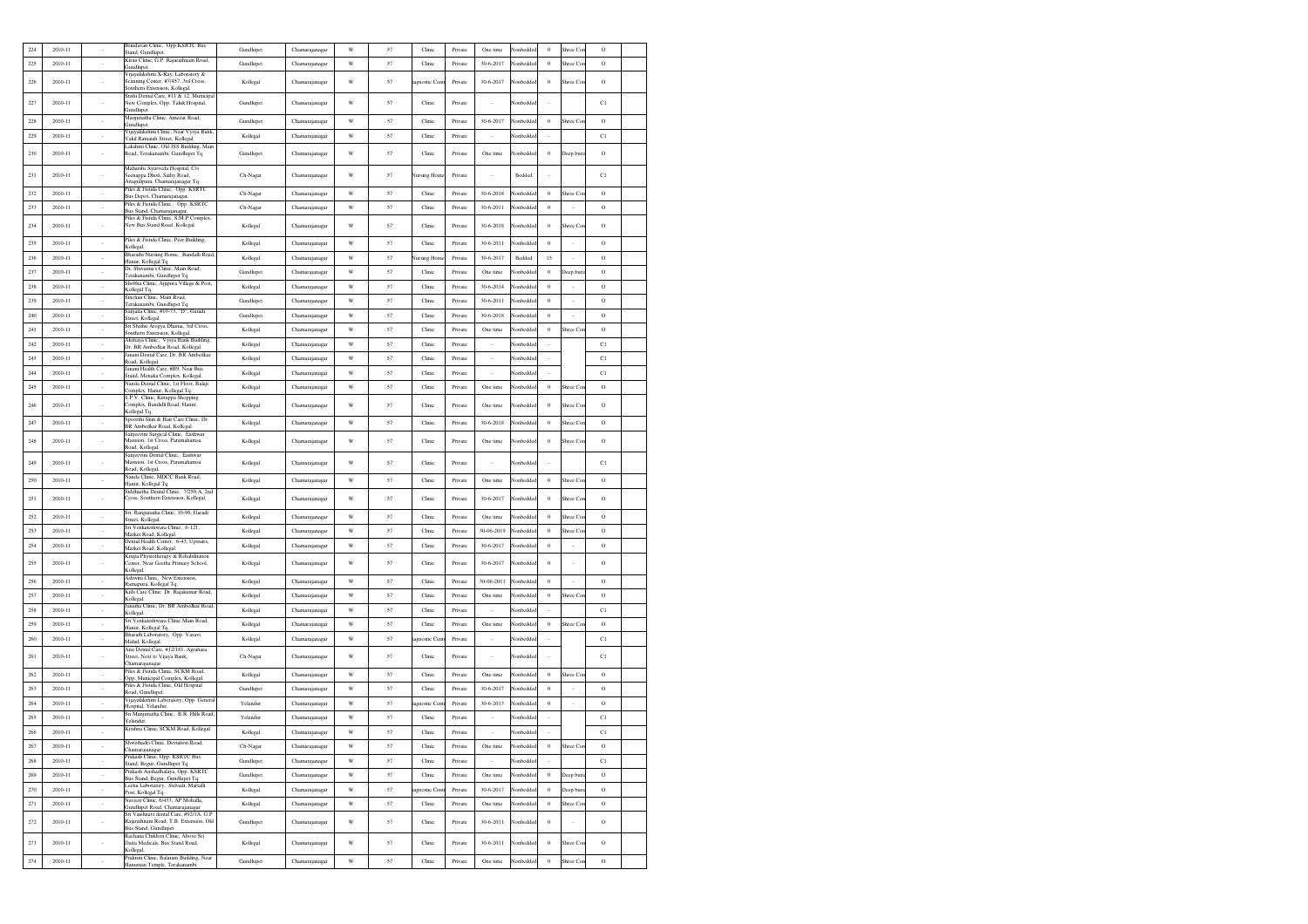| 224 | 2010-11     |                          | Brindavan Clinic, Opp.KSRTC Bus<br>Stand, Gundlupet.                            | Gundlupet | Chamarajanaga  | W                       | 57 | Clinic             | Private | One time        | Nonbedde        | $\bf{0}$                 | Shree Co                 | $\circ$       |  |
|-----|-------------|--------------------------|---------------------------------------------------------------------------------|-----------|----------------|-------------------------|----|--------------------|---------|-----------------|-----------------|--------------------------|--------------------------|---------------|--|
| 225 | 2010-11     | $\cdot$                  | Kiran Clinic, G.P. Rajarathnam Road,<br>Gundlupet.                              | Gundlupet | Chamarajanagar | W                       | 57 | Clinic             | Private | 30-6-2017       | Nonbedde        | $\bf{0}$                 | Shree Co                 | $\rm{O}$      |  |
| 226 | 2010-11     |                          | Vijavalakshmi X-Rav, Laboratory &<br>Scanning Center, #7/457, 3rd Cross,        | Kollegal  | Chamarajanagar | W                       | 57 | agnostic Cent      | Private | 30-6-2017       | Nonbedde        | $\theta$                 | Shree Cor                | $\rm{O}$      |  |
|     |             |                          | Southern Extension, Kollegal.                                                   |           |                |                         |    |                    |         |                 |                 |                          |                          |               |  |
| 227 | 2010-11     |                          | Sushi Dental Care, #11 & 12, Municipal<br>New Complex, Opp. Taluk Hospital,     | Gundlupet | Chamarajanagar | W                       | 57 | Clinic             | Private |                 | Nonbedde        |                          |                          | C1            |  |
| 228 | 2010-11     | $\sim$                   | Gundlupet<br>Manjunatha Clinic, Amezar Road,                                    | Gundlupet | Chamarajanagar | W                       | 57 | Clinic             | Private | 30-6-2017       | <b>Nonbedde</b> | $\theta$                 | Shree Cor                | $\circ$       |  |
|     |             |                          | Gundlupet.<br>Vijayalakshmi Clinic, Near Vysya Bank,                            |           |                |                         |    |                    |         |                 |                 |                          |                          |               |  |
| 229 | 2010-11     | $\sim$                   | Vakil Ramaiah Street, Kollegal.<br>Lakshmi Clinic, Old JSS Building, Main       | Kollegal  | Chamarajanagar | W                       | 57 | Clinic             | Private | $\sim$          | Nonbedde        | ×                        |                          | C1            |  |
| 230 | 2010-11     | ٠                        | Road, Terakanambi, Gundlupet Tq.                                                | Gundlupet | Chamaraianagar | W                       | 57 | Clinic             | Private | One time        | Nonbedde        | $\theta$                 | Deep buri                | $\circ$       |  |
|     |             |                          | Maharshi Avurveda Hospital, C/o                                                 |           |                |                         |    |                    |         |                 |                 |                          |                          |               |  |
| 231 | 2010-11     |                          | Seenappa Dhoti, Sathy Road,<br>Attagulipura, Chamarajanagar Tq                  | Ch-Nagar  | Chamarajanagar | W                       | 57 | <b>Vursing Hom</b> | Private |                 | Bedded          |                          |                          | C1            |  |
| 232 | 2010-11     | $\sim$                   | Piles & Fistula Clinic, Opp. KSRTC<br>Bus Depot, Chamarajanagar                 | Ch-Nagar  | Chamarajanagar | W                       | 57 | Clinic             | Private | 30-6-2018       | Vonbedde        | $\theta$                 | Shree Co                 | $\circ$       |  |
| 233 | 2010-11     | $\sim$                   | Piles & Fistula Clinic, Opp. KSRTC<br>Bus Stand, Chamarajanagar.                | Ch-Nagar  | Chamarajanagar | W                       | 57 | Clinic             | Private | 30-6-2011       | Nonbedde        | $\theta$                 | $\cdot$                  | $\circ$       |  |
| 234 | $2010 - 11$ |                          | Piles & Fistula Clinic, S.M.P Complex,<br>New Bus Stand Road, Kollegal.         | Kollegal  | Chamarajanagar | W                       | 57 | Clinic             | Private | 30-6-2018       | Vonbedde        | $\bf{0}$                 | Shree Co                 | $\rm{O}$      |  |
|     |             |                          | Piles & Fistula Clinic. Peer Building.                                          |           |                |                         |    |                    |         |                 |                 |                          |                          |               |  |
| 235 | 2010-11     | $\cdot$                  | Kollegal.<br>Bharathi Nursing Home, Bandalli Road,                              | Kollegal  | Chamarajanagar | W                       | 57 | Clinic             | Private | $30 - 6 - 2011$ | lonbedde        | $\theta$                 | $\cdot$                  | $\mathcal{O}$ |  |
| 236 | 2010-11     | $\sim$                   | Hanur, Kollegal Tq.<br>Dr. Shivanna's Clinic, Main Road,                        | Kollegal  | Chamarajanagar | W                       | 57 | <b>Vursing Hom</b> | Private | 30-6-2017       | Bedded          | 15                       | $\cdot$                  | $\rm{O}$      |  |
| 237 | 2010-11     | $\sim$                   | Ferakanambi, Gundlupet Tq.                                                      | Gundlupet | Chamarajanagar | $\ensuremath{\text{W}}$ | 57 | Clinic             | Private | One time        | Vonbedde        | $\theta$                 | Deep bur                 | $\rm{O}$      |  |
| 238 | 2010-11     | $\sim$                   | Shobha Clinic, Ajjipura Village & Post,<br>Kollegal Tq.                         | Kollegal  | Chamarajanagar | W                       | 57 | Clinic             | Private | 30-6-2014       | Vonbedde        | $\theta$                 | $\cdot$                  | $\circ$       |  |
| 239 | 2010-11     | $\cdot$                  | Sinchan Clinic, Main Road<br>Terakanambi, Gundlupet Tq.                         | Gundlupet | Chamarajanagar | W                       | 57 | Clinic             | Private | 30-6-2011       | Vonbedde        | $\bf{0}$                 |                          | $\rm{O}$      |  |
| 240 | 2010-11     | $\cdot$                  | Sanjana Clinic, #10-73, "D", Garadi<br>Street, Kollegal.                        | Gundlupet | Chamarajanagar | W                       | 57 | Clinic             | Private | 30-6-2018       | Vonbedde        | $\bf{0}$                 |                          | $\mathcal{O}$ |  |
| 241 | 2010-11     | $\overline{\phantom{a}}$ | Sri Shishu Arogya Dhama, 3rd Cross,<br>Southern Extension, Kollegal.            | Kollegal  | Chamarajanagar | W                       | 57 | Clinic             | Private | One time        | lonbedde        | $\bf{0}$                 | Shree Co                 | Ó             |  |
| 242 | 2010-11     | $\sim$                   | Akshava Clinic, Vysya Bank Building,<br>Dr. BR Ambedkar Road, Kollegal.         | Kollegal  | Chamaraianagar | W                       | 57 | Clinic             | Private | ٠               | Vonbedde        | $\overline{\phantom{a}}$ |                          | C1            |  |
| 243 | 2010-11     | $\overline{\phantom{a}}$ | Janani Dental Care, Dr. BR Ambedkar                                             | Kollegal  | Chamarajanagar | W                       | 57 | Clinic             | Private | $\sim$          | Vonbedde        | $\overline{\phantom{a}}$ |                          | C1            |  |
| 244 | 2010-11     | $\sim$                   | Road, Kollegal.<br>Janani Health Care, #B9, Near Bus                            | Kollegal  | Chamarajanagar | W                       | 57 | Clinic             | Private | $\sim$          | Nonbedde        | $\sim$                   |                          | C1            |  |
| 245 | 2010-11     | $\sim$                   | Stand, Menaka Complex, Kollegal.<br>Vanda Dental Clinic, 1st Floor, Balaji      |           | Chamarajanagar | W                       | 57 | Clinic             | Private | One time        | Vonbedde        | $\theta$                 |                          | $\mathcal{O}$ |  |
|     |             |                          | Complex, Hanur, Kollegal Tq.<br>S.P.V. Clinic, Kittappa Shopping                | Kollegal  |                |                         |    |                    |         |                 |                 |                          | Shree Cor                |               |  |
| 246 | 2010-11     |                          | Complex, Bandalli Road, Hanur,<br>Kollegal Tq.                                  | Kollegal  | Chamarajanagar | W                       | 57 | Clinic             | Private | One time        | Vonbedde        | $\bf{0}$                 | Shree Co                 | $\rm{O}$      |  |
| 247 | 2010-11     | $\overline{\phantom{a}}$ | Spoorthi Skin & Hair Care Clinic, Dr.<br><b>BR Ambedkar Road Kollegal</b>       | Kollegal  | Chamarajanagar | W                       | 57 | Clinic             | Private | 30-6-2018       | Vonbedde        | $\bf{0}$                 | Shree Co                 | O             |  |
| 248 | 2010-11     |                          | Sanjeevini Surgical Clinic, Eashwar<br>Mansion, 1st Cross, Paramahamsa          |           | Chamarajanagar | W                       | 57 | Clinic             | Private | One time        | Vonbedde        |                          |                          | O             |  |
|     |             |                          | Road, Kollegal,                                                                 | Kollegal  |                |                         |    |                    |         |                 |                 | $\,0\,$                  | Shree Cor                |               |  |
| 249 | 2010-11     |                          | Sanjeevini Dental Clinic, Eashwar<br>Mansion, 1st Cross, Paramahamsa            | Kollegal  | Chamarajanagar | W                       | 57 | Clinic             | Private |                 | Vonbedde        |                          |                          | C1            |  |
| 250 | 2010-11     | $\sim$                   | Road, Kollegal.<br>Nanda Clinic, MDCC Bank Road,                                | Kollegal  | Chamarajanagar | W                       | 57 | Clinic             | Private | One time        | Nonbedde        | $\theta$                 | Shree Co                 | $\mathcal{O}$ |  |
|     |             |                          | Hanur, Kollegal Tq.<br>Siddhartha Dental Clinic. 7/250 A. 2nd                   |           |                |                         |    |                    |         |                 |                 |                          |                          |               |  |
| 251 | 2010-11     |                          | Cross, Southern Extension, Kollegal.                                            | Kollegal  | Chamarajanagar | W                       | 57 | Clinic             | Private | 30-6-2017       | Nonbedde        | $\theta$                 | Shree Coo                | $\circ$       |  |
| 252 | 2010-11     | $\overline{\phantom{a}}$ | Sri. Ranganatha Clinic, 10-96, Garadi<br>Street, Kollegal.                      | Kollegal  | Chamarajanagar | W                       | 57 | Clinic             | Private | One time        | Vonbedde        | $\,$ 0                   | Shree Co                 | $\rm{O}$      |  |
| 253 | 2010-11     | $\sim$                   | Sri Venkateshwara Clinic, 6-121,                                                | Kollegal  | Chamarajanagar | W                       | 57 | Clinic             | Private | 30-06-2019      | Nonbedde        | $\theta$                 | Shree Co.                | $\circ$       |  |
| 254 | 2010-11     | $\sim$                   | Market Road, Kollegal.<br>Dental Health Center, 6-43, Upstairs,                 | Kollegal  | Chamarajanagar | W                       | 57 | Clinic             | Private | 30-6-2017       | <b>Nonbedde</b> | $\theta$                 | $\cdot$                  | $\circ$       |  |
|     |             |                          | Market Road, Kollegal.<br>Krupa Physiotherapy & Rehabilitation                  |           |                |                         |    |                    |         |                 |                 |                          |                          |               |  |
| 255 | 2010-11     |                          | lenter, Near Geetha Primary School,<br>Kollegal.                                | Kollegal  | Chamarajanagar | W                       | 57 | Clinic             | Private | 30-6-2017       | Vonbedde        | $\,0\,$                  |                          | $\circ$       |  |
| 256 | 2010-11     |                          | Ashwini Clinic. New Extension.<br>Ramapura, Kollegal To,                        | Kollegal  | Chamarajanagar | W                       | 57 | Clinic             | Private | 30-06-2011      | Vonbedde        | $\bf{0}$                 |                          | O             |  |
| 257 | 2010-11     | $\overline{\phantom{a}}$ | Kids Care Clinic Dr. Rajakumar Road,<br>Kollegal.                               | Kollegal  | Chamarajanagar | W                       | 57 | Clinic             | Private | One time        | Vonbedde        | $\,0\,$                  | Shree Co                 | $\rm{O}$      |  |
| 258 | 2010-11     | $\overline{\phantom{a}}$ | Janatha Clinic, Dr. BR Ambedkar Road,<br>Kollegal.                              | Kollegal  | Chamarajanagar | W                       | 57 | Clinic             | Private | $\sim$          | Vonbedde        | $\overline{\phantom{a}}$ |                          | C1            |  |
| 259 | 2010-11     | $\sim$                   | Sri Venkateshwara Clinic Main Road,                                             | Kollegal  | Chamarajanagar | W                       | 57 | Clinic             | Private | One time        | Nonbedde        | $\theta$                 | Shree Cor                | $\rm{O}$      |  |
| 260 | 2010-11     | $\epsilon$               | Hanur, Kollegal Tq.<br>Bharath Laboratory, Opp. Vasavi                          | Kollegal  | Chamarajanagar | W                       | 57 | agnostic Cen       | Private | $\sim$          | Nonbedde        | ×                        |                          | C1            |  |
|     |             |                          | Mahal, Kollegal.<br>Anu Dental Care, #12/181, Agrahara                          |           |                |                         |    |                    |         |                 |                 |                          |                          |               |  |
| 261 | 2010-11     |                          | Street, Next to Vijaya Bank,<br>Chamaraianagar.                                 | Ch-Nagar  | Chamarajanagar | W                       | 57 | Clinic             | Private |                 | Vonbedde        |                          |                          | C1            |  |
| 262 | 2010-11     | $\overline{\phantom{a}}$ | Piles & Fistula Clinic, SCKM Road,<br>Opp. Municipal Complex, Kollegal.         | Kollegal  | Chamarajanagar | W                       | 57 | Clinic             | Private | One time        | Vonbedde        | $\bf{0}$                 | Shree Co                 | O             |  |
| 263 | 2010-11     | $\cdot$                  | Piles & Fistula Clinic, Old Hospital<br>Road, Gundlupet.                        | Gundlupet | Chamarajanagar | W                       | 57 | Clinic             | Private | 30-6-2017       | Vonbedde        | $\theta$                 | $\overline{\phantom{a}}$ | $\rm{O}$      |  |
| 264 | 2010-11     | $\sim$                   | Vijayalakshmi Laboratory, Opp. Genera<br>Hospital, Yelandur.                    | Yelandur  | Chamarajanagar | W                       | 57 | aenostic Cen       | Private | 30-6-2013       | Nonbedde        | $\theta$                 | $\overline{\phantom{a}}$ | $\circ$       |  |
| 265 | 2010-11     | $\sim$                   | Sri Manjunatha Clinic, B.R. Hills Road<br>Yelandur.                             | Yelandur  | Chamarajanagar | W                       | 57 | Clinic             | Private | $\sim$          | Nonbedde        | $\epsilon$               |                          | C1            |  |
| 266 | 2010-11     | $\epsilon$               | Krishna Clinic, SCKM Road, Kollegal.                                            | Kollegal  | Chamarajanagar | W                       | 57 | Clinic             | Private | $\sim$          | Nonbedde        | ×                        |                          | C1            |  |
| 267 | $2010 - 11$ | ł,                       | Shwethadri Clinic, Deviation Road,                                              | Ch-Nagar  | Chamarajanagar | W                       | 57 | Clinic             | Private | One time        | Nonbedde        | $\,0\,$                  | Shree Cor                | $\rm{O}$      |  |
| 268 | $2010 - 11$ | $\cdot$                  | Chamarajanagar.<br>Prakash Clinic, Opp. KSRTC Bus                               | Gundlupet | Chamarajanaga  | $\mathbf W$             | 57 | Clinic             | Private | $\sim$          | Vonbedde        | $\epsilon$               |                          | C1            |  |
|     |             |                          | Stand, Begur, Gundlupet Tq.<br>Prakash Aushadhalaya, Opp. KSRTC                 |           |                |                         |    |                    |         |                 |                 |                          |                          |               |  |
| 269 | $2010 - 11$ | $\sim$                   | Bus Stand, Begur, Gundlupet Tq.<br>Leena Laboratory, Sulvadi, Martalli          | Gundlupet | Chamarajanagar | $\mathbf W$             | 57 | Clinic             | Private | One time        | <b>Nonbedde</b> | $\theta$                 | Deep buri                | $\rm{O}$      |  |
| 270 | 2010-11     | $\sim$                   | Post, Kollegal Tq.<br>Naveen Clinic, 6/433, AP Mohalla,                         | Kollegal  | Chamarajanagar | W                       | 57 | aenostic Cer       | Private | 30-6-2017       | Nonbedde        | $\theta$                 | Deep buri                | $\circ$       |  |
| 271 | 2010-11     | $\sim$                   | Gundlupet Road, Chamarajanagar                                                  | Kollegal  | Chamarajanagar | W                       | 57 | Clinic             | Private | One time        | Vonbedde        | $\theta$                 | Shree Co                 | $\circ$       |  |
| 272 | $2010 - 11$ |                          | Sri Vaishnavi dental Care, #92/1A, G.P<br>Rajarathnam Road, T.B. Extension, Old | Gundlupet | Chamarajanagar | W                       | 57 | Clinic             | Private | 30-6-2011       | Vonbedde        | $\,0\,$                  |                          | $\rm{O}$      |  |
|     |             |                          | Bus Stand, Gundlupet.<br>Rachana Children Clinic, Above Sri                     |           |                |                         |    |                    |         |                 |                 |                          |                          |               |  |
| 273 | 2010-11     | i,                       | Datta Medicals, Bus Stand Road,<br>Kollegal.                                    | Kollegal  | Chamarajanagar | W                       | 57 | Clinic             | Private | $30 - 6 - 2011$ | Nonbedde        | $\theta$                 | Shree Coo                | $\circ$       |  |
| 274 | $2010 - 11$ | $\overline{\phantom{a}}$ | Prakruti Clinic, Balaram Building, Near<br>Hanuman Temple, Terakanambi          | Gundlupet | Chamarajanagar | W                       | 57 | Clinic             | Private | One time        | Vonbedde        | $\,0\,$                  | Shree Cor                | $\rm{O}$      |  |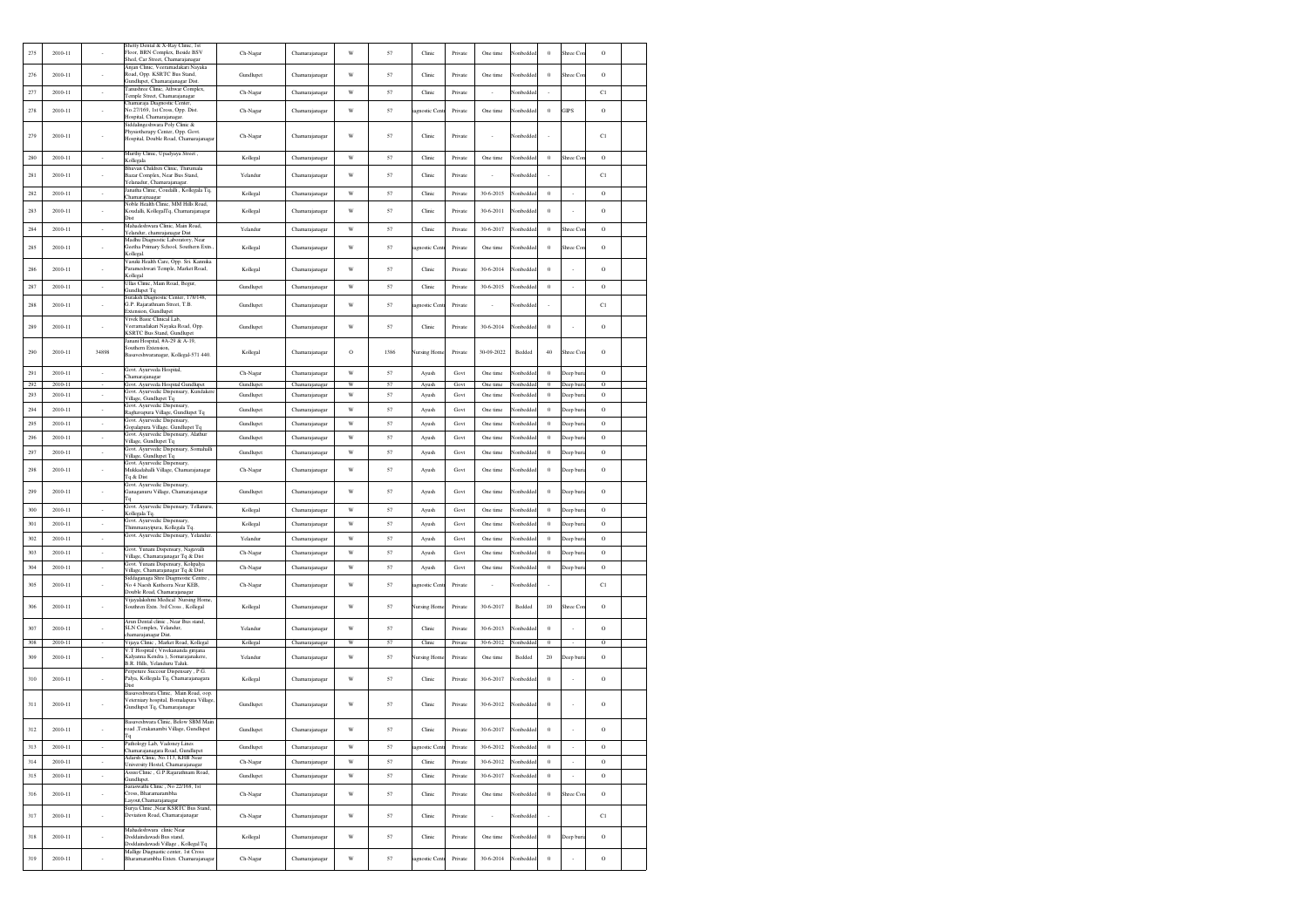| 275        | 2010-11            |                          | Shetty Dental & X-Ray Clinic, 1st<br>Floor, BRN Complex, Beside BSV<br>Shed, Car Street, Chamarajanagar                      | Ch-Nagar               | Chamarajanagar                   | W                       | 57       | Clinic              | Private            | One time               | Nonbeddec             | $\theta$                   | Shree Cor                | $\rm{O}$                   |  |
|------------|--------------------|--------------------------|------------------------------------------------------------------------------------------------------------------------------|------------------------|----------------------------------|-------------------------|----------|---------------------|--------------------|------------------------|-----------------------|----------------------------|--------------------------|----------------------------|--|
| 276        | 2010-11            |                          | Anjan Clinic, Veeramadakari Nayaka<br>Road, Opp. KSRTC Bus Stand,<br>Gundlupet. Chamaraianagar Dist.                         | Gundlupet              | Chamarajanagar                   | W                       | 57       | Clinic              | Private            | One time               | Nonbeddee             | $\theta$                   | Shree Co                 | $\circ$                    |  |
| 277        | 2010-11            | $\overline{\phantom{a}}$ | Tanushree Clinic, Athwar Complex,<br>Temple Street, Chamarajanagar                                                           | Ch-Nagar               | Chamarajanagar                   | $\ensuremath{\text{W}}$ | 57       | Clinic              | Private            | $\sim$                 | Nonbedde              | $\overline{\phantom{a}}$   |                          | C1                         |  |
| 278        | 2010-11            |                          | Chamaraja Diagnostic Center,<br>No.27/169, 1st Cross, Opp. Dist.<br>Hospital, Chamarajanagar.                                | Ch-Nagar               | Chamarajanagar                   | W                       | 57       | agnostic Cen        | Private            | One time               | lonbeddeo             | $\,0\,$                    | <b>GIPS</b>              | $\rm{O}$                   |  |
| 279        | 2010-11            |                          | iddalingeshwara Poly Clinic &<br>Physiotherapy Center, Opp. Govt.<br>Hospital, Double Road, Chamarajanaga                    | Ch-Nagar               | Chamarajanagar                   | W                       | 57       | Clinic              | Private            |                        | Nonbeddee             |                            |                          | C1                         |  |
| 280        | 2010-11            |                          | Murthy Clinic, Upadyaya Street,<br>Kollegala                                                                                 | Kollegal               | Chamarajanagar                   | W                       | 57       | Clinic              | Private            | One time               | lonbedde              | $\theta$                   | hree Co                  | $\circ$                    |  |
| 281        | 2010-11            |                          | Bhuvan Children Clinic, Thirumala<br>Bazar Complex, Near Bus Stand,<br>Yelanadur, Chamarajanagar                             | Yelandur               | Chamarajanagar                   | W                       | 57       | Clinic              | Private            |                        | Vonbedde              |                            |                          | C1                         |  |
| 282        | $2010 - 11$        | $\cdot$                  | anatha Clinic, Coudalli, Kollegala Tq,<br>Chamarajnaagar                                                                     | Kollegal               | Chamarajanagar                   | W                       | 57       | Clinic              | Private            | 30-6-2015              | Nonbedde              | $\theta$                   | $\sim$                   | $\circ$                    |  |
| 283        | 2010-11            |                          | loble Health Clinic, MM Hills Road,<br>Koudalli, KollegalTq, Chamarajanagar<br><b>Dist</b>                                   | Kollegal               | Chamarajanagar                   | W                       | 57       | Clinic              | Private            | $30 - 6 - 2011$        | Nonbeddee             | $\theta$                   |                          | $\rm _O$                   |  |
| 284        | 2010-11            |                          | Mahadeshwara Clinic, Main Road,<br>Yelandur, chamraianaear Dist                                                              | Yelandur               | Chamarajanagar                   | W                       | 57       | Clinic              | Private            | 30-6-2017              | Nonbedde              | $\theta$                   | Shree Co                 | $\rm{O}$                   |  |
| 285        | 2010-11            |                          | Madhu Diagnostic Laboratory, Near<br>Geetha Primary School, Southern Extn.<br>Kollegal.                                      | Kollegal               | Chamarajanagar                   | W                       | 57       | agnostic Cent       | Private            | One time               | Nonbedde              | $\theta$                   | Shree Co.                | $\circ$                    |  |
| 286        | 2010-11            |                          | Vasuki Health Care, Opp. Sri. Kannika<br>Parameshwari Temple, Market Road,<br>Kollegal                                       | Kollegal               | Chamarajanagar                   | W                       | 57       | Clinic              | Private            | $30 - 6 - 2014$        | <b>Ionbedde</b>       | $\,0\,$                    |                          | $\rm{O}$                   |  |
| 287        | 2010-11            | ×                        | Jllas Clinic, Main Road, Begur,<br>Gundlupet Tq                                                                              | Gundlupet              | Chamarajanagar                   | W                       | 57       | Clinic              | Private            | 30-6-2015              | Vonbedde              | $\theta$                   | $\overline{\phantom{a}}$ | $\circ$                    |  |
| 288        | 2010-11            |                          | Suraksh Diagnostic Center, 178/148,<br>G.P. Rajarathnam Street, T.B.<br>Extension, Gundlupet                                 | Gundlupet              | Chamarajanagar                   | W                       | 57       | agnostic Cent       | Private            |                        | Nonbeddee             |                            |                          | C1                         |  |
| 289        | 2010-11            |                          | Vivek Basic Clinical Lab.<br>Veeramadakari Nayaka Road, Opp.<br><b>KSRTC Bus Stand</b> , Gundlupet                           | Gundlupet              | Chamarajanagar                   | W                       | 57       | Clinic              | Private            | 30-6-2014              | Nonbedde              | $\theta$                   |                          | $\circ$                    |  |
| 290        | 2010-11            | 34898                    | Janani Hospital, #A-29 & A-19,<br>Southern Extension,<br>Basaveshwaranagar, Kollegal-571 440.                                | Kollegal               | Chamarajanagar                   | $\circ$                 | 1386     | Nursing Home        | Private            | 30-09-2022             | Bedded                | 40                         | Shree Cor                | $\circ$                    |  |
| 291        | 2010-11            | $\sim$                   | Govt. Ayurveda Hospital,<br>hamarajanagar                                                                                    | Ch-Nagar               | Chamarajanagar                   | W                       | 57       | Ayush               | Govt               | One time               | Nonbedde              | $\theta$                   | Deep buri                | $\circ$                    |  |
| 292<br>293 | 2010-11<br>2010-11 | $\overline{\phantom{a}}$ | Govt. Ayurveda Hospital Gundlupet<br>Govt. Ayurvedic Dispensary, Kundaken                                                    | Gundlupet<br>Gundlupet | Chamarajanagar<br>Chamarajanagar | W<br>W                  | 57<br>57 | Ayush<br>Ayush      | Govt<br>Govt       | One time<br>One time   | Nonbeddec<br>lonbedde | $\overline{0}$<br>$\theta$ | Deep buri<br>eep buri    | $\overline{0}$<br>$\rm{O}$ |  |
| 294        | 2010-11            |                          | Village, Gundlupet Tq<br>Govt. Avurvedic Dispensary.                                                                         | Gundlupet              |                                  | $\ensuremath{\text{W}}$ | 57       |                     | Govt               | One time               | Vonbedde              | $\theta$                   |                          | $\rm{O}$                   |  |
| 295        | 2010-11            | $\overline{\phantom{a}}$ | Raghavapura Village, Gundlupet Tq<br>Govt. Ayurvedic Dispensary,                                                             | Gundlupet              | Chamarajanagar<br>Chamarajanagar | W                       | 57       | Ayush               | Govt               | One time               | Vonbedde              | $\theta$                   | Deep buri                | $\rm{O}$                   |  |
| 296        | 2010-11            | $\overline{\phantom{a}}$ | Jopalapura Village, Gundlupet Tq<br>Govt. Ayurvedic Dispensary, Alathur                                                      | Gundlupet              |                                  | W                       | 57       | Ayush               | Govt               | One time               | Nonbedde              | $\theta$                   | Deep bur                 | $\circ$                    |  |
|            |                    | $\sim$                   | Village, Gundlupet Tq<br>Govt. Ayurvedic Dispensary, Somahalli                                                               |                        | Chamarajanagar                   |                         |          | Ayush               |                    |                        |                       |                            | Deep buri                |                            |  |
| 297        | 2010-11            | $\sim$                   | Village, Gundlupet Tq<br>Govt. Ayurvedic Dispensary,                                                                         | Gundlupet              | Chamarajanagar                   | W                       | 57       | Ayush               | Govt               | One time               | Nonbedde              | $\theta$                   | Deep buri                | $\circ$                    |  |
| 298        | 2010-11            |                          | Mukkadahalli Village, Chamarajanagar<br>Tq & Dist<br>Govt. Ayurvedic Dispensary,                                             | Ch-Nagar               | Chamarajanagar                   | W                       | 57       | Ayush               | Govt               | One time               | Vonbedde              | $\,0\,$                    | Deep bur                 | $\rm _O$                   |  |
| 299        | 2010-11            |                          | Ganaganuru Village, Chamarajanagar<br>Тa                                                                                     | Gundlupet              | Chamarajanagar                   | W                       | 57       | Ayush               | Govt               | One time               | Nonbeddee             | $\theta$                   | Deep buri                | $\rm ^o$                   |  |
| 300        | 2010-11            | $\cdot$                  | Govt. Ayurvedic Dispensary, Tellanuru,<br>Collegala Tq.                                                                      | Kollegal               | Chamarajanagar                   | W                       | 57       | Ayush               | Govt               | One time               | Nonbedde              | $\theta$                   | Deep buri                | $\circ$                    |  |
| 301        | 2010-11            | $\sim$                   | Govt. Ayurvedic Dispensary,<br>Thimmarayipura, Kollegala Tq                                                                  | Kollegal               | Chamarajanagar                   | W                       | 57       | Ayush               | Govt               | One time               | Nonbedde              | $\theta$                   | Deep buri                | $\circ$                    |  |
| 302        | 2010-11            | $\epsilon$               | Jovt. Ayurvedic Dispensary, Yelandur.                                                                                        | Yelandur               | Chamarajanagar                   | W                       | 57       | Ayush               | Govt               | One time               | Vonbedde              | $\bf{0}$                   | Deep buri                | $\circ$                    |  |
| 303        | 2010-11            | $\cdot$                  | Govt. Yunani Dispensary, Nagavalli<br>Village, Chamarajanagar Tq & Dist                                                      | Ch-Nagar               | Chamarajanagar                   | W                       | 57       | Ayush               | Govt               | One time               | lonbedde              | $\,0\,$                    | Jeep buri                | $\circ$                    |  |
| 304        | 2010-11            | $\overline{\phantom{a}}$ | Govt. Yunani Dispensary, Kolipalya<br>Village, Chamarajanagar Tq & Dist                                                      | Ch-Nagar               | Chamarajanagar                   | W                       | 57       | Ayush               | Govt               | One time               | lonbedde              | $\theta$                   | eep buri                 | $\rm{O}$                   |  |
| 305        | 2010-11            |                          | , Siddaganaga Shre Diagmostic Centre<br>No 4 Naesh Kutheera Near KEB.<br>Double Road, Chamarajanagar                         | Ch-Nagar               | Chamarajanagar                   | W                       | 57       | agnostic Cent       | Private            |                        | Nonbeddee             | ×                          |                          | C1                         |  |
| 306        | 2010-11            |                          | Vijayalakshmi Medical Nursing Home<br>Southren Extn. 3rd Cross, Kollegal                                                     | Kollegal               | Chamarajanagar                   | W                       | 57       | <b>Vursing Home</b> | Private            | 30-6-2017              | Bedded                | 10                         | Shree Co                 | $\rm{O}$                   |  |
| 307<br>308 | 2010-11<br>2010-11 |                          | Arun Dental clinic, Near Bus stand,<br>SLN Complex, Yelandur,<br>hamarajanagar Dist.<br>Vijaya Clinic, Market Road, Kollegal | Yelandur               | Chamarajanagar<br>Chamarajanagar | W<br>W                  | 57<br>57 | Clinic<br>Clinic    | Private            | 30-6-2013<br>30-6-2012 | Nonbedde<br>Nonbedde  | $\,0\,$<br>$\theta$        |                          | $\rm{O}$<br>$\circ$        |  |
| 309        | $2010 - 11$        |                          | V.T Hospital (Vivekananda girijana<br>Kalyanna Kendra ), Somarajanakere,<br>B.R. Hills. Yelanduru Taluk.                     | Kollegal<br>Yelandur   | Chamarajanagar                   | W                       | 57       | Nursing Home        | Private<br>Private | One time               | Bedded                | 20                         | Deep bur                 | $\circ$                    |  |
| 310        | 2010-11            |                          | Perpeture Succour Dispensary, P.G.<br>Palya, Kollegala Tq, Chamarajanagara<br>Dist                                           | Kollegal               | Chamarajanagar                   | W                       | 57       | Clinic              | Private            | $30 - 6 - 2017$        | lonbedded             | $\,0\,$                    |                          | $\rm{O}$                   |  |
| 311        | 2010-11            |                          | Basaveshwara Clinic, Main Road, oop.<br>Veterniary hospital, Bomalapura Village<br>Gundlupet Tq, Chamarajanagar              | Gundlupet              | Chamarajanagar                   | W                       | 57       | Clinic              | Private            | 30-6-2012              | Nonbeddec             | $\theta$                   |                          | $\circ$                    |  |
| 312        | 2010-11            |                          | Basayeshwara Clinic, Below SBM Mair<br>road ,Terakanambi Village, Gundlupet<br>Гq                                            | Gundlupet              | Chamarajanagar                   | W                       | 57       | Clinic              | Private            | 30-6-2017              | Nonbeddec             | $\theta$                   |                          | $\circ$                    |  |
| 313        | 2010-11            | $\cdot$                  | Pathology Lab, Vadoney Lines<br>Chamarajanagara Road, Gundlupet                                                              | Gundlupet              | Chamarajanagar                   | W                       | 57       | agnostic Cen        | Private            | $30 - 6 - 2012$        | Nonbedde              | $\,0\,$                    | $\cdot$                  | $\circ$                    |  |
| 314        | 2010-11            | $\sim$                   | Adarsh Clinic, No.113, KHB Near<br>University Hostel, Chamarajanagar                                                         | Ch-Nagar               | Chamarajanagar                   | W                       | 57       | Clinic              | Private            | 30-6-2012              | Nonbedde              | $\ddot{\phantom{0}}$       | $\cdot$                  | $\circ$                    |  |
| 315        | 2010-11            | $\epsilon$               | Assisi Clinic, G.P.Rajarathnam Road,<br>Gundlupet.                                                                           | Gundlupet              | Chamarajanagar                   | W                       | 57       | Clinic              | Private            | 30-6-2017              | Nonbedde              | $\theta$                   | $\cdot$                  | $\circ$                    |  |
| 316        | 2010-11            |                          | Saraswathi Clinic, No 22/168, 1st<br>Cross, Bharamarambha<br>avout.Chamarajanagar                                            | Ch-Nagar               | Chamarajanagar                   | W                       | 57       | Clinic              | Private            | One time               | Nonbeddec             | $\,$ 0                     | Shree Cor                | $\rm{O}$                   |  |
| 317        | 2010-11            |                          | Surva Clinic .Near KSRTC Bus Stand.<br>Deviation Road, Chamarajanagar                                                        | Ch-Nagar               | Chamarajanagar                   | W                       | 57       | Clinic              | Private            |                        | Nonbeddee             | ÷.                         |                          | C1                         |  |
| 318        | $2010 - 11$        |                          | Mahadeshwara clinic Near<br>Doddaindawadi Bus stand<br>Doddaindawadi Village, Kollegal Tq                                    | Kollegal               | Chamarajanagar                   | W                       | 57       | Clinic              | Private            | One time               | lonbedde              | $\,$ 0                     | Jeep buri                | $\rm{O}$                   |  |
| 319        | 2010-11            | $\cdot$                  | Mallige Diagnastic center, 1st Cross<br>Bharamarambha Exten. Chamarajanaga                                                   | Ch-Nagar               | Chamarajanagar                   | W                       | 57       | agnostic Cent       | Private            | $30 - 6 - 2014$        | Nonbedde              | $\,0\,$                    |                          | $\rm{O}$                   |  |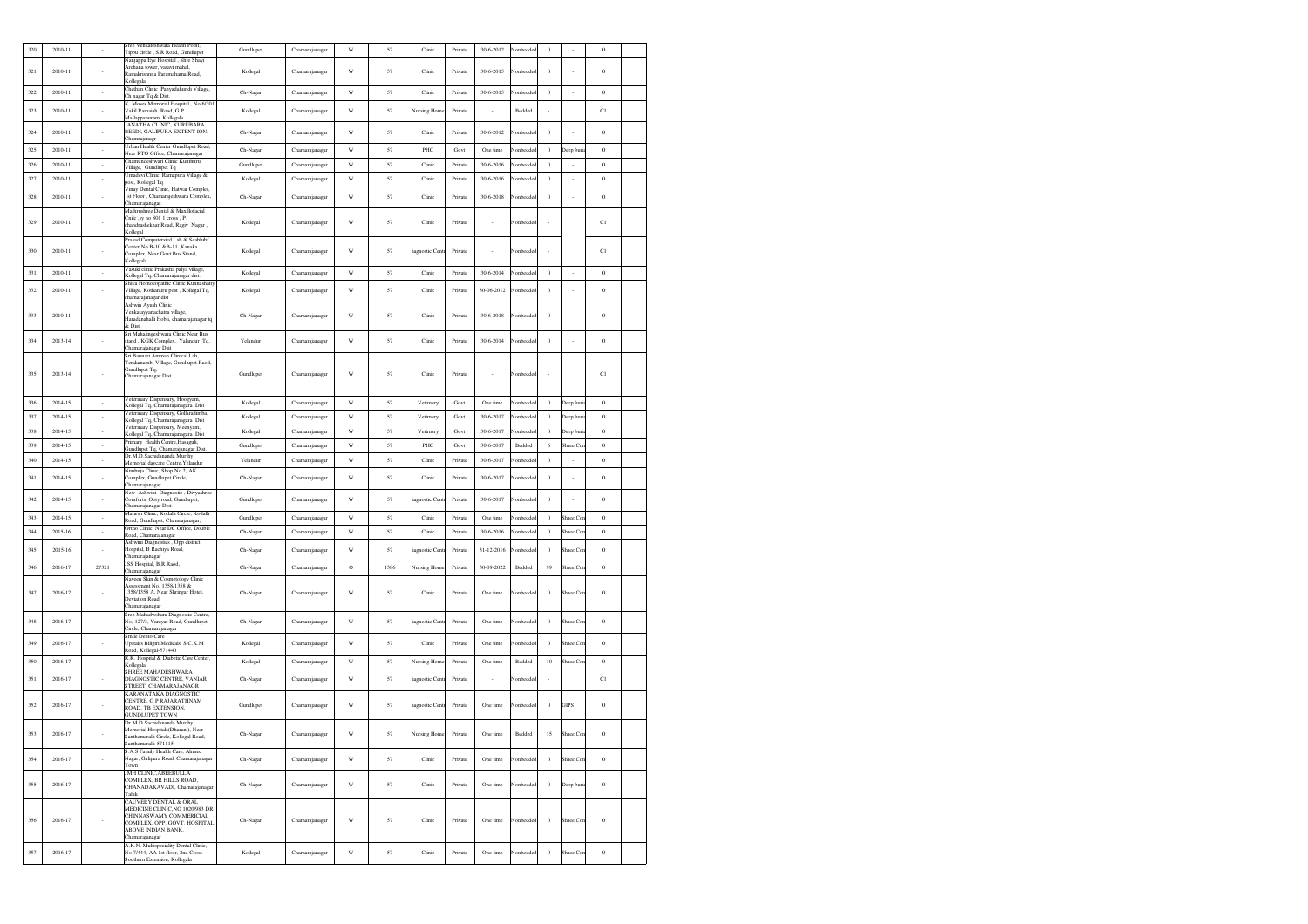| 320 | 2010-11     |                          | Sree Venkateshwara Health Point,<br>Tippu circle, S.R Road, Gundlupet                                                                                                                            | Gundlupet | Chamarajanagar | W                       | 57   | Clinic             | Private | 30-6-2012  | Vonbedde  | $\,0\,$  |                          | Ó        |  |
|-----|-------------|--------------------------|--------------------------------------------------------------------------------------------------------------------------------------------------------------------------------------------------|-----------|----------------|-------------------------|------|--------------------|---------|------------|-----------|----------|--------------------------|----------|--|
|     |             |                          | Nanjappa Eye Hospital, Shre Shayi<br>Archana tower, vasavi mahal,                                                                                                                                |           |                |                         |      |                    |         |            |           |          |                          |          |  |
| 321 | 2010-11     |                          | Ramakrishnna Paramahama Road,<br>Kollegala                                                                                                                                                       | Kollegal  | Chamarajanagar | W                       | 57   | Clinic             | Private | 30-6-2015  | Nonbedde  | $\,0\,$  |                          | O        |  |
| 322 | 2010-11     | $\overline{\phantom{a}}$ | Chethan Clinic ,Panyadahundi Village,                                                                                                                                                            | Ch-Nagar  | Chamarajanagar | W                       | 57   | Clinic             | Private | 30-6-2015  | Vonbedded | $\bf{0}$ | $\overline{\phantom{a}}$ | $\circ$  |  |
|     |             |                          | Ch nagar Tq & Dist.<br>K. Moses Memorial Hospital, No 6/301                                                                                                                                      |           |                |                         |      |                    |         |            |           |          |                          |          |  |
| 323 | 2010-11     |                          | Vakil Ramaiah Road, G.P<br>Mallappapuram, Kollegala                                                                                                                                              | Kollegal  | Chamarajanagar | W                       | 57   | <b>Jursing Hom</b> | Private |            | Bedded    |          |                          | C1       |  |
| 324 | 2010-11     | ×,                       | JANATHA CLINIC, KURUBARA<br>BEEDI, GALIPURA EXTENT ION,                                                                                                                                          | Ch-Nagar  | Chamarajanagar | W                       | 57   | Clinic             | Private | 30-6-2012  | Nonbeddee | $\,0\,$  |                          | $\rm{O}$ |  |
|     |             |                          | Chamrajanagr<br>Urban Health Center Gundlupet Road,                                                                                                                                              |           |                |                         |      |                    |         |            |           |          |                          |          |  |
| 325 | 2010-11     | $\cdot$                  | Near RTO Office, Chamarajanagar<br>Chamundeshwari Clinic Kunthuru                                                                                                                                | Ch-Nagar  | Chamarajanagar | W                       | 57   | PHC                | Govt    | One time   | Vonbedde  | $\bf{0}$ | Deep buri                | $\circ$  |  |
| 326 | 2010-11     | $\cdot$                  | Village, Gundlupet Tq                                                                                                                                                                            | Gundlupet | Chamarajanagar | $\ensuremath{\text{W}}$ | 57   | Clinic             | Private | 30-6-2016  | Vonbedde  | $\bf{0}$ |                          | $\rm{O}$ |  |
| 327 | 2010-11     | $\cdot$                  | Umadevi Clinic, Ramapura Village &<br>post, Kollegal Tq                                                                                                                                          | Kollegal  | Chamarajanagar | W                       | 57   | Clinic             | Private | 30-6-2016  | Vonbedde  | $\,0\,$  | $\epsilon$               | $\rm{O}$ |  |
| 328 | 2010-11     |                          | Vinay Dental Clinic, Hatwar Comples,<br>1st Floor, Chamarajeshwara Complex,<br>Chamarajanagar.                                                                                                   | Ch-Nagar  | Chamarajanagar | W                       | 57   | Clinic             | Private | 30-6-2018  | Vonbedde  | $\,$ 0   |                          | O        |  |
| 329 | 2010-11     |                          | Mathrushree Dental & Maxillofacial<br>Cnilc , sy no 801 1 cross, P.<br>chandrashekhar Road, Ragiv Nagar,<br>Kollegal                                                                             | Kollegal  | Chamarajanagar | W                       | 57   | Clinic             | Private | ×.         | Nonbedded |          |                          | C1       |  |
| 330 | 2010-11     |                          | Prasad Computersied Lab & Scabbibf<br>Center No B-10 &B-11 .Kanaka<br>Complex, Near Govt Bus Stand,                                                                                              | Kollegal  | Chamarajanagar | W                       | 57   | iagnostic Cent     | Private |            | Nonbedde  |          |                          | C1       |  |
| 331 | 2010-11     | $\sim$                   | Kolleglala<br>Vasuki clinic Prakasha palya village,                                                                                                                                              | Kollegal  | Chamarajanagar | W                       | 57   | Clinic             | Private | 30-6-2014  | Nonbedde  | $\theta$ | $\cdot$                  | $\circ$  |  |
|     |             |                          | Kollegal Tq, Chamarajanagar dist.<br>Shiva Homoeopathic Clinic Kunnashatty                                                                                                                       |           |                |                         |      |                    |         |            |           |          |                          |          |  |
| 332 | 2010-11     |                          | Village, Kothanuru post, Kollegal Tq,<br>chamarajanagar dist                                                                                                                                     | Kollegal  | Chamarajanagar | W                       | 57   | Clinic             | Private | 30-06-2012 | Vonbedde  | $\,0\,$  |                          | $\rm{O}$ |  |
| 333 | 2010-11     |                          | Ashwin Ayush Clinic<br>Venkatayyanachatra village,<br>Haradanahalli Hobli, chamarajanagar tq<br>& Dist.                                                                                          | Ch-Nagar  | Chamarajanagar | W                       | 57   | Clinic             | Private | 30-6-2018  | Vonbedde  | $\,0\,$  |                          | O        |  |
| 334 | 2013-14     |                          | Sri Mahalingeshwara Clinic Near Bus<br>stand, KGK Complex, Yalandur Tq,<br>Chamarajanagar Dsit                                                                                                   | Yelandur  | Chamarajanagar | W                       | 57   | Clinic             | Private | 30-6-2014  | Nonbedde  | $\,0\,$  |                          | $\rm{O}$ |  |
|     |             |                          | Sri Bannari Amman Clinical Lab,<br>Terakanambi Village, Gundlupet Raod,                                                                                                                          |           |                |                         |      |                    |         |            |           |          |                          |          |  |
| 335 | 2013-14     |                          | Gundlupet Tq,<br>Chamarajanagar Dist.                                                                                                                                                            | Gundlupet | Chamarajanagar | W                       | 57   | Clinic             | Private |            | Nonbeddee |          |                          | C1       |  |
| 336 | 2014-15     | $\cdot$                  | Veterinary Dispensary, Hoogyam,<br>Kollegal Tq, Chamarajanagara Dist                                                                                                                             | Kollegal  | Chamarajanagar | $\ensuremath{\text{W}}$ | 57   | Vetimery           | Govt    | One time   | Vonbeddee | $\theta$ | Deep bur                 | $\rm{O}$ |  |
| 337 | 2014-15     | $\sim$                   | Veterinary Dispensary, Gollaradimba,<br>Kollegal Tq, Chamarajanagara Dist                                                                                                                        | Kollegal  | Chamarajanagar | W                       | 57   | Vetimery           | Govt    | 30-6-2017  | Nonbedde  | $\theta$ | Deep buri                | $\circ$  |  |
| 338 | 2014-15     | $\sim$                   | Veterinary Dispensary, Meenyam,<br>Kollegal Tq, Chamarajanagara Dist                                                                                                                             | Kollegal  | Chamarajanagar | W                       | 57   | Vetimery           | Govt    | 30-6-2017  | Nonbedde  | $\bf{0}$ | Deep bur                 | $\circ$  |  |
| 339 | 2014-15     | $\overline{\phantom{a}}$ | Primary Health Centre, Hasaguli,<br>Gundlupet Tq, Chamarajanagar Dist.                                                                                                                           | Gundlupet | Chamarajanagar | W                       | 57   | PHC                | Govt    | 30-6-2017  | Bedded    | 6        | Shree Co                 | $\circ$  |  |
| 340 | 2014-15     | $\overline{\phantom{a}}$ | Dr.M.D.Sachidananda Murthy<br>Memorial daycare Centre, Yelandur                                                                                                                                  | Yelandur  | Chamarajanagar | W                       | 57   | Clinic             | Private | 30-6-2017  | Vonbedd   | $\,0\,$  |                          | $\circ$  |  |
| 341 | 2014-15     | $\cdot$                  | Nimbuja Clinic, Shop No 2, AK<br>Complex, Gundlupet Circle,                                                                                                                                      | Ch-Nagar  | Chamarajanagar | W                       | 57   | Clinic             | Private | 30-6-2017  | Nonbedde  | $\theta$ | à,                       | $\rm _O$ |  |
| 342 | 2014-15     |                          | Chamarajanagar<br>New Ashwini Diagnostic , Divyashree<br>Comforts, Ooty road, Gundlupet,<br>Chamarajanagar Dist.                                                                                 | Gundlupet | Chamarajanagar | W                       | 57   | agnostic Cen       | Private | 30-6-2017  | Nonbedde  | $\,0\,$  |                          | $\rm{O}$ |  |
| 343 | 2014-15     | $\sim$                   | Mahesh Clinic, Kodalli Circle, Kodalli                                                                                                                                                           | Gundlupet | Chamarajanagar | W                       | 57   | Clinic             | Private | One time   | Nonbedde  | $\theta$ | Shree Cor                | $\circ$  |  |
| 344 | 2015-16     | $\cdot$                  | Road, Gundlupet, Chamrajanagar,<br>Ortho Clinic, Near DC Office, Double                                                                                                                          | Ch-Nagar  | Chamarajanagar | W                       | 57   | Clinic             | Private | 30-6-2016  | Nonbedde  | $\bf{0}$ | Shree Co.                | $\circ$  |  |
|     |             |                          | Road, Chamarajanagar<br>Ashwini Diagnostics, Opp district                                                                                                                                        |           |                |                         |      |                    |         |            |           |          |                          |          |  |
| 345 | 2015-16     | $\sim$                   | Hospital, B Rachiya Road,<br>Chamarajanagar                                                                                                                                                      | Ch-Nagar  | Chamarajanagar | W                       | 57   | agnostic Cent      | Private | 31-12-2016 | Nonbedde  | $\theta$ | Shree Cor                | $\circ$  |  |
| 346 | 2016-17     | 27321                    | JSS Hospital, B.R.Raod,<br>Chamarajanagar                                                                                                                                                        | Ch-Nagar  | Chamarajanagar | $\rm{O}$                | 1386 | <b>Nursing Hom</b> | Private | 30-09-2022 | Bedded    | 99       | Shree Con                | $\rm{O}$ |  |
| 347 | 2016-17     |                          | Naveen Skin & Cosmetology Clinic<br>Assessment No. 1358/1358 &<br>1358/1358 A, Near Shringar Hotel,<br>Deviation Road.<br>Chamarajanagar                                                         | Ch-Nagar  | Chamarajanagar | W                       | 57   | Clinic             | Private | One time   | Nonbedde  | $\bf{0}$ | Shree Cor                | O        |  |
| 348 | 2016-17     |                          | Sree Mahadwshara Diagnostic Centre,<br>No, 127/3, Vaniyar Road, Gundlupet<br>Circle, Chamarajanagar                                                                                              | Ch-Nagar  | Chamarajanagar | W                       | 57   | agnostic Cent      | Private | One time   | Nonbedde  | $\bf{0}$ | Shree Cor                | $\circ$  |  |
| 349 | 2016-17     |                          | Smile Dento Care<br>Upstairs Biligiri Medicals, S.C.K.M<br>Road, Kollegal-571440                                                                                                                 | Kollegal  | Chamarajanagar | W                       | 57   | Clinic             | Private | One time   | Nonbedde  | $\bf{0}$ | Shree Cor                | $\circ$  |  |
| 350 | 2016-17     | $\sim$                   | R.K. Hospital & Diabetic Care Center,<br>Kollegala                                                                                                                                               | Kollegal  | Chamarajanagar | W                       | 57   | Nursing Hom        | Private | One time   | Bedded    | 10       | Shree Cor                | $\circ$  |  |
| 351 | 2016-17     |                          | <b>HREE MAHADESHWARA</b><br>DIAGNOSTIC CENTRE, VANIAR<br>STREET, CHAMARAJANAGR                                                                                                                   | Ch-Nagar  | Chamarajanagar | W                       | 57   | iagnostic Cent     | Private | ٠          | Vonbedde  |          |                          | C1       |  |
| 352 | 2016-17     |                          | KARANATAKA DIAGNOSTIC<br>CENTRE, G P RAJARATHNAM<br>ROAD, TB EXTENSION,<br><b>GUNDLUPET TOWN</b>                                                                                                 | Gundlupet | Chamarajanagar | W                       | 57   | iagnostic Cent     | Private | One time   | Nonbeddee | $\bf{0}$ | <b>GIPS</b>              | $\rm{O}$ |  |
| 353 | 2016-17     |                          | Dr M.D.Sachidananda Murthy<br>Memorial Hospitals(Dharani), Near<br>Santhemaralli Circle, Kollegal Road,<br>Santhemaralli-571115                                                                  | Ch-Nagar  | Chamarajanagar | W                       | 57   | Nursing Home       | Private | One time   | Bedded    | 15       | Shree Con                | $\circ$  |  |
| 354 | 2016-17     |                          | S.A.S Family Health Care, Ahmed<br>Nagar, Galipura Road, Chamarajanagar                                                                                                                          | Ch-Nagar  | Chamarajanagar | W                       | 57   | Clinic             | Private | One time   | Vonbedde  | $\,0\,$  | Shree Cor                | $\circ$  |  |
| 355 | 2016-17     | $\cdot$                  | JMH CLINIC, ABEEBULLA<br>COMPLEX. BR HILLS ROAD.<br>CHANADAKAVADI, Chamarajanagar<br>Taluk                                                                                                       | Ch-Nagar  | Chamarajanagar | W                       | 57   | Clinic             | Private | One time   | Nonbedded | $\,0\,$  | Deep buri:               | $\rm{O}$ |  |
| 356 | 2016-17     |                          | CAUVERY DENTAL & ORAL<br>MEDICINE CLINIC.NO 1020/983 DR<br>CHINNASWAMY COMMERICIAL<br>COMPLEX OPP GOVT HOSPITAL<br>ABOVE INDIAN BANK.<br>Chamarajanagar<br>A.K.N. Multispeciality Dental Clinic, | Ch-Nagar  | Chamarajanagar | W                       | 57   | Clinic             | Private | One time   | Nonbeddee | $\theta$ | Shree Cor                | $\circ$  |  |
| 357 | $2016 - 17$ |                          | No 7/444. AA 1st floor, 2nd Cross<br>Southern Extension, Kolleeala                                                                                                                               | Kollegal  | Chamarajanagar | W                       | 57   | Clinic             | Private | One time   | Nonbedde  | $\theta$ | Shree Co.                | $\circ$  |  |